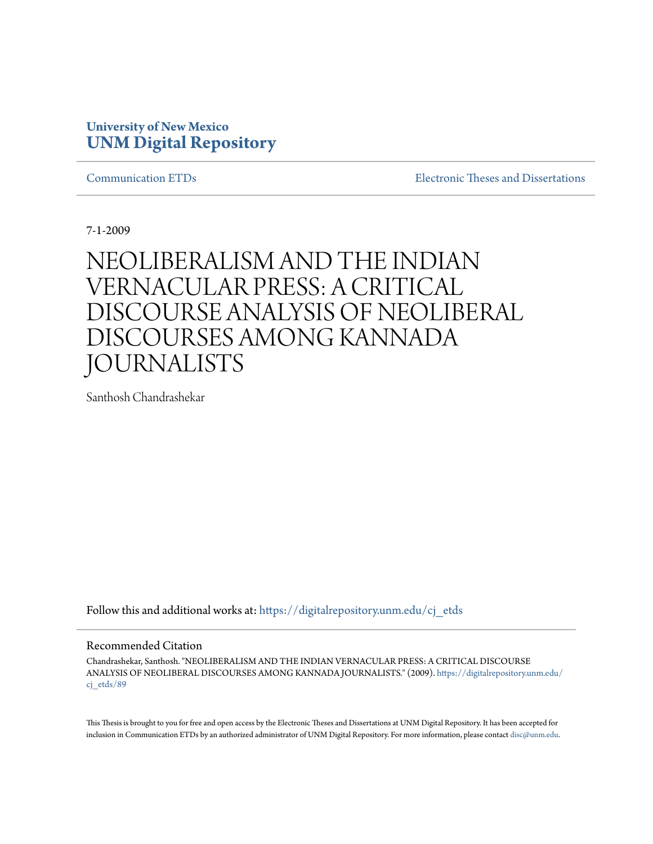# **University of New Mexico [UNM Digital Repository](https://digitalrepository.unm.edu?utm_source=digitalrepository.unm.edu%2Fcj_etds%2F89&utm_medium=PDF&utm_campaign=PDFCoverPages)**

[Communication ETDs](https://digitalrepository.unm.edu/cj_etds?utm_source=digitalrepository.unm.edu%2Fcj_etds%2F89&utm_medium=PDF&utm_campaign=PDFCoverPages) [Electronic Theses and Dissertations](https://digitalrepository.unm.edu/etds?utm_source=digitalrepository.unm.edu%2Fcj_etds%2F89&utm_medium=PDF&utm_campaign=PDFCoverPages)

7-1-2009

# NEOLIBERALISM AND THE INDIAN VERNACULAR PRESS: A CRITICAL DISCOURSE ANALYSIS OF NEOLIBERAL DISCOURSES AMONG KANNADA JOURNALISTS

Santhosh Chandrashekar

Follow this and additional works at: [https://digitalrepository.unm.edu/cj\\_etds](https://digitalrepository.unm.edu/cj_etds?utm_source=digitalrepository.unm.edu%2Fcj_etds%2F89&utm_medium=PDF&utm_campaign=PDFCoverPages)

### Recommended Citation

Chandrashekar, Santhosh. "NEOLIBERALISM AND THE INDIAN VERNACULAR PRESS: A CRITICAL DISCOURSE ANALYSIS OF NEOLIBERAL DISCOURSES AMONG KANNADA JOURNALISTS." (2009). [https://digitalrepository.unm.edu/](https://digitalrepository.unm.edu/cj_etds/89?utm_source=digitalrepository.unm.edu%2Fcj_etds%2F89&utm_medium=PDF&utm_campaign=PDFCoverPages) cj etds/89

This Thesis is brought to you for free and open access by the Electronic Theses and Dissertations at UNM Digital Repository. It has been accepted for inclusion in Communication ETDs by an authorized administrator of UNM Digital Repository. For more information, please contact [disc@unm.edu.](mailto:disc@unm.edu)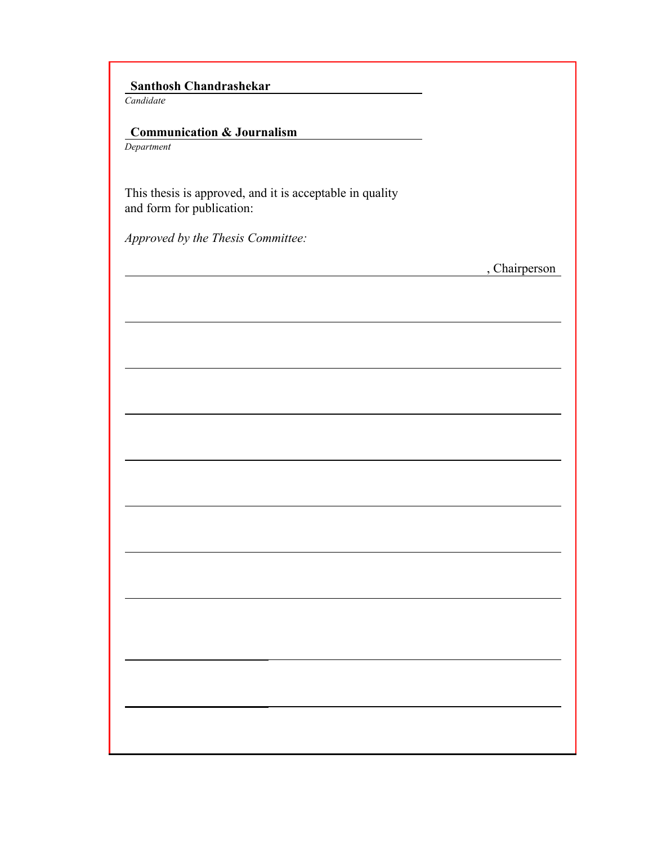# **Santhosh Chandrashekar**

*Candidate*

# **Communication & Journalism**

*Department*

This thesis is approved, and it is acceptable in quality and form for publication:

*Approved by the Thesis Committee:*

, Chairperson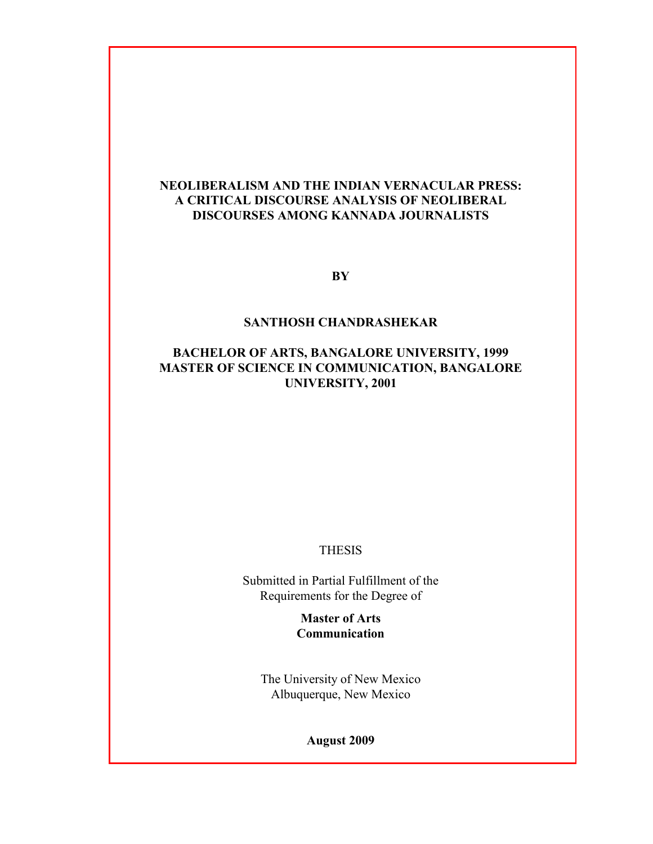# **NEOLIBERALISM AND THE INDIAN VERNACULAR PRESS: A CRITICAL DISCOURSE ANALYSIS OF NEOLIBERAL DISCOURSES AMONG KANNADA JOURNALISTS**

**BY**

### **SANTHOSH CHANDRASHEKAR**

### **BACHELOR OF ARTS, BANGALORE UNIVERSITY, 1999 MASTER OF SCIENCE IN COMMUNICATION, BANGALORE UNIVERSITY, 2001**

### THESIS

Submitted in Partial Fulfillment of the Requirements for the Degree of

> **Master of Arts Communication**

The University of New Mexico Albuquerque, New Mexico

**August 2009**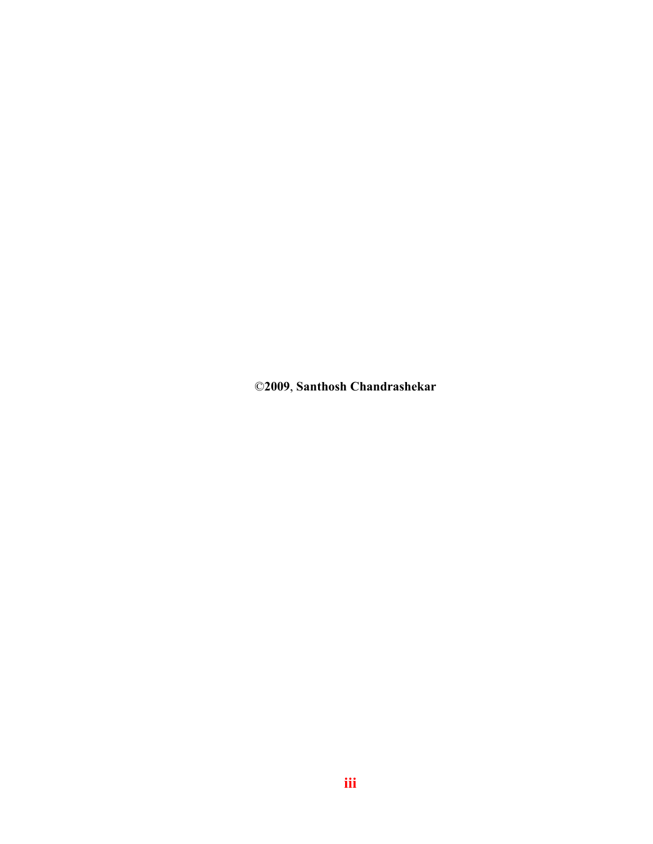©**2009**, **Santhosh Chandrashekar**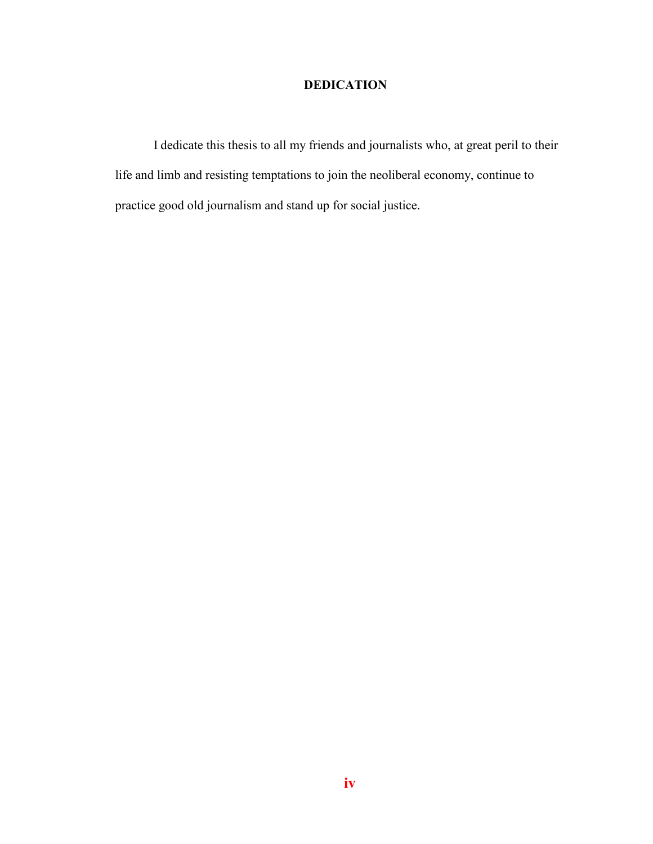# **DEDICATION**

I dedicate this thesis to all my friends and journalists who, at great peril to their life and limb and resisting temptations to join the neoliberal economy, continue to practice good old journalism and stand up for social justice.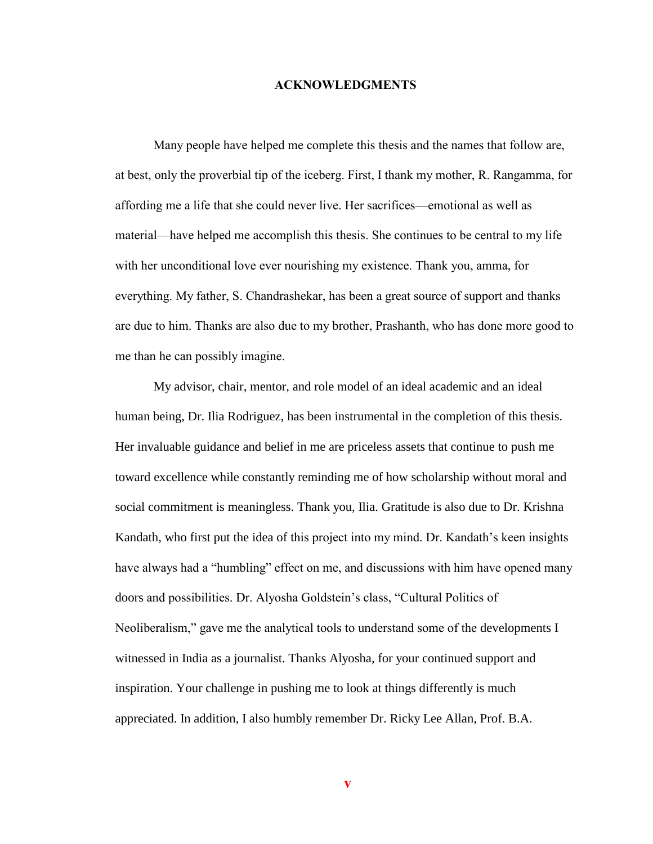### **ACKNOWLEDGMENTS**

Many people have helped me complete this thesis and the names that follow are, at best, only the proverbial tip of the iceberg. First, I thank my mother, R. Rangamma, for affording me a life that she could never live. Her sacrifices—emotional as well as material—have helped me accomplish this thesis. She continues to be central to my life with her unconditional love ever nourishing my existence. Thank you, amma, for everything. My father, S. Chandrashekar, has been a great source of support and thanks are due to him. Thanks are also due to my brother, Prashanth, who has done more good to me than he can possibly imagine.

My advisor, chair, mentor, and role model of an ideal academic and an ideal human being, Dr. Ilia Rodriguez, has been instrumental in the completion of this thesis. Her invaluable guidance and belief in me are priceless assets that continue to push me toward excellence while constantly reminding me of how scholarship without moral and social commitment is meaningless. Thank you, Ilia. Gratitude is also due to Dr. Krishna Kandath, who first put the idea of this project into my mind. Dr. Kandath"s keen insights have always had a "humbling" effect on me, and discussions with him have opened many doors and possibilities. Dr. Alyosha Goldstein"s class, "Cultural Politics of Neoliberalism," gave me the analytical tools to understand some of the developments I witnessed in India as a journalist. Thanks Alyosha, for your continued support and inspiration. Your challenge in pushing me to look at things differently is much appreciated. In addition, I also humbly remember Dr. Ricky Lee Allan, Prof. B.A.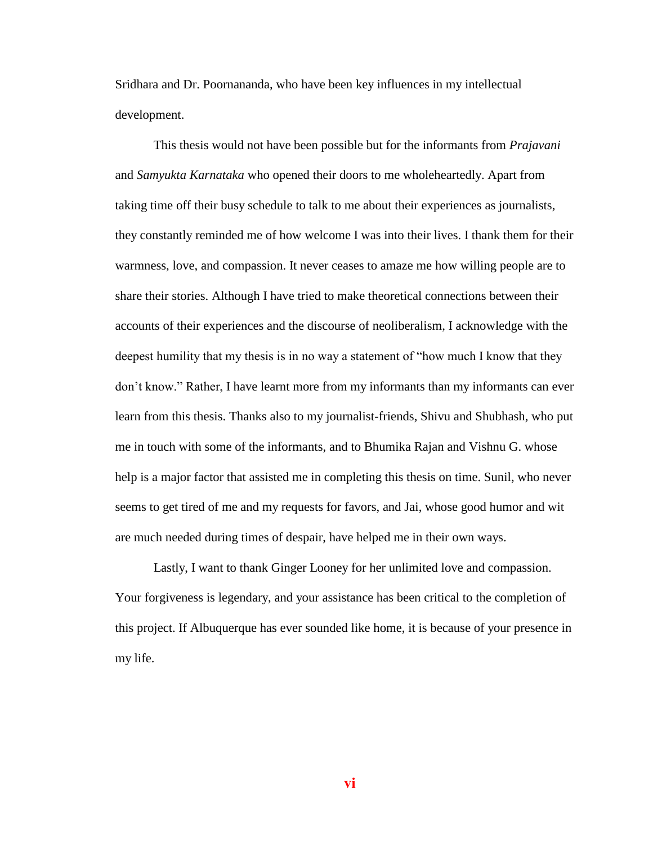Sridhara and Dr. Poornananda, who have been key influences in my intellectual development.

This thesis would not have been possible but for the informants from *Prajavani* and *Samyukta Karnataka* who opened their doors to me wholeheartedly. Apart from taking time off their busy schedule to talk to me about their experiences as journalists, they constantly reminded me of how welcome I was into their lives. I thank them for their warmness, love, and compassion. It never ceases to amaze me how willing people are to share their stories. Although I have tried to make theoretical connections between their accounts of their experiences and the discourse of neoliberalism, I acknowledge with the deepest humility that my thesis is in no way a statement of "how much I know that they don"t know." Rather, I have learnt more from my informants than my informants can ever learn from this thesis. Thanks also to my journalist-friends, Shivu and Shubhash, who put me in touch with some of the informants, and to Bhumika Rajan and Vishnu G. whose help is a major factor that assisted me in completing this thesis on time. Sunil, who never seems to get tired of me and my requests for favors, and Jai, whose good humor and wit are much needed during times of despair, have helped me in their own ways.

Lastly, I want to thank Ginger Looney for her unlimited love and compassion. Your forgiveness is legendary, and your assistance has been critical to the completion of this project. If Albuquerque has ever sounded like home, it is because of your presence in my life.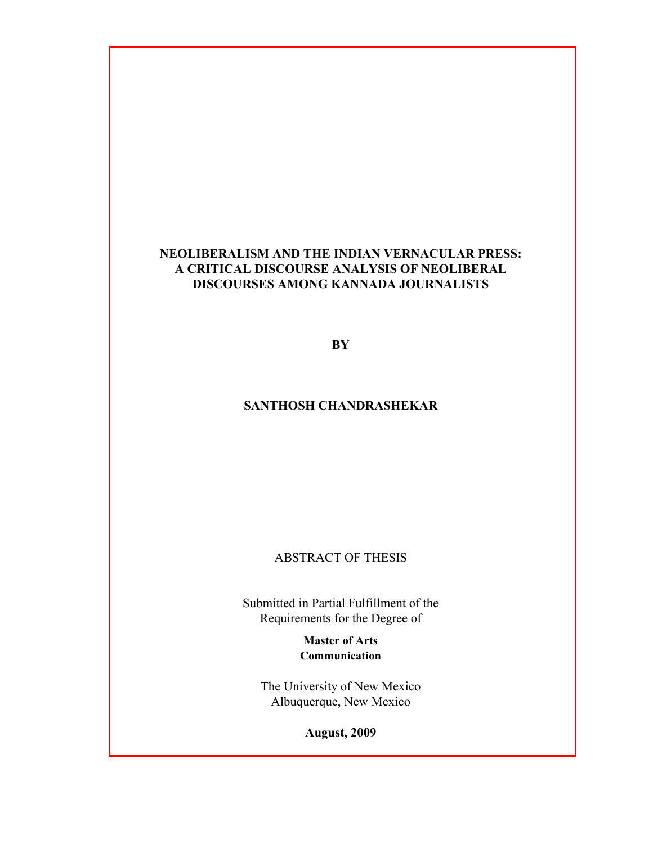# **NEOLIBERALISM AND THE INDIAN VERNACULAR PRESS: A CRITICAL DISCOURSE ANALYSIS OF NEOLIBERAL DISCOURSES AMONG KANNADA JOURNALISTS**

**BY**

# **SANTHOSH CHANDRASHEKAR**

ABSTRACT OF THESIS

Submitted in Partial Fulfillment of the Requirements for the Degree of

> **Master of Arts Communication**

The University of New Mexico Albuquerque, New Mexico

**August, 2009**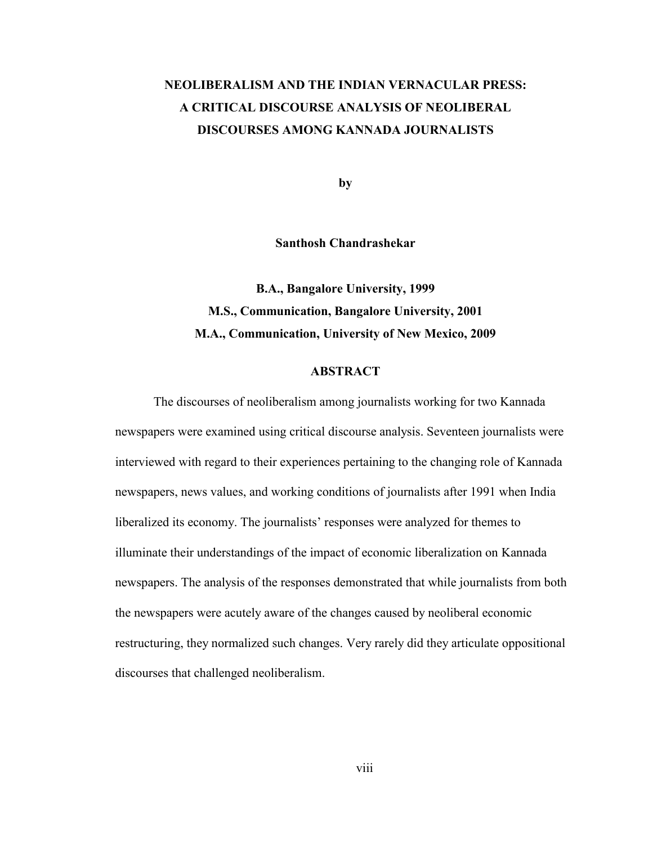# **NEOLIBERALISM AND THE INDIAN VERNACULAR PRESS: A CRITICAL DISCOURSE ANALYSIS OF NEOLIBERAL DISCOURSES AMONG KANNADA JOURNALISTS**

**by**

**Santhosh Chandrashekar**

**B.A., Bangalore University, 1999 M.S., Communication, Bangalore University, 2001 M.A., Communication, University of New Mexico, 2009**

### **ABSTRACT**

The discourses of neoliberalism among journalists working for two Kannada newspapers were examined using critical discourse analysis. Seventeen journalists were interviewed with regard to their experiences pertaining to the changing role of Kannada newspapers, news values, and working conditions of journalists after 1991 when India liberalized its economy. The journalists' responses were analyzed for themes to illuminate their understandings of the impact of economic liberalization on Kannada newspapers. The analysis of the responses demonstrated that while journalists from both the newspapers were acutely aware of the changes caused by neoliberal economic restructuring, they normalized such changes. Very rarely did they articulate oppositional discourses that challenged neoliberalism.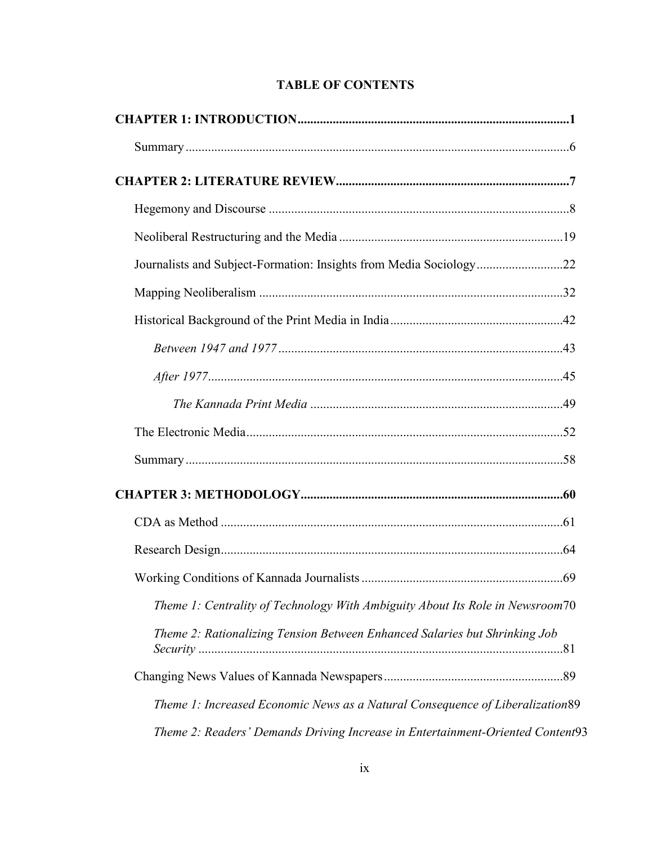| Theme 1: Centrality of Technology With Ambiguity About Its Role in Newsroom70  |  |
|--------------------------------------------------------------------------------|--|
| Theme 2: Rationalizing Tension Between Enhanced Salaries but Shrinking Job     |  |
|                                                                                |  |
| Theme 1: Increased Economic News as a Natural Consequence of Liberalization 89 |  |
| Theme 2: Readers' Demands Driving Increase in Entertainment-Oriented Content93 |  |

# **TABLE OF CONTENTS**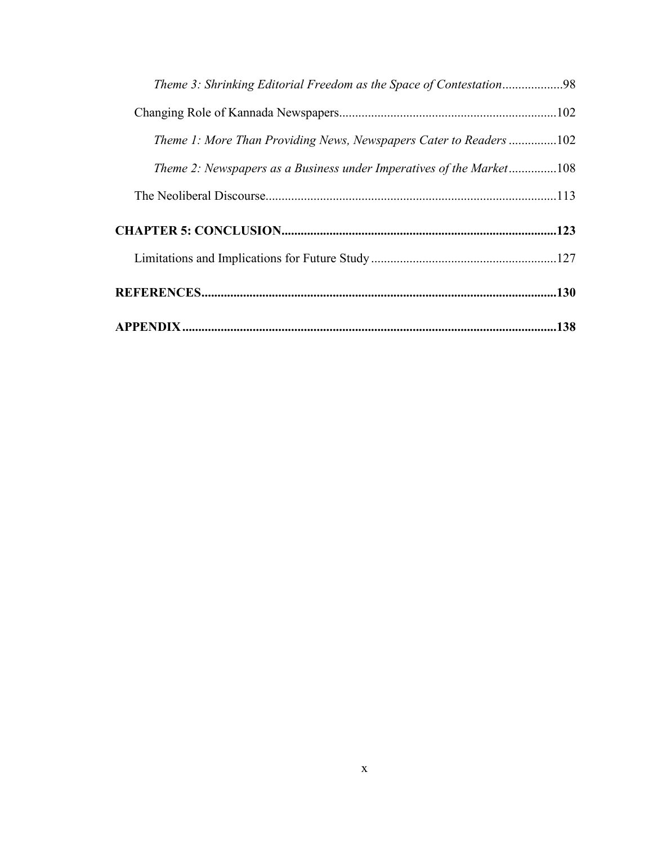| Theme 1: More Than Providing News, Newspapers Cater to Readers 102   |  |
|----------------------------------------------------------------------|--|
| Theme 2: Newspapers as a Business under Imperatives of the Market108 |  |
|                                                                      |  |
|                                                                      |  |
|                                                                      |  |
|                                                                      |  |
|                                                                      |  |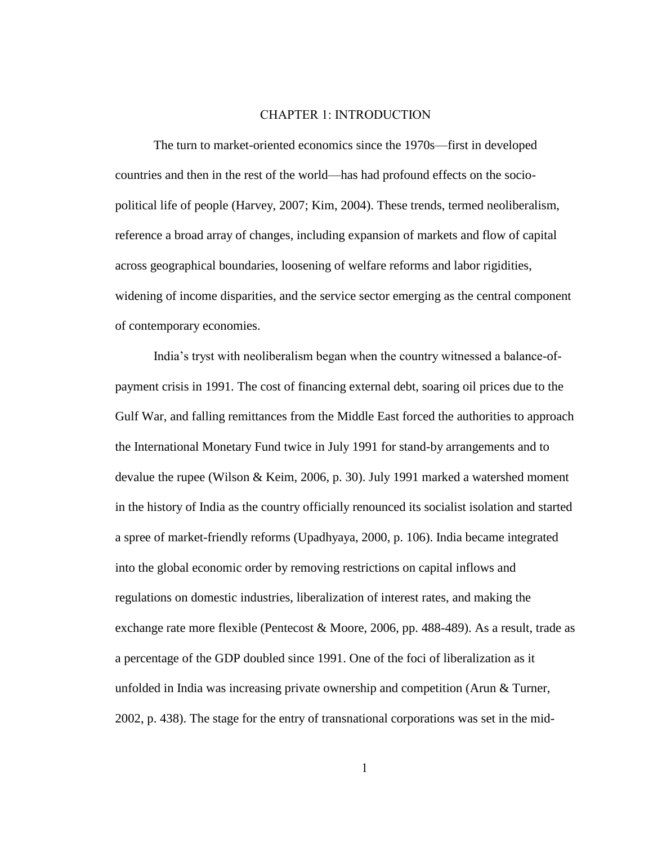### CHAPTER 1: INTRODUCTION

The turn to market-oriented economics since the 1970s—first in developed countries and then in the rest of the world—has had profound effects on the sociopolitical life of people (Harvey, 2007; Kim, 2004). These trends, termed neoliberalism, reference a broad array of changes, including expansion of markets and flow of capital across geographical boundaries, loosening of welfare reforms and labor rigidities, widening of income disparities, and the service sector emerging as the central component of contemporary economies.

India"s tryst with neoliberalism began when the country witnessed a balance-ofpayment crisis in 1991. The cost of financing external debt, soaring oil prices due to the Gulf War, and falling remittances from the Middle East forced the authorities to approach the International Monetary Fund twice in July 1991 for stand-by arrangements and to devalue the rupee (Wilson & Keim, 2006, p. 30). July 1991 marked a watershed moment in the history of India as the country officially renounced its socialist isolation and started a spree of market-friendly reforms (Upadhyaya, 2000, p. 106). India became integrated into the global economic order by removing restrictions on capital inflows and regulations on domestic industries, liberalization of interest rates, and making the exchange rate more flexible (Pentecost & Moore, 2006, pp. 488-489). As a result, trade as a percentage of the GDP doubled since 1991. One of the foci of liberalization as it unfolded in India was increasing private ownership and competition (Arun & Turner, 2002, p. 438). The stage for the entry of transnational corporations was set in the mid-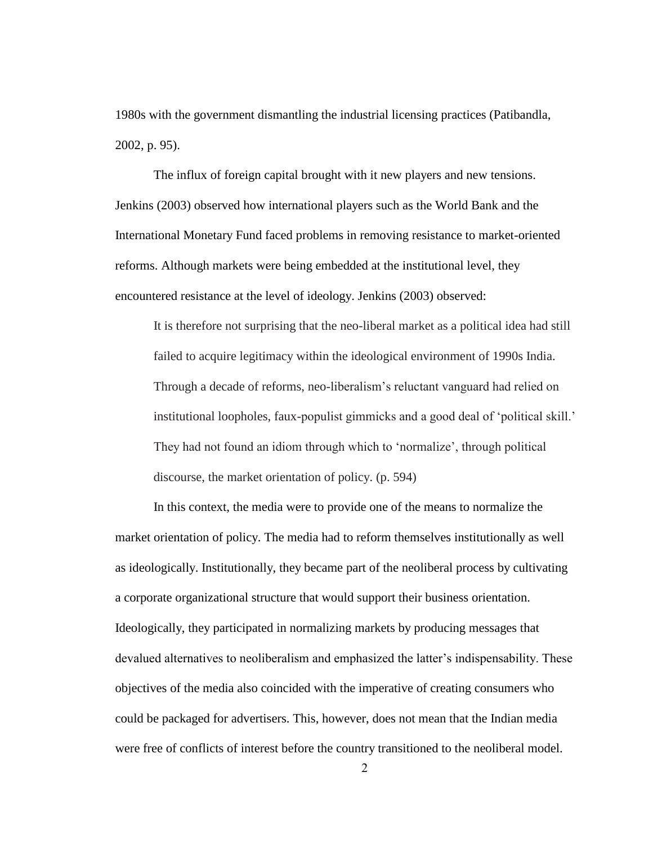1980s with the government dismantling the industrial licensing practices (Patibandla, 2002, p. 95).

The influx of foreign capital brought with it new players and new tensions. Jenkins (2003) observed how international players such as the World Bank and the International Monetary Fund faced problems in removing resistance to market-oriented reforms. Although markets were being embedded at the institutional level, they encountered resistance at the level of ideology. Jenkins (2003) observed:

It is therefore not surprising that the neo-liberal market as a political idea had still failed to acquire legitimacy within the ideological environment of 1990s India. Through a decade of reforms, neo-liberalism"s reluctant vanguard had relied on institutional loopholes, faux-populist gimmicks and a good deal of "political skill." They had not found an idiom through which to "normalize", through political discourse, the market orientation of policy. (p. 594)

In this context, the media were to provide one of the means to normalize the market orientation of policy. The media had to reform themselves institutionally as well as ideologically. Institutionally, they became part of the neoliberal process by cultivating a corporate organizational structure that would support their business orientation. Ideologically, they participated in normalizing markets by producing messages that devalued alternatives to neoliberalism and emphasized the latter"s indispensability. These objectives of the media also coincided with the imperative of creating consumers who could be packaged for advertisers. This, however, does not mean that the Indian media were free of conflicts of interest before the country transitioned to the neoliberal model.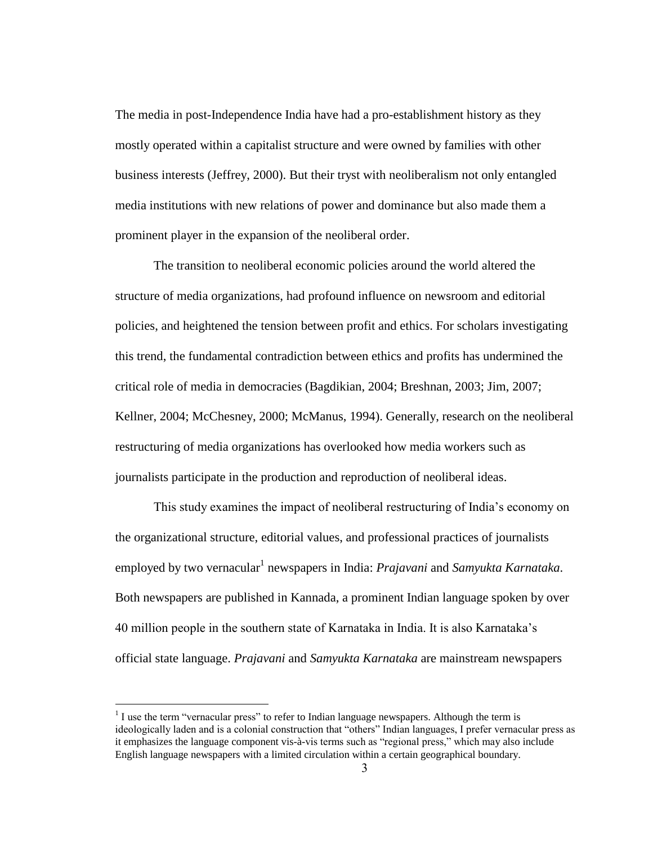The media in post-Independence India have had a pro-establishment history as they mostly operated within a capitalist structure and were owned by families with other business interests (Jeffrey, 2000). But their tryst with neoliberalism not only entangled media institutions with new relations of power and dominance but also made them a prominent player in the expansion of the neoliberal order.

The transition to neoliberal economic policies around the world altered the structure of media organizations, had profound influence on newsroom and editorial policies, and heightened the tension between profit and ethics. For scholars investigating this trend, the fundamental contradiction between ethics and profits has undermined the critical role of media in democracies (Bagdikian, 2004; Breshnan, 2003; Jim, 2007; Kellner, 2004; McChesney, 2000; McManus, 1994). Generally, research on the neoliberal restructuring of media organizations has overlooked how media workers such as journalists participate in the production and reproduction of neoliberal ideas.

This study examines the impact of neoliberal restructuring of India"s economy on the organizational structure, editorial values, and professional practices of journalists employed by two vernacular<sup>1</sup> newspapers in India: *Prajavani* and *Samyukta Karnataka*. Both newspapers are published in Kannada, a prominent Indian language spoken by over 40 million people in the southern state of Karnataka in India. It is also Karnataka"s official state language. *Prajavani* and *Samyukta Karnataka* are mainstream newspapers

 $\overline{a}$ 

 $<sup>1</sup>$  I use the term "vernacular press" to refer to Indian language newspapers. Although the term is</sup> ideologically laden and is a colonial construction that "others" Indian languages, I prefer vernacular press as it emphasizes the language component vis-à-vis terms such as "regional press," which may also include English language newspapers with a limited circulation within a certain geographical boundary.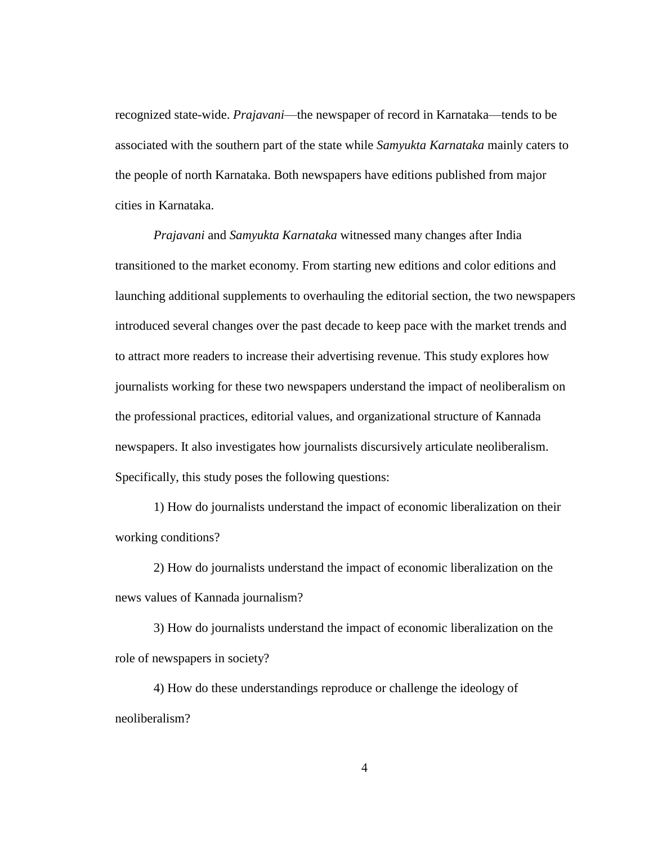recognized state-wide. *Prajavani*—the newspaper of record in Karnataka—tends to be associated with the southern part of the state while *Samyukta Karnataka* mainly caters to the people of north Karnataka. Both newspapers have editions published from major cities in Karnataka.

*Prajavani* and *Samyukta Karnataka* witnessed many changes after India transitioned to the market economy. From starting new editions and color editions and launching additional supplements to overhauling the editorial section, the two newspapers introduced several changes over the past decade to keep pace with the market trends and to attract more readers to increase their advertising revenue. This study explores how journalists working for these two newspapers understand the impact of neoliberalism on the professional practices, editorial values, and organizational structure of Kannada newspapers. It also investigates how journalists discursively articulate neoliberalism. Specifically, this study poses the following questions:

1) How do journalists understand the impact of economic liberalization on their working conditions?

2) How do journalists understand the impact of economic liberalization on the news values of Kannada journalism?

3) How do journalists understand the impact of economic liberalization on the role of newspapers in society?

4) How do these understandings reproduce or challenge the ideology of neoliberalism?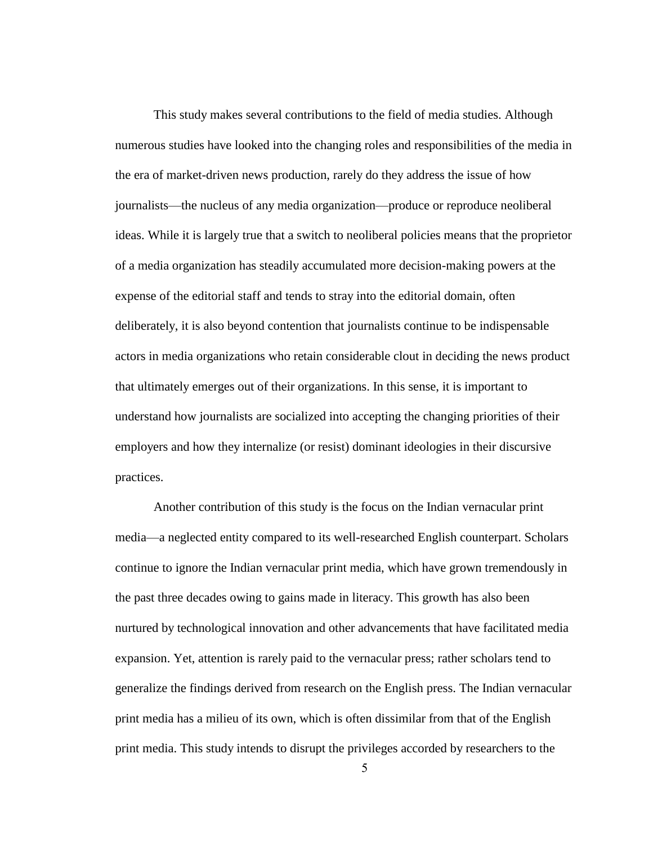This study makes several contributions to the field of media studies. Although numerous studies have looked into the changing roles and responsibilities of the media in the era of market-driven news production, rarely do they address the issue of how journalists—the nucleus of any media organization—produce or reproduce neoliberal ideas. While it is largely true that a switch to neoliberal policies means that the proprietor of a media organization has steadily accumulated more decision-making powers at the expense of the editorial staff and tends to stray into the editorial domain, often deliberately, it is also beyond contention that journalists continue to be indispensable actors in media organizations who retain considerable clout in deciding the news product that ultimately emerges out of their organizations. In this sense, it is important to understand how journalists are socialized into accepting the changing priorities of their employers and how they internalize (or resist) dominant ideologies in their discursive practices.

Another contribution of this study is the focus on the Indian vernacular print media—a neglected entity compared to its well-researched English counterpart. Scholars continue to ignore the Indian vernacular print media, which have grown tremendously in the past three decades owing to gains made in literacy. This growth has also been nurtured by technological innovation and other advancements that have facilitated media expansion. Yet, attention is rarely paid to the vernacular press; rather scholars tend to generalize the findings derived from research on the English press. The Indian vernacular print media has a milieu of its own, which is often dissimilar from that of the English print media. This study intends to disrupt the privileges accorded by researchers to the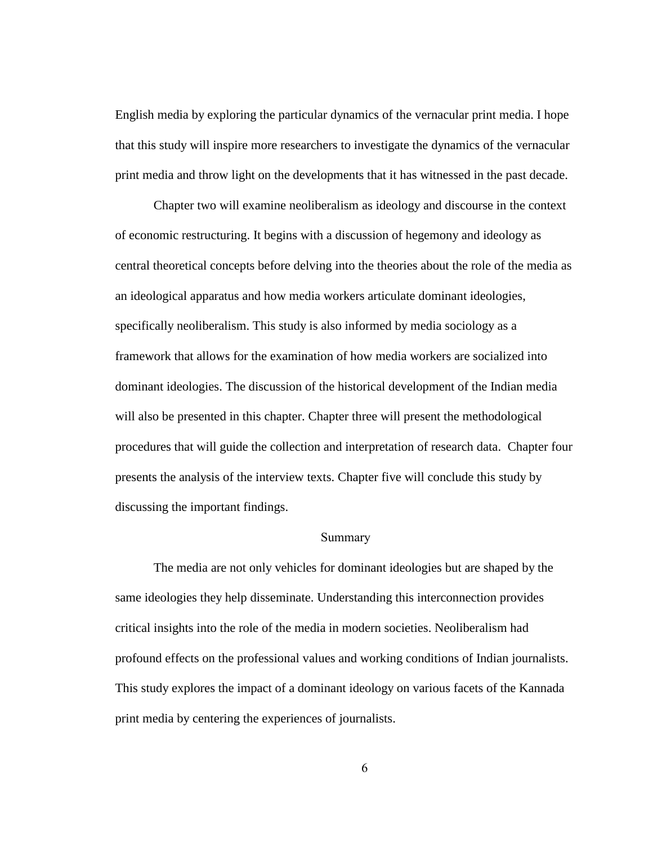English media by exploring the particular dynamics of the vernacular print media. I hope that this study will inspire more researchers to investigate the dynamics of the vernacular print media and throw light on the developments that it has witnessed in the past decade.

Chapter two will examine neoliberalism as ideology and discourse in the context of economic restructuring. It begins with a discussion of hegemony and ideology as central theoretical concepts before delving into the theories about the role of the media as an ideological apparatus and how media workers articulate dominant ideologies, specifically neoliberalism. This study is also informed by media sociology as a framework that allows for the examination of how media workers are socialized into dominant ideologies. The discussion of the historical development of the Indian media will also be presented in this chapter. Chapter three will present the methodological procedures that will guide the collection and interpretation of research data. Chapter four presents the analysis of the interview texts. Chapter five will conclude this study by discussing the important findings.

### Summary

The media are not only vehicles for dominant ideologies but are shaped by the same ideologies they help disseminate. Understanding this interconnection provides critical insights into the role of the media in modern societies. Neoliberalism had profound effects on the professional values and working conditions of Indian journalists. This study explores the impact of a dominant ideology on various facets of the Kannada print media by centering the experiences of journalists.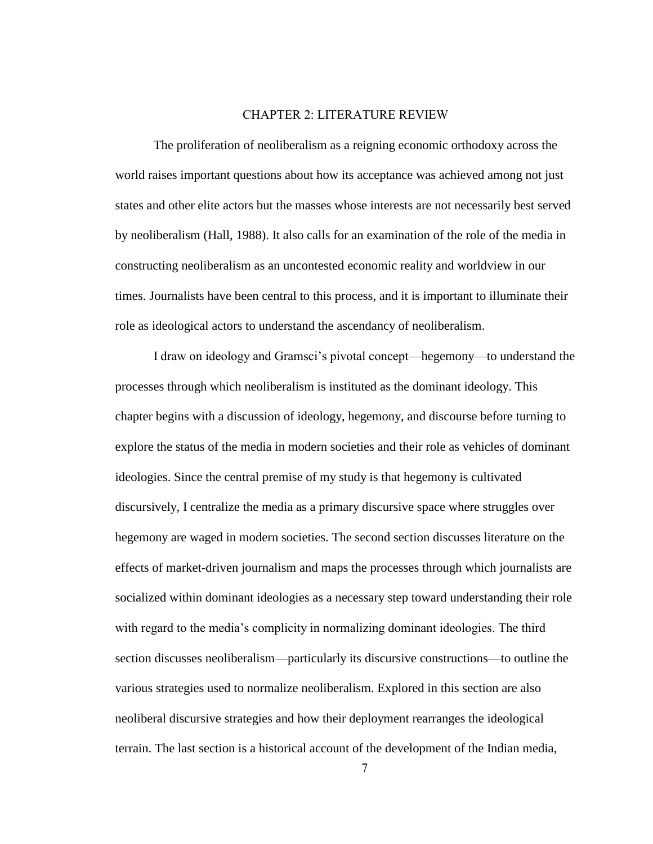### CHAPTER 2: LITERATURE REVIEW

The proliferation of neoliberalism as a reigning economic orthodoxy across the world raises important questions about how its acceptance was achieved among not just states and other elite actors but the masses whose interests are not necessarily best served by neoliberalism (Hall, 1988). It also calls for an examination of the role of the media in constructing neoliberalism as an uncontested economic reality and worldview in our times. Journalists have been central to this process, and it is important to illuminate their role as ideological actors to understand the ascendancy of neoliberalism.

I draw on ideology and Gramsci"s pivotal concept—hegemony—to understand the processes through which neoliberalism is instituted as the dominant ideology. This chapter begins with a discussion of ideology, hegemony, and discourse before turning to explore the status of the media in modern societies and their role as vehicles of dominant ideologies. Since the central premise of my study is that hegemony is cultivated discursively, I centralize the media as a primary discursive space where struggles over hegemony are waged in modern societies. The second section discusses literature on the effects of market-driven journalism and maps the processes through which journalists are socialized within dominant ideologies as a necessary step toward understanding their role with regard to the media"s complicity in normalizing dominant ideologies. The third section discusses neoliberalism—particularly its discursive constructions—to outline the various strategies used to normalize neoliberalism. Explored in this section are also neoliberal discursive strategies and how their deployment rearranges the ideological terrain. The last section is a historical account of the development of the Indian media,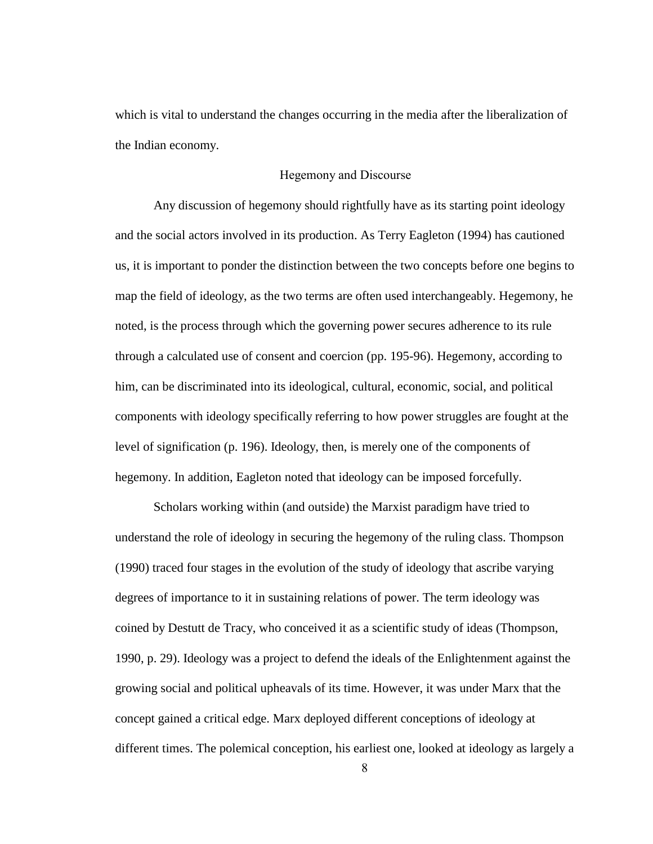which is vital to understand the changes occurring in the media after the liberalization of the Indian economy.

### Hegemony and Discourse

Any discussion of hegemony should rightfully have as its starting point ideology and the social actors involved in its production. As Terry Eagleton (1994) has cautioned us, it is important to ponder the distinction between the two concepts before one begins to map the field of ideology, as the two terms are often used interchangeably. Hegemony, he noted, is the process through which the governing power secures adherence to its rule through a calculated use of consent and coercion (pp. 195-96). Hegemony, according to him, can be discriminated into its ideological, cultural, economic, social, and political components with ideology specifically referring to how power struggles are fought at the level of signification (p. 196). Ideology, then, is merely one of the components of hegemony. In addition, Eagleton noted that ideology can be imposed forcefully.

Scholars working within (and outside) the Marxist paradigm have tried to understand the role of ideology in securing the hegemony of the ruling class. Thompson (1990) traced four stages in the evolution of the study of ideology that ascribe varying degrees of importance to it in sustaining relations of power. The term ideology was coined by Destutt de Tracy, who conceived it as a scientific study of ideas (Thompson, 1990, p. 29). Ideology was a project to defend the ideals of the Enlightenment against the growing social and political upheavals of its time. However, it was under Marx that the concept gained a critical edge. Marx deployed different conceptions of ideology at different times. The polemical conception, his earliest one, looked at ideology as largely a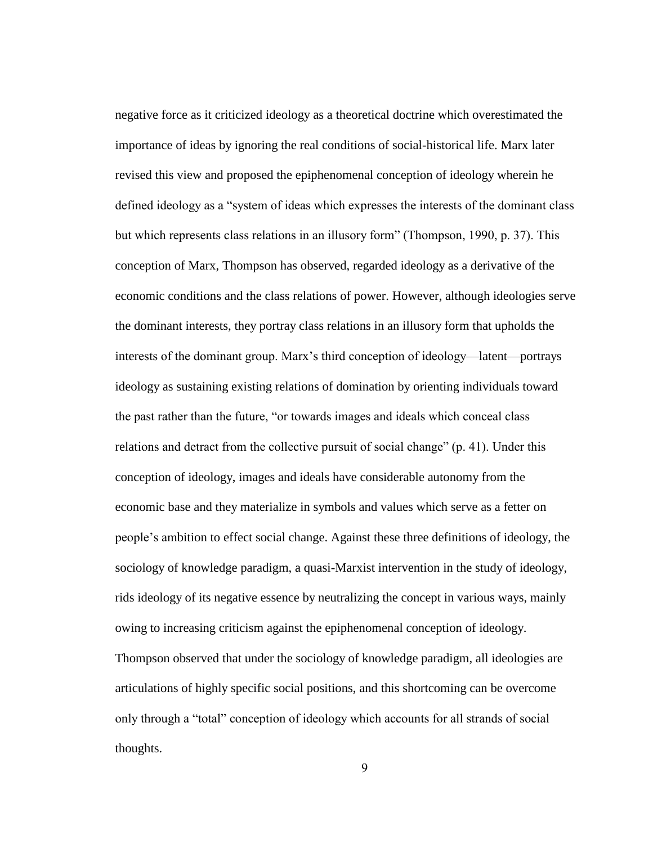negative force as it criticized ideology as a theoretical doctrine which overestimated the importance of ideas by ignoring the real conditions of social-historical life. Marx later revised this view and proposed the epiphenomenal conception of ideology wherein he defined ideology as a "system of ideas which expresses the interests of the dominant class but which represents class relations in an illusory form" (Thompson, 1990, p. 37). This conception of Marx, Thompson has observed, regarded ideology as a derivative of the economic conditions and the class relations of power. However, although ideologies serve the dominant interests, they portray class relations in an illusory form that upholds the interests of the dominant group. Marx"s third conception of ideology—latent—portrays ideology as sustaining existing relations of domination by orienting individuals toward the past rather than the future, "or towards images and ideals which conceal class relations and detract from the collective pursuit of social change" (p. 41). Under this conception of ideology, images and ideals have considerable autonomy from the economic base and they materialize in symbols and values which serve as a fetter on people"s ambition to effect social change. Against these three definitions of ideology, the sociology of knowledge paradigm, a quasi-Marxist intervention in the study of ideology, rids ideology of its negative essence by neutralizing the concept in various ways, mainly owing to increasing criticism against the epiphenomenal conception of ideology. Thompson observed that under the sociology of knowledge paradigm, all ideologies are articulations of highly specific social positions, and this shortcoming can be overcome only through a "total" conception of ideology which accounts for all strands of social thoughts.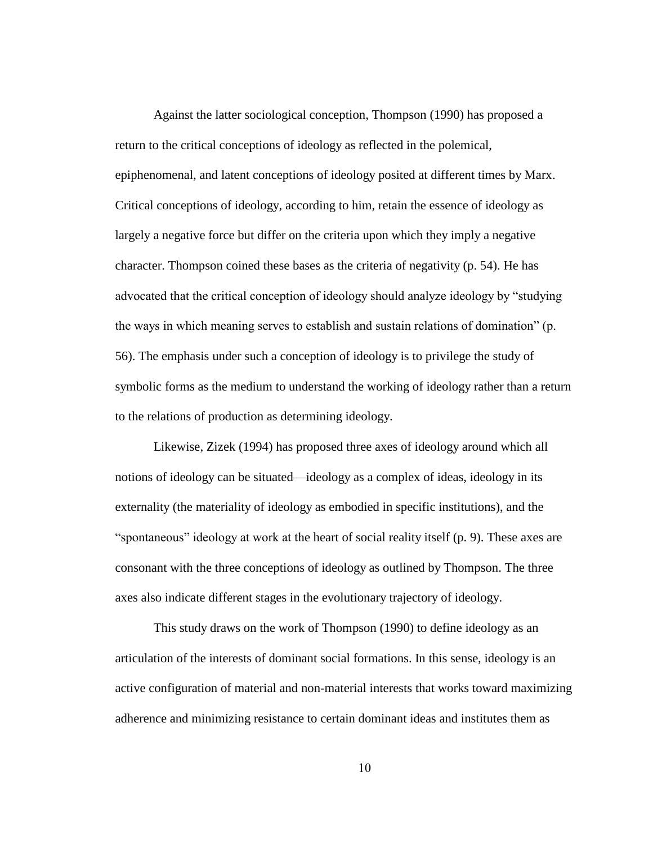Against the latter sociological conception, Thompson (1990) has proposed a return to the critical conceptions of ideology as reflected in the polemical, epiphenomenal, and latent conceptions of ideology posited at different times by Marx. Critical conceptions of ideology, according to him, retain the essence of ideology as largely a negative force but differ on the criteria upon which they imply a negative character. Thompson coined these bases as the criteria of negativity (p. 54). He has advocated that the critical conception of ideology should analyze ideology by "studying the ways in which meaning serves to establish and sustain relations of domination" (p. 56). The emphasis under such a conception of ideology is to privilege the study of symbolic forms as the medium to understand the working of ideology rather than a return to the relations of production as determining ideology.

Likewise, Zizek (1994) has proposed three axes of ideology around which all notions of ideology can be situated—ideology as a complex of ideas, ideology in its externality (the materiality of ideology as embodied in specific institutions), and the "spontaneous" ideology at work at the heart of social reality itself (p. 9). These axes are consonant with the three conceptions of ideology as outlined by Thompson. The three axes also indicate different stages in the evolutionary trajectory of ideology.

This study draws on the work of Thompson (1990) to define ideology as an articulation of the interests of dominant social formations. In this sense, ideology is an active configuration of material and non-material interests that works toward maximizing adherence and minimizing resistance to certain dominant ideas and institutes them as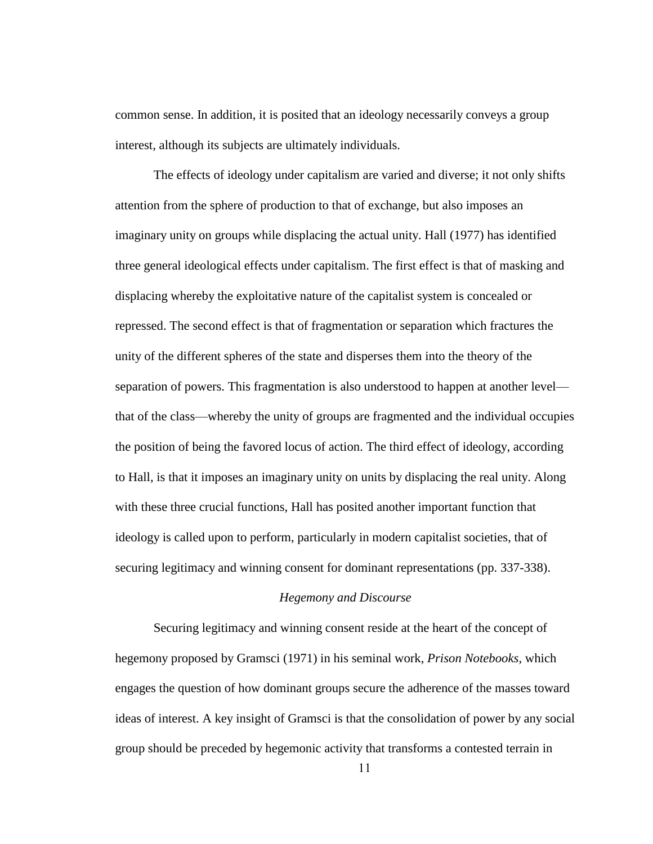common sense. In addition, it is posited that an ideology necessarily conveys a group interest, although its subjects are ultimately individuals.

The effects of ideology under capitalism are varied and diverse; it not only shifts attention from the sphere of production to that of exchange, but also imposes an imaginary unity on groups while displacing the actual unity. Hall (1977) has identified three general ideological effects under capitalism. The first effect is that of masking and displacing whereby the exploitative nature of the capitalist system is concealed or repressed. The second effect is that of fragmentation or separation which fractures the unity of the different spheres of the state and disperses them into the theory of the separation of powers. This fragmentation is also understood to happen at another level that of the class—whereby the unity of groups are fragmented and the individual occupies the position of being the favored locus of action. The third effect of ideology, according to Hall, is that it imposes an imaginary unity on units by displacing the real unity. Along with these three crucial functions, Hall has posited another important function that ideology is called upon to perform, particularly in modern capitalist societies, that of securing legitimacy and winning consent for dominant representations (pp. 337-338).

### *Hegemony and Discourse*

Securing legitimacy and winning consent reside at the heart of the concept of hegemony proposed by Gramsci (1971) in his seminal work, *Prison Notebooks*, which engages the question of how dominant groups secure the adherence of the masses toward ideas of interest. A key insight of Gramsci is that the consolidation of power by any social group should be preceded by hegemonic activity that transforms a contested terrain in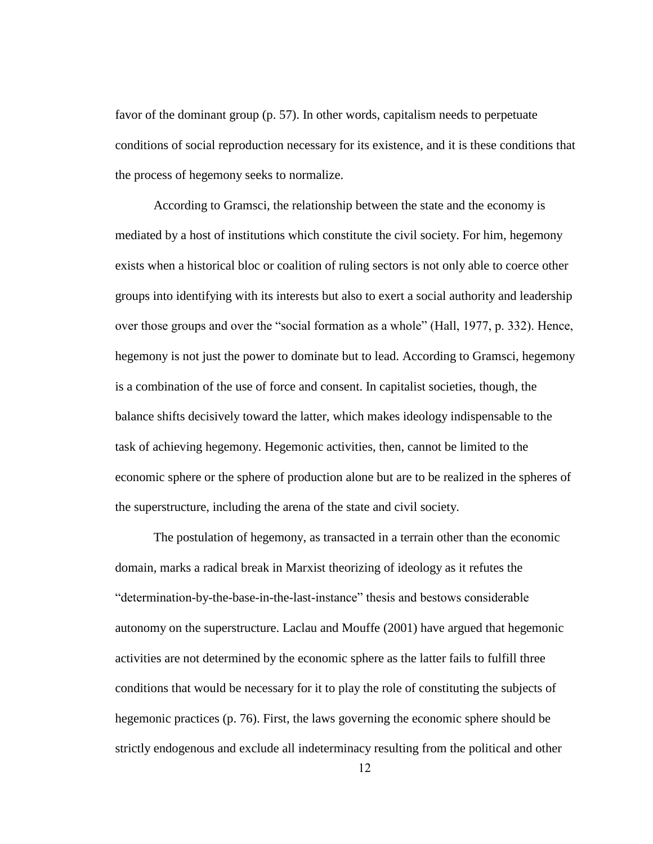favor of the dominant group (p. 57). In other words, capitalism needs to perpetuate conditions of social reproduction necessary for its existence, and it is these conditions that the process of hegemony seeks to normalize.

According to Gramsci, the relationship between the state and the economy is mediated by a host of institutions which constitute the civil society. For him, hegemony exists when a historical bloc or coalition of ruling sectors is not only able to coerce other groups into identifying with its interests but also to exert a social authority and leadership over those groups and over the "social formation as a whole" (Hall, 1977, p. 332). Hence, hegemony is not just the power to dominate but to lead. According to Gramsci, hegemony is a combination of the use of force and consent. In capitalist societies, though, the balance shifts decisively toward the latter, which makes ideology indispensable to the task of achieving hegemony. Hegemonic activities, then, cannot be limited to the economic sphere or the sphere of production alone but are to be realized in the spheres of the superstructure, including the arena of the state and civil society.

The postulation of hegemony, as transacted in a terrain other than the economic domain, marks a radical break in Marxist theorizing of ideology as it refutes the "determination-by-the-base-in-the-last-instance" thesis and bestows considerable autonomy on the superstructure. Laclau and Mouffe (2001) have argued that hegemonic activities are not determined by the economic sphere as the latter fails to fulfill three conditions that would be necessary for it to play the role of constituting the subjects of hegemonic practices (p. 76). First, the laws governing the economic sphere should be strictly endogenous and exclude all indeterminacy resulting from the political and other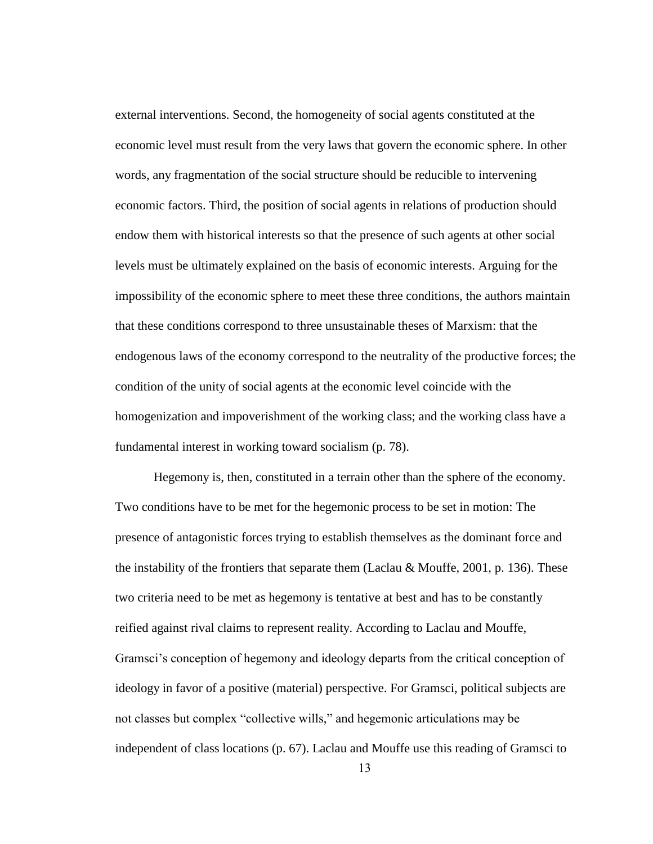external interventions. Second, the homogeneity of social agents constituted at the economic level must result from the very laws that govern the economic sphere. In other words, any fragmentation of the social structure should be reducible to intervening economic factors. Third, the position of social agents in relations of production should endow them with historical interests so that the presence of such agents at other social levels must be ultimately explained on the basis of economic interests. Arguing for the impossibility of the economic sphere to meet these three conditions, the authors maintain that these conditions correspond to three unsustainable theses of Marxism: that the endogenous laws of the economy correspond to the neutrality of the productive forces; the condition of the unity of social agents at the economic level coincide with the homogenization and impoverishment of the working class; and the working class have a fundamental interest in working toward socialism (p. 78).

Hegemony is, then, constituted in a terrain other than the sphere of the economy. Two conditions have to be met for the hegemonic process to be set in motion: The presence of antagonistic forces trying to establish themselves as the dominant force and the instability of the frontiers that separate them (Laclau & Mouffe, 2001, p. 136). These two criteria need to be met as hegemony is tentative at best and has to be constantly reified against rival claims to represent reality. According to Laclau and Mouffe, Gramsci"s conception of hegemony and ideology departs from the critical conception of ideology in favor of a positive (material) perspective. For Gramsci, political subjects are not classes but complex "collective wills," and hegemonic articulations may be independent of class locations (p. 67). Laclau and Mouffe use this reading of Gramsci to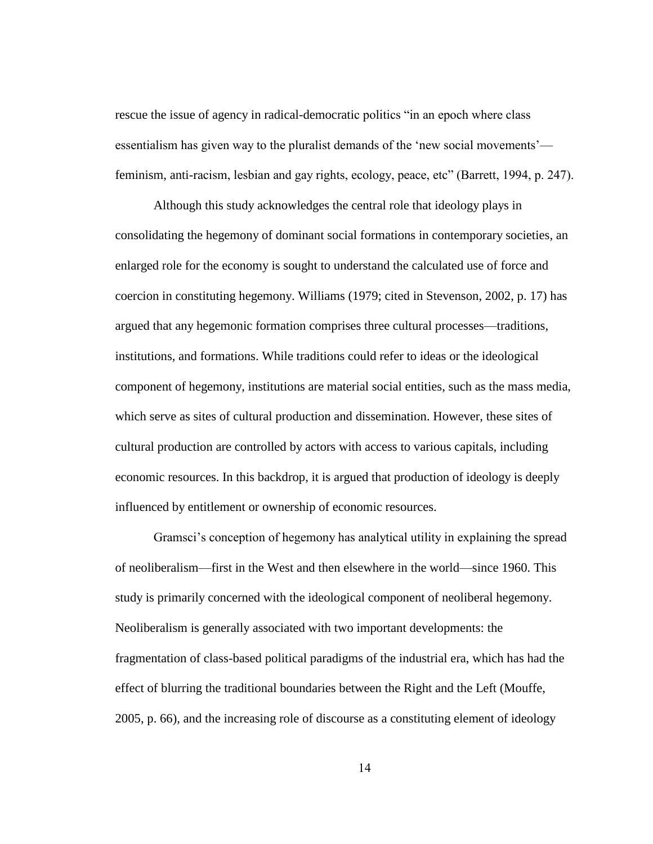rescue the issue of agency in radical-democratic politics "in an epoch where class essentialism has given way to the pluralist demands of the "new social movements" feminism, anti-racism, lesbian and gay rights, ecology, peace, etc" (Barrett, 1994, p. 247).

Although this study acknowledges the central role that ideology plays in consolidating the hegemony of dominant social formations in contemporary societies, an enlarged role for the economy is sought to understand the calculated use of force and coercion in constituting hegemony. Williams (1979; cited in Stevenson, 2002, p. 17) has argued that any hegemonic formation comprises three cultural processes—traditions, institutions, and formations. While traditions could refer to ideas or the ideological component of hegemony, institutions are material social entities, such as the mass media, which serve as sites of cultural production and dissemination. However, these sites of cultural production are controlled by actors with access to various capitals, including economic resources. In this backdrop, it is argued that production of ideology is deeply influenced by entitlement or ownership of economic resources.

Gramsci"s conception of hegemony has analytical utility in explaining the spread of neoliberalism—first in the West and then elsewhere in the world—since 1960. This study is primarily concerned with the ideological component of neoliberal hegemony. Neoliberalism is generally associated with two important developments: the fragmentation of class-based political paradigms of the industrial era, which has had the effect of blurring the traditional boundaries between the Right and the Left (Mouffe, 2005, p. 66), and the increasing role of discourse as a constituting element of ideology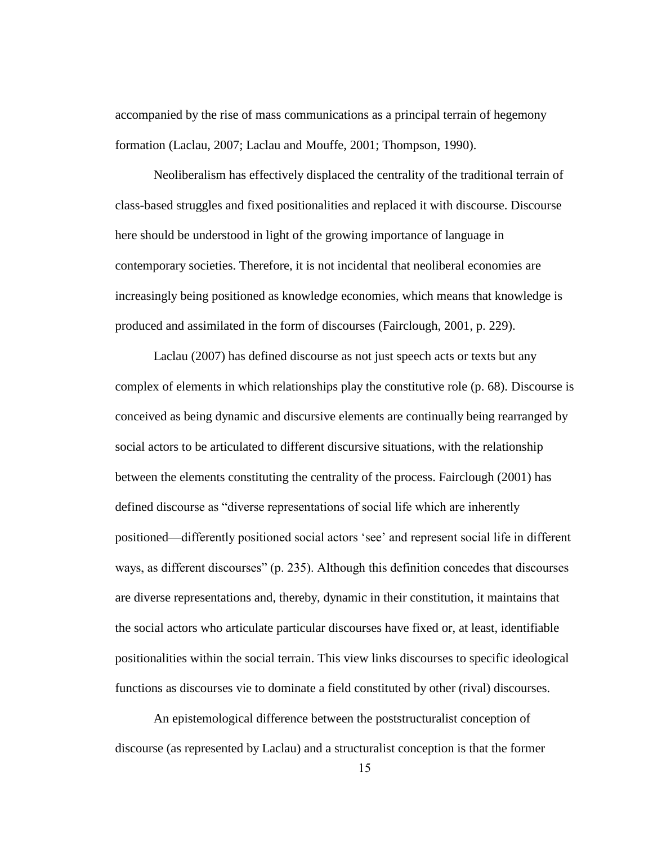accompanied by the rise of mass communications as a principal terrain of hegemony formation (Laclau, 2007; Laclau and Mouffe, 2001; Thompson, 1990).

Neoliberalism has effectively displaced the centrality of the traditional terrain of class-based struggles and fixed positionalities and replaced it with discourse. Discourse here should be understood in light of the growing importance of language in contemporary societies. Therefore, it is not incidental that neoliberal economies are increasingly being positioned as knowledge economies, which means that knowledge is produced and assimilated in the form of discourses (Fairclough, 2001, p. 229).

Laclau (2007) has defined discourse as not just speech acts or texts but any complex of elements in which relationships play the constitutive role (p. 68). Discourse is conceived as being dynamic and discursive elements are continually being rearranged by social actors to be articulated to different discursive situations, with the relationship between the elements constituting the centrality of the process. Fairclough (2001) has defined discourse as "diverse representations of social life which are inherently positioned—differently positioned social actors "see" and represent social life in different ways, as different discourses" (p. 235). Although this definition concedes that discourses are diverse representations and, thereby, dynamic in their constitution, it maintains that the social actors who articulate particular discourses have fixed or, at least, identifiable positionalities within the social terrain. This view links discourses to specific ideological functions as discourses vie to dominate a field constituted by other (rival) discourses.

An epistemological difference between the poststructuralist conception of discourse (as represented by Laclau) and a structuralist conception is that the former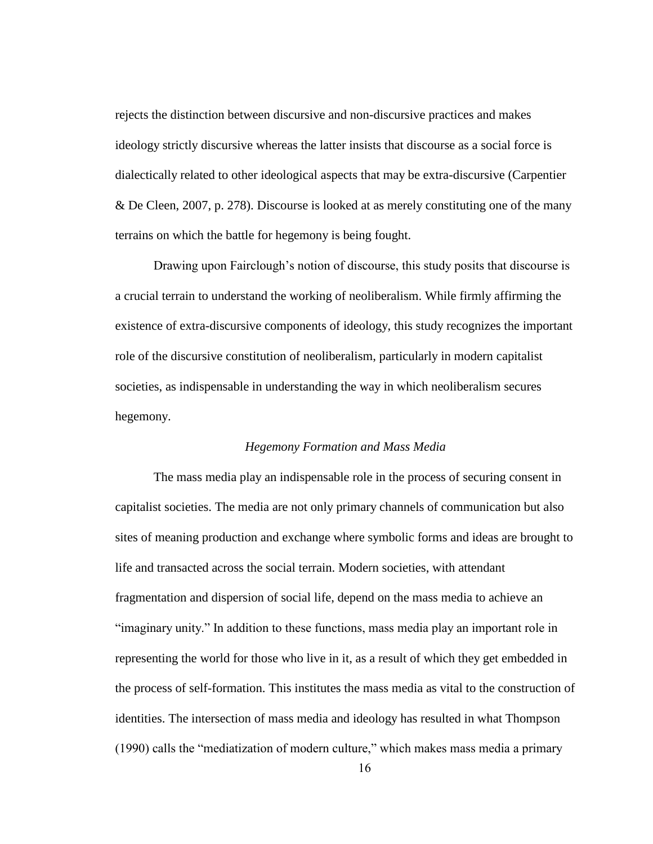rejects the distinction between discursive and non-discursive practices and makes ideology strictly discursive whereas the latter insists that discourse as a social force is dialectically related to other ideological aspects that may be extra-discursive (Carpentier & De Cleen, 2007, p. 278). Discourse is looked at as merely constituting one of the many terrains on which the battle for hegemony is being fought.

Drawing upon Fairclough"s notion of discourse, this study posits that discourse is a crucial terrain to understand the working of neoliberalism. While firmly affirming the existence of extra-discursive components of ideology, this study recognizes the important role of the discursive constitution of neoliberalism, particularly in modern capitalist societies, as indispensable in understanding the way in which neoliberalism secures hegemony.

### *Hegemony Formation and Mass Media*

The mass media play an indispensable role in the process of securing consent in capitalist societies. The media are not only primary channels of communication but also sites of meaning production and exchange where symbolic forms and ideas are brought to life and transacted across the social terrain. Modern societies, with attendant fragmentation and dispersion of social life, depend on the mass media to achieve an "imaginary unity." In addition to these functions, mass media play an important role in representing the world for those who live in it, as a result of which they get embedded in the process of self-formation. This institutes the mass media as vital to the construction of identities. The intersection of mass media and ideology has resulted in what Thompson (1990) calls the "mediatization of modern culture," which makes mass media a primary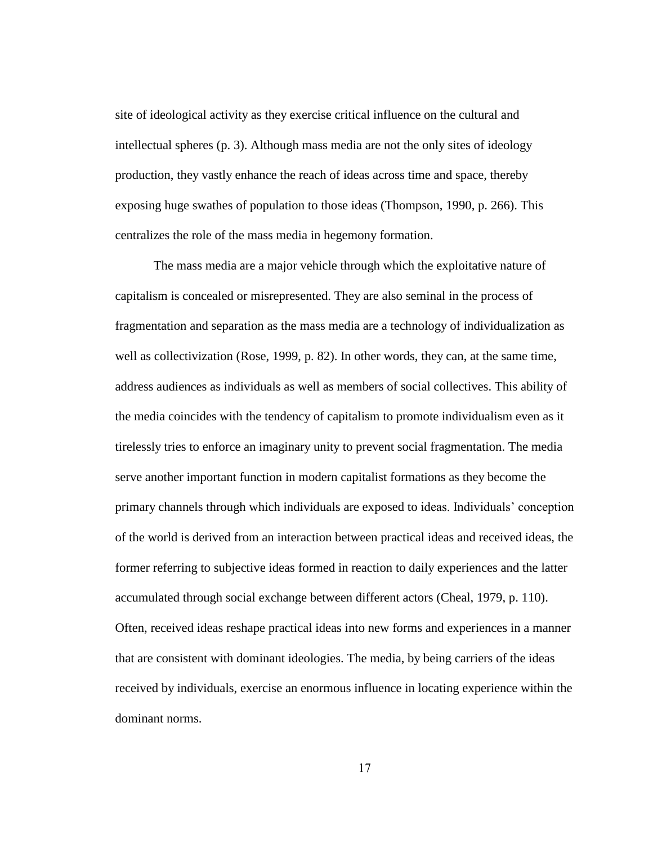site of ideological activity as they exercise critical influence on the cultural and intellectual spheres (p. 3). Although mass media are not the only sites of ideology production, they vastly enhance the reach of ideas across time and space, thereby exposing huge swathes of population to those ideas (Thompson, 1990, p. 266). This centralizes the role of the mass media in hegemony formation.

The mass media are a major vehicle through which the exploitative nature of capitalism is concealed or misrepresented. They are also seminal in the process of fragmentation and separation as the mass media are a technology of individualization as well as collectivization (Rose, 1999, p. 82). In other words, they can, at the same time, address audiences as individuals as well as members of social collectives. This ability of the media coincides with the tendency of capitalism to promote individualism even as it tirelessly tries to enforce an imaginary unity to prevent social fragmentation. The media serve another important function in modern capitalist formations as they become the primary channels through which individuals are exposed to ideas. Individuals" conception of the world is derived from an interaction between practical ideas and received ideas, the former referring to subjective ideas formed in reaction to daily experiences and the latter accumulated through social exchange between different actors (Cheal, 1979, p. 110). Often, received ideas reshape practical ideas into new forms and experiences in a manner that are consistent with dominant ideologies. The media, by being carriers of the ideas received by individuals, exercise an enormous influence in locating experience within the dominant norms.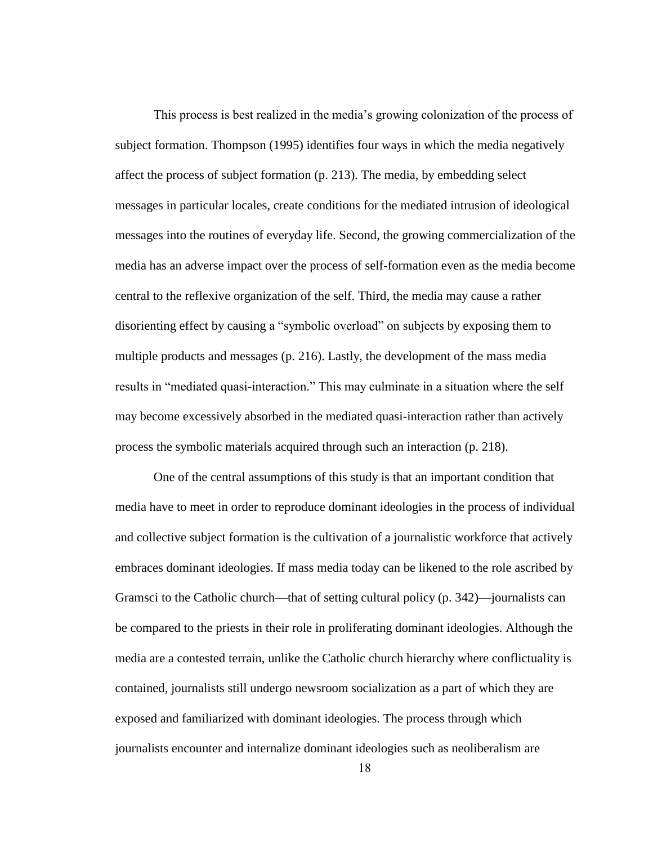This process is best realized in the media"s growing colonization of the process of subject formation. Thompson (1995) identifies four ways in which the media negatively affect the process of subject formation (p. 213). The media, by embedding select messages in particular locales, create conditions for the mediated intrusion of ideological messages into the routines of everyday life. Second, the growing commercialization of the media has an adverse impact over the process of self-formation even as the media become central to the reflexive organization of the self. Third, the media may cause a rather disorienting effect by causing a "symbolic overload" on subjects by exposing them to multiple products and messages (p. 216). Lastly, the development of the mass media results in "mediated quasi-interaction." This may culminate in a situation where the self may become excessively absorbed in the mediated quasi-interaction rather than actively process the symbolic materials acquired through such an interaction (p. 218).

One of the central assumptions of this study is that an important condition that media have to meet in order to reproduce dominant ideologies in the process of individual and collective subject formation is the cultivation of a journalistic workforce that actively embraces dominant ideologies. If mass media today can be likened to the role ascribed by Gramsci to the Catholic church—that of setting cultural policy (p. 342)—journalists can be compared to the priests in their role in proliferating dominant ideologies. Although the media are a contested terrain, unlike the Catholic church hierarchy where conflictuality is contained, journalists still undergo newsroom socialization as a part of which they are exposed and familiarized with dominant ideologies. The process through which journalists encounter and internalize dominant ideologies such as neoliberalism are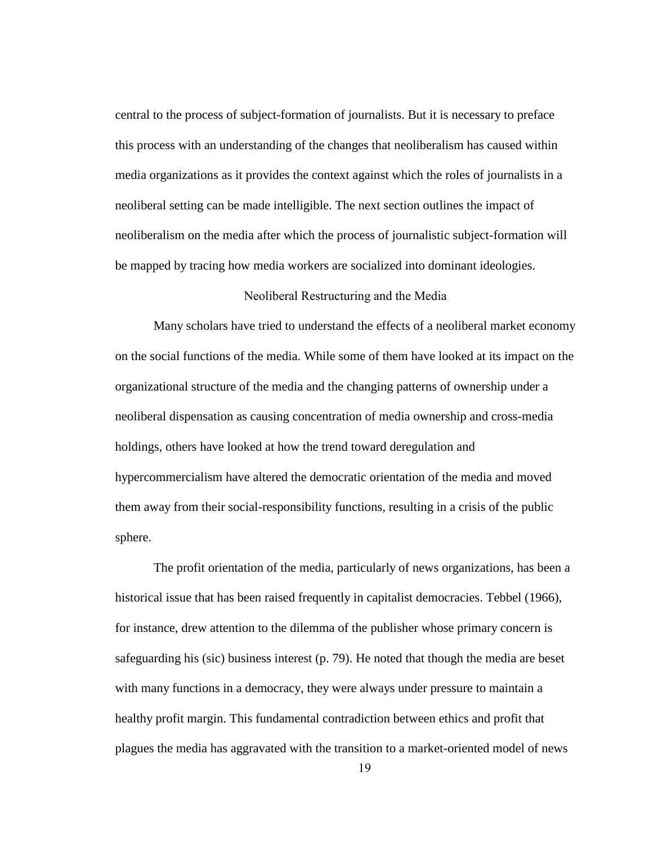central to the process of subject-formation of journalists. But it is necessary to preface this process with an understanding of the changes that neoliberalism has caused within media organizations as it provides the context against which the roles of journalists in a neoliberal setting can be made intelligible. The next section outlines the impact of neoliberalism on the media after which the process of journalistic subject-formation will be mapped by tracing how media workers are socialized into dominant ideologies.

### Neoliberal Restructuring and the Media

Many scholars have tried to understand the effects of a neoliberal market economy on the social functions of the media. While some of them have looked at its impact on the organizational structure of the media and the changing patterns of ownership under a neoliberal dispensation as causing concentration of media ownership and cross-media holdings, others have looked at how the trend toward deregulation and hypercommercialism have altered the democratic orientation of the media and moved them away from their social-responsibility functions, resulting in a crisis of the public sphere.

The profit orientation of the media, particularly of news organizations, has been a historical issue that has been raised frequently in capitalist democracies. Tebbel (1966), for instance, drew attention to the dilemma of the publisher whose primary concern is safeguarding his (sic) business interest (p. 79). He noted that though the media are beset with many functions in a democracy, they were always under pressure to maintain a healthy profit margin. This fundamental contradiction between ethics and profit that plagues the media has aggravated with the transition to a market-oriented model of news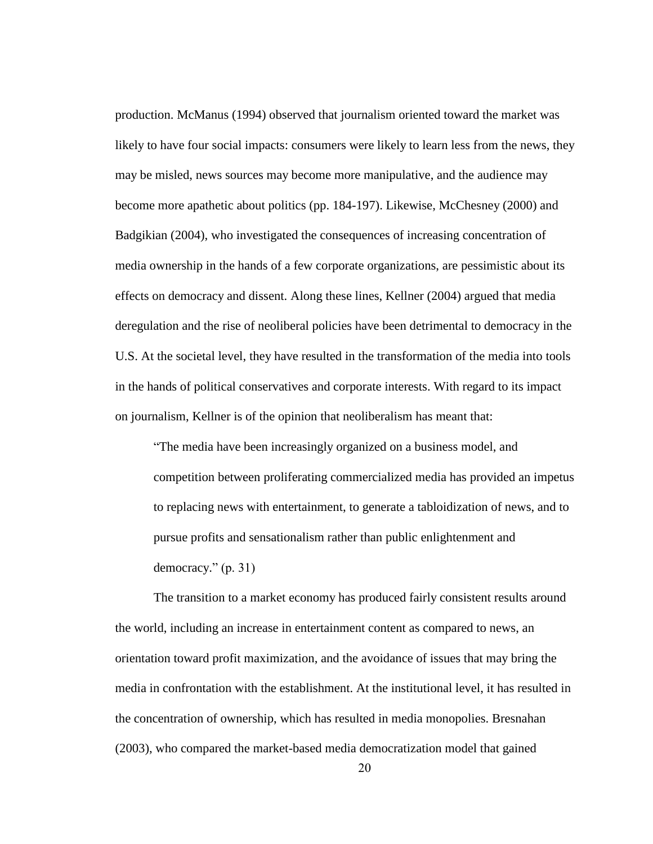production. McManus (1994) observed that journalism oriented toward the market was likely to have four social impacts: consumers were likely to learn less from the news, they may be misled, news sources may become more manipulative, and the audience may become more apathetic about politics (pp. 184-197). Likewise, McChesney (2000) and Badgikian (2004), who investigated the consequences of increasing concentration of media ownership in the hands of a few corporate organizations, are pessimistic about its effects on democracy and dissent. Along these lines, Kellner (2004) argued that media deregulation and the rise of neoliberal policies have been detrimental to democracy in the U.S. At the societal level, they have resulted in the transformation of the media into tools in the hands of political conservatives and corporate interests. With regard to its impact on journalism, Kellner is of the opinion that neoliberalism has meant that:

"The media have been increasingly organized on a business model, and competition between proliferating commercialized media has provided an impetus to replacing news with entertainment, to generate a tabloidization of news, and to pursue profits and sensationalism rather than public enlightenment and democracy." (p. 31)

The transition to a market economy has produced fairly consistent results around the world, including an increase in entertainment content as compared to news, an orientation toward profit maximization, and the avoidance of issues that may bring the media in confrontation with the establishment. At the institutional level, it has resulted in the concentration of ownership, which has resulted in media monopolies. Bresnahan (2003), who compared the market-based media democratization model that gained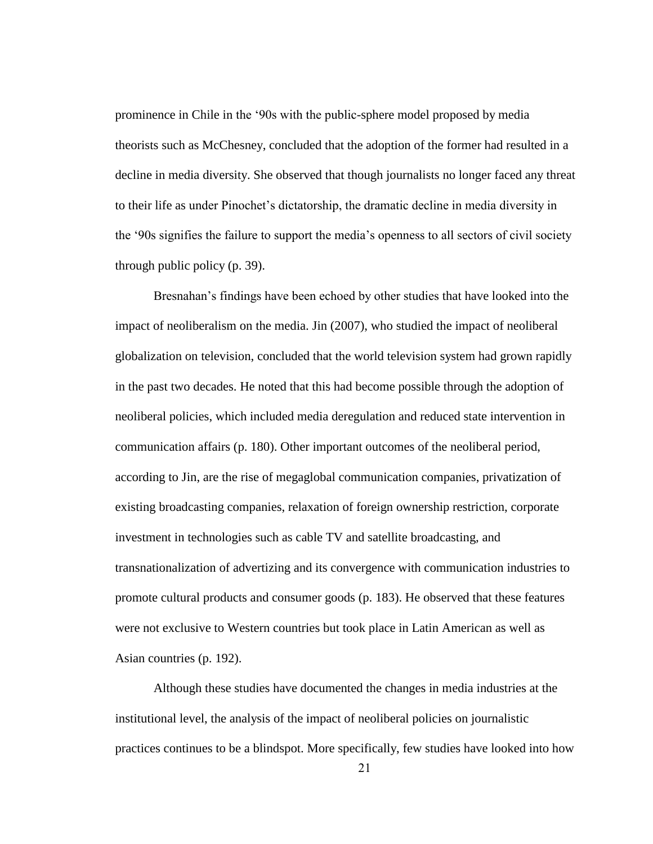prominence in Chile in the "90s with the public-sphere model proposed by media theorists such as McChesney, concluded that the adoption of the former had resulted in a decline in media diversity. She observed that though journalists no longer faced any threat to their life as under Pinochet"s dictatorship, the dramatic decline in media diversity in the "90s signifies the failure to support the media"s openness to all sectors of civil society through public policy (p. 39).

Bresnahan"s findings have been echoed by other studies that have looked into the impact of neoliberalism on the media. Jin (2007), who studied the impact of neoliberal globalization on television, concluded that the world television system had grown rapidly in the past two decades. He noted that this had become possible through the adoption of neoliberal policies, which included media deregulation and reduced state intervention in communication affairs (p. 180). Other important outcomes of the neoliberal period, according to Jin, are the rise of megaglobal communication companies, privatization of existing broadcasting companies, relaxation of foreign ownership restriction, corporate investment in technologies such as cable TV and satellite broadcasting, and transnationalization of advertizing and its convergence with communication industries to promote cultural products and consumer goods (p. 183). He observed that these features were not exclusive to Western countries but took place in Latin American as well as Asian countries (p. 192).

Although these studies have documented the changes in media industries at the institutional level, the analysis of the impact of neoliberal policies on journalistic practices continues to be a blindspot. More specifically, few studies have looked into how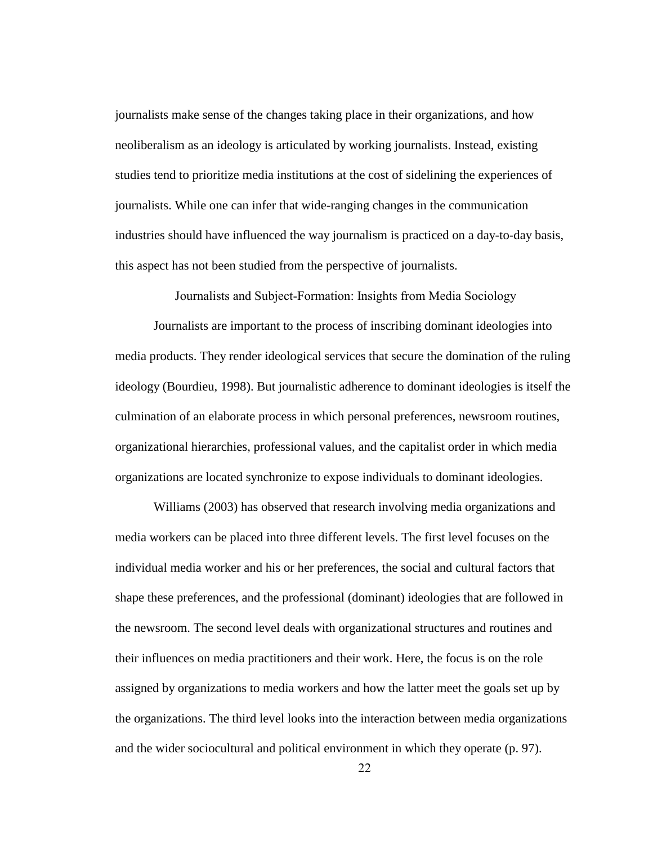journalists make sense of the changes taking place in their organizations, and how neoliberalism as an ideology is articulated by working journalists. Instead, existing studies tend to prioritize media institutions at the cost of sidelining the experiences of journalists. While one can infer that wide-ranging changes in the communication industries should have influenced the way journalism is practiced on a day-to-day basis, this aspect has not been studied from the perspective of journalists.

Journalists and Subject-Formation: Insights from Media Sociology

Journalists are important to the process of inscribing dominant ideologies into media products. They render ideological services that secure the domination of the ruling ideology (Bourdieu, 1998). But journalistic adherence to dominant ideologies is itself the culmination of an elaborate process in which personal preferences, newsroom routines, organizational hierarchies, professional values, and the capitalist order in which media organizations are located synchronize to expose individuals to dominant ideologies.

Williams (2003) has observed that research involving media organizations and media workers can be placed into three different levels. The first level focuses on the individual media worker and his or her preferences, the social and cultural factors that shape these preferences, and the professional (dominant) ideologies that are followed in the newsroom. The second level deals with organizational structures and routines and their influences on media practitioners and their work. Here, the focus is on the role assigned by organizations to media workers and how the latter meet the goals set up by the organizations. The third level looks into the interaction between media organizations and the wider sociocultural and political environment in which they operate (p. 97).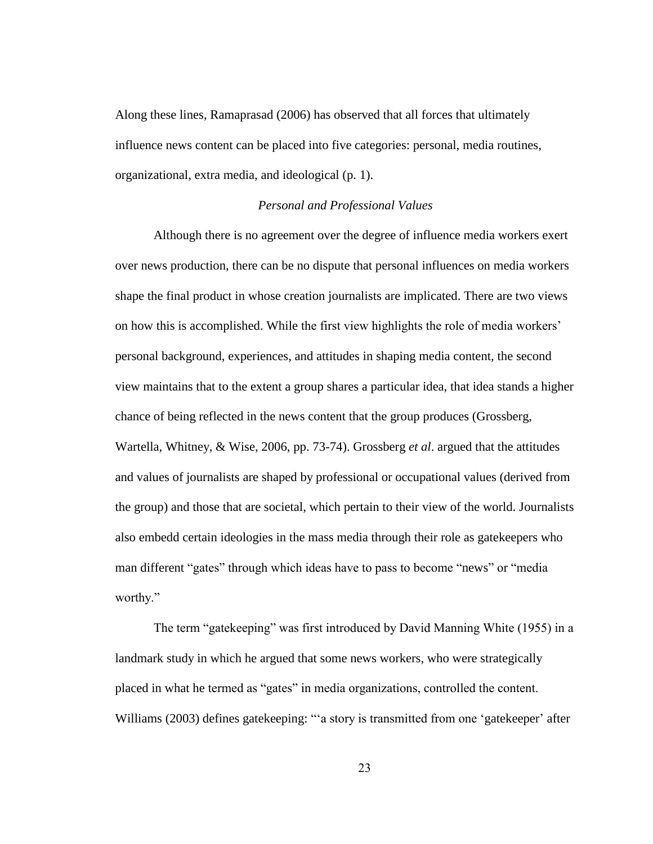Along these lines, Ramaprasad (2006) has observed that all forces that ultimately influence news content can be placed into five categories: personal, media routines, organizational, extra media, and ideological (p. 1).

### *Personal and Professional Values*

Although there is no agreement over the degree of influence media workers exert over news production, there can be no dispute that personal influences on media workers shape the final product in whose creation journalists are implicated. There are two views on how this is accomplished. While the first view highlights the role of media workers" personal background, experiences, and attitudes in shaping media content, the second view maintains that to the extent a group shares a particular idea, that idea stands a higher chance of being reflected in the news content that the group produces (Grossberg, Wartella, Whitney, & Wise, 2006, pp. 73-74). Grossberg *et al*. argued that the attitudes and values of journalists are shaped by professional or occupational values (derived from the group) and those that are societal, which pertain to their view of the world. Journalists also embedd certain ideologies in the mass media through their role as gatekeepers who man different "gates" through which ideas have to pass to become "news" or "media worthy."

The term "gatekeeping" was first introduced by David Manning White (1955) in a landmark study in which he argued that some news workers, who were strategically placed in what he termed as "gates" in media organizations, controlled the content. Williams (2003) defines gatekeeping: ""a story is transmitted from one 'gatekeeper' after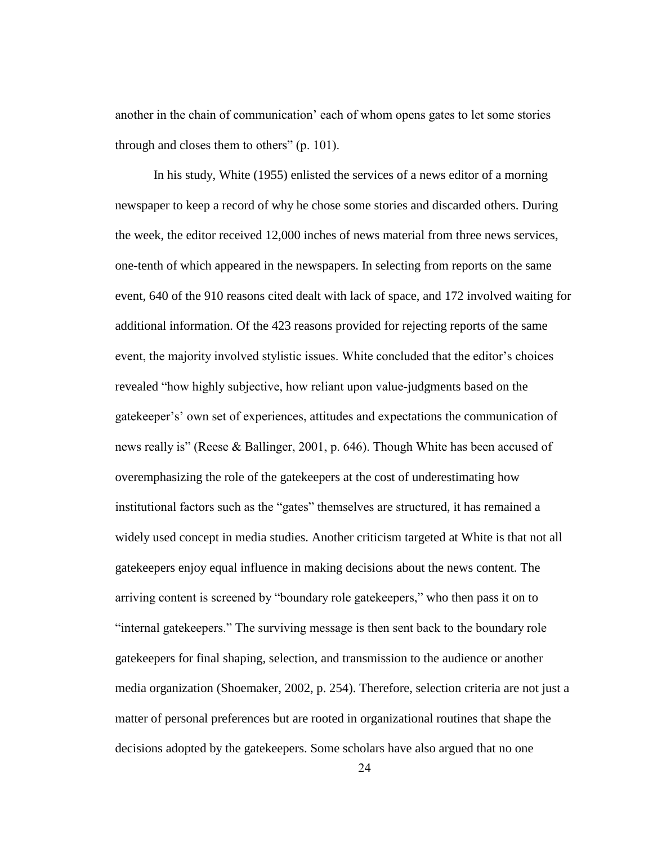another in the chain of communication" each of whom opens gates to let some stories through and closes them to others" (p. 101).

In his study, White (1955) enlisted the services of a news editor of a morning newspaper to keep a record of why he chose some stories and discarded others. During the week, the editor received 12,000 inches of news material from three news services, one-tenth of which appeared in the newspapers. In selecting from reports on the same event, 640 of the 910 reasons cited dealt with lack of space, and 172 involved waiting for additional information. Of the 423 reasons provided for rejecting reports of the same event, the majority involved stylistic issues. White concluded that the editor"s choices revealed "how highly subjective, how reliant upon value-judgments based on the gatekeeper"s" own set of experiences, attitudes and expectations the communication of news really is" (Reese & Ballinger, 2001, p. 646). Though White has been accused of overemphasizing the role of the gatekeepers at the cost of underestimating how institutional factors such as the "gates" themselves are structured, it has remained a widely used concept in media studies. Another criticism targeted at White is that not all gatekeepers enjoy equal influence in making decisions about the news content. The arriving content is screened by "boundary role gatekeepers," who then pass it on to "internal gatekeepers." The surviving message is then sent back to the boundary role gatekeepers for final shaping, selection, and transmission to the audience or another media organization (Shoemaker, 2002, p. 254). Therefore, selection criteria are not just a matter of personal preferences but are rooted in organizational routines that shape the decisions adopted by the gatekeepers. Some scholars have also argued that no one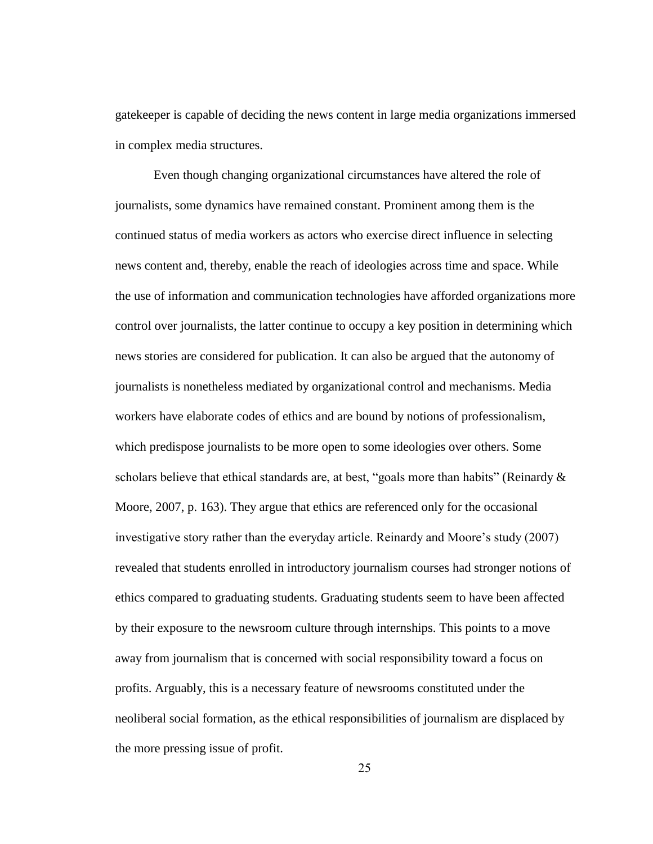gatekeeper is capable of deciding the news content in large media organizations immersed in complex media structures.

Even though changing organizational circumstances have altered the role of journalists, some dynamics have remained constant. Prominent among them is the continued status of media workers as actors who exercise direct influence in selecting news content and, thereby, enable the reach of ideologies across time and space. While the use of information and communication technologies have afforded organizations more control over journalists, the latter continue to occupy a key position in determining which news stories are considered for publication. It can also be argued that the autonomy of journalists is nonetheless mediated by organizational control and mechanisms. Media workers have elaborate codes of ethics and are bound by notions of professionalism, which predispose journalists to be more open to some ideologies over others. Some scholars believe that ethical standards are, at best, "goals more than habits" (Reinardy  $\&$ Moore, 2007, p. 163). They argue that ethics are referenced only for the occasional investigative story rather than the everyday article. Reinardy and Moore's study (2007) revealed that students enrolled in introductory journalism courses had stronger notions of ethics compared to graduating students. Graduating students seem to have been affected by their exposure to the newsroom culture through internships. This points to a move away from journalism that is concerned with social responsibility toward a focus on profits. Arguably, this is a necessary feature of newsrooms constituted under the neoliberal social formation, as the ethical responsibilities of journalism are displaced by the more pressing issue of profit.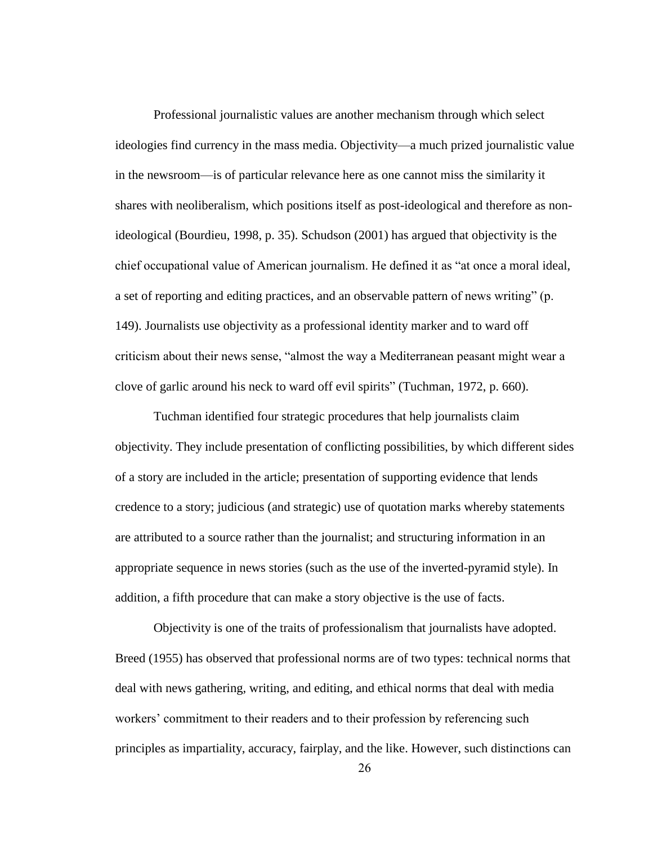Professional journalistic values are another mechanism through which select ideologies find currency in the mass media. Objectivity—a much prized journalistic value in the newsroom—is of particular relevance here as one cannot miss the similarity it shares with neoliberalism, which positions itself as post-ideological and therefore as nonideological (Bourdieu, 1998, p. 35). Schudson (2001) has argued that objectivity is the chief occupational value of American journalism. He defined it as "at once a moral ideal, a set of reporting and editing practices, and an observable pattern of news writing" (p. 149). Journalists use objectivity as a professional identity marker and to ward off criticism about their news sense, "almost the way a Mediterranean peasant might wear a clove of garlic around his neck to ward off evil spirits" (Tuchman, 1972, p. 660).

Tuchman identified four strategic procedures that help journalists claim objectivity. They include presentation of conflicting possibilities, by which different sides of a story are included in the article; presentation of supporting evidence that lends credence to a story; judicious (and strategic) use of quotation marks whereby statements are attributed to a source rather than the journalist; and structuring information in an appropriate sequence in news stories (such as the use of the inverted-pyramid style). In addition, a fifth procedure that can make a story objective is the use of facts.

Objectivity is one of the traits of professionalism that journalists have adopted. Breed (1955) has observed that professional norms are of two types: technical norms that deal with news gathering, writing, and editing, and ethical norms that deal with media workers' commitment to their readers and to their profession by referencing such principles as impartiality, accuracy, fairplay, and the like. However, such distinctions can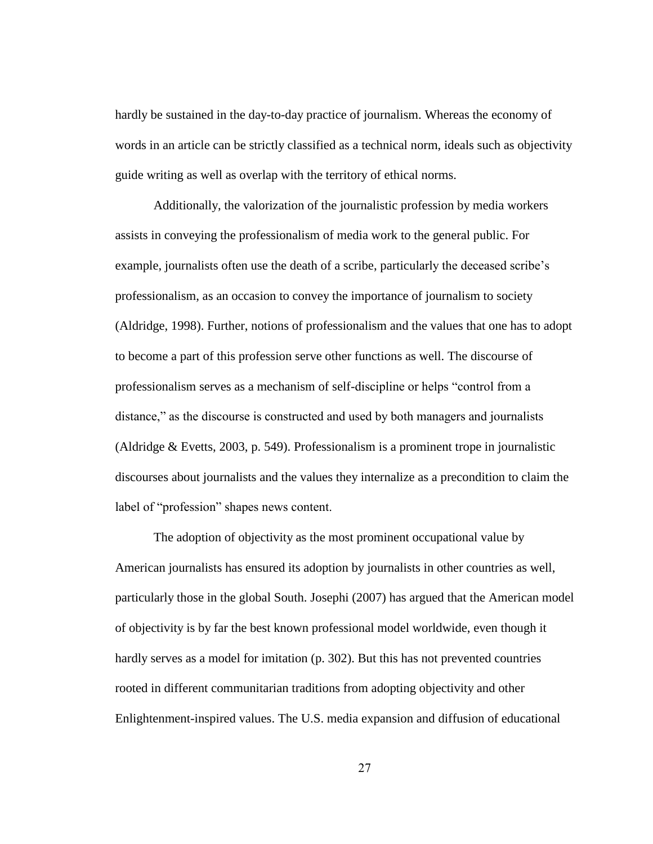hardly be sustained in the day-to-day practice of journalism. Whereas the economy of words in an article can be strictly classified as a technical norm, ideals such as objectivity guide writing as well as overlap with the territory of ethical norms.

Additionally, the valorization of the journalistic profession by media workers assists in conveying the professionalism of media work to the general public. For example, journalists often use the death of a scribe, particularly the deceased scribe"s professionalism, as an occasion to convey the importance of journalism to society (Aldridge, 1998). Further, notions of professionalism and the values that one has to adopt to become a part of this profession serve other functions as well. The discourse of professionalism serves as a mechanism of self-discipline or helps "control from a distance," as the discourse is constructed and used by both managers and journalists (Aldridge & Evetts, 2003, p. 549). Professionalism is a prominent trope in journalistic discourses about journalists and the values they internalize as a precondition to claim the label of "profession" shapes news content.

The adoption of objectivity as the most prominent occupational value by American journalists has ensured its adoption by journalists in other countries as well, particularly those in the global South. Josephi (2007) has argued that the American model of objectivity is by far the best known professional model worldwide, even though it hardly serves as a model for imitation (p. 302). But this has not prevented countries rooted in different communitarian traditions from adopting objectivity and other Enlightenment-inspired values. The U.S. media expansion and diffusion of educational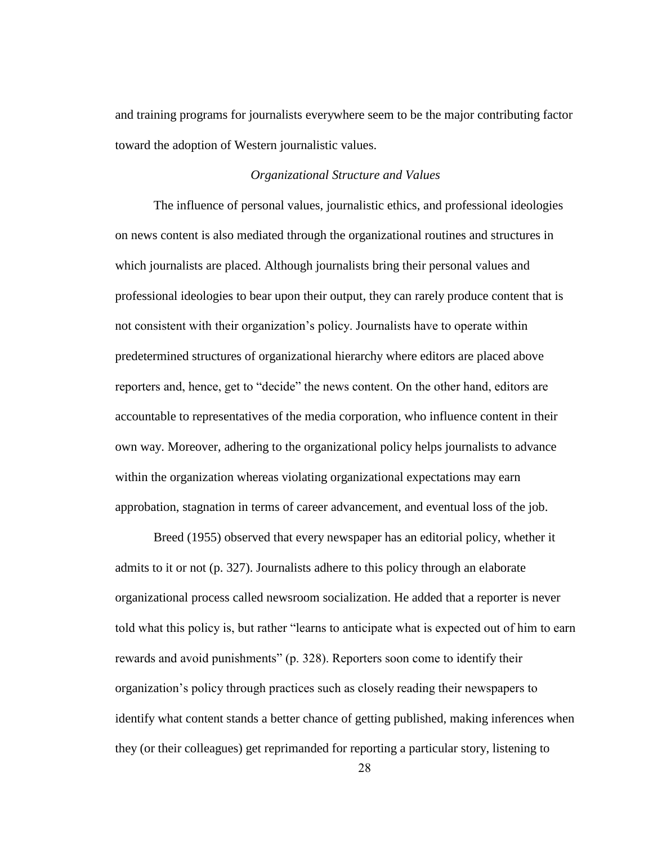and training programs for journalists everywhere seem to be the major contributing factor toward the adoption of Western journalistic values.

### *Organizational Structure and Values*

The influence of personal values, journalistic ethics, and professional ideologies on news content is also mediated through the organizational routines and structures in which journalists are placed. Although journalists bring their personal values and professional ideologies to bear upon their output, they can rarely produce content that is not consistent with their organization"s policy. Journalists have to operate within predetermined structures of organizational hierarchy where editors are placed above reporters and, hence, get to "decide" the news content. On the other hand, editors are accountable to representatives of the media corporation, who influence content in their own way. Moreover, adhering to the organizational policy helps journalists to advance within the organization whereas violating organizational expectations may earn approbation, stagnation in terms of career advancement, and eventual loss of the job.

Breed (1955) observed that every newspaper has an editorial policy, whether it admits to it or not (p. 327). Journalists adhere to this policy through an elaborate organizational process called newsroom socialization. He added that a reporter is never told what this policy is, but rather "learns to anticipate what is expected out of him to earn rewards and avoid punishments" (p. 328). Reporters soon come to identify their organization"s policy through practices such as closely reading their newspapers to identify what content stands a better chance of getting published, making inferences when they (or their colleagues) get reprimanded for reporting a particular story, listening to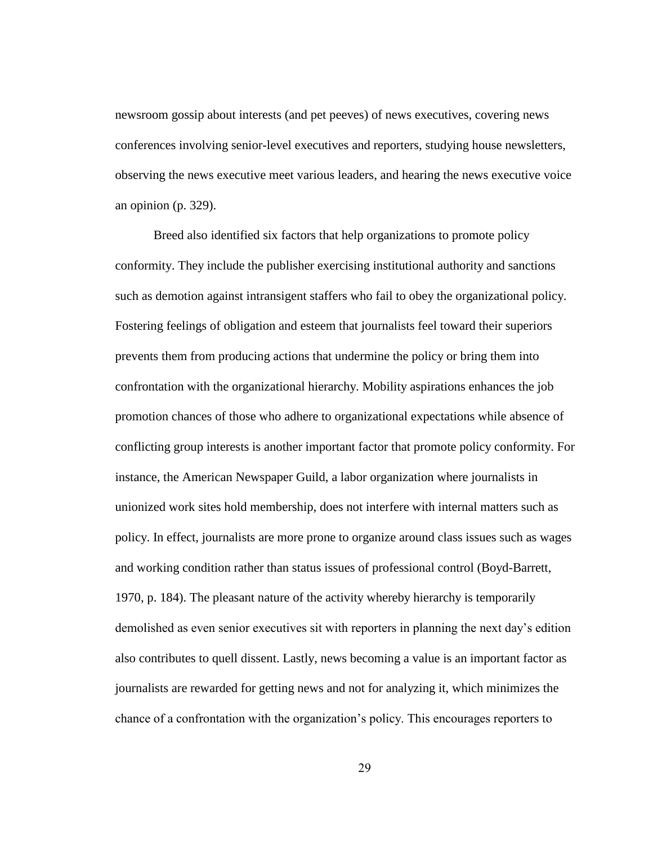newsroom gossip about interests (and pet peeves) of news executives, covering news conferences involving senior-level executives and reporters, studying house newsletters, observing the news executive meet various leaders, and hearing the news executive voice an opinion (p. 329).

Breed also identified six factors that help organizations to promote policy conformity. They include the publisher exercising institutional authority and sanctions such as demotion against intransigent staffers who fail to obey the organizational policy. Fostering feelings of obligation and esteem that journalists feel toward their superiors prevents them from producing actions that undermine the policy or bring them into confrontation with the organizational hierarchy. Mobility aspirations enhances the job promotion chances of those who adhere to organizational expectations while absence of conflicting group interests is another important factor that promote policy conformity. For instance, the American Newspaper Guild, a labor organization where journalists in unionized work sites hold membership, does not interfere with internal matters such as policy. In effect, journalists are more prone to organize around class issues such as wages and working condition rather than status issues of professional control (Boyd-Barrett, 1970, p. 184). The pleasant nature of the activity whereby hierarchy is temporarily demolished as even senior executives sit with reporters in planning the next day"s edition also contributes to quell dissent. Lastly, news becoming a value is an important factor as journalists are rewarded for getting news and not for analyzing it, which minimizes the chance of a confrontation with the organization"s policy. This encourages reporters to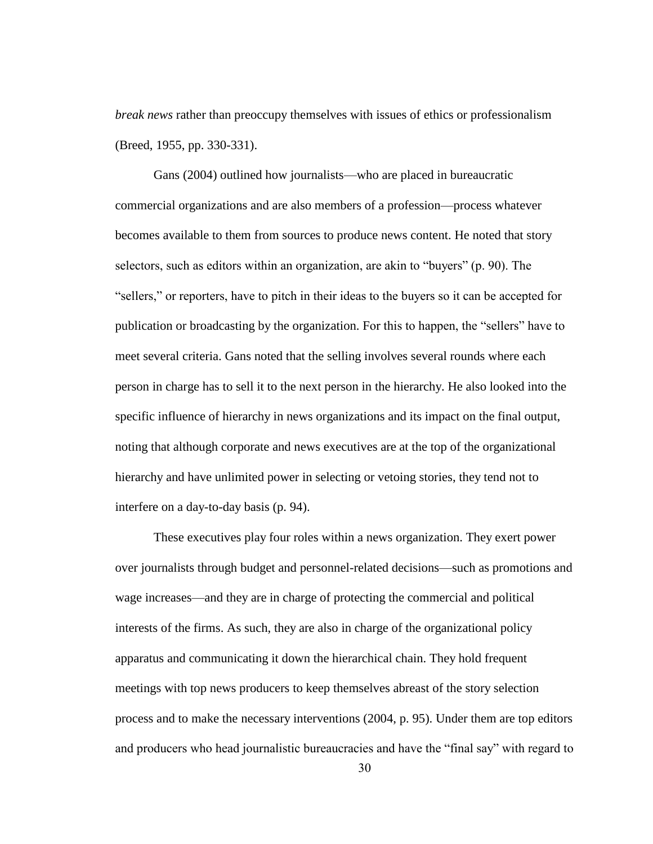*break news* rather than preoccupy themselves with issues of ethics or professionalism (Breed, 1955, pp. 330-331).

Gans (2004) outlined how journalists—who are placed in bureaucratic commercial organizations and are also members of a profession—process whatever becomes available to them from sources to produce news content. He noted that story selectors, such as editors within an organization, are akin to "buyers" (p. 90). The "sellers," or reporters, have to pitch in their ideas to the buyers so it can be accepted for publication or broadcasting by the organization. For this to happen, the "sellers" have to meet several criteria. Gans noted that the selling involves several rounds where each person in charge has to sell it to the next person in the hierarchy. He also looked into the specific influence of hierarchy in news organizations and its impact on the final output, noting that although corporate and news executives are at the top of the organizational hierarchy and have unlimited power in selecting or vetoing stories, they tend not to interfere on a day-to-day basis (p. 94).

These executives play four roles within a news organization. They exert power over journalists through budget and personnel-related decisions—such as promotions and wage increases—and they are in charge of protecting the commercial and political interests of the firms. As such, they are also in charge of the organizational policy apparatus and communicating it down the hierarchical chain. They hold frequent meetings with top news producers to keep themselves abreast of the story selection process and to make the necessary interventions (2004, p. 95). Under them are top editors and producers who head journalistic bureaucracies and have the "final say" with regard to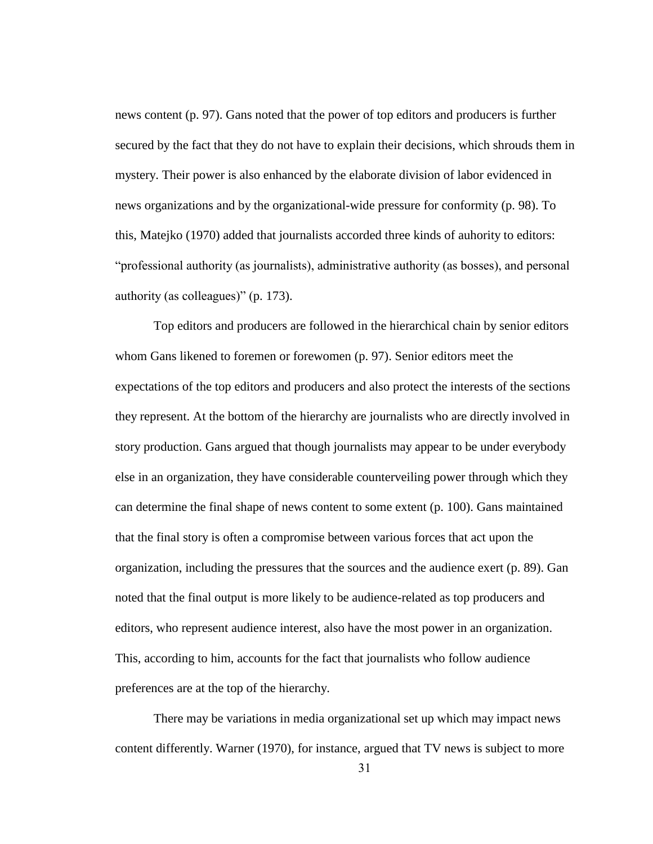news content (p. 97). Gans noted that the power of top editors and producers is further secured by the fact that they do not have to explain their decisions, which shrouds them in mystery. Their power is also enhanced by the elaborate division of labor evidenced in news organizations and by the organizational-wide pressure for conformity (p. 98). To this, Matejko (1970) added that journalists accorded three kinds of auhority to editors: "professional authority (as journalists), administrative authority (as bosses), and personal authority (as colleagues)" (p. 173).

Top editors and producers are followed in the hierarchical chain by senior editors whom Gans likened to foremen or forewomen (p. 97). Senior editors meet the expectations of the top editors and producers and also protect the interests of the sections they represent. At the bottom of the hierarchy are journalists who are directly involved in story production. Gans argued that though journalists may appear to be under everybody else in an organization, they have considerable counterveiling power through which they can determine the final shape of news content to some extent (p. 100). Gans maintained that the final story is often a compromise between various forces that act upon the organization, including the pressures that the sources and the audience exert (p. 89). Gan noted that the final output is more likely to be audience-related as top producers and editors, who represent audience interest, also have the most power in an organization. This, according to him, accounts for the fact that journalists who follow audience preferences are at the top of the hierarchy.

There may be variations in media organizational set up which may impact news content differently. Warner (1970), for instance, argued that TV news is subject to more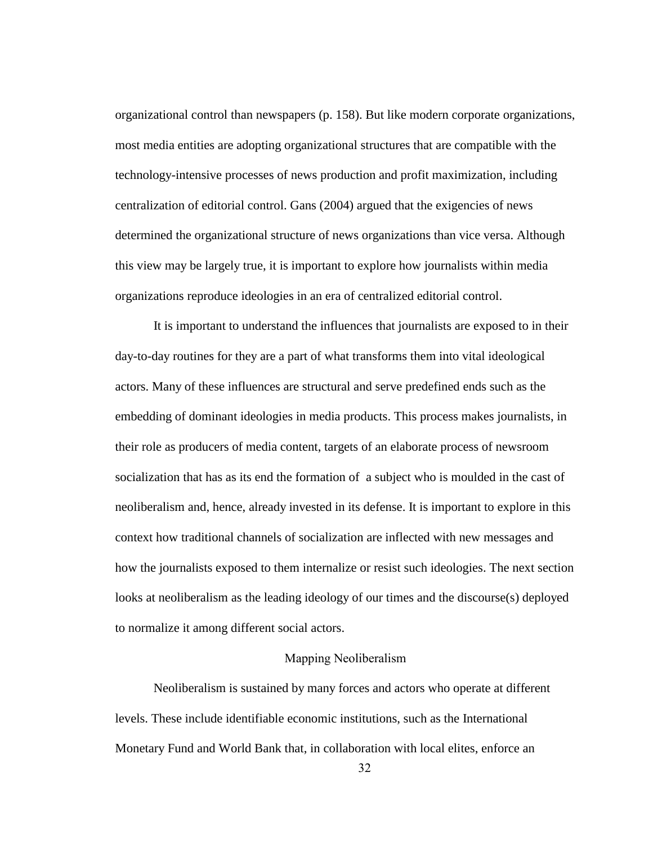organizational control than newspapers (p. 158). But like modern corporate organizations, most media entities are adopting organizational structures that are compatible with the technology-intensive processes of news production and profit maximization, including centralization of editorial control. Gans (2004) argued that the exigencies of news determined the organizational structure of news organizations than vice versa. Although this view may be largely true, it is important to explore how journalists within media organizations reproduce ideologies in an era of centralized editorial control.

It is important to understand the influences that journalists are exposed to in their day-to-day routines for they are a part of what transforms them into vital ideological actors. Many of these influences are structural and serve predefined ends such as the embedding of dominant ideologies in media products. This process makes journalists, in their role as producers of media content, targets of an elaborate process of newsroom socialization that has as its end the formation of a subject who is moulded in the cast of neoliberalism and, hence, already invested in its defense. It is important to explore in this context how traditional channels of socialization are inflected with new messages and how the journalists exposed to them internalize or resist such ideologies. The next section looks at neoliberalism as the leading ideology of our times and the discourse(s) deployed to normalize it among different social actors.

### Mapping Neoliberalism

Neoliberalism is sustained by many forces and actors who operate at different levels. These include identifiable economic institutions, such as the International Monetary Fund and World Bank that, in collaboration with local elites, enforce an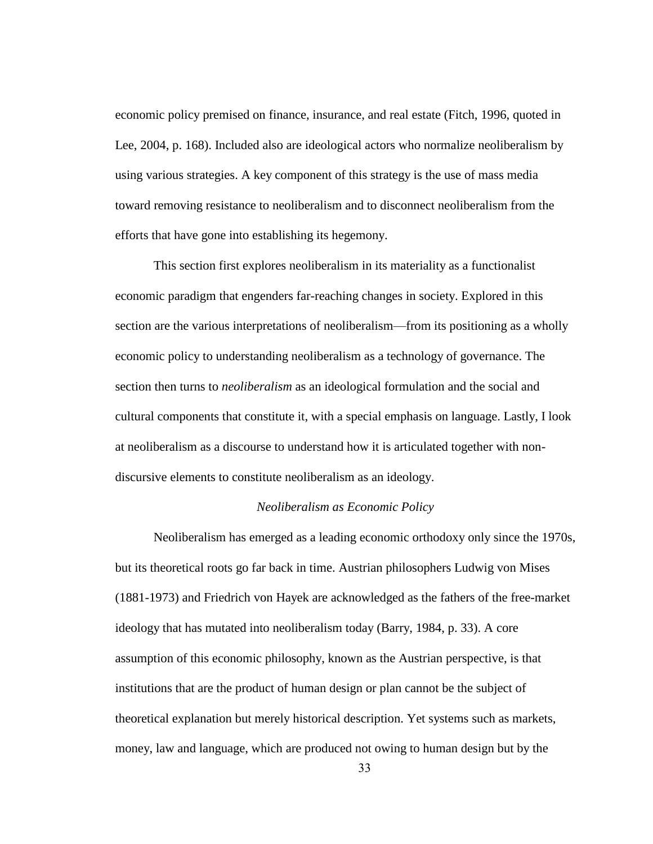economic policy premised on finance, insurance, and real estate (Fitch, 1996, quoted in Lee, 2004, p. 168). Included also are ideological actors who normalize neoliberalism by using various strategies. A key component of this strategy is the use of mass media toward removing resistance to neoliberalism and to disconnect neoliberalism from the efforts that have gone into establishing its hegemony.

This section first explores neoliberalism in its materiality as a functionalist economic paradigm that engenders far-reaching changes in society. Explored in this section are the various interpretations of neoliberalism—from its positioning as a wholly economic policy to understanding neoliberalism as a technology of governance. The section then turns to *neoliberalism* as an ideological formulation and the social and cultural components that constitute it, with a special emphasis on language. Lastly, I look at neoliberalism as a discourse to understand how it is articulated together with nondiscursive elements to constitute neoliberalism as an ideology.

#### *Neoliberalism as Economic Policy*

Neoliberalism has emerged as a leading economic orthodoxy only since the 1970s, but its theoretical roots go far back in time. Austrian philosophers Ludwig von Mises (1881-1973) and Friedrich von Hayek are acknowledged as the fathers of the free-market ideology that has mutated into neoliberalism today (Barry, 1984, p. 33). A core assumption of this economic philosophy, known as the Austrian perspective, is that institutions that are the product of human design or plan cannot be the subject of theoretical explanation but merely historical description. Yet systems such as markets, money, law and language, which are produced not owing to human design but by the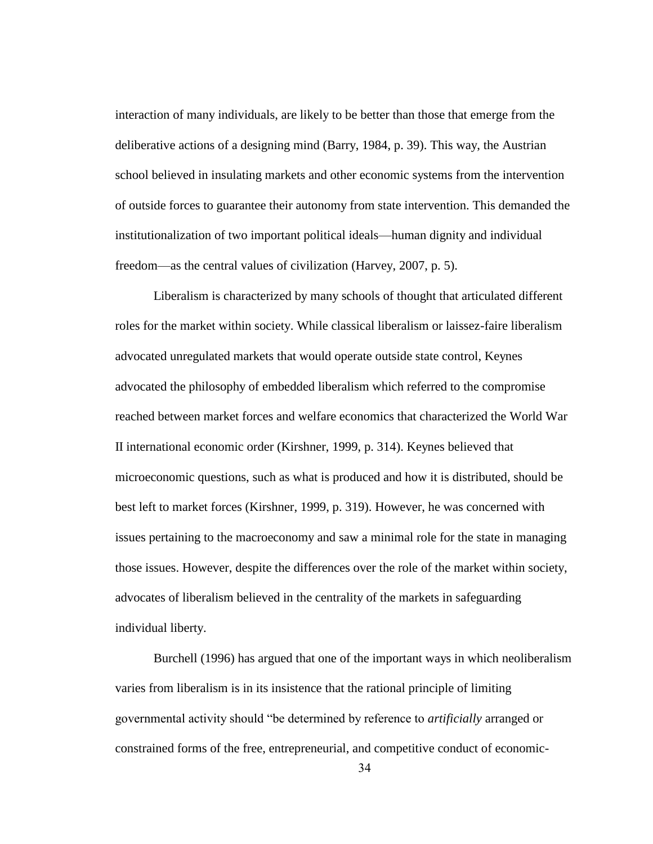interaction of many individuals, are likely to be better than those that emerge from the deliberative actions of a designing mind (Barry, 1984, p. 39). This way, the Austrian school believed in insulating markets and other economic systems from the intervention of outside forces to guarantee their autonomy from state intervention. This demanded the institutionalization of two important political ideals—human dignity and individual freedom—as the central values of civilization (Harvey, 2007, p. 5).

Liberalism is characterized by many schools of thought that articulated different roles for the market within society. While classical liberalism or laissez-faire liberalism advocated unregulated markets that would operate outside state control, Keynes advocated the philosophy of embedded liberalism which referred to the compromise reached between market forces and welfare economics that characterized the World War II international economic order (Kirshner, 1999, p. 314). Keynes believed that microeconomic questions, such as what is produced and how it is distributed, should be best left to market forces (Kirshner, 1999, p. 319). However, he was concerned with issues pertaining to the macroeconomy and saw a minimal role for the state in managing those issues. However, despite the differences over the role of the market within society, advocates of liberalism believed in the centrality of the markets in safeguarding individual liberty.

Burchell (1996) has argued that one of the important ways in which neoliberalism varies from liberalism is in its insistence that the rational principle of limiting governmental activity should "be determined by reference to *artificially* arranged or constrained forms of the free, entrepreneurial, and competitive conduct of economic-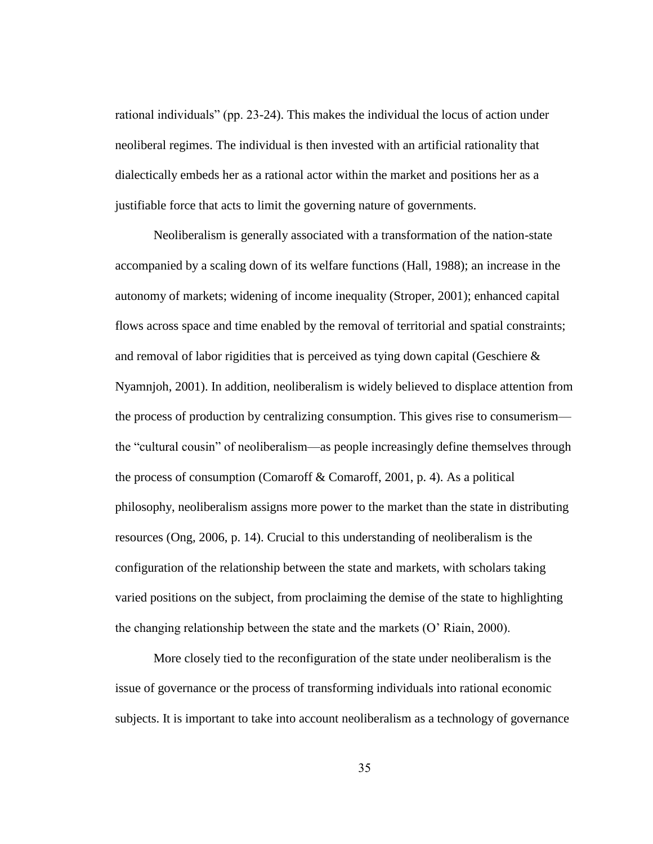rational individuals" (pp. 23-24). This makes the individual the locus of action under neoliberal regimes. The individual is then invested with an artificial rationality that dialectically embeds her as a rational actor within the market and positions her as a justifiable force that acts to limit the governing nature of governments.

Neoliberalism is generally associated with a transformation of the nation-state accompanied by a scaling down of its welfare functions (Hall, 1988); an increase in the autonomy of markets; widening of income inequality (Stroper, 2001); enhanced capital flows across space and time enabled by the removal of territorial and spatial constraints; and removal of labor rigidities that is perceived as tying down capital (Geschiere  $\&$ Nyamnjoh, 2001). In addition, neoliberalism is widely believed to displace attention from the process of production by centralizing consumption. This gives rise to consumerism the "cultural cousin" of neoliberalism—as people increasingly define themselves through the process of consumption (Comaroff & Comaroff, 2001, p. 4). As a political philosophy, neoliberalism assigns more power to the market than the state in distributing resources (Ong, 2006, p. 14). Crucial to this understanding of neoliberalism is the configuration of the relationship between the state and markets, with scholars taking varied positions on the subject, from proclaiming the demise of the state to highlighting the changing relationship between the state and the markets (O" Riain, 2000).

More closely tied to the reconfiguration of the state under neoliberalism is the issue of governance or the process of transforming individuals into rational economic subjects. It is important to take into account neoliberalism as a technology of governance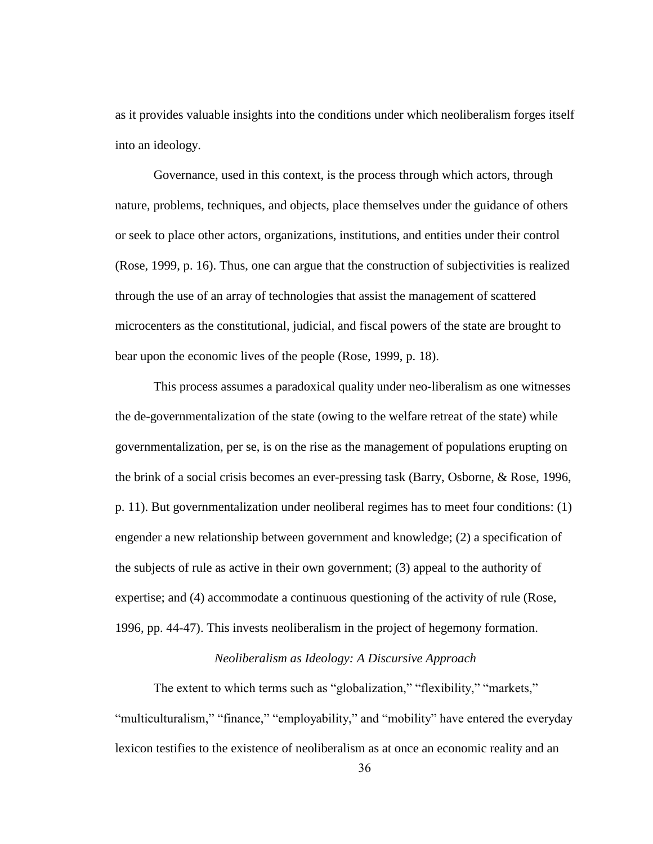as it provides valuable insights into the conditions under which neoliberalism forges itself into an ideology.

Governance, used in this context, is the process through which actors, through nature, problems, techniques, and objects, place themselves under the guidance of others or seek to place other actors, organizations, institutions, and entities under their control (Rose, 1999, p. 16). Thus, one can argue that the construction of subjectivities is realized through the use of an array of technologies that assist the management of scattered microcenters as the constitutional, judicial, and fiscal powers of the state are brought to bear upon the economic lives of the people (Rose, 1999, p. 18).

This process assumes a paradoxical quality under neo-liberalism as one witnesses the de-governmentalization of the state (owing to the welfare retreat of the state) while governmentalization, per se, is on the rise as the management of populations erupting on the brink of a social crisis becomes an ever-pressing task (Barry, Osborne, & Rose, 1996, p. 11). But governmentalization under neoliberal regimes has to meet four conditions: (1) engender a new relationship between government and knowledge; (2) a specification of the subjects of rule as active in their own government; (3) appeal to the authority of expertise; and (4) accommodate a continuous questioning of the activity of rule (Rose, 1996, pp. 44-47). This invests neoliberalism in the project of hegemony formation.

## *Neoliberalism as Ideology: A Discursive Approach*

The extent to which terms such as "globalization," "flexibility," "markets," "multiculturalism," "finance," "employability," and "mobility" have entered the everyday lexicon testifies to the existence of neoliberalism as at once an economic reality and an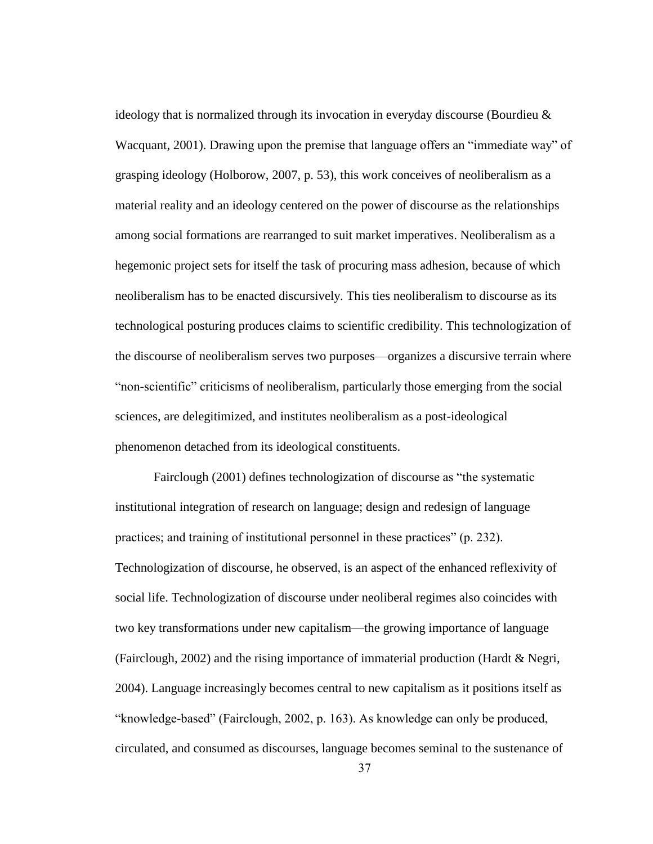ideology that is normalized through its invocation in everyday discourse (Bourdieu  $\&$ Wacquant, 2001). Drawing upon the premise that language offers an "immediate way" of grasping ideology (Holborow, 2007, p. 53), this work conceives of neoliberalism as a material reality and an ideology centered on the power of discourse as the relationships among social formations are rearranged to suit market imperatives. Neoliberalism as a hegemonic project sets for itself the task of procuring mass adhesion, because of which neoliberalism has to be enacted discursively. This ties neoliberalism to discourse as its technological posturing produces claims to scientific credibility. This technologization of the discourse of neoliberalism serves two purposes—organizes a discursive terrain where "non-scientific" criticisms of neoliberalism, particularly those emerging from the social sciences, are delegitimized, and institutes neoliberalism as a post-ideological phenomenon detached from its ideological constituents.

Fairclough (2001) defines technologization of discourse as "the systematic institutional integration of research on language; design and redesign of language practices; and training of institutional personnel in these practices" (p. 232). Technologization of discourse, he observed, is an aspect of the enhanced reflexivity of social life. Technologization of discourse under neoliberal regimes also coincides with two key transformations under new capitalism—the growing importance of language (Fairclough, 2002) and the rising importance of immaterial production (Hardt & Negri, 2004). Language increasingly becomes central to new capitalism as it positions itself as "knowledge-based" (Fairclough, 2002, p. 163). As knowledge can only be produced, circulated, and consumed as discourses, language becomes seminal to the sustenance of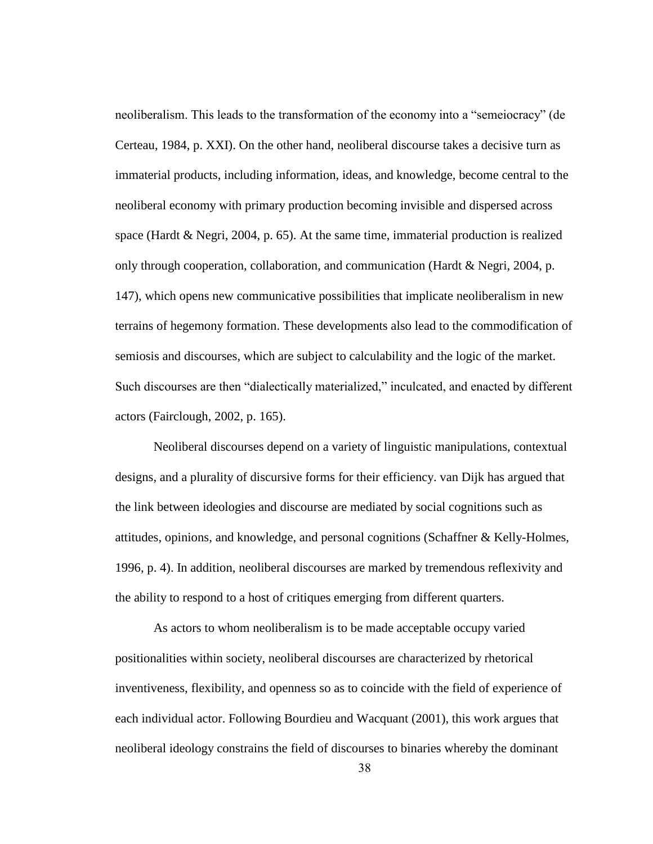neoliberalism. This leads to the transformation of the economy into a "semeiocracy" (de Certeau, 1984, p. XXI). On the other hand, neoliberal discourse takes a decisive turn as immaterial products, including information, ideas, and knowledge, become central to the neoliberal economy with primary production becoming invisible and dispersed across space (Hardt & Negri, 2004, p. 65). At the same time, immaterial production is realized only through cooperation, collaboration, and communication (Hardt & Negri, 2004, p. 147), which opens new communicative possibilities that implicate neoliberalism in new terrains of hegemony formation. These developments also lead to the commodification of semiosis and discourses, which are subject to calculability and the logic of the market. Such discourses are then "dialectically materialized," inculcated, and enacted by different actors (Fairclough, 2002, p. 165).

Neoliberal discourses depend on a variety of linguistic manipulations, contextual designs, and a plurality of discursive forms for their efficiency. van Dijk has argued that the link between ideologies and discourse are mediated by social cognitions such as attitudes, opinions, and knowledge, and personal cognitions (Schaffner & Kelly-Holmes, 1996, p. 4). In addition, neoliberal discourses are marked by tremendous reflexivity and the ability to respond to a host of critiques emerging from different quarters.

As actors to whom neoliberalism is to be made acceptable occupy varied positionalities within society, neoliberal discourses are characterized by rhetorical inventiveness, flexibility, and openness so as to coincide with the field of experience of each individual actor. Following Bourdieu and Wacquant (2001), this work argues that neoliberal ideology constrains the field of discourses to binaries whereby the dominant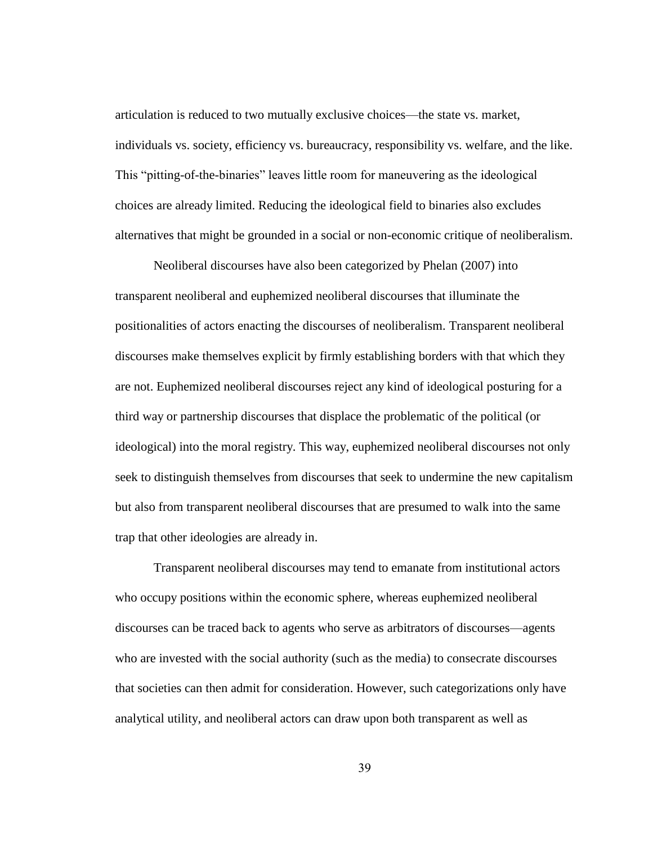articulation is reduced to two mutually exclusive choices—the state vs. market, individuals vs. society, efficiency vs. bureaucracy, responsibility vs. welfare, and the like. This "pitting-of-the-binaries" leaves little room for maneuvering as the ideological choices are already limited. Reducing the ideological field to binaries also excludes alternatives that might be grounded in a social or non-economic critique of neoliberalism.

Neoliberal discourses have also been categorized by Phelan (2007) into transparent neoliberal and euphemized neoliberal discourses that illuminate the positionalities of actors enacting the discourses of neoliberalism. Transparent neoliberal discourses make themselves explicit by firmly establishing borders with that which they are not. Euphemized neoliberal discourses reject any kind of ideological posturing for a third way or partnership discourses that displace the problematic of the political (or ideological) into the moral registry. This way, euphemized neoliberal discourses not only seek to distinguish themselves from discourses that seek to undermine the new capitalism but also from transparent neoliberal discourses that are presumed to walk into the same trap that other ideologies are already in.

Transparent neoliberal discourses may tend to emanate from institutional actors who occupy positions within the economic sphere, whereas euphemized neoliberal discourses can be traced back to agents who serve as arbitrators of discourses—agents who are invested with the social authority (such as the media) to consecrate discourses that societies can then admit for consideration. However, such categorizations only have analytical utility, and neoliberal actors can draw upon both transparent as well as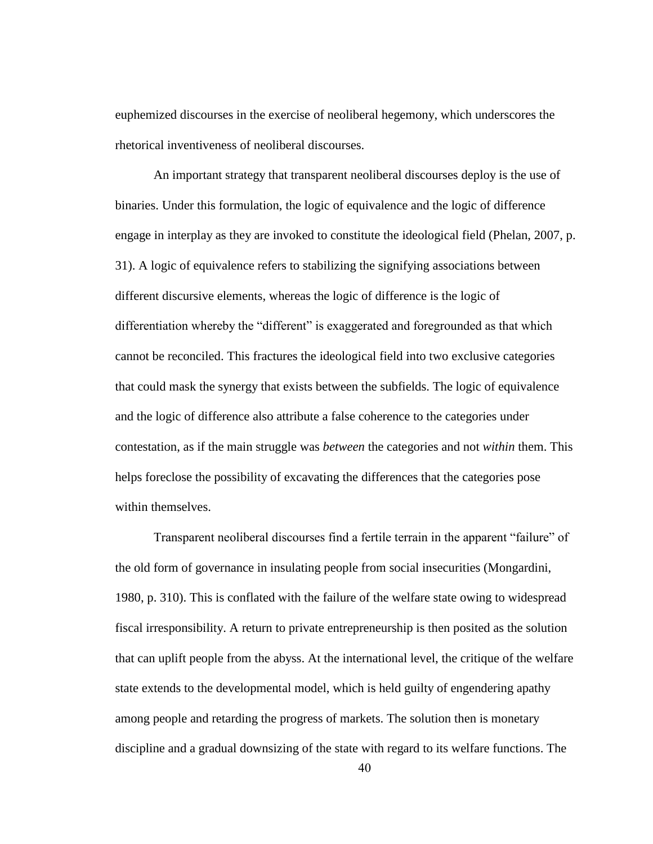euphemized discourses in the exercise of neoliberal hegemony, which underscores the rhetorical inventiveness of neoliberal discourses.

An important strategy that transparent neoliberal discourses deploy is the use of binaries. Under this formulation, the logic of equivalence and the logic of difference engage in interplay as they are invoked to constitute the ideological field (Phelan, 2007, p. 31). A logic of equivalence refers to stabilizing the signifying associations between different discursive elements, whereas the logic of difference is the logic of differentiation whereby the "different" is exaggerated and foregrounded as that which cannot be reconciled. This fractures the ideological field into two exclusive categories that could mask the synergy that exists between the subfields. The logic of equivalence and the logic of difference also attribute a false coherence to the categories under contestation, as if the main struggle was *between* the categories and not *within* them. This helps foreclose the possibility of excavating the differences that the categories pose within themselves.

Transparent neoliberal discourses find a fertile terrain in the apparent "failure" of the old form of governance in insulating people from social insecurities (Mongardini, 1980, p. 310). This is conflated with the failure of the welfare state owing to widespread fiscal irresponsibility. A return to private entrepreneurship is then posited as the solution that can uplift people from the abyss. At the international level, the critique of the welfare state extends to the developmental model, which is held guilty of engendering apathy among people and retarding the progress of markets. The solution then is monetary discipline and a gradual downsizing of the state with regard to its welfare functions. The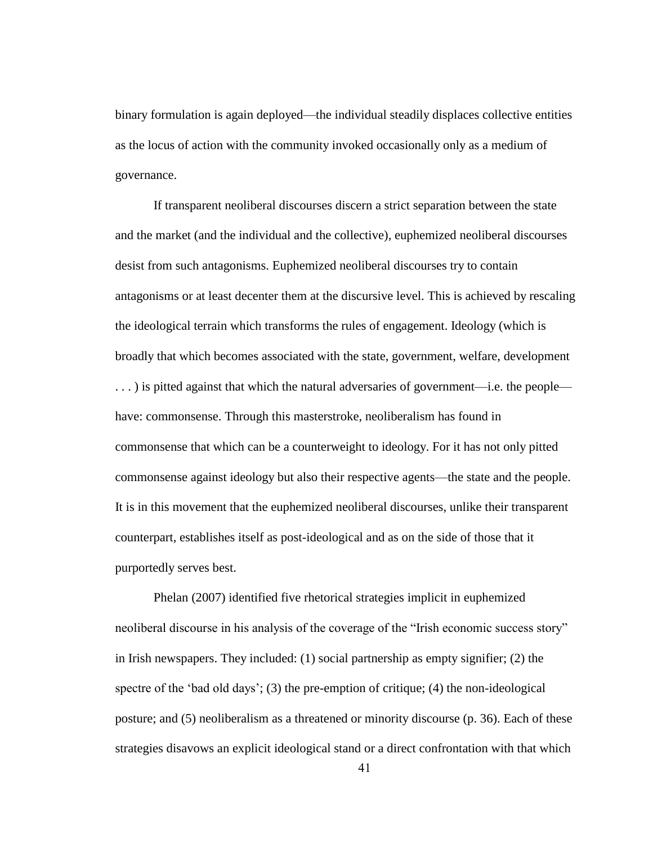binary formulation is again deployed—the individual steadily displaces collective entities as the locus of action with the community invoked occasionally only as a medium of governance.

If transparent neoliberal discourses discern a strict separation between the state and the market (and the individual and the collective), euphemized neoliberal discourses desist from such antagonisms. Euphemized neoliberal discourses try to contain antagonisms or at least decenter them at the discursive level. This is achieved by rescaling the ideological terrain which transforms the rules of engagement. Ideology (which is broadly that which becomes associated with the state, government, welfare, development . . . ) is pitted against that which the natural adversaries of government—i.e. the people have: commonsense. Through this masterstroke, neoliberalism has found in commonsense that which can be a counterweight to ideology. For it has not only pitted commonsense against ideology but also their respective agents—the state and the people. It is in this movement that the euphemized neoliberal discourses, unlike their transparent counterpart, establishes itself as post-ideological and as on the side of those that it purportedly serves best.

Phelan (2007) identified five rhetorical strategies implicit in euphemized neoliberal discourse in his analysis of the coverage of the "Irish economic success story" in Irish newspapers. They included: (1) social partnership as empty signifier; (2) the spectre of the 'bad old days'; (3) the pre-emption of critique; (4) the non-ideological posture; and (5) neoliberalism as a threatened or minority discourse (p. 36). Each of these strategies disavows an explicit ideological stand or a direct confrontation with that which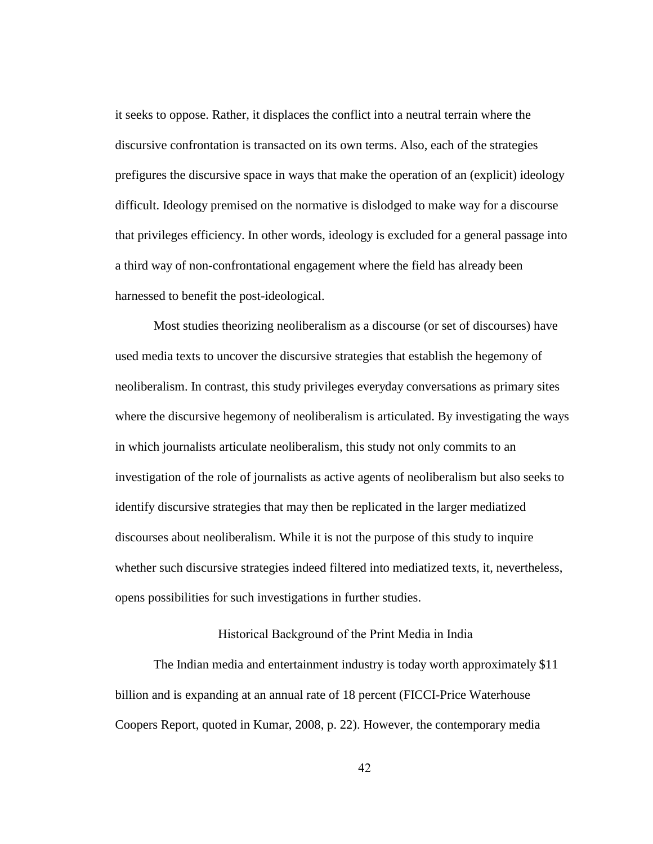it seeks to oppose. Rather, it displaces the conflict into a neutral terrain where the discursive confrontation is transacted on its own terms. Also, each of the strategies prefigures the discursive space in ways that make the operation of an (explicit) ideology difficult. Ideology premised on the normative is dislodged to make way for a discourse that privileges efficiency. In other words, ideology is excluded for a general passage into a third way of non-confrontational engagement where the field has already been harnessed to benefit the post-ideological.

Most studies theorizing neoliberalism as a discourse (or set of discourses) have used media texts to uncover the discursive strategies that establish the hegemony of neoliberalism. In contrast, this study privileges everyday conversations as primary sites where the discursive hegemony of neoliberalism is articulated. By investigating the ways in which journalists articulate neoliberalism, this study not only commits to an investigation of the role of journalists as active agents of neoliberalism but also seeks to identify discursive strategies that may then be replicated in the larger mediatized discourses about neoliberalism. While it is not the purpose of this study to inquire whether such discursive strategies indeed filtered into mediatized texts, it, nevertheless, opens possibilities for such investigations in further studies.

### Historical Background of the Print Media in India

The Indian media and entertainment industry is today worth approximately \$11 billion and is expanding at an annual rate of 18 percent (FICCI-Price Waterhouse Coopers Report, quoted in Kumar, 2008, p. 22). However, the contemporary media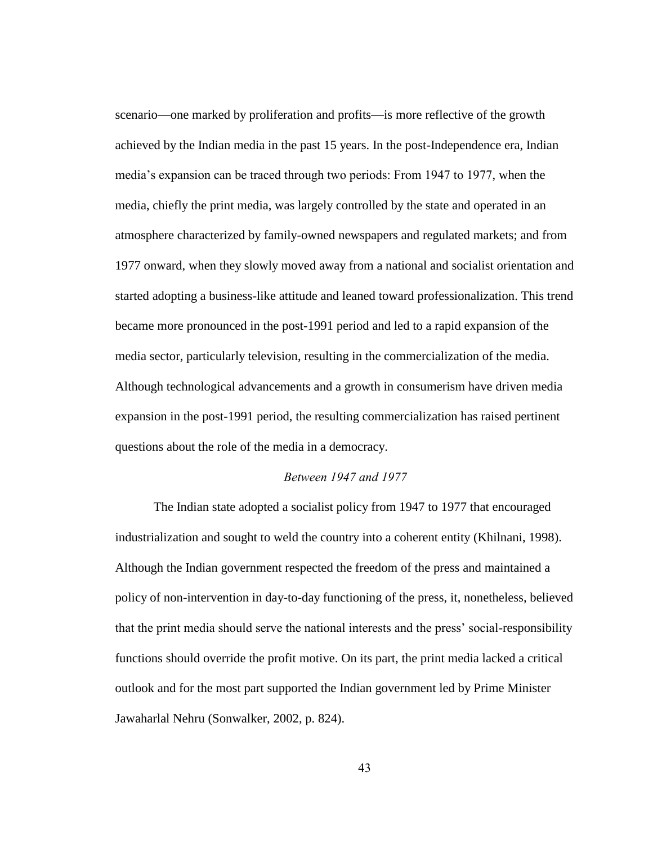scenario—one marked by proliferation and profits—is more reflective of the growth achieved by the Indian media in the past 15 years. In the post-Independence era, Indian media"s expansion can be traced through two periods: From 1947 to 1977, when the media, chiefly the print media, was largely controlled by the state and operated in an atmosphere characterized by family-owned newspapers and regulated markets; and from 1977 onward, when they slowly moved away from a national and socialist orientation and started adopting a business-like attitude and leaned toward professionalization. This trend became more pronounced in the post-1991 period and led to a rapid expansion of the media sector, particularly television, resulting in the commercialization of the media. Although technological advancements and a growth in consumerism have driven media expansion in the post-1991 period, the resulting commercialization has raised pertinent questions about the role of the media in a democracy.

# *Between 1947 and 1977*

The Indian state adopted a socialist policy from 1947 to 1977 that encouraged industrialization and sought to weld the country into a coherent entity (Khilnani, 1998). Although the Indian government respected the freedom of the press and maintained a policy of non-intervention in day-to-day functioning of the press, it, nonetheless, believed that the print media should serve the national interests and the press" social-responsibility functions should override the profit motive. On its part, the print media lacked a critical outlook and for the most part supported the Indian government led by Prime Minister Jawaharlal Nehru (Sonwalker, 2002, p. 824).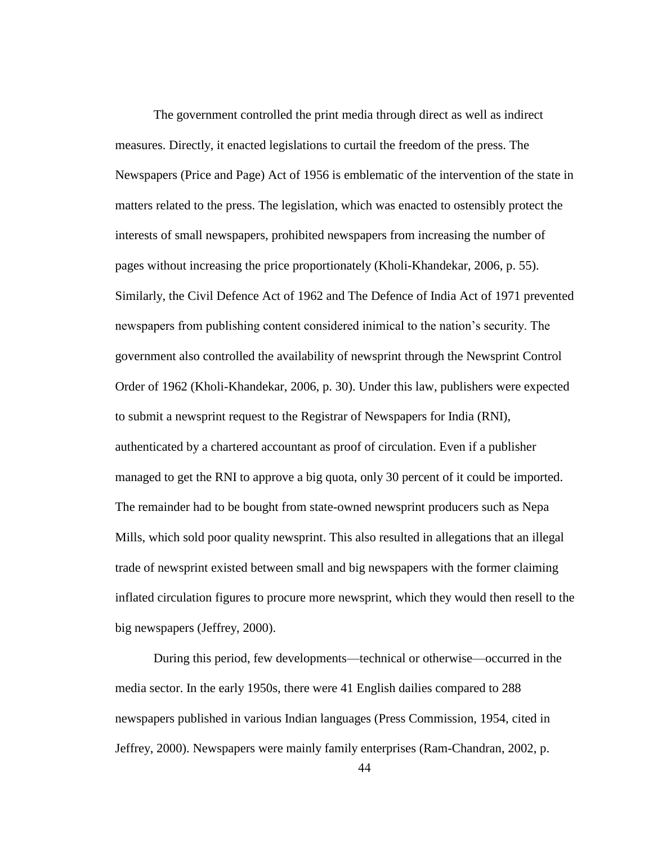The government controlled the print media through direct as well as indirect measures. Directly, it enacted legislations to curtail the freedom of the press. The Newspapers (Price and Page) Act of 1956 is emblematic of the intervention of the state in matters related to the press. The legislation, which was enacted to ostensibly protect the interests of small newspapers, prohibited newspapers from increasing the number of pages without increasing the price proportionately (Kholi-Khandekar, 2006, p. 55). Similarly, the Civil Defence Act of 1962 and The Defence of India Act of 1971 prevented newspapers from publishing content considered inimical to the nation"s security. The government also controlled the availability of newsprint through the Newsprint Control Order of 1962 (Kholi-Khandekar, 2006, p. 30). Under this law, publishers were expected to submit a newsprint request to the Registrar of Newspapers for India (RNI), authenticated by a chartered accountant as proof of circulation. Even if a publisher managed to get the RNI to approve a big quota, only 30 percent of it could be imported. The remainder had to be bought from state-owned newsprint producers such as Nepa Mills, which sold poor quality newsprint. This also resulted in allegations that an illegal trade of newsprint existed between small and big newspapers with the former claiming inflated circulation figures to procure more newsprint, which they would then resell to the big newspapers (Jeffrey, 2000).

During this period, few developments—technical or otherwise—occurred in the media sector. In the early 1950s, there were 41 English dailies compared to 288 newspapers published in various Indian languages (Press Commission, 1954, cited in Jeffrey, 2000). Newspapers were mainly family enterprises (Ram-Chandran, 2002, p.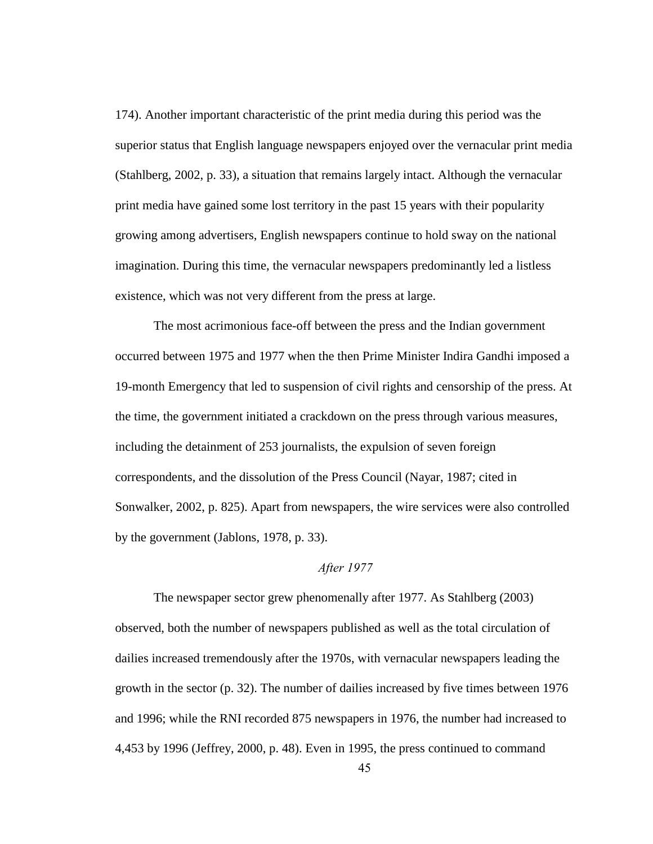174). Another important characteristic of the print media during this period was the superior status that English language newspapers enjoyed over the vernacular print media (Stahlberg, 2002, p. 33), a situation that remains largely intact. Although the vernacular print media have gained some lost territory in the past 15 years with their popularity growing among advertisers, English newspapers continue to hold sway on the national imagination. During this time, the vernacular newspapers predominantly led a listless existence, which was not very different from the press at large.

The most acrimonious face-off between the press and the Indian government occurred between 1975 and 1977 when the then Prime Minister Indira Gandhi imposed a 19-month Emergency that led to suspension of civil rights and censorship of the press. At the time, the government initiated a crackdown on the press through various measures, including the detainment of 253 journalists, the expulsion of seven foreign correspondents, and the dissolution of the Press Council (Nayar, 1987; cited in Sonwalker, 2002, p. 825). Apart from newspapers, the wire services were also controlled by the government (Jablons, 1978, p. 33).

## *After 1977*

The newspaper sector grew phenomenally after 1977. As Stahlberg (2003) observed, both the number of newspapers published as well as the total circulation of dailies increased tremendously after the 1970s, with vernacular newspapers leading the growth in the sector (p. 32). The number of dailies increased by five times between 1976 and 1996; while the RNI recorded 875 newspapers in 1976, the number had increased to 4,453 by 1996 (Jeffrey, 2000, p. 48). Even in 1995, the press continued to command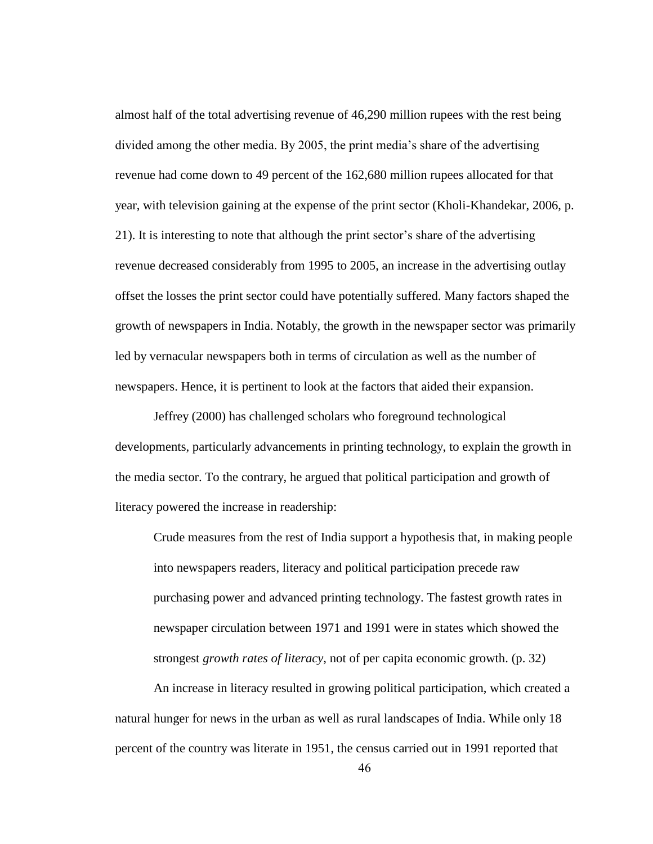almost half of the total advertising revenue of 46,290 million rupees with the rest being divided among the other media. By 2005, the print media"s share of the advertising revenue had come down to 49 percent of the 162,680 million rupees allocated for that year, with television gaining at the expense of the print sector (Kholi-Khandekar, 2006, p. 21). It is interesting to note that although the print sector"s share of the advertising revenue decreased considerably from 1995 to 2005, an increase in the advertising outlay offset the losses the print sector could have potentially suffered. Many factors shaped the growth of newspapers in India. Notably, the growth in the newspaper sector was primarily led by vernacular newspapers both in terms of circulation as well as the number of newspapers. Hence, it is pertinent to look at the factors that aided their expansion.

Jeffrey (2000) has challenged scholars who foreground technological developments, particularly advancements in printing technology, to explain the growth in the media sector. To the contrary, he argued that political participation and growth of literacy powered the increase in readership:

Crude measures from the rest of India support a hypothesis that, in making people into newspapers readers, literacy and political participation precede raw purchasing power and advanced printing technology. The fastest growth rates in newspaper circulation between 1971 and 1991 were in states which showed the strongest *growth rates of literacy*, not of per capita economic growth. (p. 32)

An increase in literacy resulted in growing political participation, which created a natural hunger for news in the urban as well as rural landscapes of India. While only 18 percent of the country was literate in 1951, the census carried out in 1991 reported that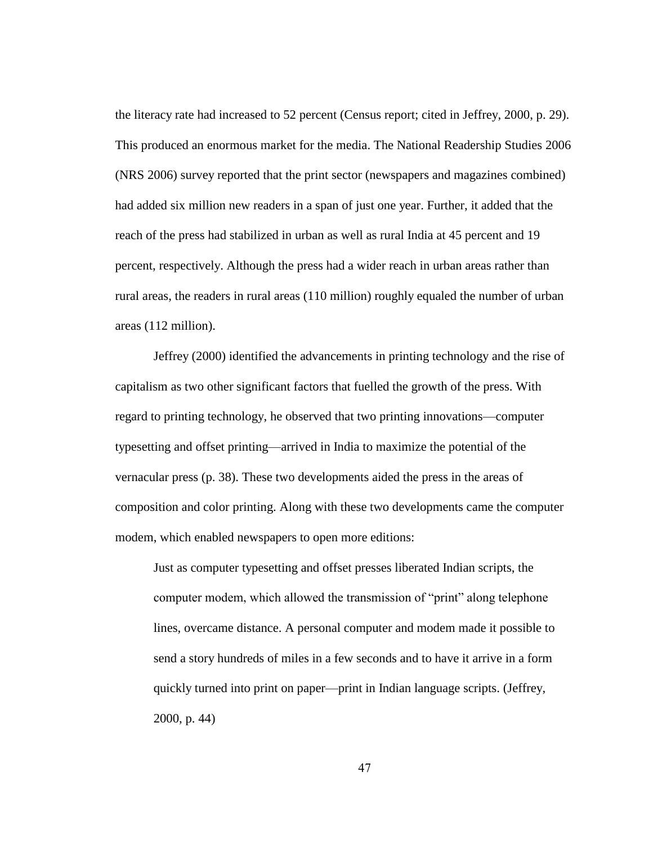the literacy rate had increased to 52 percent (Census report; cited in Jeffrey, 2000, p. 29). This produced an enormous market for the media. The National Readership Studies 2006 (NRS 2006) survey reported that the print sector (newspapers and magazines combined) had added six million new readers in a span of just one year. Further, it added that the reach of the press had stabilized in urban as well as rural India at 45 percent and 19 percent, respectively. Although the press had a wider reach in urban areas rather than rural areas, the readers in rural areas (110 million) roughly equaled the number of urban areas (112 million).

Jeffrey (2000) identified the advancements in printing technology and the rise of capitalism as two other significant factors that fuelled the growth of the press. With regard to printing technology, he observed that two printing innovations—computer typesetting and offset printing—arrived in India to maximize the potential of the vernacular press (p. 38). These two developments aided the press in the areas of composition and color printing. Along with these two developments came the computer modem, which enabled newspapers to open more editions:

Just as computer typesetting and offset presses liberated Indian scripts, the computer modem, which allowed the transmission of "print" along telephone lines, overcame distance. A personal computer and modem made it possible to send a story hundreds of miles in a few seconds and to have it arrive in a form quickly turned into print on paper—print in Indian language scripts. (Jeffrey, 2000, p. 44)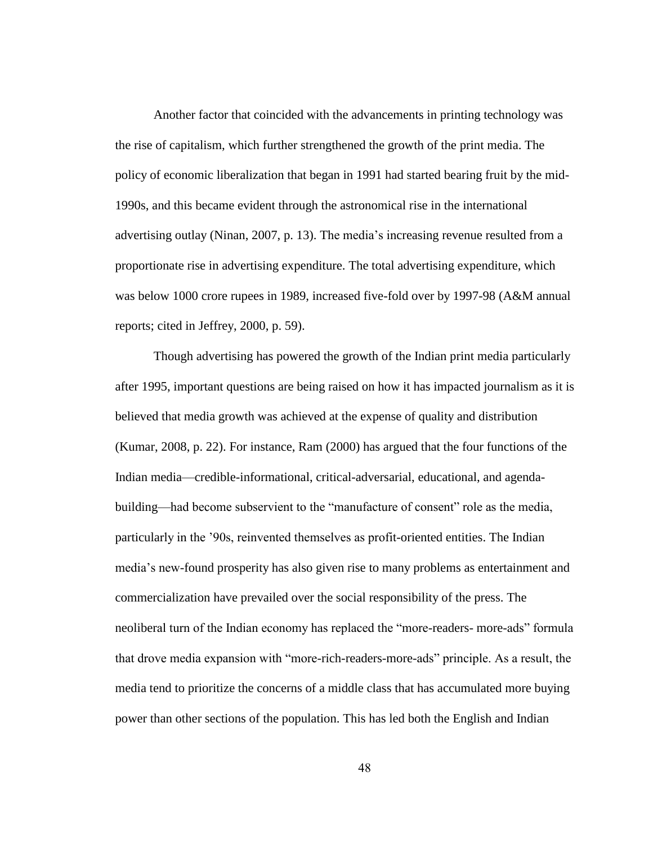Another factor that coincided with the advancements in printing technology was the rise of capitalism, which further strengthened the growth of the print media. The policy of economic liberalization that began in 1991 had started bearing fruit by the mid-1990s, and this became evident through the astronomical rise in the international advertising outlay (Ninan, 2007, p. 13). The media"s increasing revenue resulted from a proportionate rise in advertising expenditure. The total advertising expenditure, which was below 1000 crore rupees in 1989, increased five-fold over by 1997-98 (A&M annual reports; cited in Jeffrey, 2000, p. 59).

Though advertising has powered the growth of the Indian print media particularly after 1995, important questions are being raised on how it has impacted journalism as it is believed that media growth was achieved at the expense of quality and distribution (Kumar, 2008, p. 22). For instance, Ram (2000) has argued that the four functions of the Indian media—credible-informational, critical-adversarial, educational, and agendabuilding—had become subservient to the "manufacture of consent" role as the media, particularly in the "90s, reinvented themselves as profit-oriented entities. The Indian media"s new-found prosperity has also given rise to many problems as entertainment and commercialization have prevailed over the social responsibility of the press. The neoliberal turn of the Indian economy has replaced the "more-readers- more-ads" formula that drove media expansion with "more-rich-readers-more-ads" principle. As a result, the media tend to prioritize the concerns of a middle class that has accumulated more buying power than other sections of the population. This has led both the English and Indian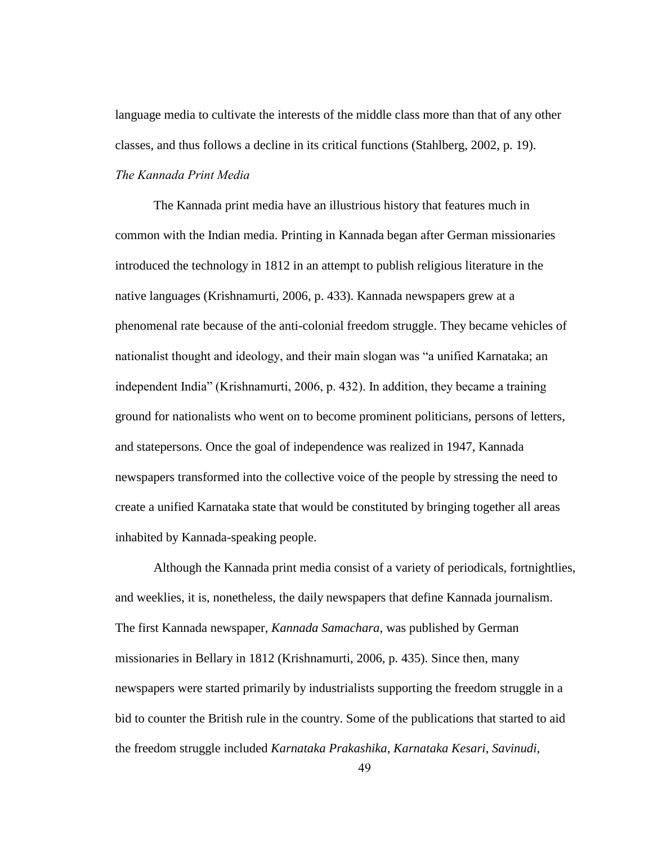language media to cultivate the interests of the middle class more than that of any other classes, and thus follows a decline in its critical functions (Stahlberg, 2002, p. 19).

*The Kannada Print Media*

The Kannada print media have an illustrious history that features much in common with the Indian media. Printing in Kannada began after German missionaries introduced the technology in 1812 in an attempt to publish religious literature in the native languages (Krishnamurti, 2006, p. 433). Kannada newspapers grew at a phenomenal rate because of the anti-colonial freedom struggle. They became vehicles of nationalist thought and ideology, and their main slogan was "a unified Karnataka; an independent India" (Krishnamurti, 2006, p. 432). In addition, they became a training ground for nationalists who went on to become prominent politicians, persons of letters, and statepersons. Once the goal of independence was realized in 1947, Kannada newspapers transformed into the collective voice of the people by stressing the need to create a unified Karnataka state that would be constituted by bringing together all areas inhabited by Kannada-speaking people.

Although the Kannada print media consist of a variety of periodicals, fortnightlies, and weeklies, it is, nonetheless, the daily newspapers that define Kannada journalism. The first Kannada newspaper, *Kannada Samachara*, was published by German missionaries in Bellary in 1812 (Krishnamurti, 2006, p. 435). Since then, many newspapers were started primarily by industrialists supporting the freedom struggle in a bid to counter the British rule in the country. Some of the publications that started to aid the freedom struggle included *Karnataka Prakashika, Karnataka Kesari, Savinudi,*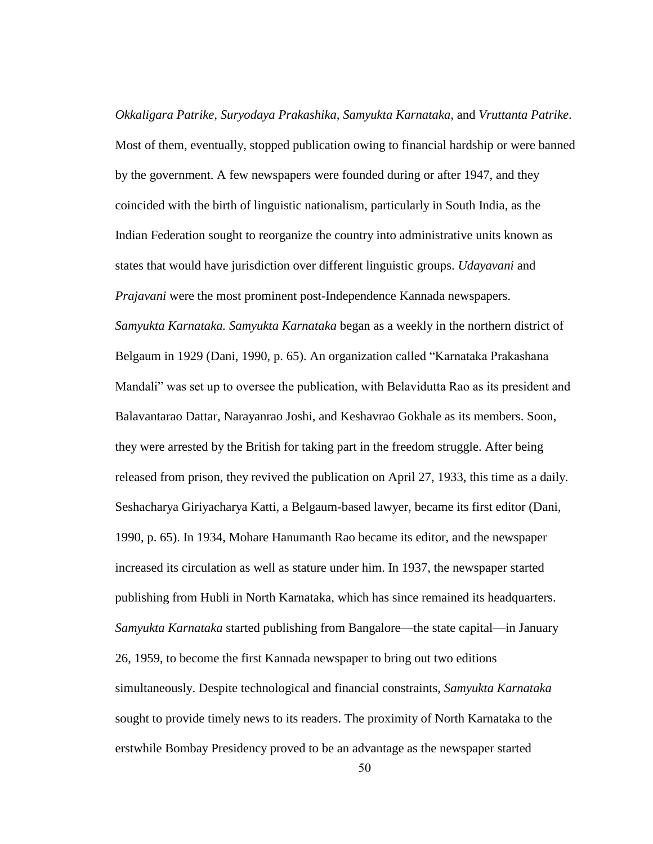*Okkaligara Patrike, Suryodaya Prakashika, Samyukta Karnataka,* and *Vruttanta Patrike*. Most of them, eventually, stopped publication owing to financial hardship or were banned by the government. A few newspapers were founded during or after 1947, and they coincided with the birth of linguistic nationalism, particularly in South India, as the Indian Federation sought to reorganize the country into administrative units known as states that would have jurisdiction over different linguistic groups. *Udayavani* and *Prajavani* were the most prominent post-Independence Kannada newspapers. *Samyukta Karnataka. Samyukta Karnataka* began as a weekly in the northern district of Belgaum in 1929 (Dani, 1990, p. 65). An organization called "Karnataka Prakashana Mandali" was set up to oversee the publication, with Belavidutta Rao as its president and Balavantarao Dattar, Narayanrao Joshi, and Keshavrao Gokhale as its members. Soon, they were arrested by the British for taking part in the freedom struggle. After being released from prison, they revived the publication on April 27, 1933, this time as a daily. Seshacharya Giriyacharya Katti, a Belgaum-based lawyer, became its first editor (Dani, 1990, p. 65). In 1934, Mohare Hanumanth Rao became its editor, and the newspaper increased its circulation as well as stature under him. In 1937, the newspaper started publishing from Hubli in North Karnataka, which has since remained its headquarters. *Samyukta Karnataka* started publishing from Bangalore—the state capital—in January 26, 1959, to become the first Kannada newspaper to bring out two editions simultaneously. Despite technological and financial constraints, *Samyukta Karnataka* sought to provide timely news to its readers. The proximity of North Karnataka to the erstwhile Bombay Presidency proved to be an advantage as the newspaper started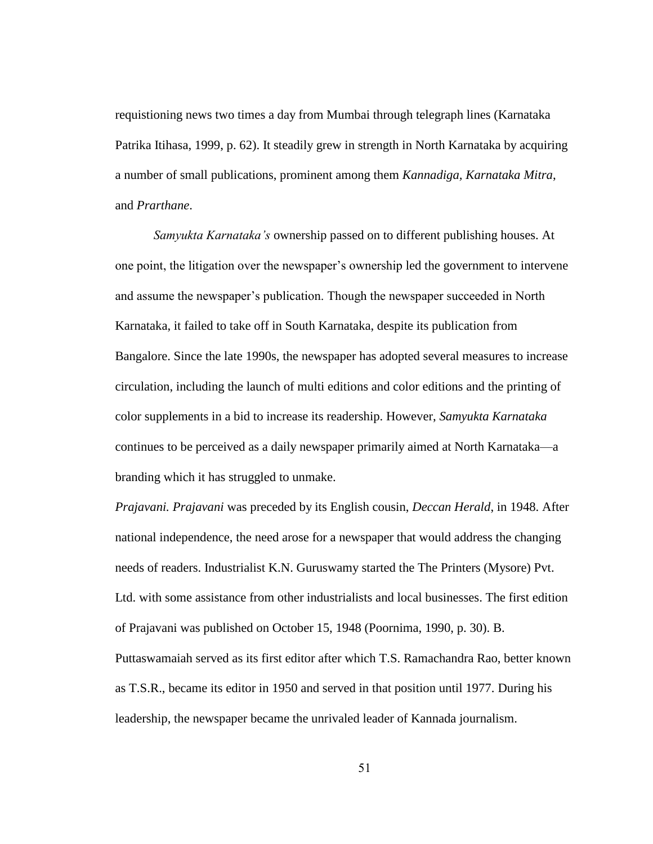requistioning news two times a day from Mumbai through telegraph lines (Karnataka Patrika Itihasa, 1999, p. 62). It steadily grew in strength in North Karnataka by acquiring a number of small publications, prominent among them *Kannadiga, Karnataka Mitra*, and *Prarthane*.

*Samyukta Karnataka's* ownership passed on to different publishing houses. At one point, the litigation over the newspaper"s ownership led the government to intervene and assume the newspaper"s publication. Though the newspaper succeeded in North Karnataka, it failed to take off in South Karnataka, despite its publication from Bangalore. Since the late 1990s, the newspaper has adopted several measures to increase circulation, including the launch of multi editions and color editions and the printing of color supplements in a bid to increase its readership. However, *Samyukta Karnataka* continues to be perceived as a daily newspaper primarily aimed at North Karnataka—a branding which it has struggled to unmake.

*Prajavani. Prajavani* was preceded by its English cousin, *Deccan Herald*, in 1948. After national independence, the need arose for a newspaper that would address the changing needs of readers. Industrialist K.N. Guruswamy started the The Printers (Mysore) Pvt. Ltd. with some assistance from other industrialists and local businesses. The first edition of Prajavani was published on October 15, 1948 (Poornima, 1990, p. 30). B. Puttaswamaiah served as its first editor after which T.S. Ramachandra Rao, better known as T.S.R., became its editor in 1950 and served in that position until 1977. During his leadership, the newspaper became the unrivaled leader of Kannada journalism.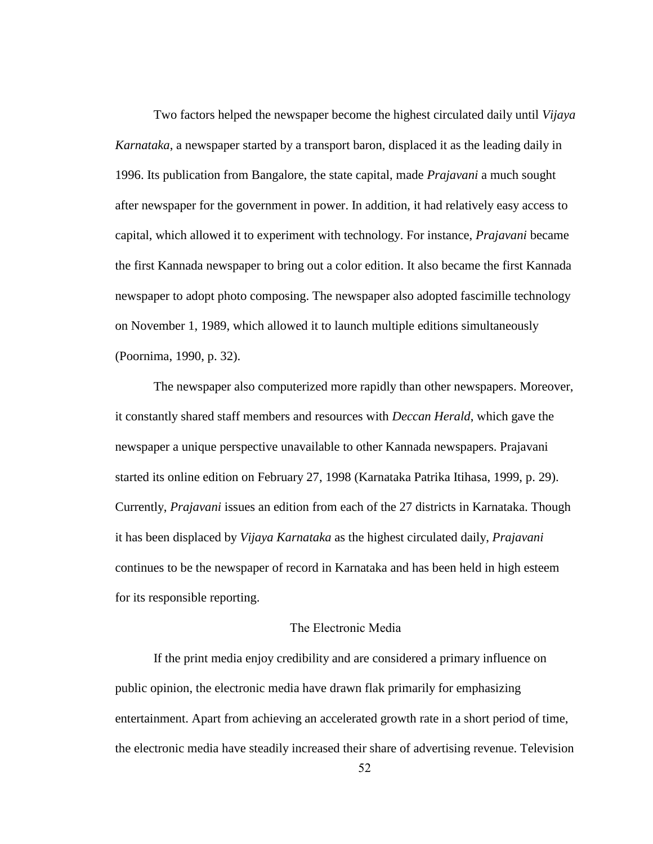Two factors helped the newspaper become the highest circulated daily until *Vijaya Karnataka*, a newspaper started by a transport baron, displaced it as the leading daily in 1996. Its publication from Bangalore, the state capital, made *Prajavani* a much sought after newspaper for the government in power. In addition, it had relatively easy access to capital, which allowed it to experiment with technology. For instance, *Prajavani* became the first Kannada newspaper to bring out a color edition. It also became the first Kannada newspaper to adopt photo composing. The newspaper also adopted fascimille technology on November 1, 1989, which allowed it to launch multiple editions simultaneously (Poornima, 1990, p. 32).

The newspaper also computerized more rapidly than other newspapers. Moreover, it constantly shared staff members and resources with *Deccan Herald*, which gave the newspaper a unique perspective unavailable to other Kannada newspapers. Prajavani started its online edition on February 27, 1998 (Karnataka Patrika Itihasa, 1999, p. 29). Currently, *Prajavani* issues an edition from each of the 27 districts in Karnataka. Though it has been displaced by *Vijaya Karnataka* as the highest circulated daily, *Prajavani* continues to be the newspaper of record in Karnataka and has been held in high esteem for its responsible reporting.

#### The Electronic Media

If the print media enjoy credibility and are considered a primary influence on public opinion, the electronic media have drawn flak primarily for emphasizing entertainment. Apart from achieving an accelerated growth rate in a short period of time, the electronic media have steadily increased their share of advertising revenue. Television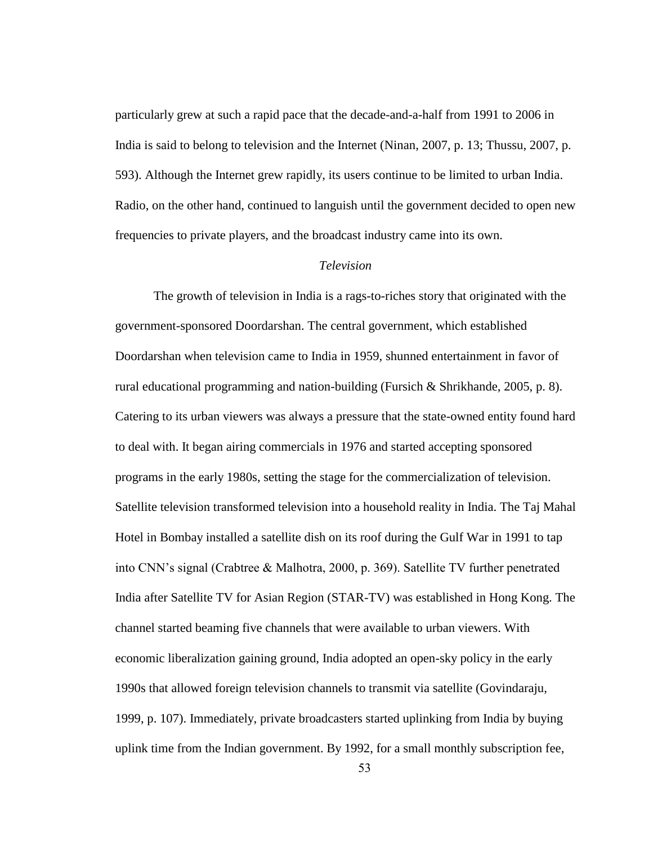particularly grew at such a rapid pace that the decade-and-a-half from 1991 to 2006 in India is said to belong to television and the Internet (Ninan, 2007, p. 13; Thussu, 2007, p. 593). Although the Internet grew rapidly, its users continue to be limited to urban India. Radio, on the other hand, continued to languish until the government decided to open new frequencies to private players, and the broadcast industry came into its own.

### *Television*

The growth of television in India is a rags-to-riches story that originated with the government-sponsored Doordarshan. The central government, which established Doordarshan when television came to India in 1959, shunned entertainment in favor of rural educational programming and nation-building (Fursich & Shrikhande, 2005, p. 8). Catering to its urban viewers was always a pressure that the state-owned entity found hard to deal with. It began airing commercials in 1976 and started accepting sponsored programs in the early 1980s, setting the stage for the commercialization of television. Satellite television transformed television into a household reality in India. The Taj Mahal Hotel in Bombay installed a satellite dish on its roof during the Gulf War in 1991 to tap into CNN"s signal (Crabtree & Malhotra, 2000, p. 369). Satellite TV further penetrated India after Satellite TV for Asian Region (STAR-TV) was established in Hong Kong. The channel started beaming five channels that were available to urban viewers. With economic liberalization gaining ground, India adopted an open-sky policy in the early 1990s that allowed foreign television channels to transmit via satellite (Govindaraju, 1999, p. 107). Immediately, private broadcasters started uplinking from India by buying uplink time from the Indian government. By 1992, for a small monthly subscription fee,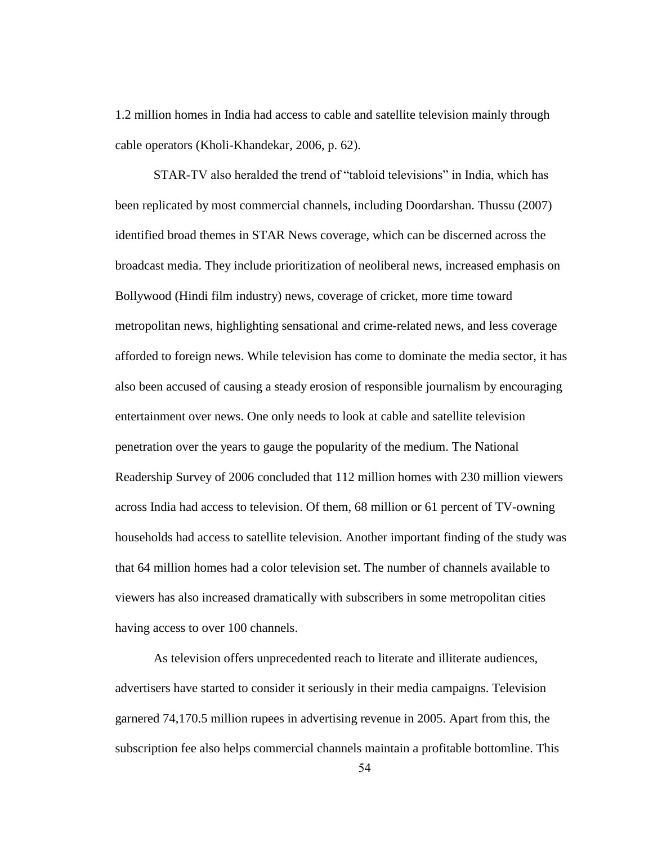1.2 million homes in India had access to cable and satellite television mainly through cable operators (Kholi-Khandekar, 2006, p. 62).

STAR-TV also heralded the trend of "tabloid televisions" in India, which has been replicated by most commercial channels, including Doordarshan. Thussu (2007) identified broad themes in STAR News coverage, which can be discerned across the broadcast media. They include prioritization of neoliberal news, increased emphasis on Bollywood (Hindi film industry) news, coverage of cricket, more time toward metropolitan news, highlighting sensational and crime-related news, and less coverage afforded to foreign news. While television has come to dominate the media sector, it has also been accused of causing a steady erosion of responsible journalism by encouraging entertainment over news. One only needs to look at cable and satellite television penetration over the years to gauge the popularity of the medium. The National Readership Survey of 2006 concluded that 112 million homes with 230 million viewers across India had access to television. Of them, 68 million or 61 percent of TV-owning households had access to satellite television. Another important finding of the study was that 64 million homes had a color television set. The number of channels available to viewers has also increased dramatically with subscribers in some metropolitan cities having access to over 100 channels.

As television offers unprecedented reach to literate and illiterate audiences, advertisers have started to consider it seriously in their media campaigns. Television garnered 74,170.5 million rupees in advertising revenue in 2005. Apart from this, the subscription fee also helps commercial channels maintain a profitable bottomline. This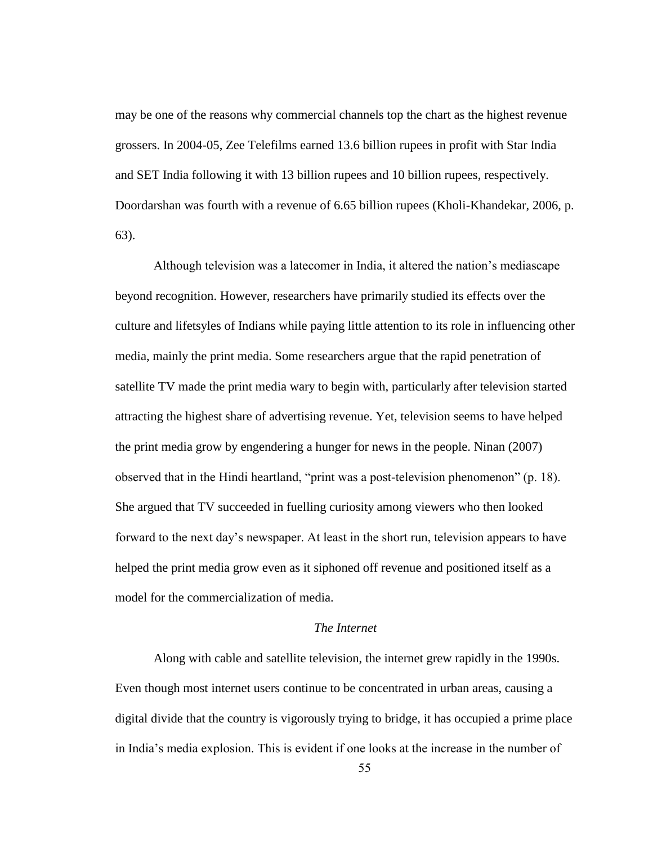may be one of the reasons why commercial channels top the chart as the highest revenue grossers. In 2004-05, Zee Telefilms earned 13.6 billion rupees in profit with Star India and SET India following it with 13 billion rupees and 10 billion rupees, respectively. Doordarshan was fourth with a revenue of 6.65 billion rupees (Kholi-Khandekar, 2006, p. 63).

Although television was a latecomer in India, it altered the nation"s mediascape beyond recognition. However, researchers have primarily studied its effects over the culture and lifetsyles of Indians while paying little attention to its role in influencing other media, mainly the print media. Some researchers argue that the rapid penetration of satellite TV made the print media wary to begin with, particularly after television started attracting the highest share of advertising revenue. Yet, television seems to have helped the print media grow by engendering a hunger for news in the people. Ninan (2007) observed that in the Hindi heartland, "print was a post-television phenomenon" (p. 18). She argued that TV succeeded in fuelling curiosity among viewers who then looked forward to the next day"s newspaper. At least in the short run, television appears to have helped the print media grow even as it siphoned off revenue and positioned itself as a model for the commercialization of media.

### *The Internet*

Along with cable and satellite television, the internet grew rapidly in the 1990s. Even though most internet users continue to be concentrated in urban areas, causing a digital divide that the country is vigorously trying to bridge, it has occupied a prime place in India"s media explosion. This is evident if one looks at the increase in the number of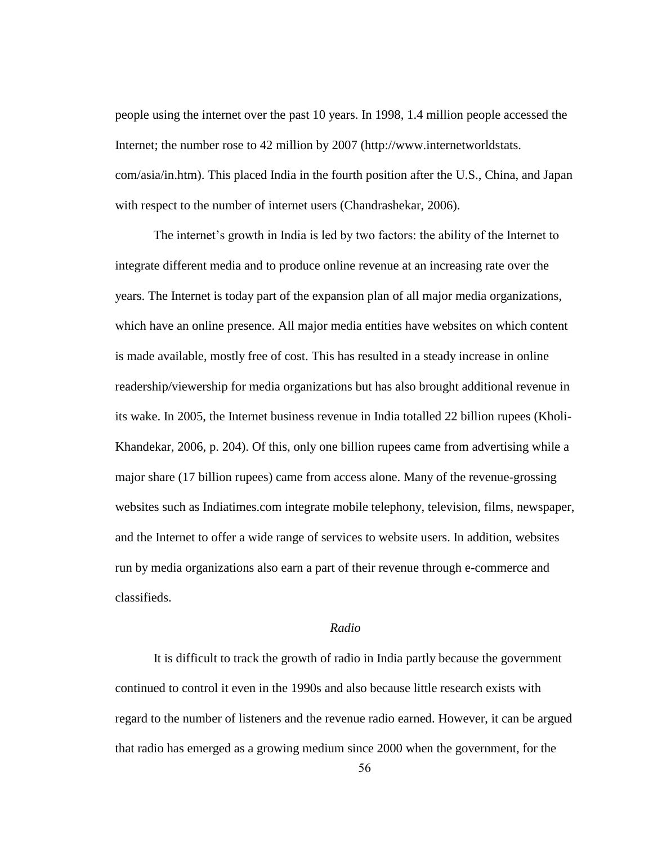people using the internet over the past 10 years. In 1998, 1.4 million people accessed the Internet; the number rose to 42 million by 2007 (http://www.internetworldstats. com/asia/in.htm). This placed India in the fourth position after the U.S., China, and Japan with respect to the number of internet users (Chandrashekar, 2006).

The internet"s growth in India is led by two factors: the ability of the Internet to integrate different media and to produce online revenue at an increasing rate over the years. The Internet is today part of the expansion plan of all major media organizations, which have an online presence. All major media entities have websites on which content is made available, mostly free of cost. This has resulted in a steady increase in online readership/viewership for media organizations but has also brought additional revenue in its wake. In 2005, the Internet business revenue in India totalled 22 billion rupees (Kholi-Khandekar, 2006, p. 204). Of this, only one billion rupees came from advertising while a major share (17 billion rupees) came from access alone. Many of the revenue-grossing websites such as Indiatimes.com integrate mobile telephony, television, films, newspaper, and the Internet to offer a wide range of services to website users. In addition, websites run by media organizations also earn a part of their revenue through e-commerce and classifieds.

### *Radio*

It is difficult to track the growth of radio in India partly because the government continued to control it even in the 1990s and also because little research exists with regard to the number of listeners and the revenue radio earned. However, it can be argued that radio has emerged as a growing medium since 2000 when the government, for the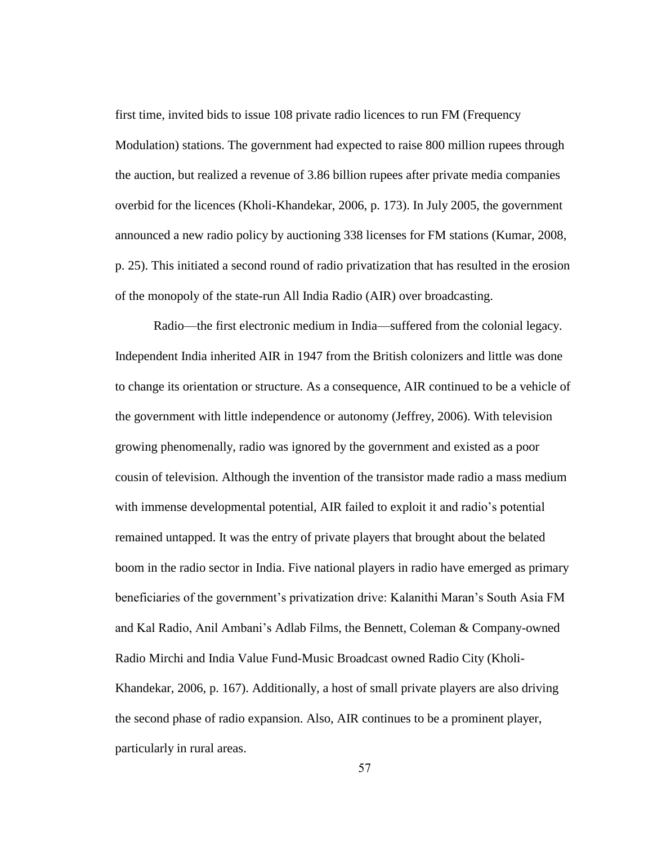first time, invited bids to issue 108 private radio licences to run FM (Frequency Modulation) stations. The government had expected to raise 800 million rupees through the auction, but realized a revenue of 3.86 billion rupees after private media companies overbid for the licences (Kholi-Khandekar, 2006, p. 173). In July 2005, the government announced a new radio policy by auctioning 338 licenses for FM stations (Kumar, 2008, p. 25). This initiated a second round of radio privatization that has resulted in the erosion of the monopoly of the state-run All India Radio (AIR) over broadcasting.

Radio—the first electronic medium in India—suffered from the colonial legacy. Independent India inherited AIR in 1947 from the British colonizers and little was done to change its orientation or structure. As a consequence, AIR continued to be a vehicle of the government with little independence or autonomy (Jeffrey, 2006). With television growing phenomenally, radio was ignored by the government and existed as a poor cousin of television. Although the invention of the transistor made radio a mass medium with immense developmental potential, AIR failed to exploit it and radio"s potential remained untapped. It was the entry of private players that brought about the belated boom in the radio sector in India. Five national players in radio have emerged as primary beneficiaries of the government's privatization drive: Kalanithi Maran's South Asia FM and Kal Radio, Anil Ambani"s Adlab Films, the Bennett, Coleman & Company-owned Radio Mirchi and India Value Fund-Music Broadcast owned Radio City (Kholi-Khandekar, 2006, p. 167). Additionally, a host of small private players are also driving the second phase of radio expansion. Also, AIR continues to be a prominent player, particularly in rural areas.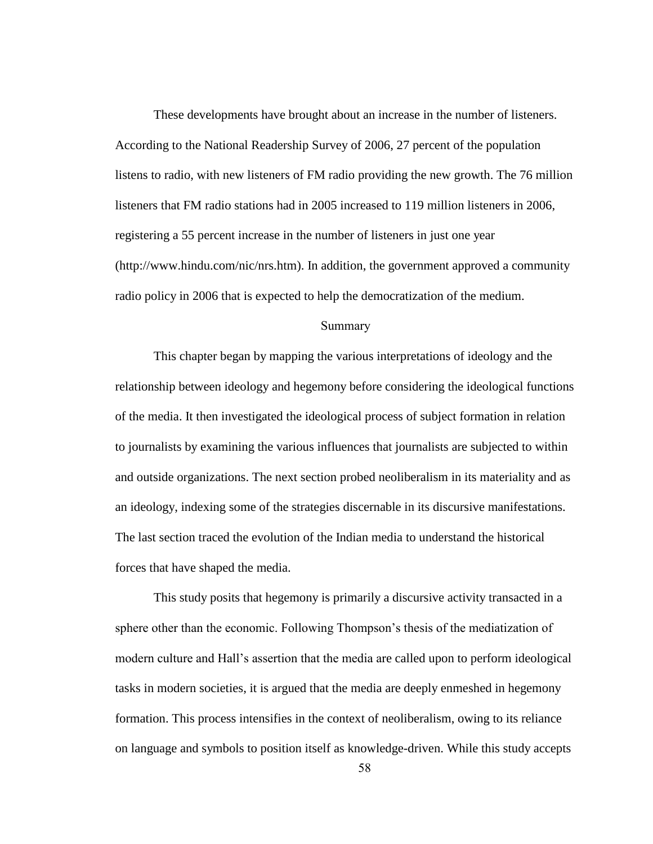These developments have brought about an increase in the number of listeners. According to the National Readership Survey of 2006, 27 percent of the population listens to radio, with new listeners of FM radio providing the new growth. The 76 million listeners that FM radio stations had in 2005 increased to 119 million listeners in 2006, registering a 55 percent increase in the number of listeners in just one year (http://www.hindu.com/nic/nrs.htm). In addition, the government approved a community radio policy in 2006 that is expected to help the democratization of the medium.

#### Summary

This chapter began by mapping the various interpretations of ideology and the relationship between ideology and hegemony before considering the ideological functions of the media. It then investigated the ideological process of subject formation in relation to journalists by examining the various influences that journalists are subjected to within and outside organizations. The next section probed neoliberalism in its materiality and as an ideology, indexing some of the strategies discernable in its discursive manifestations. The last section traced the evolution of the Indian media to understand the historical forces that have shaped the media.

This study posits that hegemony is primarily a discursive activity transacted in a sphere other than the economic. Following Thompson"s thesis of the mediatization of modern culture and Hall"s assertion that the media are called upon to perform ideological tasks in modern societies, it is argued that the media are deeply enmeshed in hegemony formation. This process intensifies in the context of neoliberalism, owing to its reliance on language and symbols to position itself as knowledge-driven. While this study accepts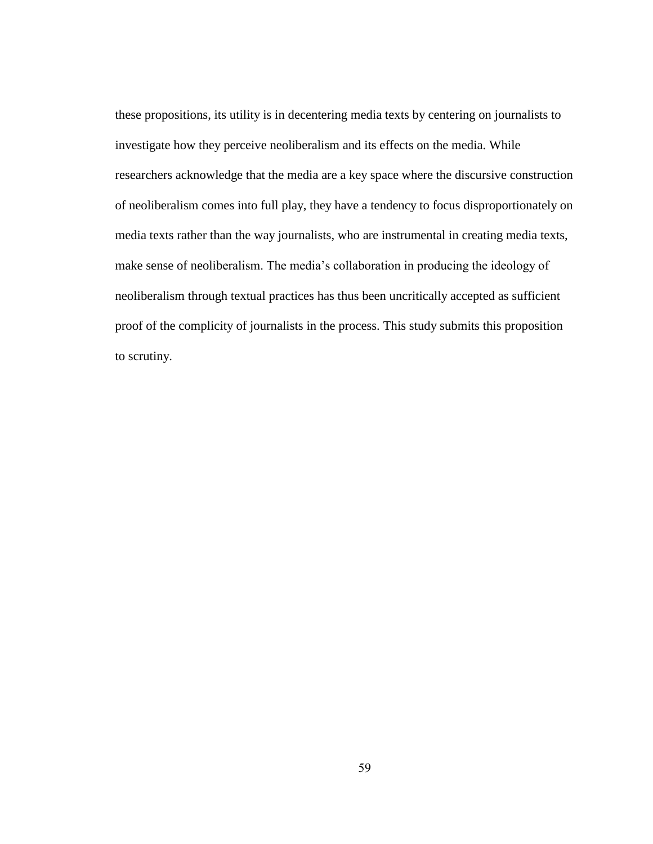these propositions, its utility is in decentering media texts by centering on journalists to investigate how they perceive neoliberalism and its effects on the media. While researchers acknowledge that the media are a key space where the discursive construction of neoliberalism comes into full play, they have a tendency to focus disproportionately on media texts rather than the way journalists, who are instrumental in creating media texts, make sense of neoliberalism. The media"s collaboration in producing the ideology of neoliberalism through textual practices has thus been uncritically accepted as sufficient proof of the complicity of journalists in the process. This study submits this proposition to scrutiny.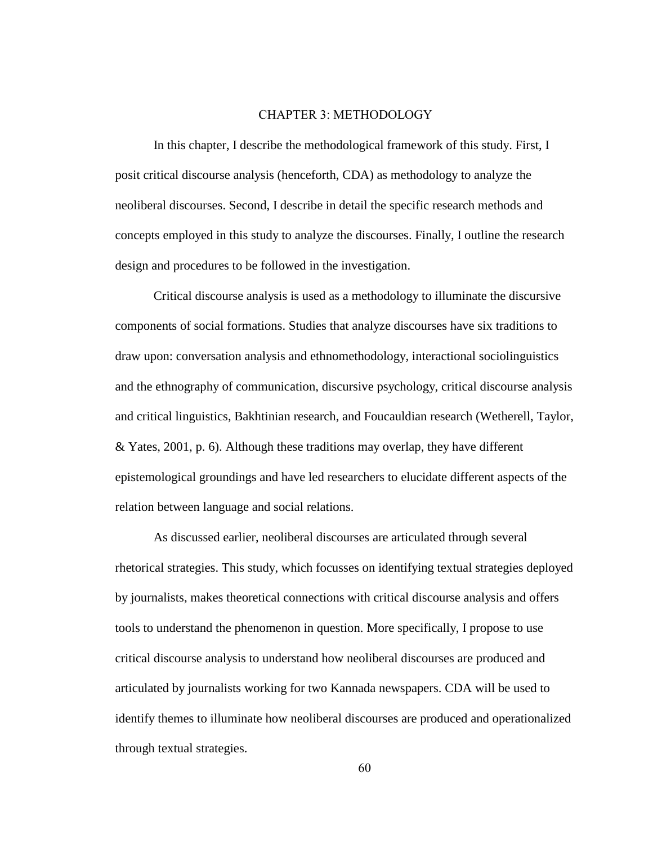#### CHAPTER 3: METHODOLOGY

In this chapter, I describe the methodological framework of this study. First, I posit critical discourse analysis (henceforth, CDA) as methodology to analyze the neoliberal discourses. Second, I describe in detail the specific research methods and concepts employed in this study to analyze the discourses. Finally, I outline the research design and procedures to be followed in the investigation.

Critical discourse analysis is used as a methodology to illuminate the discursive components of social formations. Studies that analyze discourses have six traditions to draw upon: conversation analysis and ethnomethodology, interactional sociolinguistics and the ethnography of communication, discursive psychology, critical discourse analysis and critical linguistics, Bakhtinian research, and Foucauldian research (Wetherell, Taylor, & Yates, 2001, p. 6). Although these traditions may overlap, they have different epistemological groundings and have led researchers to elucidate different aspects of the relation between language and social relations.

As discussed earlier, neoliberal discourses are articulated through several rhetorical strategies. This study, which focusses on identifying textual strategies deployed by journalists, makes theoretical connections with critical discourse analysis and offers tools to understand the phenomenon in question. More specifically, I propose to use critical discourse analysis to understand how neoliberal discourses are produced and articulated by journalists working for two Kannada newspapers. CDA will be used to identify themes to illuminate how neoliberal discourses are produced and operationalized through textual strategies.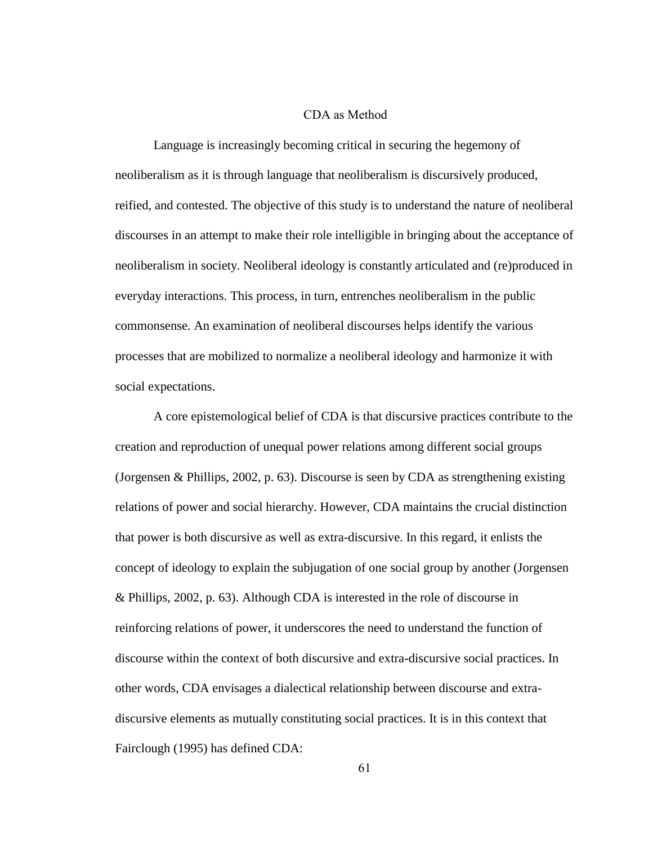### CDA as Method

Language is increasingly becoming critical in securing the hegemony of neoliberalism as it is through language that neoliberalism is discursively produced, reified, and contested. The objective of this study is to understand the nature of neoliberal discourses in an attempt to make their role intelligible in bringing about the acceptance of neoliberalism in society. Neoliberal ideology is constantly articulated and (re)produced in everyday interactions. This process, in turn, entrenches neoliberalism in the public commonsense. An examination of neoliberal discourses helps identify the various processes that are mobilized to normalize a neoliberal ideology and harmonize it with social expectations.

A core epistemological belief of CDA is that discursive practices contribute to the creation and reproduction of unequal power relations among different social groups (Jorgensen & Phillips, 2002, p. 63). Discourse is seen by CDA as strengthening existing relations of power and social hierarchy. However, CDA maintains the crucial distinction that power is both discursive as well as extra-discursive. In this regard, it enlists the concept of ideology to explain the subjugation of one social group by another (Jorgensen & Phillips, 2002, p. 63). Although CDA is interested in the role of discourse in reinforcing relations of power, it underscores the need to understand the function of discourse within the context of both discursive and extra-discursive social practices. In other words, CDA envisages a dialectical relationship between discourse and extradiscursive elements as mutually constituting social practices. It is in this context that Fairclough (1995) has defined CDA: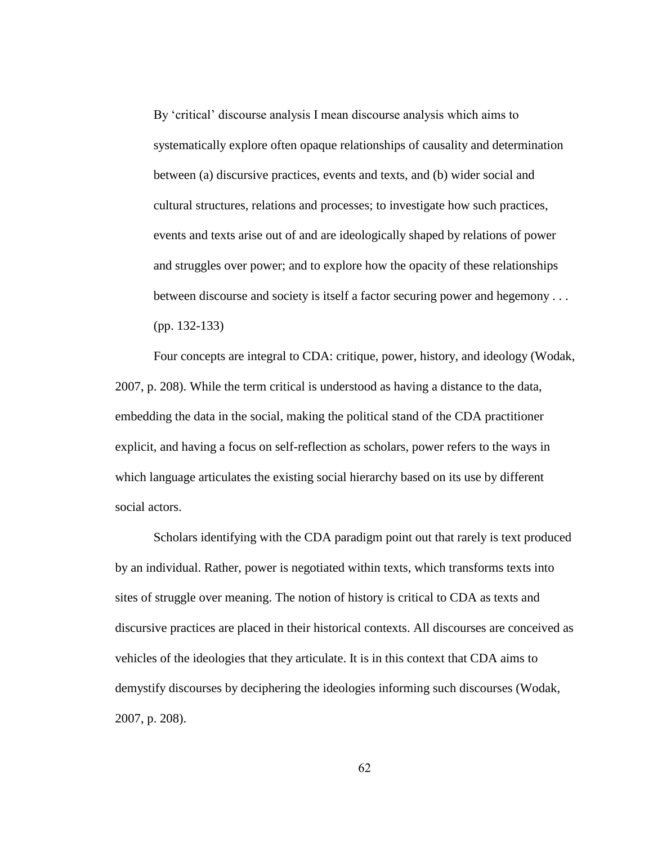By "critical" discourse analysis I mean discourse analysis which aims to systematically explore often opaque relationships of causality and determination between (a) discursive practices, events and texts, and (b) wider social and cultural structures, relations and processes; to investigate how such practices, events and texts arise out of and are ideologically shaped by relations of power and struggles over power; and to explore how the opacity of these relationships between discourse and society is itself a factor securing power and hegemony . . . (pp. 132-133)

Four concepts are integral to CDA: critique, power, history, and ideology (Wodak, 2007, p. 208). While the term critical is understood as having a distance to the data, embedding the data in the social, making the political stand of the CDA practitioner explicit, and having a focus on self-reflection as scholars, power refers to the ways in which language articulates the existing social hierarchy based on its use by different social actors.

Scholars identifying with the CDA paradigm point out that rarely is text produced by an individual. Rather, power is negotiated within texts, which transforms texts into sites of struggle over meaning. The notion of history is critical to CDA as texts and discursive practices are placed in their historical contexts. All discourses are conceived as vehicles of the ideologies that they articulate. It is in this context that CDA aims to demystify discourses by deciphering the ideologies informing such discourses (Wodak, 2007, p. 208).

62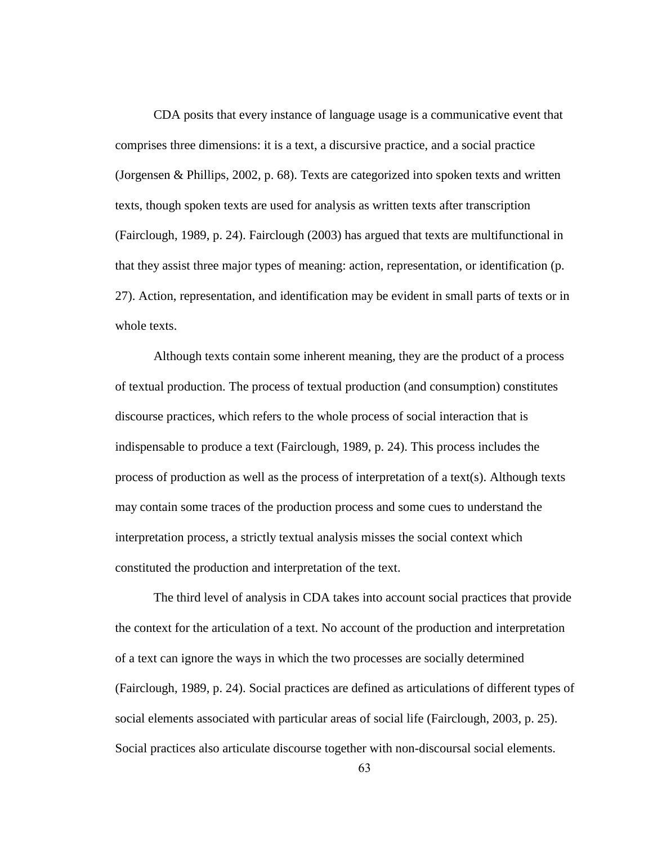CDA posits that every instance of language usage is a communicative event that comprises three dimensions: it is a text, a discursive practice, and a social practice (Jorgensen & Phillips, 2002, p. 68). Texts are categorized into spoken texts and written texts, though spoken texts are used for analysis as written texts after transcription (Fairclough, 1989, p. 24). Fairclough (2003) has argued that texts are multifunctional in that they assist three major types of meaning: action, representation, or identification (p. 27). Action, representation, and identification may be evident in small parts of texts or in whole texts.

Although texts contain some inherent meaning, they are the product of a process of textual production. The process of textual production (and consumption) constitutes discourse practices, which refers to the whole process of social interaction that is indispensable to produce a text (Fairclough, 1989, p. 24). This process includes the process of production as well as the process of interpretation of a text(s). Although texts may contain some traces of the production process and some cues to understand the interpretation process, a strictly textual analysis misses the social context which constituted the production and interpretation of the text.

The third level of analysis in CDA takes into account social practices that provide the context for the articulation of a text. No account of the production and interpretation of a text can ignore the ways in which the two processes are socially determined (Fairclough, 1989, p. 24). Social practices are defined as articulations of different types of social elements associated with particular areas of social life (Fairclough, 2003, p. 25). Social practices also articulate discourse together with non-discoursal social elements.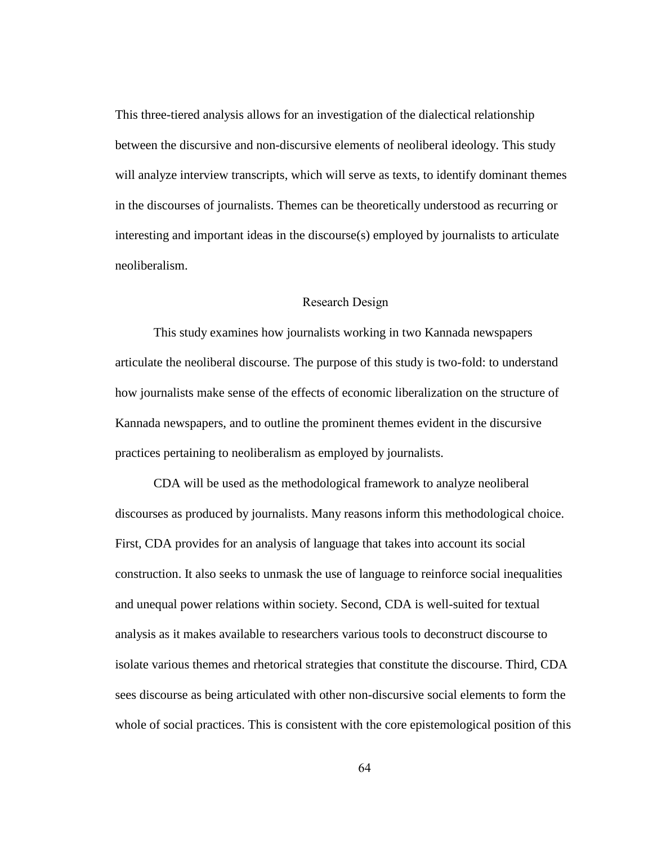This three-tiered analysis allows for an investigation of the dialectical relationship between the discursive and non-discursive elements of neoliberal ideology. This study will analyze interview transcripts, which will serve as texts, to identify dominant themes in the discourses of journalists. Themes can be theoretically understood as recurring or interesting and important ideas in the discourse(s) employed by journalists to articulate neoliberalism.

## Research Design

This study examines how journalists working in two Kannada newspapers articulate the neoliberal discourse. The purpose of this study is two-fold: to understand how journalists make sense of the effects of economic liberalization on the structure of Kannada newspapers, and to outline the prominent themes evident in the discursive practices pertaining to neoliberalism as employed by journalists.

CDA will be used as the methodological framework to analyze neoliberal discourses as produced by journalists. Many reasons inform this methodological choice. First, CDA provides for an analysis of language that takes into account its social construction. It also seeks to unmask the use of language to reinforce social inequalities and unequal power relations within society. Second, CDA is well-suited for textual analysis as it makes available to researchers various tools to deconstruct discourse to isolate various themes and rhetorical strategies that constitute the discourse. Third, CDA sees discourse as being articulated with other non-discursive social elements to form the whole of social practices. This is consistent with the core epistemological position of this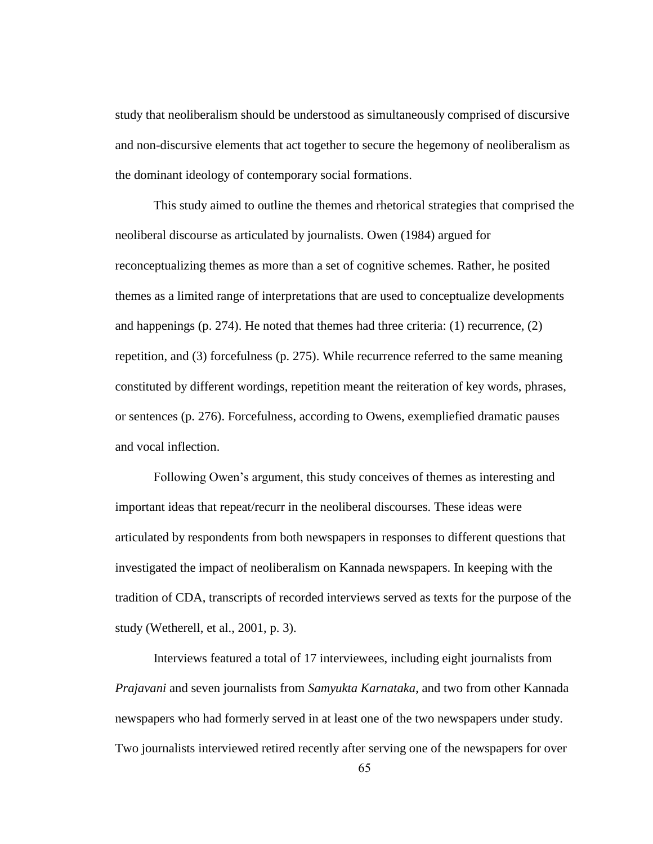study that neoliberalism should be understood as simultaneously comprised of discursive and non-discursive elements that act together to secure the hegemony of neoliberalism as the dominant ideology of contemporary social formations.

This study aimed to outline the themes and rhetorical strategies that comprised the neoliberal discourse as articulated by journalists. Owen (1984) argued for reconceptualizing themes as more than a set of cognitive schemes. Rather, he posited themes as a limited range of interpretations that are used to conceptualize developments and happenings (p. 274). He noted that themes had three criteria: (1) recurrence, (2) repetition, and (3) forcefulness (p. 275). While recurrence referred to the same meaning constituted by different wordings, repetition meant the reiteration of key words, phrases, or sentences (p. 276). Forcefulness, according to Owens, exempliefied dramatic pauses and vocal inflection.

Following Owen"s argument, this study conceives of themes as interesting and important ideas that repeat/recurr in the neoliberal discourses. These ideas were articulated by respondents from both newspapers in responses to different questions that investigated the impact of neoliberalism on Kannada newspapers. In keeping with the tradition of CDA, transcripts of recorded interviews served as texts for the purpose of the study (Wetherell, et al., 2001, p. 3).

Interviews featured a total of 17 interviewees, including eight journalists from *Prajavani* and seven journalists from *Samyukta Karnataka*, and two from other Kannada newspapers who had formerly served in at least one of the two newspapers under study. Two journalists interviewed retired recently after serving one of the newspapers for over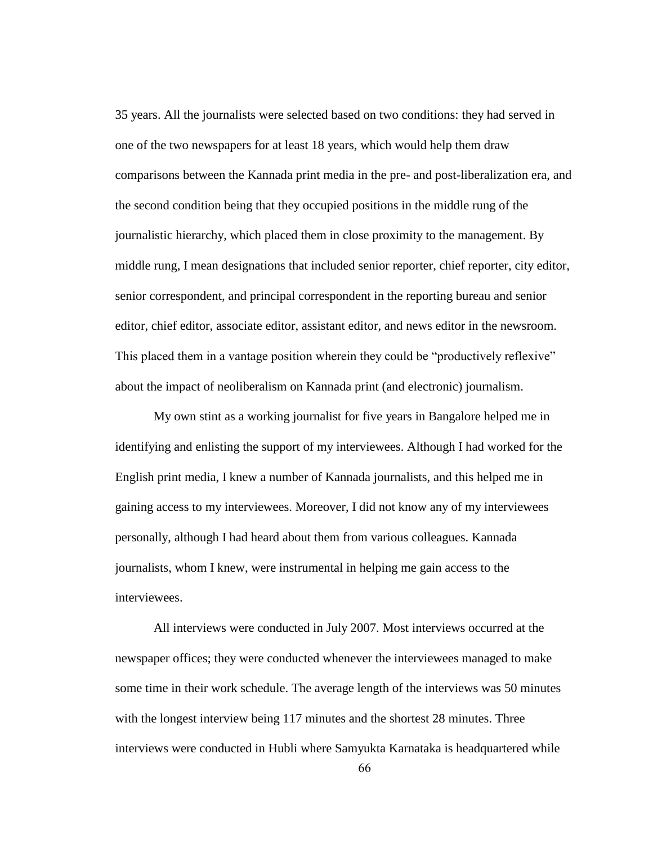35 years. All the journalists were selected based on two conditions: they had served in one of the two newspapers for at least 18 years, which would help them draw comparisons between the Kannada print media in the pre- and post-liberalization era, and the second condition being that they occupied positions in the middle rung of the journalistic hierarchy, which placed them in close proximity to the management. By middle rung, I mean designations that included senior reporter, chief reporter, city editor, senior correspondent, and principal correspondent in the reporting bureau and senior editor, chief editor, associate editor, assistant editor, and news editor in the newsroom. This placed them in a vantage position wherein they could be "productively reflexive" about the impact of neoliberalism on Kannada print (and electronic) journalism.

My own stint as a working journalist for five years in Bangalore helped me in identifying and enlisting the support of my interviewees. Although I had worked for the English print media, I knew a number of Kannada journalists, and this helped me in gaining access to my interviewees. Moreover, I did not know any of my interviewees personally, although I had heard about them from various colleagues. Kannada journalists, whom I knew, were instrumental in helping me gain access to the interviewees.

All interviews were conducted in July 2007. Most interviews occurred at the newspaper offices; they were conducted whenever the interviewees managed to make some time in their work schedule. The average length of the interviews was 50 minutes with the longest interview being 117 minutes and the shortest 28 minutes. Three interviews were conducted in Hubli where Samyukta Karnataka is headquartered while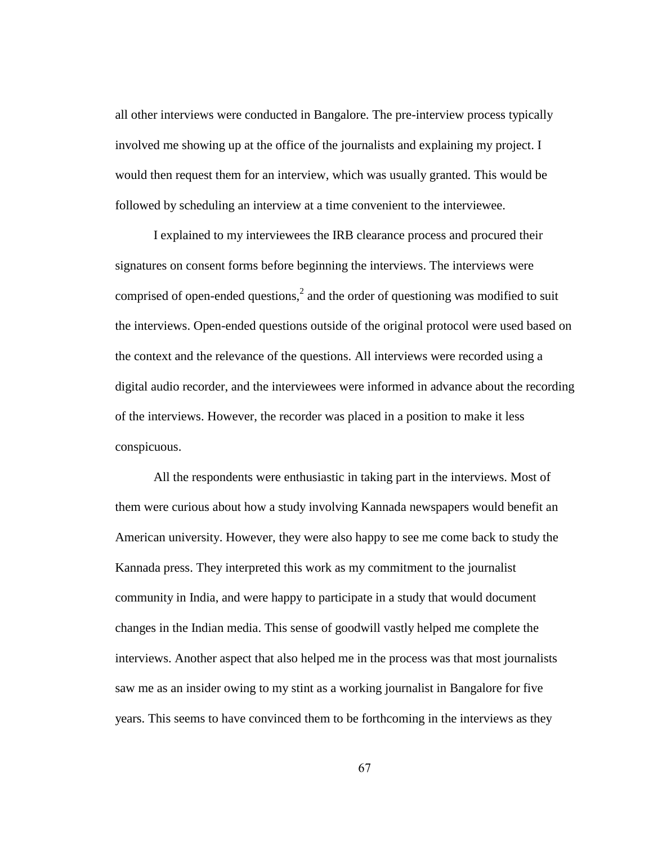all other interviews were conducted in Bangalore. The pre-interview process typically involved me showing up at the office of the journalists and explaining my project. I would then request them for an interview, which was usually granted. This would be followed by scheduling an interview at a time convenient to the interviewee.

I explained to my interviewees the IRB clearance process and procured their signatures on consent forms before beginning the interviews. The interviews were comprised of open-ended questions,<sup>2</sup> and the order of questioning was modified to suit the interviews. Open-ended questions outside of the original protocol were used based on the context and the relevance of the questions. All interviews were recorded using a digital audio recorder, and the interviewees were informed in advance about the recording of the interviews. However, the recorder was placed in a position to make it less conspicuous.

All the respondents were enthusiastic in taking part in the interviews. Most of them were curious about how a study involving Kannada newspapers would benefit an American university. However, they were also happy to see me come back to study the Kannada press. They interpreted this work as my commitment to the journalist community in India, and were happy to participate in a study that would document changes in the Indian media. This sense of goodwill vastly helped me complete the interviews. Another aspect that also helped me in the process was that most journalists saw me as an insider owing to my stint as a working journalist in Bangalore for five years. This seems to have convinced them to be forthcoming in the interviews as they

67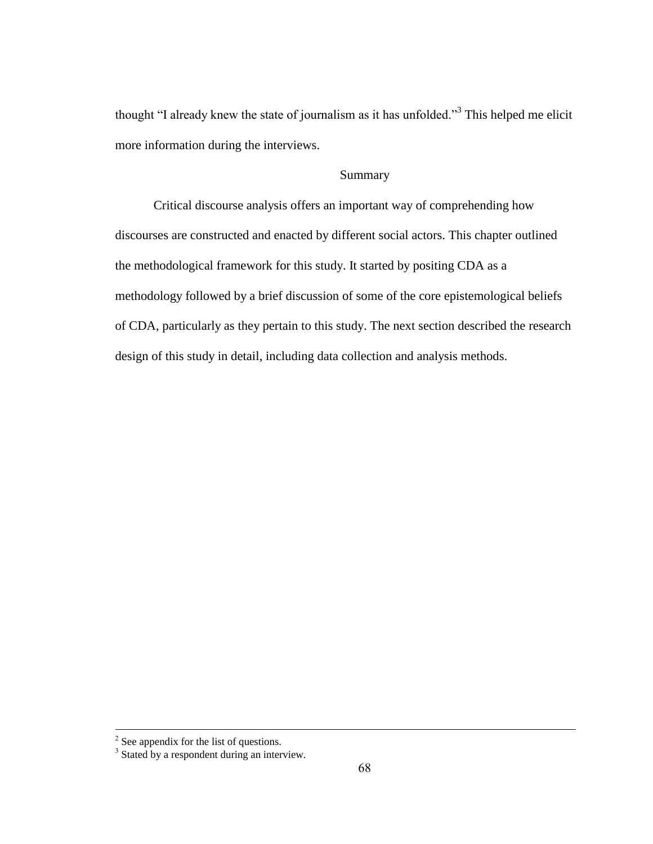thought "I already knew the state of journalism as it has unfolded."<sup>3</sup> This helped me elicit more information during the interviews.

# Summary

Critical discourse analysis offers an important way of comprehending how discourses are constructed and enacted by different social actors. This chapter outlined the methodological framework for this study. It started by positing CDA as a methodology followed by a brief discussion of some of the core epistemological beliefs of CDA, particularly as they pertain to this study. The next section described the research design of this study in detail, including data collection and analysis methods.

 $\frac{2}{3}$  See appendix for the list of questions.<br> $\frac{3}{3}$  Stated by a respondent during an interview.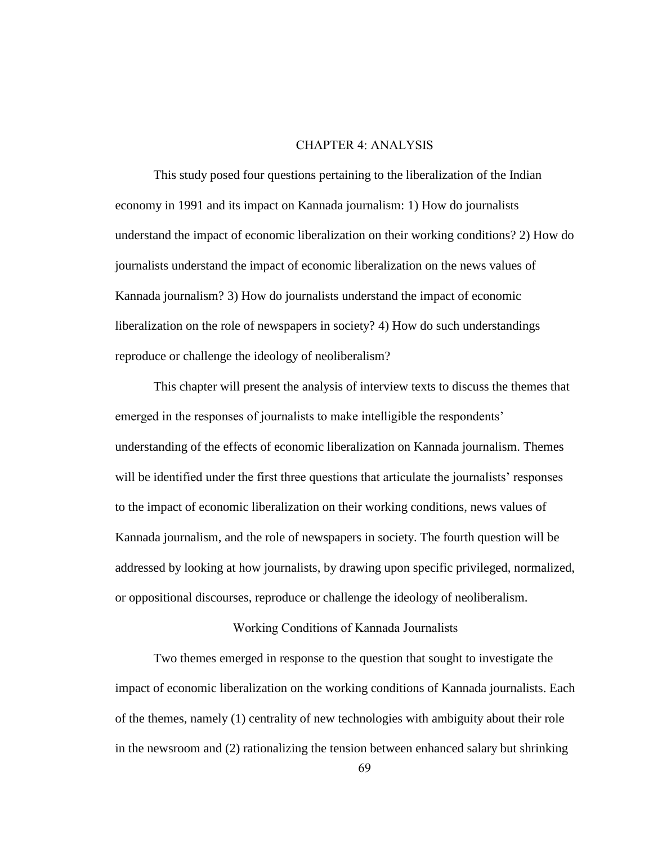#### CHAPTER 4: ANALYSIS

This study posed four questions pertaining to the liberalization of the Indian economy in 1991 and its impact on Kannada journalism: 1) How do journalists understand the impact of economic liberalization on their working conditions? 2) How do journalists understand the impact of economic liberalization on the news values of Kannada journalism? 3) How do journalists understand the impact of economic liberalization on the role of newspapers in society? 4) How do such understandings reproduce or challenge the ideology of neoliberalism?

This chapter will present the analysis of interview texts to discuss the themes that emerged in the responses of journalists to make intelligible the respondents' understanding of the effects of economic liberalization on Kannada journalism. Themes will be identified under the first three questions that articulate the journalists' responses to the impact of economic liberalization on their working conditions, news values of Kannada journalism, and the role of newspapers in society. The fourth question will be addressed by looking at how journalists, by drawing upon specific privileged, normalized, or oppositional discourses, reproduce or challenge the ideology of neoliberalism.

# Working Conditions of Kannada Journalists

Two themes emerged in response to the question that sought to investigate the impact of economic liberalization on the working conditions of Kannada journalists. Each of the themes, namely (1) centrality of new technologies with ambiguity about their role in the newsroom and (2) rationalizing the tension between enhanced salary but shrinking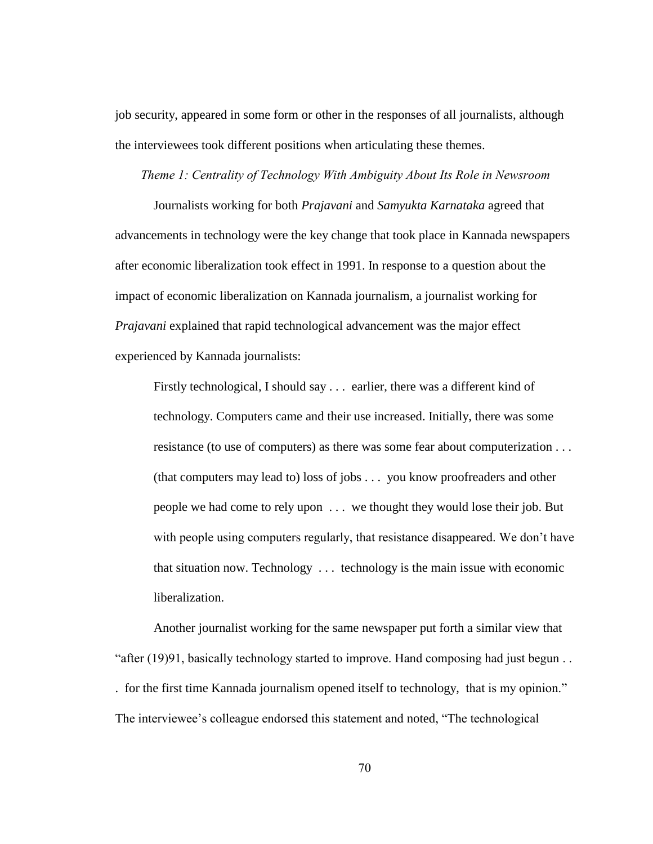job security, appeared in some form or other in the responses of all journalists, although the interviewees took different positions when articulating these themes.

*Theme 1: Centrality of Technology With Ambiguity About Its Role in Newsroom*

Journalists working for both *Prajavani* and *Samyukta Karnataka* agreed that advancements in technology were the key change that took place in Kannada newspapers after economic liberalization took effect in 1991. In response to a question about the impact of economic liberalization on Kannada journalism, a journalist working for *Prajavani* explained that rapid technological advancement was the major effect experienced by Kannada journalists:

Firstly technological, I should say . . . earlier, there was a different kind of technology. Computers came and their use increased. Initially, there was some resistance (to use of computers) as there was some fear about computerization . . . (that computers may lead to) loss of jobs . . . you know proofreaders and other people we had come to rely upon . . . we thought they would lose their job. But with people using computers regularly, that resistance disappeared. We don't have that situation now. Technology . . . technology is the main issue with economic liberalization.

Another journalist working for the same newspaper put forth a similar view that "after (19)91, basically technology started to improve. Hand composing had just begun . . . for the first time Kannada journalism opened itself to technology, that is my opinion." The interviewee's colleague endorsed this statement and noted, "The technological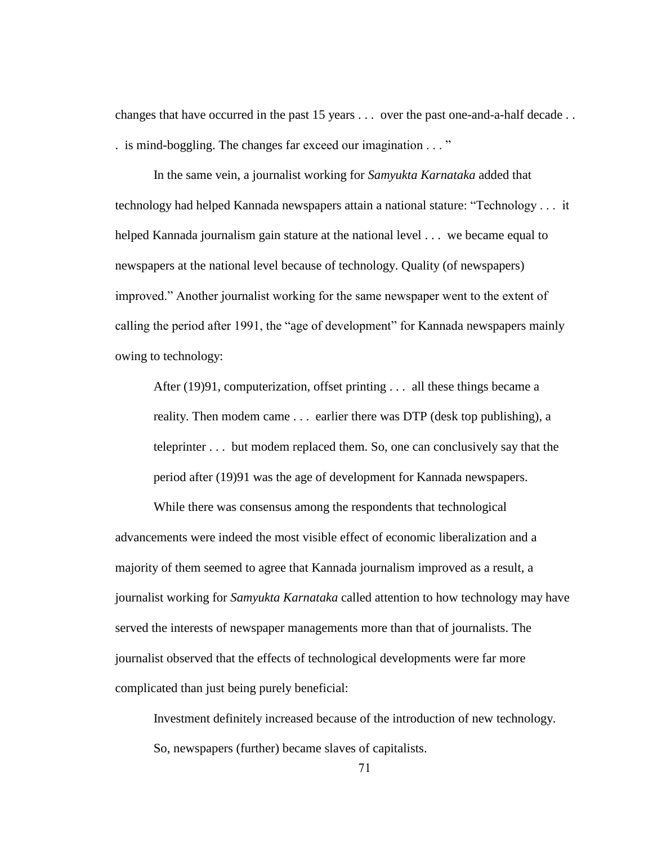changes that have occurred in the past 15 years . . . over the past one-and-a-half decade . . . is mind-boggling. The changes far exceed our imagination . . . "

In the same vein, a journalist working for *Samyukta Karnataka* added that technology had helped Kannada newspapers attain a national stature: "Technology . . . it helped Kannada journalism gain stature at the national level . . . we became equal to newspapers at the national level because of technology. Quality (of newspapers) improved." Another journalist working for the same newspaper went to the extent of calling the period after 1991, the "age of development" for Kannada newspapers mainly owing to technology:

After (19)91, computerization, offset printing . . . all these things became a reality. Then modem came . . . earlier there was DTP (desk top publishing), a teleprinter . . . but modem replaced them. So, one can conclusively say that the period after (19)91 was the age of development for Kannada newspapers.

While there was consensus among the respondents that technological advancements were indeed the most visible effect of economic liberalization and a majority of them seemed to agree that Kannada journalism improved as a result, a journalist working for *Samyukta Karnataka* called attention to how technology may have served the interests of newspaper managements more than that of journalists. The journalist observed that the effects of technological developments were far more complicated than just being purely beneficial:

Investment definitely increased because of the introduction of new technology. So, newspapers (further) became slaves of capitalists.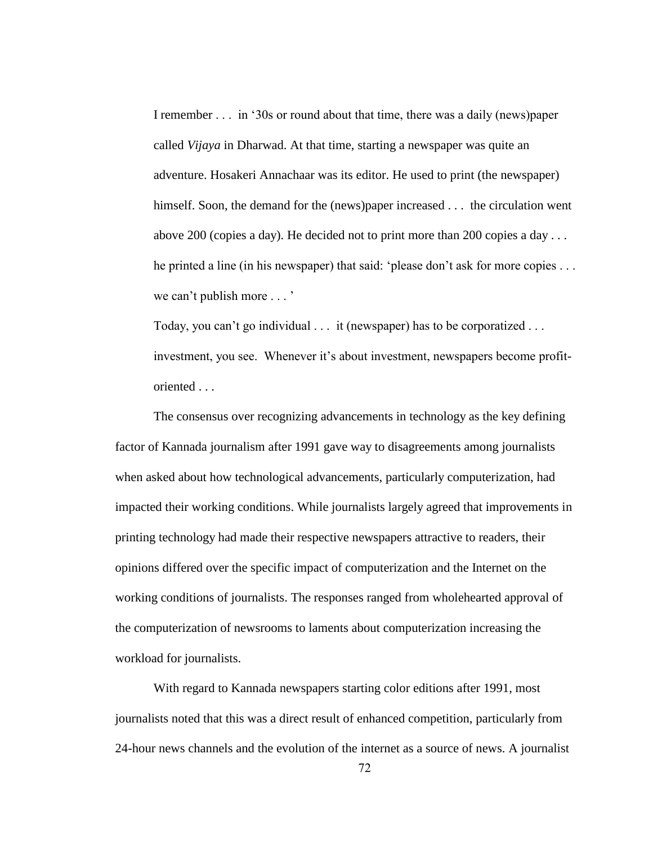I remember . . . in "30s or round about that time, there was a daily (news)paper called *Vijaya* in Dharwad. At that time, starting a newspaper was quite an adventure. Hosakeri Annachaar was its editor. He used to print (the newspaper) himself. Soon, the demand for the (news)paper increased . . . the circulation went above 200 (copies a day). He decided not to print more than 200 copies a day . . . he printed a line (in his newspaper) that said: 'please don't ask for more copies . . . we can't publish more . . . '

Today, you can't go individual . . . it (newspaper) has to be corporatized . . . investment, you see. Whenever it's about investment, newspapers become profitoriented . . .

The consensus over recognizing advancements in technology as the key defining factor of Kannada journalism after 1991 gave way to disagreements among journalists when asked about how technological advancements, particularly computerization, had impacted their working conditions. While journalists largely agreed that improvements in printing technology had made their respective newspapers attractive to readers, their opinions differed over the specific impact of computerization and the Internet on the working conditions of journalists. The responses ranged from wholehearted approval of the computerization of newsrooms to laments about computerization increasing the workload for journalists.

With regard to Kannada newspapers starting color editions after 1991, most journalists noted that this was a direct result of enhanced competition, particularly from 24-hour news channels and the evolution of the internet as a source of news. A journalist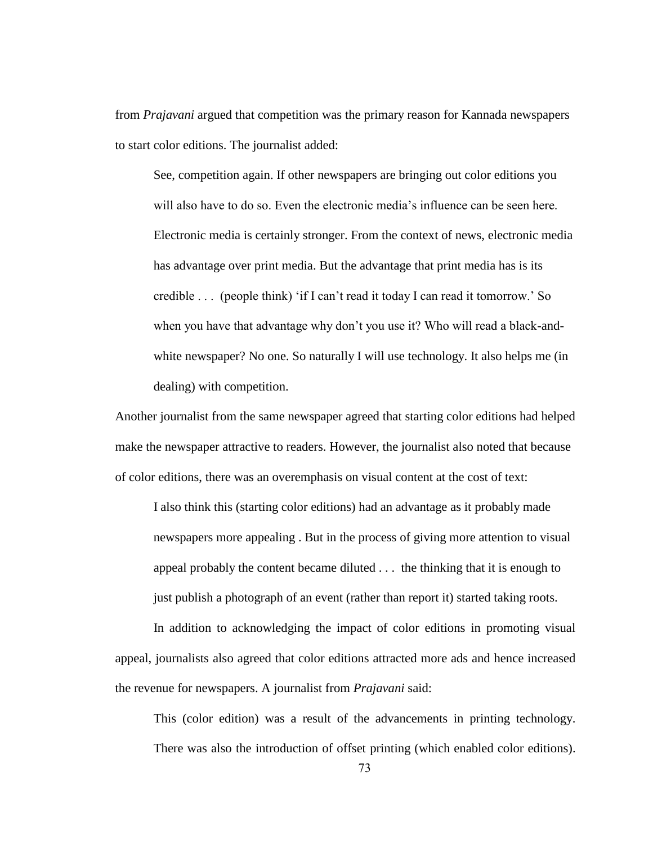from *Prajavani* argued that competition was the primary reason for Kannada newspapers to start color editions. The journalist added:

See, competition again. If other newspapers are bringing out color editions you will also have to do so. Even the electronic media"s influence can be seen here. Electronic media is certainly stronger. From the context of news, electronic media has advantage over print media. But the advantage that print media has is its credible . . . (people think) "if I can"t read it today I can read it tomorrow." So when you have that advantage why don"t you use it? Who will read a black-andwhite newspaper? No one. So naturally I will use technology. It also helps me (in dealing) with competition.

Another journalist from the same newspaper agreed that starting color editions had helped make the newspaper attractive to readers. However, the journalist also noted that because of color editions, there was an overemphasis on visual content at the cost of text:

I also think this (starting color editions) had an advantage as it probably made newspapers more appealing . But in the process of giving more attention to visual appeal probably the content became diluted . . . the thinking that it is enough to just publish a photograph of an event (rather than report it) started taking roots.

In addition to acknowledging the impact of color editions in promoting visual appeal, journalists also agreed that color editions attracted more ads and hence increased the revenue for newspapers. A journalist from *Prajavani* said:

This (color edition) was a result of the advancements in printing technology. There was also the introduction of offset printing (which enabled color editions).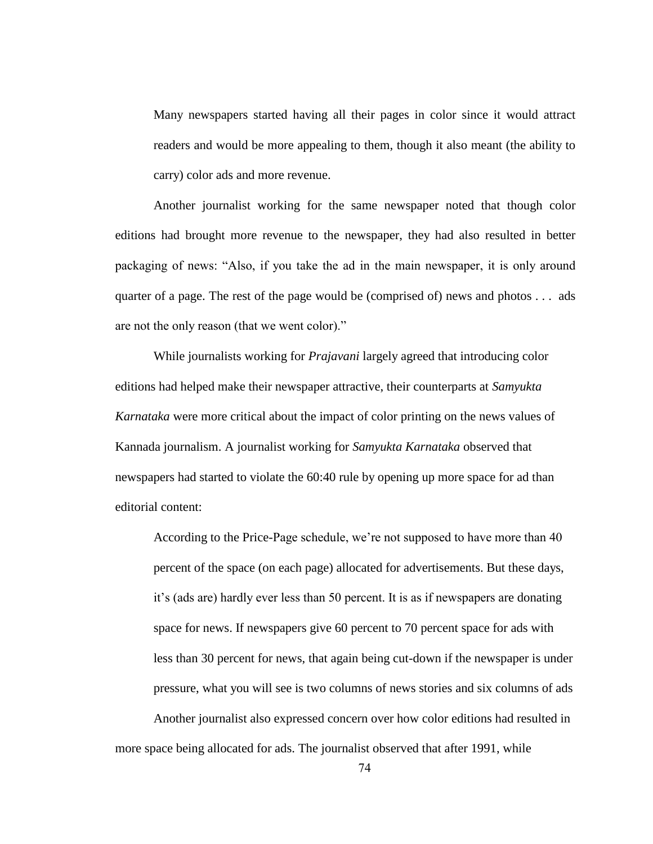Many newspapers started having all their pages in color since it would attract readers and would be more appealing to them, though it also meant (the ability to carry) color ads and more revenue.

Another journalist working for the same newspaper noted that though color editions had brought more revenue to the newspaper, they had also resulted in better packaging of news: "Also, if you take the ad in the main newspaper, it is only around quarter of a page. The rest of the page would be (comprised of) news and photos . . . ads are not the only reason (that we went color)."

While journalists working for *Prajavani* largely agreed that introducing color editions had helped make their newspaper attractive, their counterparts at *Samyukta Karnataka* were more critical about the impact of color printing on the news values of Kannada journalism. A journalist working for *Samyukta Karnataka* observed that newspapers had started to violate the 60:40 rule by opening up more space for ad than editorial content:

According to the Price-Page schedule, we"re not supposed to have more than 40 percent of the space (on each page) allocated for advertisements. But these days, it"s (ads are) hardly ever less than 50 percent. It is as if newspapers are donating space for news. If newspapers give 60 percent to 70 percent space for ads with less than 30 percent for news, that again being cut-down if the newspaper is under pressure, what you will see is two columns of news stories and six columns of ads Another journalist also expressed concern over how color editions had resulted in

more space being allocated for ads. The journalist observed that after 1991, while

74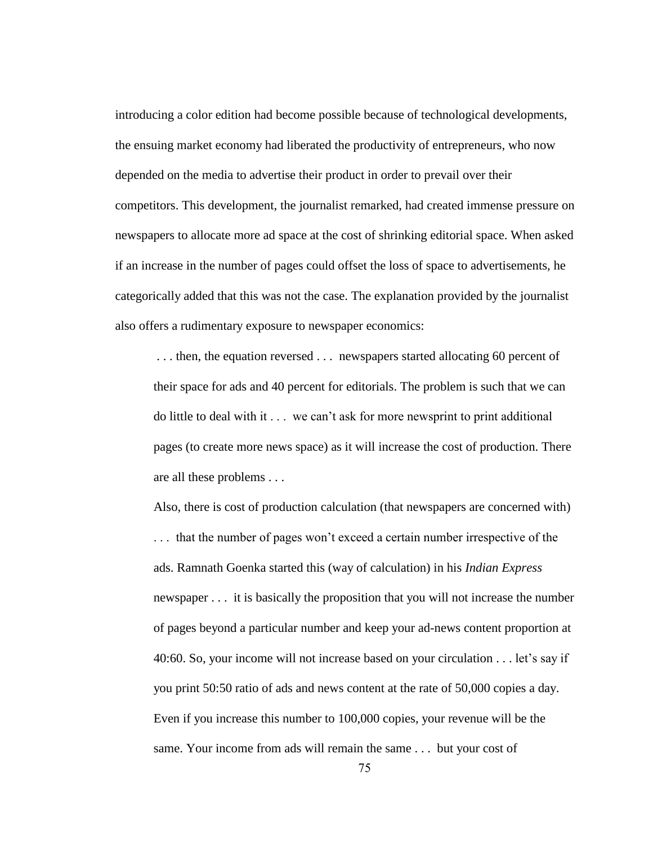introducing a color edition had become possible because of technological developments, the ensuing market economy had liberated the productivity of entrepreneurs, who now depended on the media to advertise their product in order to prevail over their competitors. This development, the journalist remarked, had created immense pressure on newspapers to allocate more ad space at the cost of shrinking editorial space. When asked if an increase in the number of pages could offset the loss of space to advertisements, he categorically added that this was not the case. The explanation provided by the journalist also offers a rudimentary exposure to newspaper economics:

... then, the equation reversed ... newspapers started allocating 60 percent of their space for ads and 40 percent for editorials. The problem is such that we can do little to deal with it . . . we can"t ask for more newsprint to print additional pages (to create more news space) as it will increase the cost of production. There are all these problems . . .

Also, there is cost of production calculation (that newspapers are concerned with) . . . that the number of pages won"t exceed a certain number irrespective of the ads. Ramnath Goenka started this (way of calculation) in his *Indian Express* newspaper . . . it is basically the proposition that you will not increase the number of pages beyond a particular number and keep your ad-news content proportion at 40:60. So, your income will not increase based on your circulation . . . let"s say if you print 50:50 ratio of ads and news content at the rate of 50,000 copies a day. Even if you increase this number to 100,000 copies, your revenue will be the same. Your income from ads will remain the same . . . but your cost of

75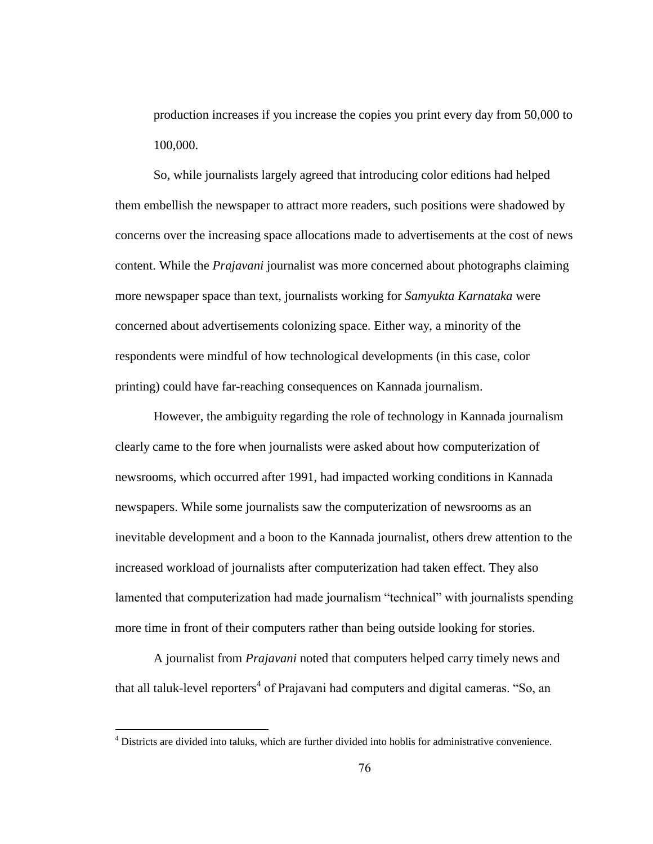production increases if you increase the copies you print every day from 50,000 to 100,000.

So, while journalists largely agreed that introducing color editions had helped them embellish the newspaper to attract more readers, such positions were shadowed by concerns over the increasing space allocations made to advertisements at the cost of news content. While the *Prajavani* journalist was more concerned about photographs claiming more newspaper space than text, journalists working for *Samyukta Karnataka* were concerned about advertisements colonizing space. Either way, a minority of the respondents were mindful of how technological developments (in this case, color printing) could have far-reaching consequences on Kannada journalism.

However, the ambiguity regarding the role of technology in Kannada journalism clearly came to the fore when journalists were asked about how computerization of newsrooms, which occurred after 1991, had impacted working conditions in Kannada newspapers. While some journalists saw the computerization of newsrooms as an inevitable development and a boon to the Kannada journalist, others drew attention to the increased workload of journalists after computerization had taken effect. They also lamented that computerization had made journalism "technical" with journalists spending more time in front of their computers rather than being outside looking for stories.

A journalist from *Prajavani* noted that computers helped carry timely news and that all taluk-level reporters<sup>4</sup> of Prajavani had computers and digital cameras. "So, an

<sup>&</sup>lt;sup>4</sup> Districts are divided into taluks, which are further divided into hoblis for administrative convenience.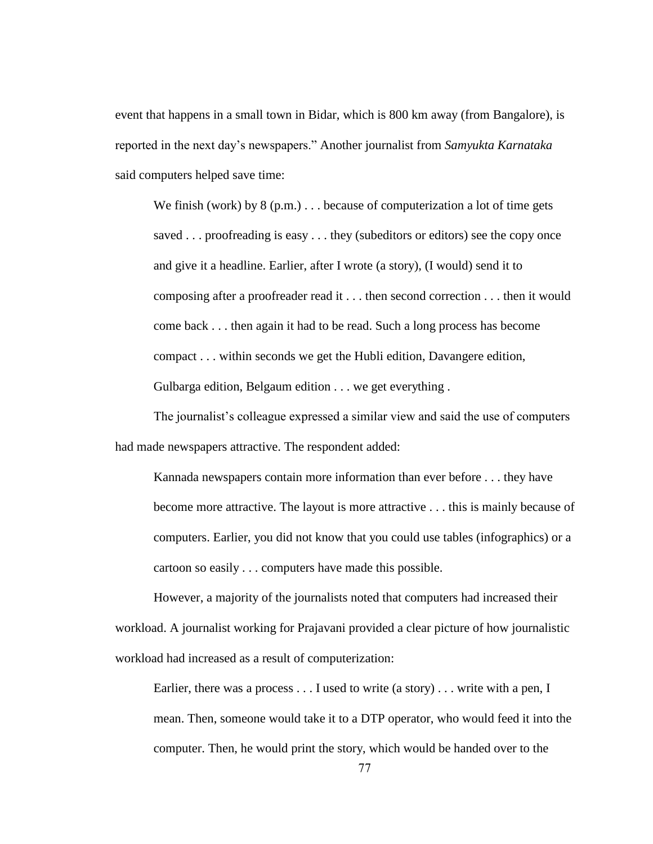event that happens in a small town in Bidar, which is 800 km away (from Bangalore), is reported in the next day"s newspapers." Another journalist from *Samyukta Karnataka* said computers helped save time:

We finish (work) by  $8(p.m.)$ ... because of computerization a lot of time gets saved . . . proofreading is easy . . . they (subeditors or editors) see the copy once and give it a headline. Earlier, after I wrote (a story), (I would) send it to composing after a proofreader read it . . . then second correction . . . then it would come back . . . then again it had to be read. Such a long process has become compact . . . within seconds we get the Hubli edition, Davangere edition, Gulbarga edition, Belgaum edition . . . we get everything .

The journalist's colleague expressed a similar view and said the use of computers had made newspapers attractive. The respondent added:

Kannada newspapers contain more information than ever before . . . they have become more attractive. The layout is more attractive . . . this is mainly because of computers. Earlier, you did not know that you could use tables (infographics) or a cartoon so easily . . . computers have made this possible.

However, a majority of the journalists noted that computers had increased their workload. A journalist working for Prajavani provided a clear picture of how journalistic workload had increased as a result of computerization:

Earlier, there was a process . . . I used to write (a story) . . . write with a pen, I mean. Then, someone would take it to a DTP operator, who would feed it into the computer. Then, he would print the story, which would be handed over to the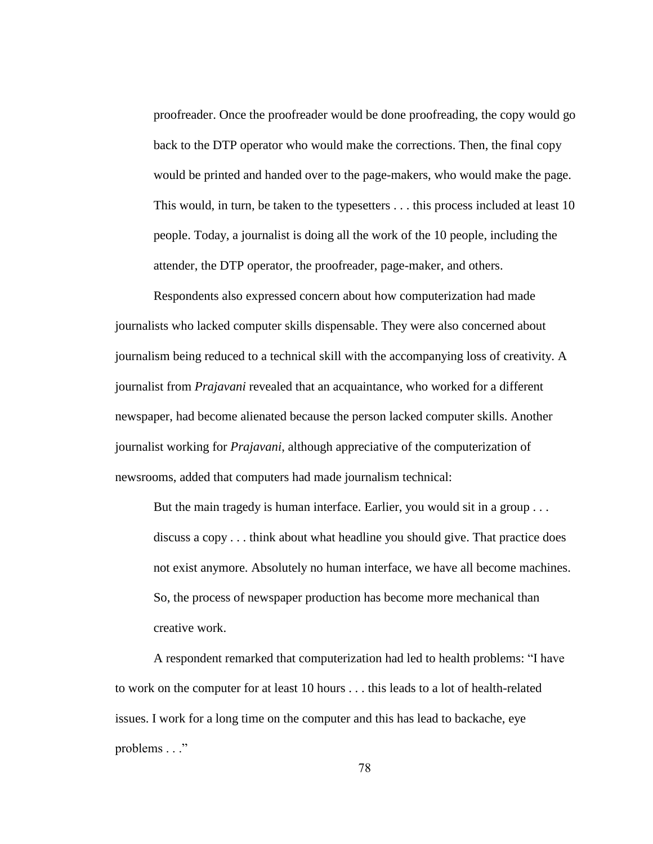proofreader. Once the proofreader would be done proofreading, the copy would go back to the DTP operator who would make the corrections. Then, the final copy would be printed and handed over to the page-makers, who would make the page. This would, in turn, be taken to the typesetters . . . this process included at least 10 people. Today, a journalist is doing all the work of the 10 people, including the attender, the DTP operator, the proofreader, page-maker, and others.

Respondents also expressed concern about how computerization had made journalists who lacked computer skills dispensable. They were also concerned about journalism being reduced to a technical skill with the accompanying loss of creativity. A journalist from *Prajavani* revealed that an acquaintance, who worked for a different newspaper, had become alienated because the person lacked computer skills. Another journalist working for *Prajavani*, although appreciative of the computerization of newsrooms, added that computers had made journalism technical:

But the main tragedy is human interface. Earlier, you would sit in a group . . . discuss a copy . . . think about what headline you should give. That practice does not exist anymore. Absolutely no human interface, we have all become machines. So, the process of newspaper production has become more mechanical than creative work.

A respondent remarked that computerization had led to health problems: "I have to work on the computer for at least 10 hours . . . this leads to a lot of health-related issues. I work for a long time on the computer and this has lead to backache, eye problems . . ."

78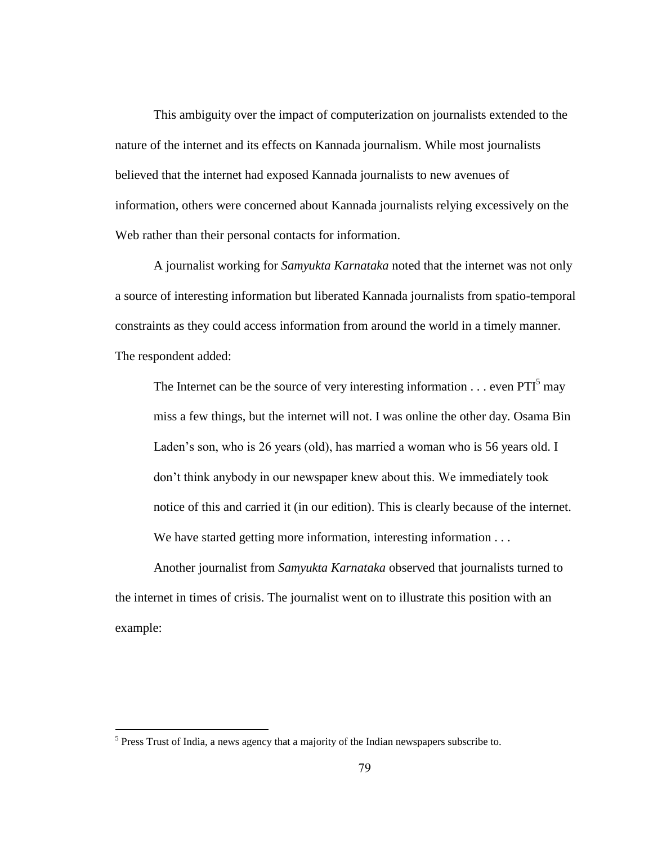This ambiguity over the impact of computerization on journalists extended to the nature of the internet and its effects on Kannada journalism. While most journalists believed that the internet had exposed Kannada journalists to new avenues of information, others were concerned about Kannada journalists relying excessively on the Web rather than their personal contacts for information.

A journalist working for *Samyukta Karnataka* noted that the internet was not only a source of interesting information but liberated Kannada journalists from spatio-temporal constraints as they could access information from around the world in a timely manner. The respondent added:

The Internet can be the source of very interesting information  $\dots$  even PTI<sup>5</sup> may miss a few things, but the internet will not. I was online the other day. Osama Bin Laden's son, who is 26 years (old), has married a woman who is 56 years old. I don"t think anybody in our newspaper knew about this. We immediately took notice of this and carried it (in our edition). This is clearly because of the internet. We have started getting more information, interesting information . . .

Another journalist from *Samyukta Karnataka* observed that journalists turned to the internet in times of crisis. The journalist went on to illustrate this position with an example:

 $<sup>5</sup>$  Press Trust of India, a news agency that a majority of the Indian newspapers subscribe to.</sup>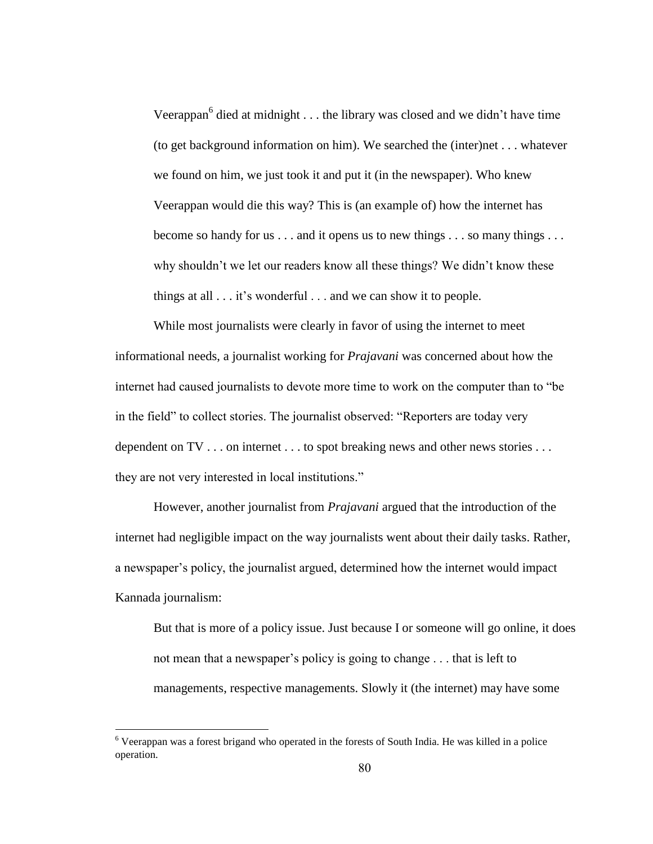Veerappan $6$  died at midnight . . . the library was closed and we didn't have time (to get background information on him). We searched the (inter)net . . . whatever we found on him, we just took it and put it (in the newspaper). Who knew Veerappan would die this way? This is (an example of) how the internet has become so handy for us . . . and it opens us to new things . . . so many things . . . why shouldn't we let our readers know all these things? We didn't know these things at all . . . it's wonderful . . . and we can show it to people.

While most journalists were clearly in favor of using the internet to meet informational needs, a journalist working for *Prajavani* was concerned about how the internet had caused journalists to devote more time to work on the computer than to "be in the field" to collect stories. The journalist observed: "Reporters are today very dependent on TV . . . on internet . . . to spot breaking news and other news stories . . . they are not very interested in local institutions."

However, another journalist from *Prajavani* argued that the introduction of the internet had negligible impact on the way journalists went about their daily tasks. Rather, a newspaper"s policy, the journalist argued, determined how the internet would impact Kannada journalism:

But that is more of a policy issue. Just because I or someone will go online, it does not mean that a newspaper's policy is going to change . . . that is left to managements, respective managements. Slowly it (the internet) may have some

<sup>6</sup> Veerappan was a forest brigand who operated in the forests of South India. He was killed in a police operation.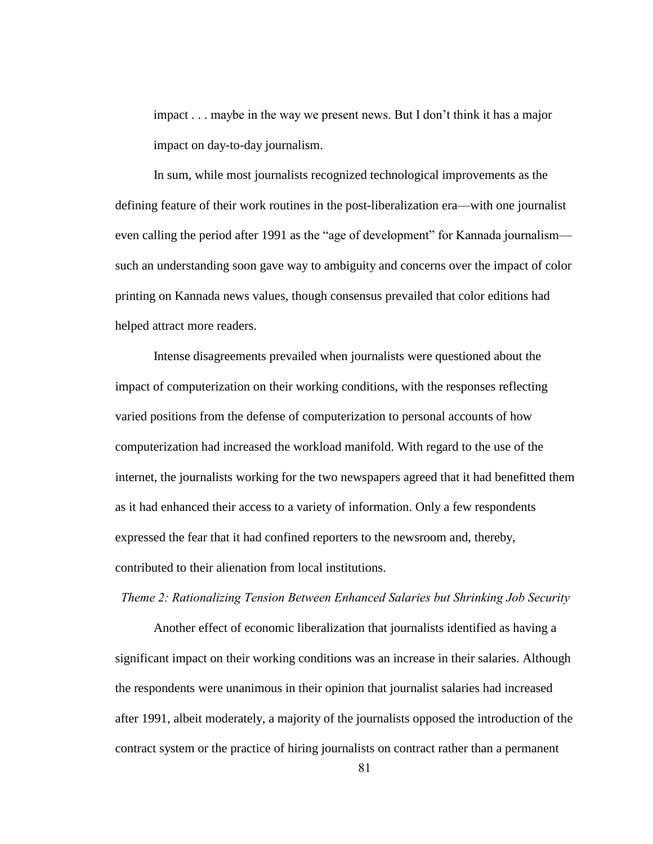impact . . . maybe in the way we present news. But I don"t think it has a major impact on day-to-day journalism.

In sum, while most journalists recognized technological improvements as the defining feature of their work routines in the post-liberalization era—with one journalist even calling the period after 1991 as the "age of development" for Kannada journalism such an understanding soon gave way to ambiguity and concerns over the impact of color printing on Kannada news values, though consensus prevailed that color editions had helped attract more readers.

Intense disagreements prevailed when journalists were questioned about the impact of computerization on their working conditions, with the responses reflecting varied positions from the defense of computerization to personal accounts of how computerization had increased the workload manifold. With regard to the use of the internet, the journalists working for the two newspapers agreed that it had benefitted them as it had enhanced their access to a variety of information. Only a few respondents expressed the fear that it had confined reporters to the newsroom and, thereby, contributed to their alienation from local institutions.

*Theme 2: Rationalizing Tension Between Enhanced Salaries but Shrinking Job Security*

Another effect of economic liberalization that journalists identified as having a significant impact on their working conditions was an increase in their salaries. Although the respondents were unanimous in their opinion that journalist salaries had increased after 1991, albeit moderately, a majority of the journalists opposed the introduction of the contract system or the practice of hiring journalists on contract rather than a permanent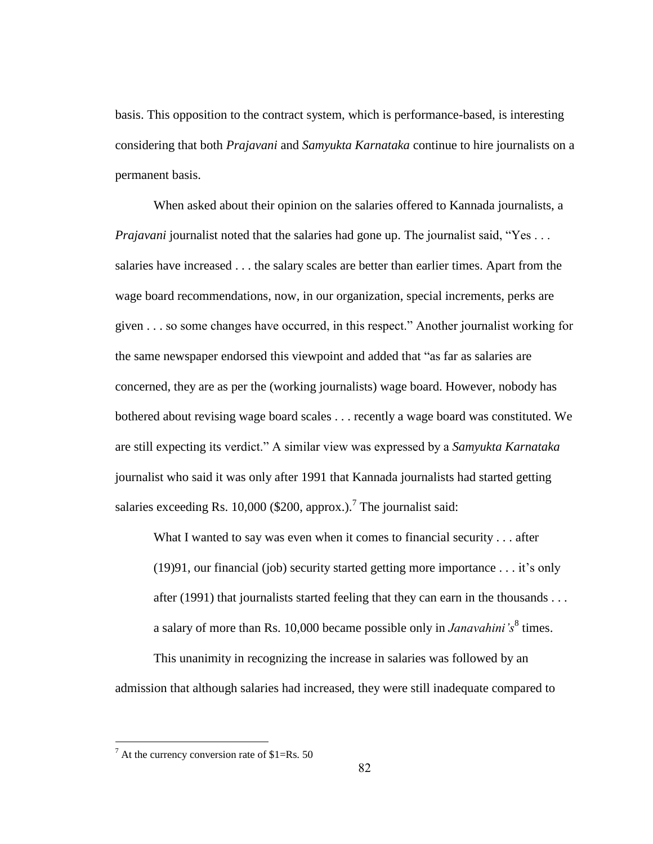basis. This opposition to the contract system, which is performance-based, is interesting considering that both *Prajavani* and *Samyukta Karnataka* continue to hire journalists on a permanent basis.

When asked about their opinion on the salaries offered to Kannada journalists, a *Prajavani* journalist noted that the salaries had gone up. The journalist said, "Yes ... salaries have increased . . . the salary scales are better than earlier times. Apart from the wage board recommendations, now, in our organization, special increments, perks are given . . . so some changes have occurred, in this respect." Another journalist working for the same newspaper endorsed this viewpoint and added that "as far as salaries are concerned, they are as per the (working journalists) wage board. However, nobody has bothered about revising wage board scales . . . recently a wage board was constituted. We are still expecting its verdict." A similar view was expressed by a *Samyukta Karnataka* journalist who said it was only after 1991 that Kannada journalists had started getting salaries exceeding Rs. 10,000 (\$200, approx.).<sup>7</sup> The journalist said:

What I wanted to say was even when it comes to financial security . . . after  $(19)91$ , our financial (job) security started getting more importance . . . it's only after (1991) that journalists started feeling that they can earn in the thousands . . . a salary of more than Rs. 10,000 became possible only in *Janavahini's*<sup>8</sup> times.

This unanimity in recognizing the increase in salaries was followed by an admission that although salaries had increased, they were still inadequate compared to

 $^7$  At the currency conversion rate of \$1=Rs. 50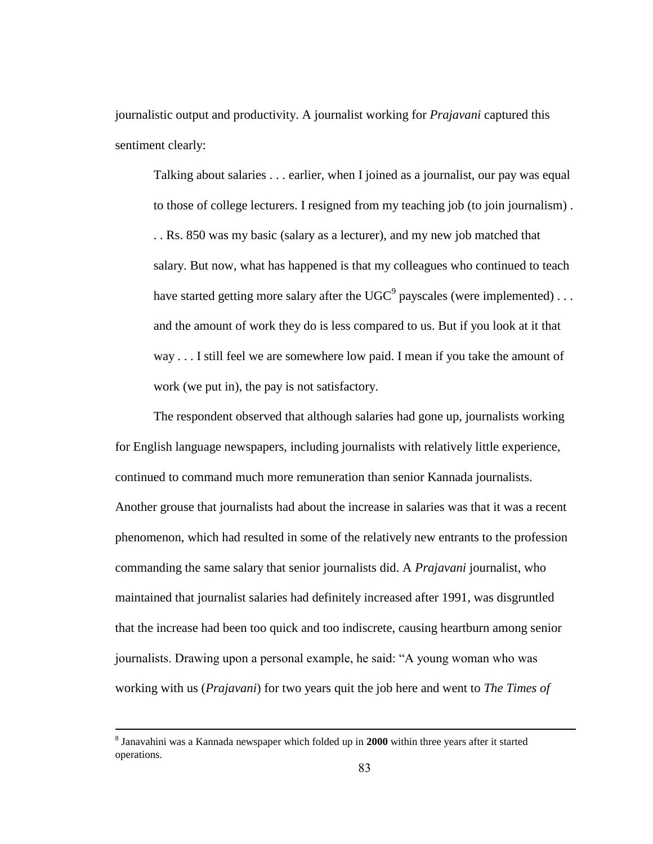journalistic output and productivity. A journalist working for *Prajavani* captured this sentiment clearly:

Talking about salaries . . . earlier, when I joined as a journalist, our pay was equal to those of college lecturers. I resigned from my teaching job (to join journalism) . . . Rs. 850 was my basic (salary as a lecturer), and my new job matched that salary. But now, what has happened is that my colleagues who continued to teach have started getting more salary after the UGC $^9$  payscales (were implemented) . . . and the amount of work they do is less compared to us. But if you look at it that way . . . I still feel we are somewhere low paid. I mean if you take the amount of work (we put in), the pay is not satisfactory.

The respondent observed that although salaries had gone up, journalists working for English language newspapers, including journalists with relatively little experience, continued to command much more remuneration than senior Kannada journalists. Another grouse that journalists had about the increase in salaries was that it was a recent phenomenon, which had resulted in some of the relatively new entrants to the profession commanding the same salary that senior journalists did. A *Prajavani* journalist, who maintained that journalist salaries had definitely increased after 1991, was disgruntled that the increase had been too quick and too indiscrete, causing heartburn among senior journalists. Drawing upon a personal example, he said: "A young woman who was working with us (*Prajavani*) for two years quit the job here and went to *The Times of* 

<sup>8</sup> Janavahini was a Kannada newspaper which folded up in **2000** within three years after it started operations.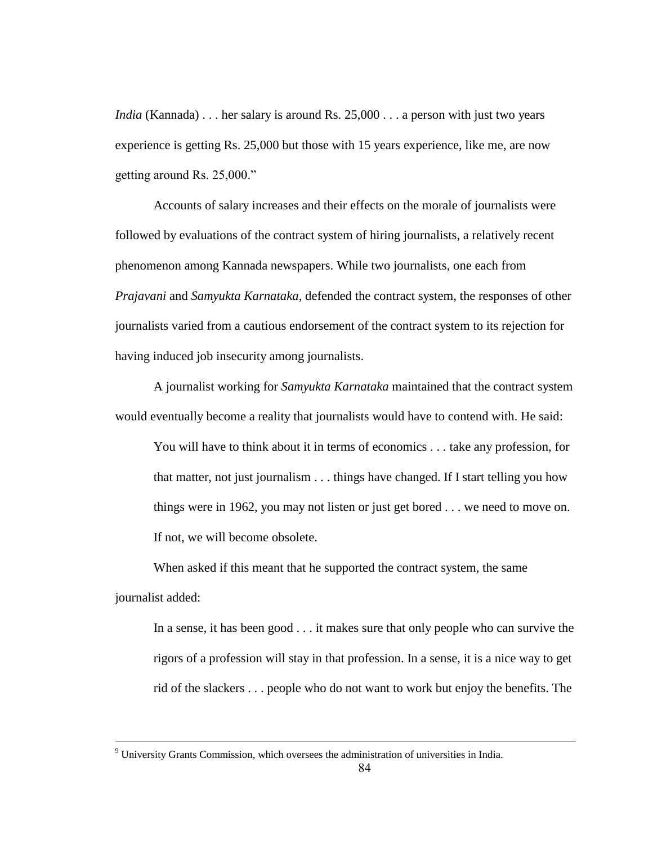*India* (Kannada) . . . her salary is around Rs. 25,000 . . . a person with just two years experience is getting Rs. 25,000 but those with 15 years experience, like me, are now getting around Rs. 25,000."

Accounts of salary increases and their effects on the morale of journalists were followed by evaluations of the contract system of hiring journalists, a relatively recent phenomenon among Kannada newspapers. While two journalists, one each from *Prajavani* and *Samyukta Karnataka*, defended the contract system, the responses of other journalists varied from a cautious endorsement of the contract system to its rejection for having induced job insecurity among journalists.

A journalist working for *Samyukta Karnataka* maintained that the contract system would eventually become a reality that journalists would have to contend with. He said:

You will have to think about it in terms of economics . . . take any profession, for that matter, not just journalism . . . things have changed. If I start telling you how things were in 1962, you may not listen or just get bored . . . we need to move on. If not, we will become obsolete.

When asked if this meant that he supported the contract system, the same journalist added:

In a sense, it has been good . . . it makes sure that only people who can survive the rigors of a profession will stay in that profession. In a sense, it is a nice way to get rid of the slackers . . . people who do not want to work but enjoy the benefits. The

 $9$  University Grants Commission, which oversees the administration of universities in India.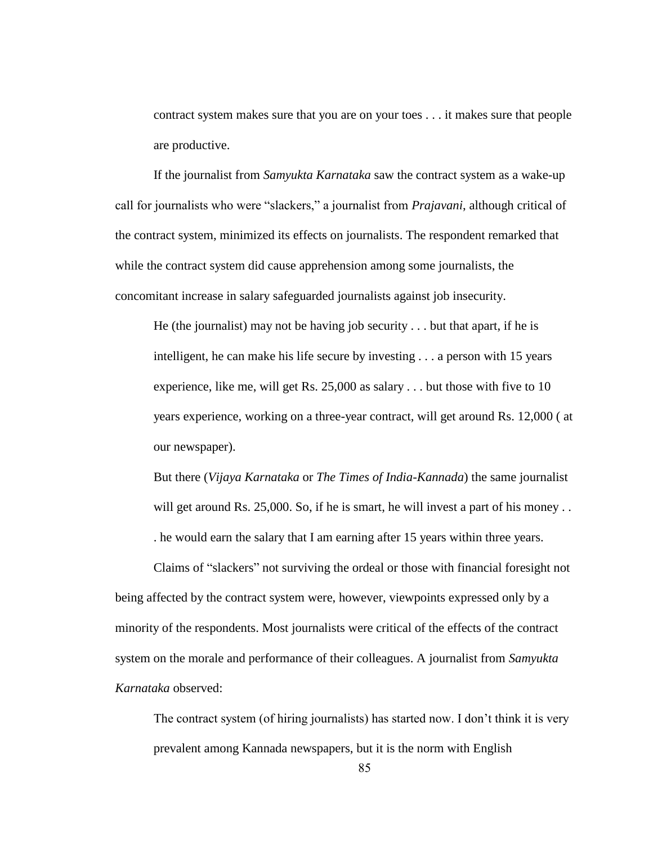contract system makes sure that you are on your toes . . . it makes sure that people are productive.

If the journalist from *Samyukta Karnataka* saw the contract system as a wake-up call for journalists who were "slackers," a journalist from *Prajavani*, although critical of the contract system, minimized its effects on journalists. The respondent remarked that while the contract system did cause apprehension among some journalists, the concomitant increase in salary safeguarded journalists against job insecurity.

He (the journalist) may not be having job security . . . but that apart, if he is intelligent, he can make his life secure by investing . . . a person with 15 years experience, like me, will get Rs. 25,000 as salary . . . but those with five to 10 years experience, working on a three-year contract, will get around Rs. 12,000 ( at our newspaper).

But there (*Vijaya Karnataka* or *The Times of India-Kannada*) the same journalist will get around Rs. 25,000. So, if he is smart, he will invest a part of his money... . he would earn the salary that I am earning after 15 years within three years.

Claims of "slackers" not surviving the ordeal or those with financial foresight not being affected by the contract system were, however, viewpoints expressed only by a minority of the respondents. Most journalists were critical of the effects of the contract system on the morale and performance of their colleagues. A journalist from *Samyukta Karnataka* observed:

The contract system (of hiring journalists) has started now. I don"t think it is very prevalent among Kannada newspapers, but it is the norm with English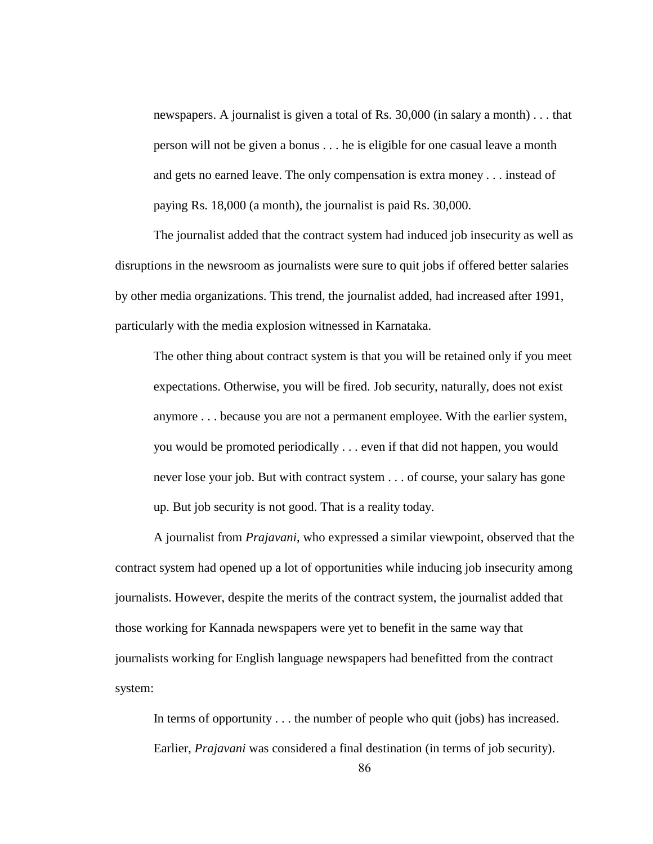newspapers. A journalist is given a total of Rs. 30,000 (in salary a month) . . . that person will not be given a bonus . . . he is eligible for one casual leave a month and gets no earned leave. The only compensation is extra money . . . instead of paying Rs. 18,000 (a month), the journalist is paid Rs. 30,000.

The journalist added that the contract system had induced job insecurity as well as disruptions in the newsroom as journalists were sure to quit jobs if offered better salaries by other media organizations. This trend, the journalist added, had increased after 1991, particularly with the media explosion witnessed in Karnataka.

The other thing about contract system is that you will be retained only if you meet expectations. Otherwise, you will be fired. Job security, naturally, does not exist anymore . . . because you are not a permanent employee. With the earlier system, you would be promoted periodically . . . even if that did not happen, you would never lose your job. But with contract system . . . of course, your salary has gone up. But job security is not good. That is a reality today.

A journalist from *Prajavani*, who expressed a similar viewpoint, observed that the contract system had opened up a lot of opportunities while inducing job insecurity among journalists. However, despite the merits of the contract system, the journalist added that those working for Kannada newspapers were yet to benefit in the same way that journalists working for English language newspapers had benefitted from the contract system:

In terms of opportunity . . . the number of people who quit (jobs) has increased. Earlier, *Prajavani* was considered a final destination (in terms of job security).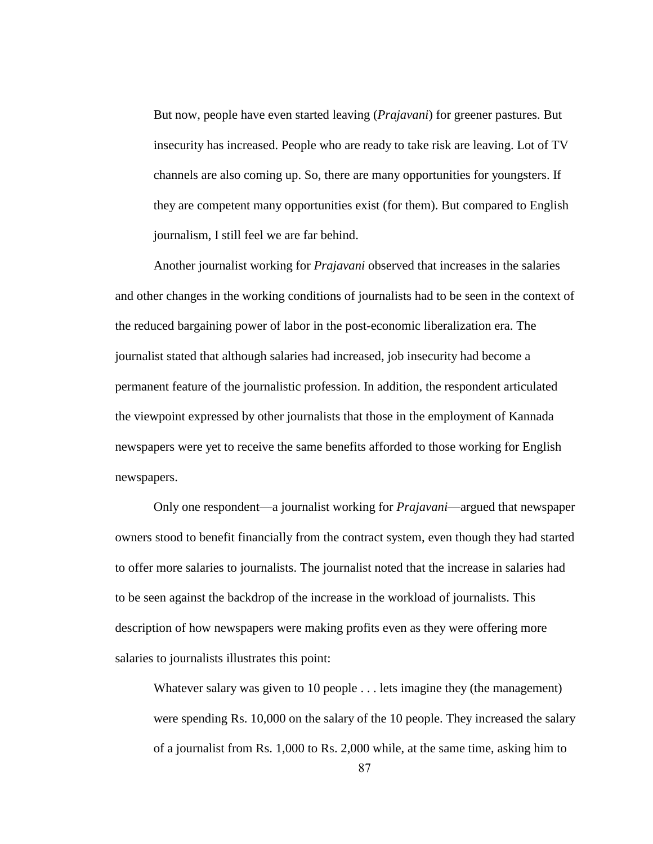But now, people have even started leaving (*Prajavani*) for greener pastures. But insecurity has increased. People who are ready to take risk are leaving. Lot of TV channels are also coming up. So, there are many opportunities for youngsters. If they are competent many opportunities exist (for them). But compared to English journalism, I still feel we are far behind.

Another journalist working for *Prajavani* observed that increases in the salaries and other changes in the working conditions of journalists had to be seen in the context of the reduced bargaining power of labor in the post-economic liberalization era. The journalist stated that although salaries had increased, job insecurity had become a permanent feature of the journalistic profession. In addition, the respondent articulated the viewpoint expressed by other journalists that those in the employment of Kannada newspapers were yet to receive the same benefits afforded to those working for English newspapers.

Only one respondent—a journalist working for *Prajavani*—argued that newspaper owners stood to benefit financially from the contract system, even though they had started to offer more salaries to journalists. The journalist noted that the increase in salaries had to be seen against the backdrop of the increase in the workload of journalists. This description of how newspapers were making profits even as they were offering more salaries to journalists illustrates this point:

Whatever salary was given to 10 people . . . lets imagine they (the management) were spending Rs. 10,000 on the salary of the 10 people. They increased the salary of a journalist from Rs. 1,000 to Rs. 2,000 while, at the same time, asking him to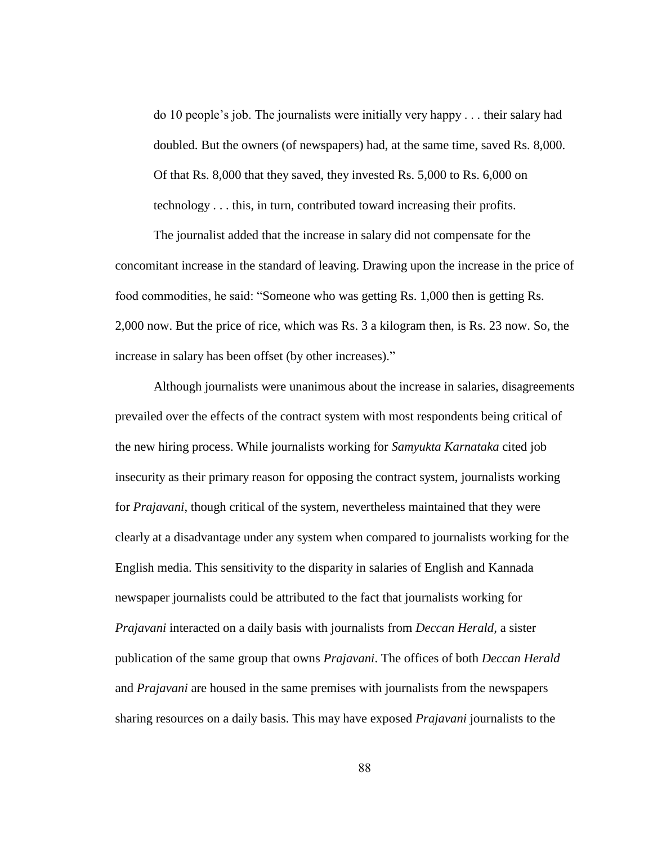do 10 people"s job. The journalists were initially very happy . . . their salary had doubled. But the owners (of newspapers) had, at the same time, saved Rs. 8,000. Of that Rs. 8,000 that they saved, they invested Rs. 5,000 to Rs. 6,000 on technology . . . this, in turn, contributed toward increasing their profits.

The journalist added that the increase in salary did not compensate for the concomitant increase in the standard of leaving. Drawing upon the increase in the price of food commodities, he said: "Someone who was getting Rs. 1,000 then is getting Rs. 2,000 now. But the price of rice, which was Rs. 3 a kilogram then, is Rs. 23 now. So, the increase in salary has been offset (by other increases)."

Although journalists were unanimous about the increase in salaries, disagreements prevailed over the effects of the contract system with most respondents being critical of the new hiring process. While journalists working for *Samyukta Karnataka* cited job insecurity as their primary reason for opposing the contract system, journalists working for *Prajavani*, though critical of the system, nevertheless maintained that they were clearly at a disadvantage under any system when compared to journalists working for the English media. This sensitivity to the disparity in salaries of English and Kannada newspaper journalists could be attributed to the fact that journalists working for *Prajavani* interacted on a daily basis with journalists from *Deccan Herald,* a sister publication of the same group that owns *Prajavani*. The offices of both *Deccan Herald* and *Prajavani* are housed in the same premises with journalists from the newspapers sharing resources on a daily basis. This may have exposed *Prajavani* journalists to the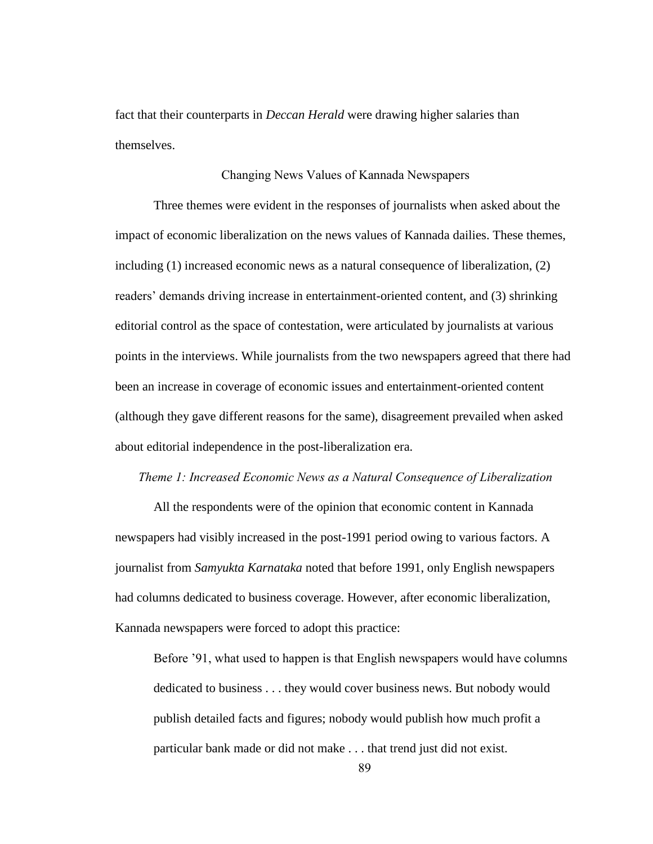fact that their counterparts in *Deccan Herald* were drawing higher salaries than themselves.

### Changing News Values of Kannada Newspapers

Three themes were evident in the responses of journalists when asked about the impact of economic liberalization on the news values of Kannada dailies. These themes, including (1) increased economic news as a natural consequence of liberalization, (2) readers" demands driving increase in entertainment-oriented content, and (3) shrinking editorial control as the space of contestation, were articulated by journalists at various points in the interviews. While journalists from the two newspapers agreed that there had been an increase in coverage of economic issues and entertainment-oriented content (although they gave different reasons for the same), disagreement prevailed when asked about editorial independence in the post-liberalization era.

## *Theme 1: Increased Economic News as a Natural Consequence of Liberalization*

All the respondents were of the opinion that economic content in Kannada newspapers had visibly increased in the post-1991 period owing to various factors. A journalist from *Samyukta Karnataka* noted that before 1991, only English newspapers had columns dedicated to business coverage. However, after economic liberalization, Kannada newspapers were forced to adopt this practice:

Before "91, what used to happen is that English newspapers would have columns dedicated to business . . . they would cover business news. But nobody would publish detailed facts and figures; nobody would publish how much profit a particular bank made or did not make . . . that trend just did not exist.

89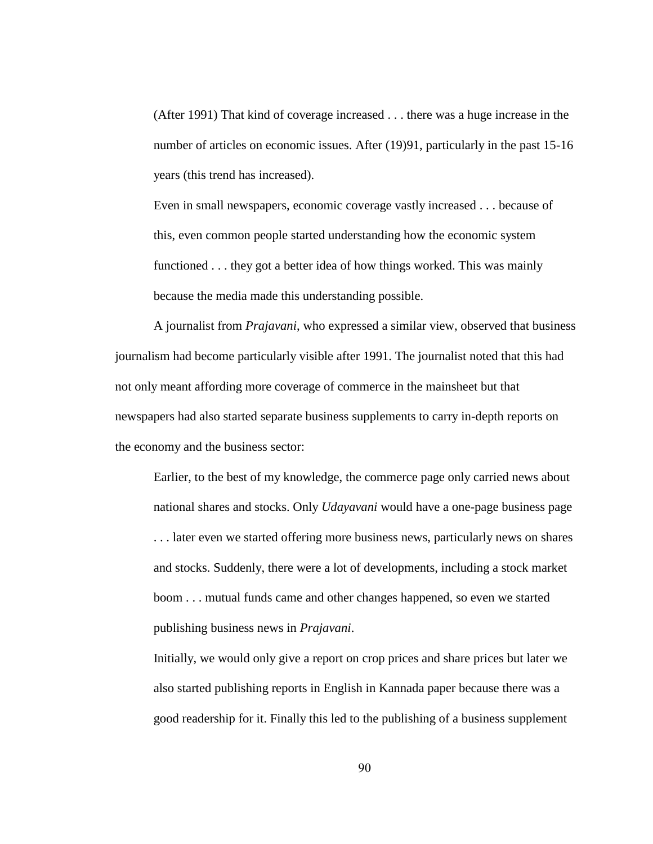(After 1991) That kind of coverage increased . . . there was a huge increase in the number of articles on economic issues. After (19)91, particularly in the past 15-16 years (this trend has increased).

Even in small newspapers, economic coverage vastly increased . . . because of this, even common people started understanding how the economic system functioned . . . they got a better idea of how things worked. This was mainly because the media made this understanding possible.

A journalist from *Prajavani*, who expressed a similar view, observed that business journalism had become particularly visible after 1991. The journalist noted that this had not only meant affording more coverage of commerce in the mainsheet but that newspapers had also started separate business supplements to carry in-depth reports on the economy and the business sector:

Earlier, to the best of my knowledge, the commerce page only carried news about national shares and stocks. Only *Udayavani* would have a one-page business page . . . later even we started offering more business news, particularly news on shares and stocks. Suddenly, there were a lot of developments, including a stock market boom . . . mutual funds came and other changes happened, so even we started publishing business news in *Prajavani*.

Initially, we would only give a report on crop prices and share prices but later we also started publishing reports in English in Kannada paper because there was a good readership for it. Finally this led to the publishing of a business supplement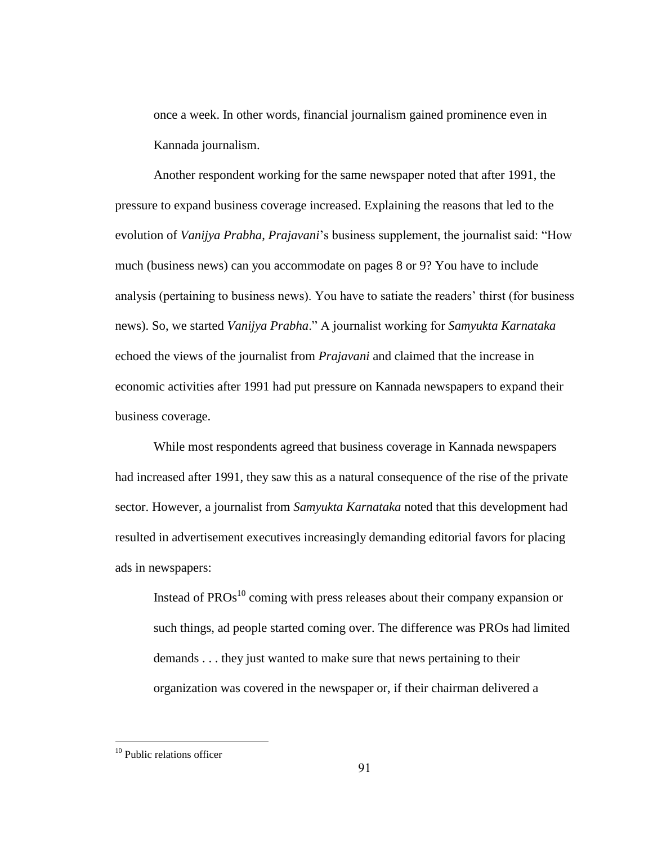once a week. In other words, financial journalism gained prominence even in Kannada journalism.

Another respondent working for the same newspaper noted that after 1991, the pressure to expand business coverage increased. Explaining the reasons that led to the evolution of *Vanijya Prabha*, *Prajavani*"s business supplement, the journalist said: "How much (business news) can you accommodate on pages 8 or 9? You have to include analysis (pertaining to business news). You have to satiate the readers" thirst (for business news). So, we started *Vanijya Prabha*." A journalist working for *Samyukta Karnataka* echoed the views of the journalist from *Prajavani* and claimed that the increase in economic activities after 1991 had put pressure on Kannada newspapers to expand their business coverage.

While most respondents agreed that business coverage in Kannada newspapers had increased after 1991, they saw this as a natural consequence of the rise of the private sector. However, a journalist from *Samyukta Karnataka* noted that this development had resulted in advertisement executives increasingly demanding editorial favors for placing ads in newspapers:

Instead of  $PROs<sup>10</sup>$  coming with press releases about their company expansion or such things, ad people started coming over. The difference was PROs had limited demands . . . they just wanted to make sure that news pertaining to their organization was covered in the newspaper or, if their chairman delivered a

<sup>&</sup>lt;sup>10</sup> Public relations officer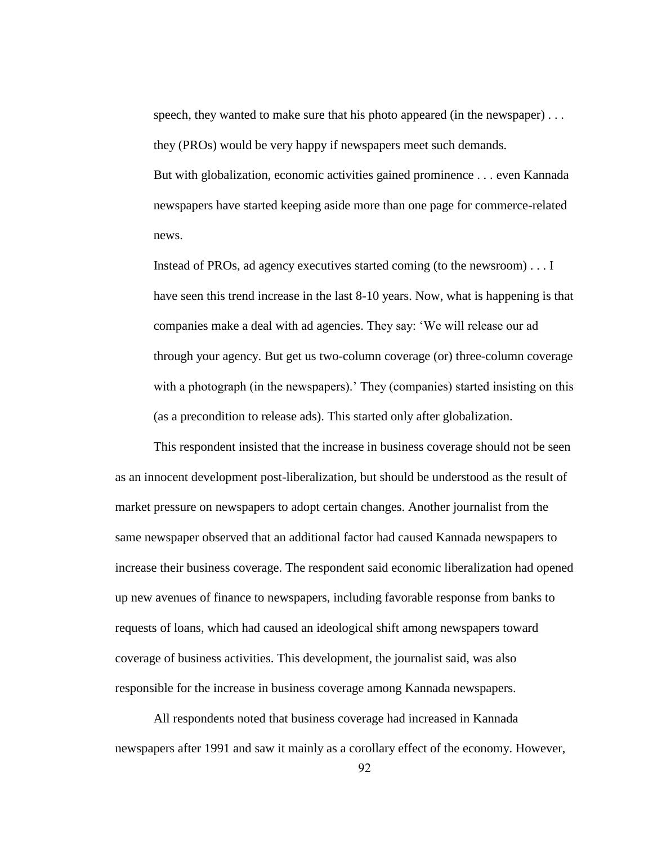speech, they wanted to make sure that his photo appeared (in the newspaper) . . . they (PROs) would be very happy if newspapers meet such demands. But with globalization, economic activities gained prominence . . . even Kannada newspapers have started keeping aside more than one page for commerce-related news.

Instead of PROs, ad agency executives started coming (to the newsroom) . . . I have seen this trend increase in the last 8-10 years. Now, what is happening is that companies make a deal with ad agencies. They say: "We will release our ad through your agency. But get us two-column coverage (or) three-column coverage with a photograph (in the newspapers).' They (companies) started insisting on this (as a precondition to release ads). This started only after globalization.

This respondent insisted that the increase in business coverage should not be seen as an innocent development post-liberalization, but should be understood as the result of market pressure on newspapers to adopt certain changes. Another journalist from the same newspaper observed that an additional factor had caused Kannada newspapers to increase their business coverage. The respondent said economic liberalization had opened up new avenues of finance to newspapers, including favorable response from banks to requests of loans, which had caused an ideological shift among newspapers toward coverage of business activities. This development, the journalist said, was also responsible for the increase in business coverage among Kannada newspapers.

All respondents noted that business coverage had increased in Kannada newspapers after 1991 and saw it mainly as a corollary effect of the economy. However,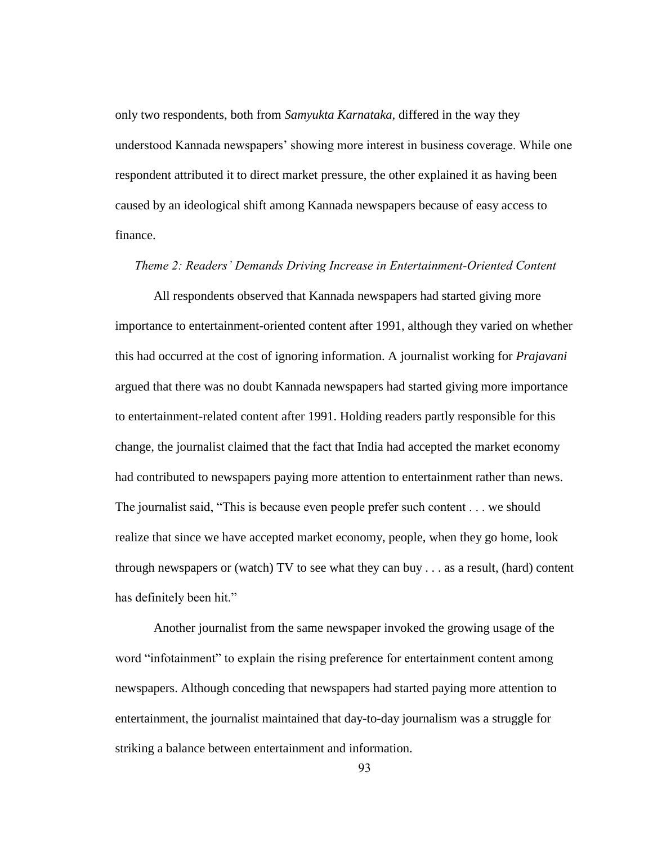only two respondents, both from *Samyukta Karnataka,* differed in the way they understood Kannada newspapers" showing more interest in business coverage. While one respondent attributed it to direct market pressure, the other explained it as having been caused by an ideological shift among Kannada newspapers because of easy access to finance.

## *Theme 2: Readers' Demands Driving Increase in Entertainment-Oriented Content*

All respondents observed that Kannada newspapers had started giving more importance to entertainment-oriented content after 1991, although they varied on whether this had occurred at the cost of ignoring information. A journalist working for *Prajavani* argued that there was no doubt Kannada newspapers had started giving more importance to entertainment-related content after 1991. Holding readers partly responsible for this change, the journalist claimed that the fact that India had accepted the market economy had contributed to newspapers paying more attention to entertainment rather than news. The journalist said, "This is because even people prefer such content . . . we should realize that since we have accepted market economy, people, when they go home, look through newspapers or (watch) TV to see what they can buy . . . as a result, (hard) content has definitely been hit."

Another journalist from the same newspaper invoked the growing usage of the word "infotainment" to explain the rising preference for entertainment content among newspapers. Although conceding that newspapers had started paying more attention to entertainment, the journalist maintained that day-to-day journalism was a struggle for striking a balance between entertainment and information.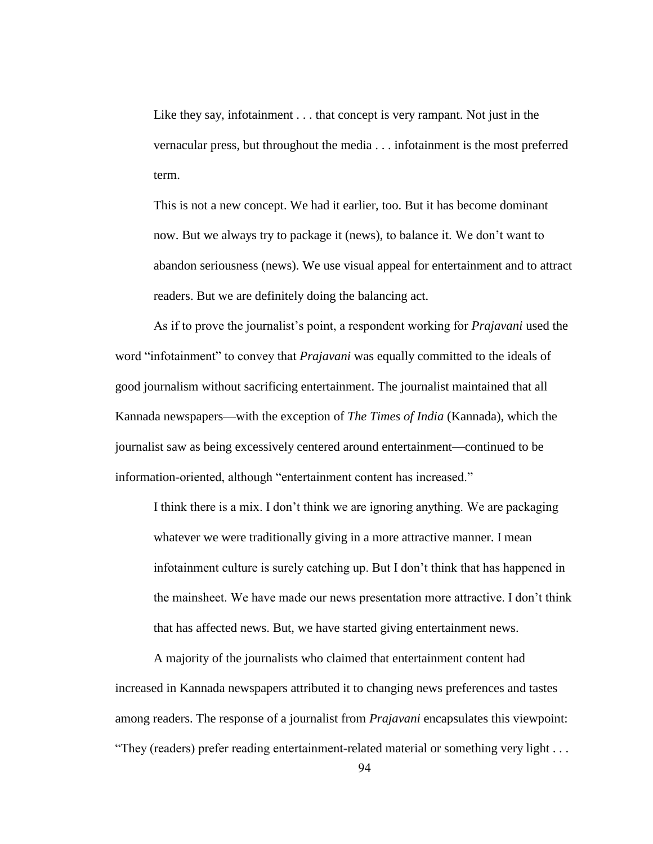Like they say, infotainment . . . that concept is very rampant. Not just in the vernacular press, but throughout the media . . . infotainment is the most preferred term.

This is not a new concept. We had it earlier, too. But it has become dominant now. But we always try to package it (news), to balance it. We don"t want to abandon seriousness (news). We use visual appeal for entertainment and to attract readers. But we are definitely doing the balancing act.

As if to prove the journalist"s point, a respondent working for *Prajavani* used the word "infotainment" to convey that *Prajavani* was equally committed to the ideals of good journalism without sacrificing entertainment. The journalist maintained that all Kannada newspapers—with the exception of *The Times of India* (Kannada), which the journalist saw as being excessively centered around entertainment—continued to be information-oriented, although "entertainment content has increased."

I think there is a mix. I don"t think we are ignoring anything. We are packaging whatever we were traditionally giving in a more attractive manner. I mean infotainment culture is surely catching up. But I don"t think that has happened in the mainsheet. We have made our news presentation more attractive. I don"t think that has affected news. But, we have started giving entertainment news.

A majority of the journalists who claimed that entertainment content had increased in Kannada newspapers attributed it to changing news preferences and tastes among readers. The response of a journalist from *Prajavani* encapsulates this viewpoint: "They (readers) prefer reading entertainment-related material or something very light . . .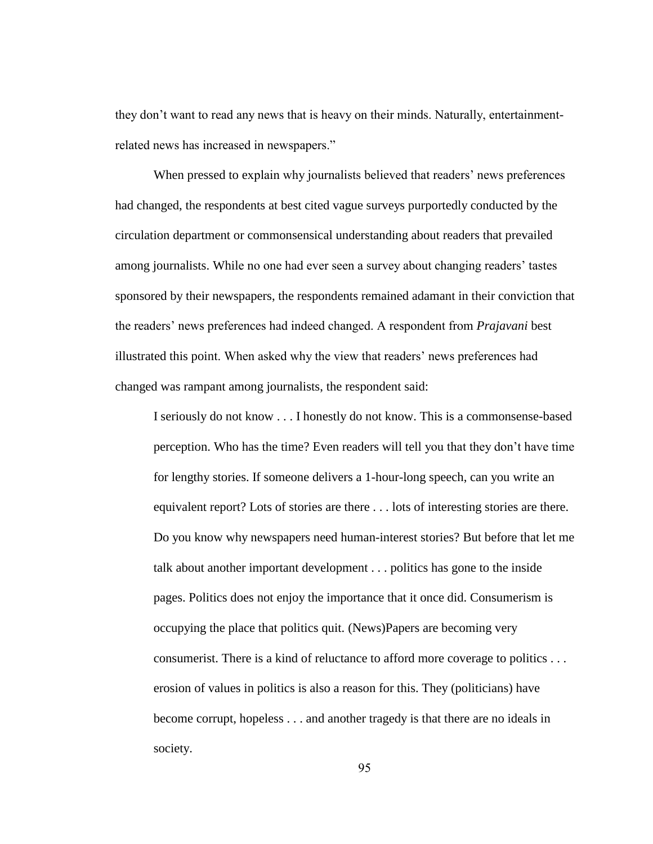they don"t want to read any news that is heavy on their minds. Naturally, entertainmentrelated news has increased in newspapers."

When pressed to explain why journalists believed that readers' news preferences had changed, the respondents at best cited vague surveys purportedly conducted by the circulation department or commonsensical understanding about readers that prevailed among journalists. While no one had ever seen a survey about changing readers" tastes sponsored by their newspapers, the respondents remained adamant in their conviction that the readers" news preferences had indeed changed. A respondent from *Prajavani* best illustrated this point. When asked why the view that readers" news preferences had changed was rampant among journalists, the respondent said:

I seriously do not know . . . I honestly do not know. This is a commonsense-based perception. Who has the time? Even readers will tell you that they don"t have time for lengthy stories. If someone delivers a 1-hour-long speech, can you write an equivalent report? Lots of stories are there . . . lots of interesting stories are there. Do you know why newspapers need human-interest stories? But before that let me talk about another important development . . . politics has gone to the inside pages. Politics does not enjoy the importance that it once did. Consumerism is occupying the place that politics quit. (News)Papers are becoming very consumerist. There is a kind of reluctance to afford more coverage to politics . . . erosion of values in politics is also a reason for this. They (politicians) have become corrupt, hopeless . . . and another tragedy is that there are no ideals in society.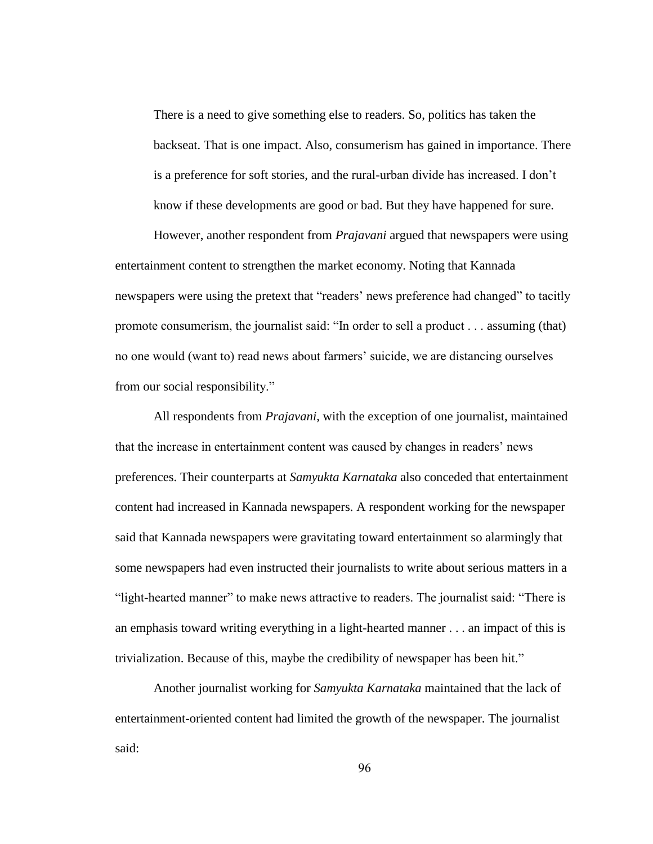There is a need to give something else to readers. So, politics has taken the backseat. That is one impact. Also, consumerism has gained in importance. There is a preference for soft stories, and the rural-urban divide has increased. I don"t know if these developments are good or bad. But they have happened for sure.

However, another respondent from *Prajavani* argued that newspapers were using entertainment content to strengthen the market economy. Noting that Kannada newspapers were using the pretext that "readers" news preference had changed" to tacitly promote consumerism, the journalist said: "In order to sell a product . . . assuming (that) no one would (want to) read news about farmers" suicide, we are distancing ourselves from our social responsibility."

All respondents from *Prajavani*, with the exception of one journalist, maintained that the increase in entertainment content was caused by changes in readers" news preferences. Their counterparts at *Samyukta Karnataka* also conceded that entertainment content had increased in Kannada newspapers. A respondent working for the newspaper said that Kannada newspapers were gravitating toward entertainment so alarmingly that some newspapers had even instructed their journalists to write about serious matters in a "light-hearted manner" to make news attractive to readers. The journalist said: "There is an emphasis toward writing everything in a light-hearted manner . . . an impact of this is trivialization. Because of this, maybe the credibility of newspaper has been hit."

Another journalist working for *Samyukta Karnataka* maintained that the lack of entertainment-oriented content had limited the growth of the newspaper. The journalist said: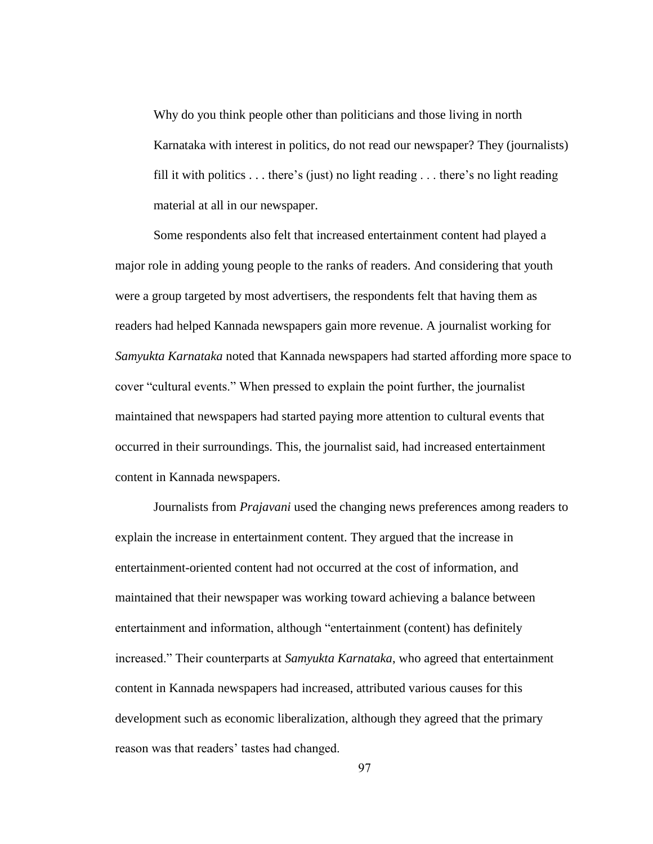Why do you think people other than politicians and those living in north Karnataka with interest in politics, do not read our newspaper? They (journalists) fill it with politics  $\dots$  there's (just) no light reading  $\dots$  there's no light reading material at all in our newspaper.

Some respondents also felt that increased entertainment content had played a major role in adding young people to the ranks of readers. And considering that youth were a group targeted by most advertisers, the respondents felt that having them as readers had helped Kannada newspapers gain more revenue. A journalist working for *Samyukta Karnataka* noted that Kannada newspapers had started affording more space to cover "cultural events." When pressed to explain the point further, the journalist maintained that newspapers had started paying more attention to cultural events that occurred in their surroundings. This, the journalist said, had increased entertainment content in Kannada newspapers.

Journalists from *Prajavani* used the changing news preferences among readers to explain the increase in entertainment content. They argued that the increase in entertainment-oriented content had not occurred at the cost of information, and maintained that their newspaper was working toward achieving a balance between entertainment and information, although "entertainment (content) has definitely increased." Their counterparts at *Samyukta Karnataka*, who agreed that entertainment content in Kannada newspapers had increased, attributed various causes for this development such as economic liberalization, although they agreed that the primary reason was that readers' tastes had changed.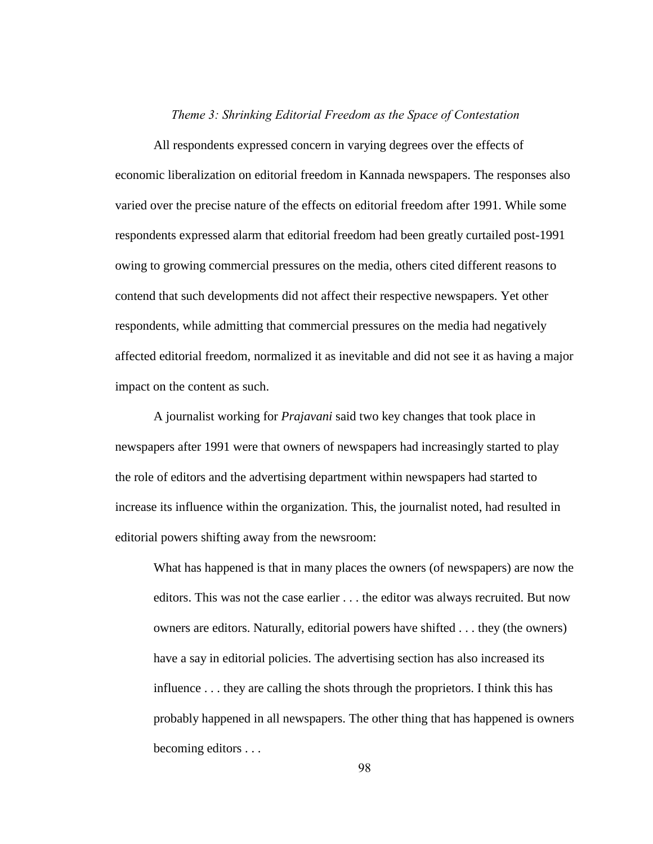## *Theme 3: Shrinking Editorial Freedom as the Space of Contestation*

All respondents expressed concern in varying degrees over the effects of economic liberalization on editorial freedom in Kannada newspapers. The responses also varied over the precise nature of the effects on editorial freedom after 1991. While some respondents expressed alarm that editorial freedom had been greatly curtailed post-1991 owing to growing commercial pressures on the media, others cited different reasons to contend that such developments did not affect their respective newspapers. Yet other respondents, while admitting that commercial pressures on the media had negatively affected editorial freedom, normalized it as inevitable and did not see it as having a major impact on the content as such.

A journalist working for *Prajavani* said two key changes that took place in newspapers after 1991 were that owners of newspapers had increasingly started to play the role of editors and the advertising department within newspapers had started to increase its influence within the organization. This, the journalist noted, had resulted in editorial powers shifting away from the newsroom:

What has happened is that in many places the owners (of newspapers) are now the editors. This was not the case earlier . . . the editor was always recruited. But now owners are editors. Naturally, editorial powers have shifted . . . they (the owners) have a say in editorial policies. The advertising section has also increased its influence . . . they are calling the shots through the proprietors. I think this has probably happened in all newspapers. The other thing that has happened is owners becoming editors . . .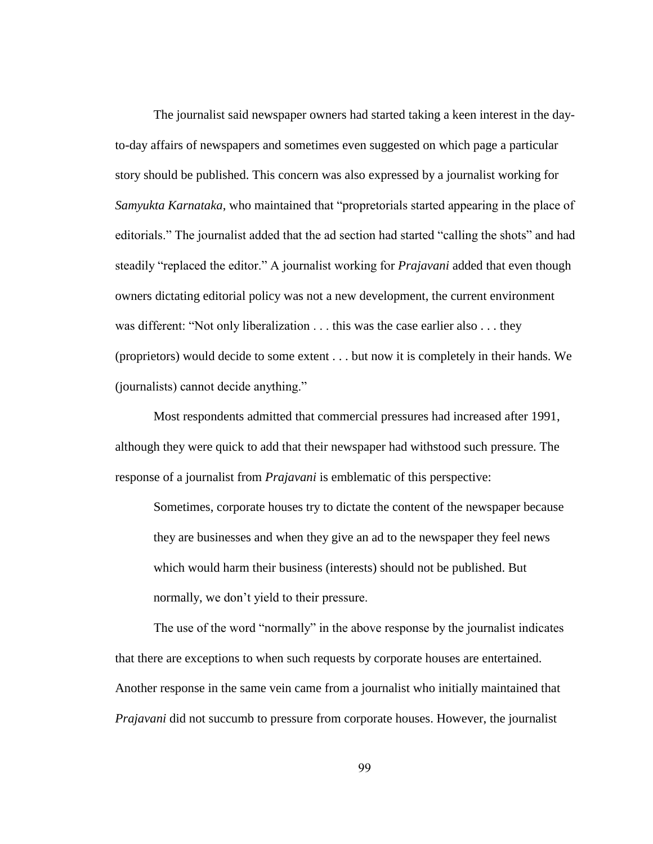The journalist said newspaper owners had started taking a keen interest in the dayto-day affairs of newspapers and sometimes even suggested on which page a particular story should be published. This concern was also expressed by a journalist working for *Samyukta Karnataka*, who maintained that "propretorials started appearing in the place of editorials." The journalist added that the ad section had started "calling the shots" and had steadily "replaced the editor." A journalist working for *Prajavani* added that even though owners dictating editorial policy was not a new development, the current environment was different: "Not only liberalization . . . this was the case earlier also . . . they (proprietors) would decide to some extent . . . but now it is completely in their hands. We (journalists) cannot decide anything."

Most respondents admitted that commercial pressures had increased after 1991, although they were quick to add that their newspaper had withstood such pressure. The response of a journalist from *Prajavani* is emblematic of this perspective:

Sometimes, corporate houses try to dictate the content of the newspaper because they are businesses and when they give an ad to the newspaper they feel news which would harm their business (interests) should not be published. But normally, we don"t yield to their pressure.

The use of the word "normally" in the above response by the journalist indicates that there are exceptions to when such requests by corporate houses are entertained. Another response in the same vein came from a journalist who initially maintained that *Prajavani* did not succumb to pressure from corporate houses. However, the journalist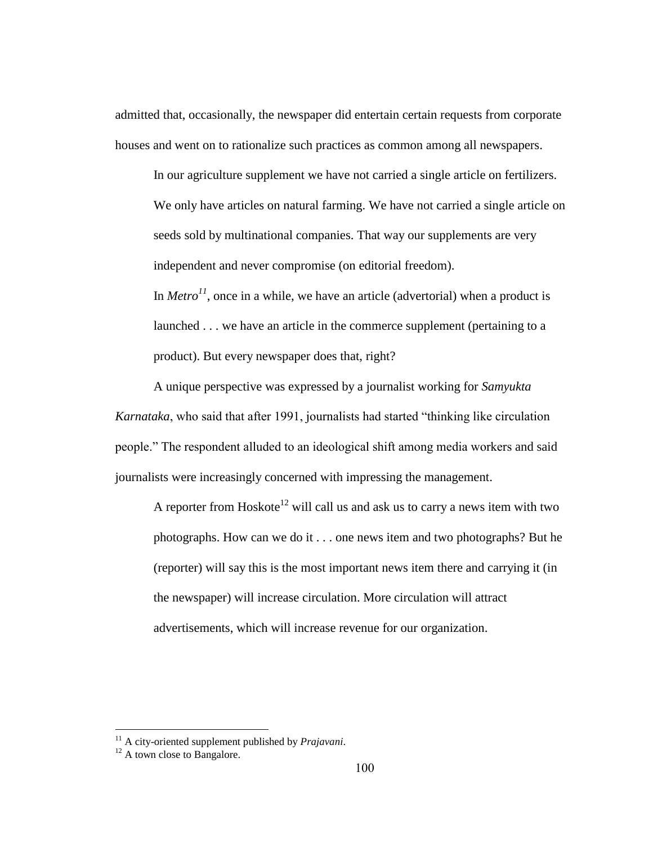admitted that, occasionally, the newspaper did entertain certain requests from corporate houses and went on to rationalize such practices as common among all newspapers.

In our agriculture supplement we have not carried a single article on fertilizers. We only have articles on natural farming. We have not carried a single article on seeds sold by multinational companies. That way our supplements are very independent and never compromise (on editorial freedom).

In *Metro*<sup>11</sup>, once in a while, we have an article (advertorial) when a product is launched . . . we have an article in the commerce supplement (pertaining to a product). But every newspaper does that, right?

A unique perspective was expressed by a journalist working for *Samyukta Karnataka*, who said that after 1991, journalists had started "thinking like circulation people." The respondent alluded to an ideological shift among media workers and said journalists were increasingly concerned with impressing the management.

A reporter from Hoskote<sup>12</sup> will call us and ask us to carry a news item with two photographs. How can we do it . . . one news item and two photographs? But he (reporter) will say this is the most important news item there and carrying it (in the newspaper) will increase circulation. More circulation will attract advertisements, which will increase revenue for our organization.

 $\overline{a}$ 

<sup>11</sup> A city-oriented supplement published by *Prajavani*.

 $12$  A town close to Bangalore.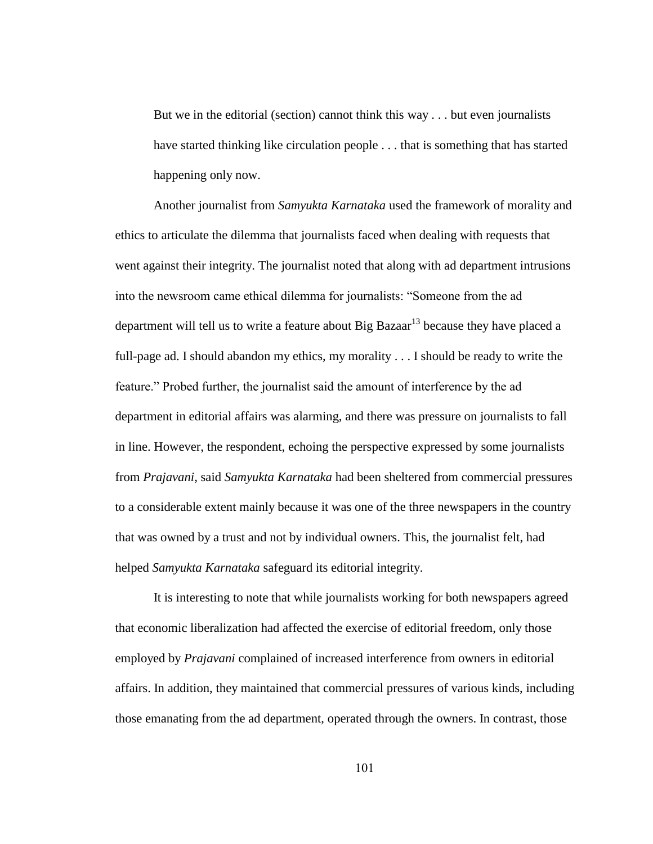But we in the editorial (section) cannot think this way . . . but even journalists have started thinking like circulation people . . . that is something that has started happening only now.

Another journalist from *Samyukta Karnataka* used the framework of morality and ethics to articulate the dilemma that journalists faced when dealing with requests that went against their integrity. The journalist noted that along with ad department intrusions into the newsroom came ethical dilemma for journalists: "Someone from the ad department will tell us to write a feature about Big Bazaar<sup>13</sup> because they have placed a full-page ad. I should abandon my ethics, my morality . . . I should be ready to write the feature." Probed further, the journalist said the amount of interference by the ad department in editorial affairs was alarming, and there was pressure on journalists to fall in line. However, the respondent, echoing the perspective expressed by some journalists from *Prajavani*, said *Samyukta Karnataka* had been sheltered from commercial pressures to a considerable extent mainly because it was one of the three newspapers in the country that was owned by a trust and not by individual owners. This, the journalist felt, had helped *Samyukta Karnataka* safeguard its editorial integrity.

It is interesting to note that while journalists working for both newspapers agreed that economic liberalization had affected the exercise of editorial freedom, only those employed by *Prajavani* complained of increased interference from owners in editorial affairs. In addition, they maintained that commercial pressures of various kinds, including those emanating from the ad department, operated through the owners. In contrast, those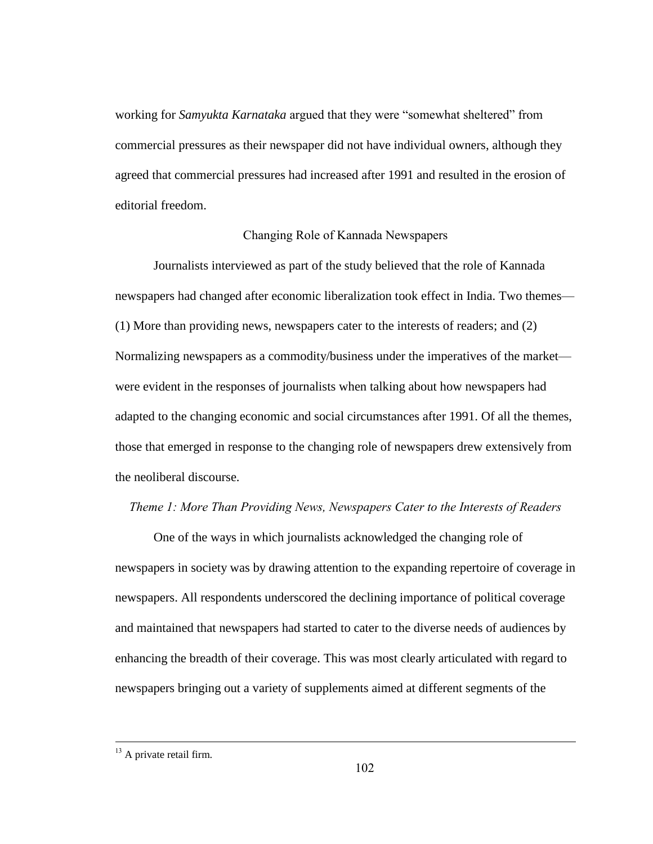working for *Samyukta Karnataka* argued that they were "somewhat sheltered" from commercial pressures as their newspaper did not have individual owners, although they agreed that commercial pressures had increased after 1991 and resulted in the erosion of editorial freedom.

# Changing Role of Kannada Newspapers

Journalists interviewed as part of the study believed that the role of Kannada newspapers had changed after economic liberalization took effect in India. Two themes— (1) More than providing news, newspapers cater to the interests of readers; and (2) Normalizing newspapers as a commodity/business under the imperatives of the market were evident in the responses of journalists when talking about how newspapers had adapted to the changing economic and social circumstances after 1991. Of all the themes, those that emerged in response to the changing role of newspapers drew extensively from the neoliberal discourse.

# *Theme 1: More Than Providing News, Newspapers Cater to the Interests of Readers*

One of the ways in which journalists acknowledged the changing role of newspapers in society was by drawing attention to the expanding repertoire of coverage in newspapers. All respondents underscored the declining importance of political coverage and maintained that newspapers had started to cater to the diverse needs of audiences by enhancing the breadth of their coverage. This was most clearly articulated with regard to newspapers bringing out a variety of supplements aimed at different segments of the

 $\overline{a}$ 

 $13$  A private retail firm.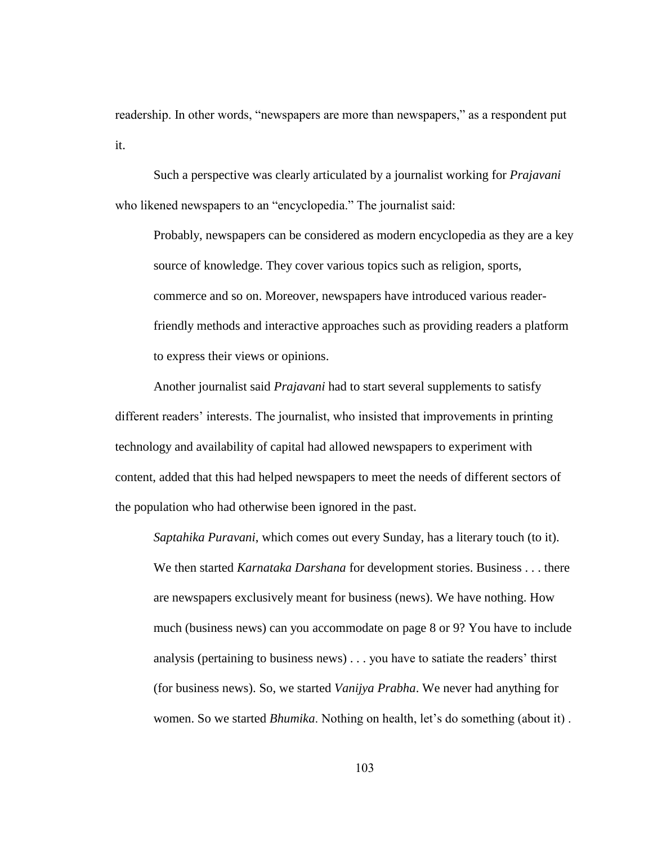readership. In other words, "newspapers are more than newspapers," as a respondent put it.

Such a perspective was clearly articulated by a journalist working for *Prajavani* who likened newspapers to an "encyclopedia." The journalist said:

Probably, newspapers can be considered as modern encyclopedia as they are a key source of knowledge. They cover various topics such as religion, sports, commerce and so on. Moreover, newspapers have introduced various readerfriendly methods and interactive approaches such as providing readers a platform to express their views or opinions.

Another journalist said *Prajavani* had to start several supplements to satisfy different readers' interests. The journalist, who insisted that improvements in printing technology and availability of capital had allowed newspapers to experiment with content, added that this had helped newspapers to meet the needs of different sectors of the population who had otherwise been ignored in the past.

*Saptahika Puravani*, which comes out every Sunday, has a literary touch (to it). We then started *Karnataka Darshana* for development stories. Business . . . there are newspapers exclusively meant for business (news). We have nothing. How much (business news) can you accommodate on page 8 or 9? You have to include analysis (pertaining to business news)  $\ldots$  you have to satiate the readers' thirst (for business news). So, we started *Vanijya Prabha*. We never had anything for women. So we started *Bhumika*. Nothing on health, let's do something (about it).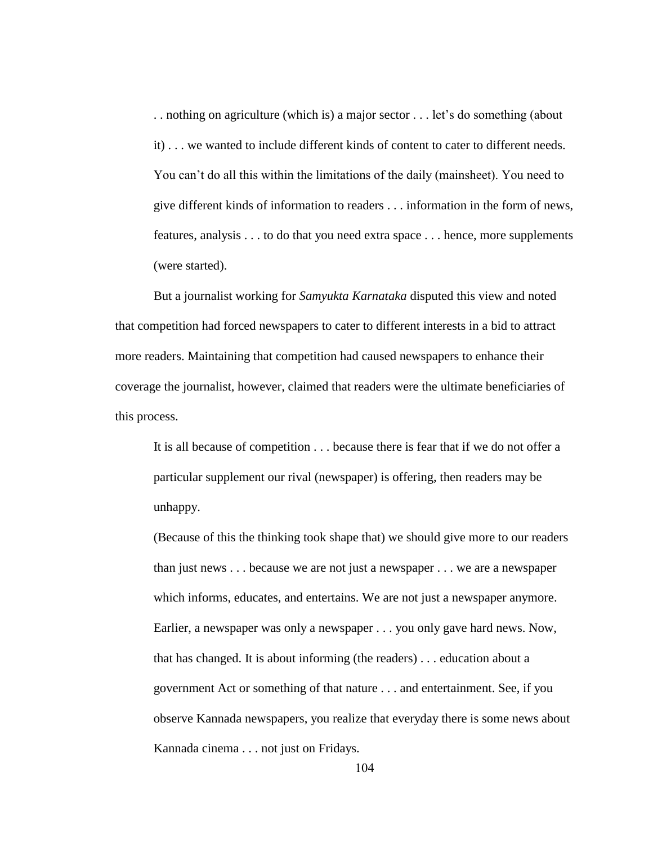.. nothing on agriculture (which is) a major sector ... let's do something (about it) . . . we wanted to include different kinds of content to cater to different needs. You can"t do all this within the limitations of the daily (mainsheet). You need to give different kinds of information to readers . . . information in the form of news, features, analysis . . . to do that you need extra space . . . hence, more supplements (were started).

But a journalist working for *Samyukta Karnataka* disputed this view and noted that competition had forced newspapers to cater to different interests in a bid to attract more readers. Maintaining that competition had caused newspapers to enhance their coverage the journalist, however, claimed that readers were the ultimate beneficiaries of this process.

It is all because of competition . . . because there is fear that if we do not offer a particular supplement our rival (newspaper) is offering, then readers may be unhappy.

(Because of this the thinking took shape that) we should give more to our readers than just news . . . because we are not just a newspaper . . . we are a newspaper which informs, educates, and entertains. We are not just a newspaper anymore. Earlier, a newspaper was only a newspaper . . . you only gave hard news. Now, that has changed. It is about informing (the readers) . . . education about a government Act or something of that nature . . . and entertainment. See, if you observe Kannada newspapers, you realize that everyday there is some news about Kannada cinema . . . not just on Fridays.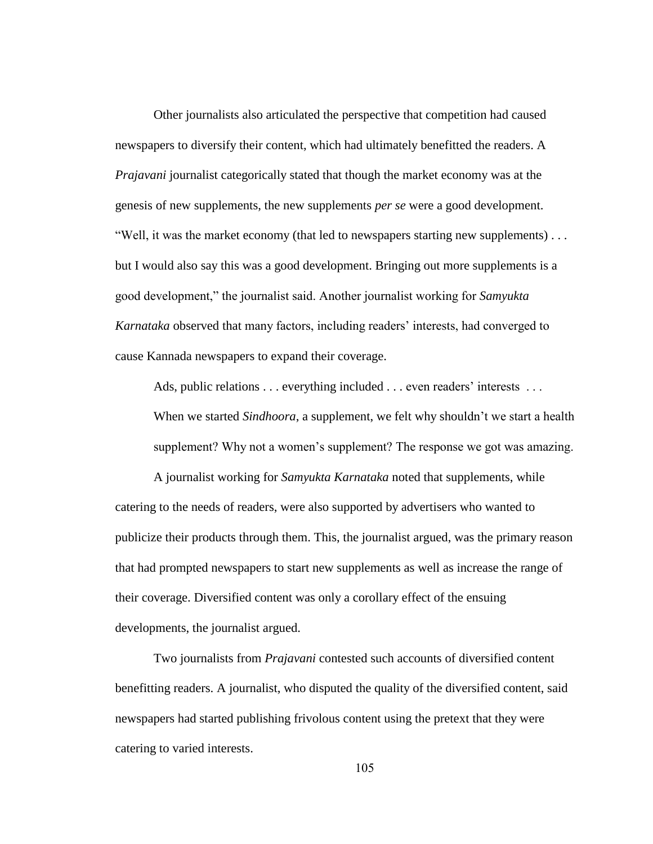Other journalists also articulated the perspective that competition had caused newspapers to diversify their content, which had ultimately benefitted the readers. A *Prajavani* journalist categorically stated that though the market economy was at the genesis of new supplements, the new supplements *per se* were a good development. "Well, it was the market economy (that led to newspapers starting new supplements) . . . but I would also say this was a good development. Bringing out more supplements is a good development," the journalist said. Another journalist working for *Samyukta Karnataka* observed that many factors, including readers" interests, had converged to cause Kannada newspapers to expand their coverage.

Ads, public relations . . . everything included . . . even readers' interests . . . When we started *Sindhoora*, a supplement, we felt why shouldn't we start a health

supplement? Why not a women's supplement? The response we got was amazing.

A journalist working for *Samyukta Karnataka* noted that supplements, while catering to the needs of readers, were also supported by advertisers who wanted to publicize their products through them. This, the journalist argued, was the primary reason that had prompted newspapers to start new supplements as well as increase the range of their coverage. Diversified content was only a corollary effect of the ensuing developments, the journalist argued.

Two journalists from *Prajavani* contested such accounts of diversified content benefitting readers. A journalist, who disputed the quality of the diversified content, said newspapers had started publishing frivolous content using the pretext that they were catering to varied interests.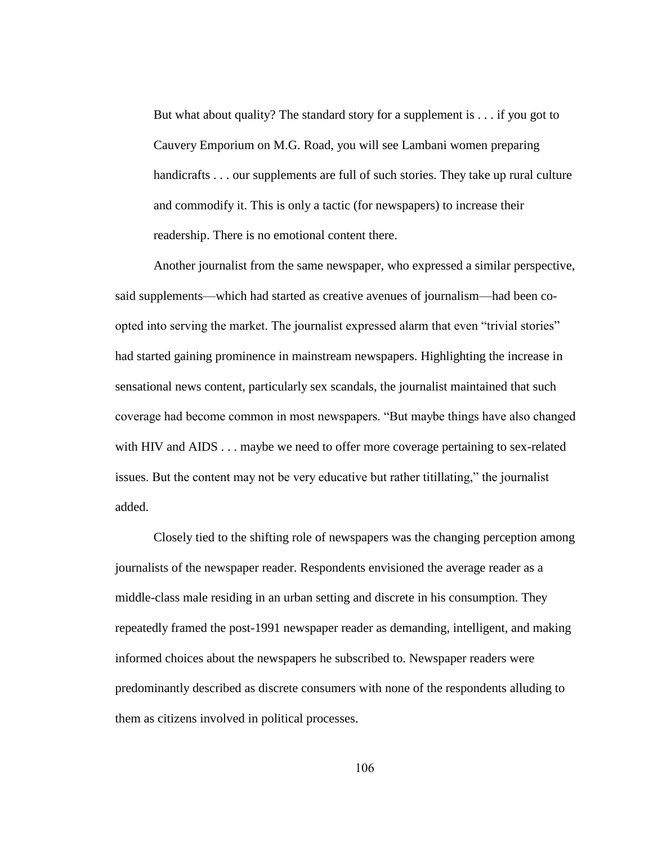But what about quality? The standard story for a supplement is . . . if you got to Cauvery Emporium on M.G. Road, you will see Lambani women preparing handicrafts . . . our supplements are full of such stories. They take up rural culture and commodify it. This is only a tactic (for newspapers) to increase their readership. There is no emotional content there.

Another journalist from the same newspaper, who expressed a similar perspective, said supplements—which had started as creative avenues of journalism—had been coopted into serving the market. The journalist expressed alarm that even "trivial stories" had started gaining prominence in mainstream newspapers. Highlighting the increase in sensational news content, particularly sex scandals, the journalist maintained that such coverage had become common in most newspapers. "But maybe things have also changed with HIV and AIDS . . . maybe we need to offer more coverage pertaining to sex-related issues. But the content may not be very educative but rather titillating," the journalist added.

Closely tied to the shifting role of newspapers was the changing perception among journalists of the newspaper reader. Respondents envisioned the average reader as a middle-class male residing in an urban setting and discrete in his consumption. They repeatedly framed the post-1991 newspaper reader as demanding, intelligent, and making informed choices about the newspapers he subscribed to. Newspaper readers were predominantly described as discrete consumers with none of the respondents alluding to them as citizens involved in political processes.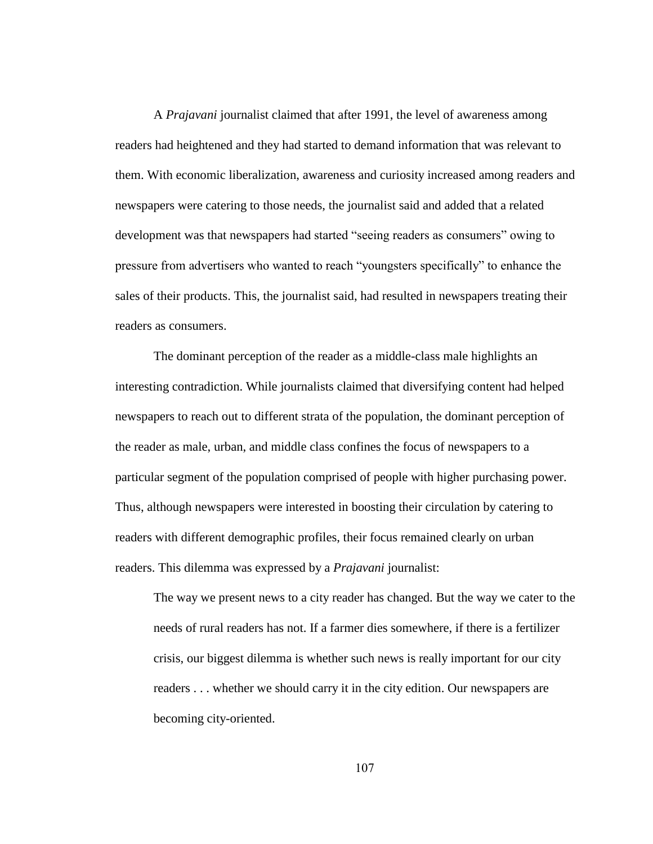A *Prajavani* journalist claimed that after 1991, the level of awareness among readers had heightened and they had started to demand information that was relevant to them. With economic liberalization, awareness and curiosity increased among readers and newspapers were catering to those needs, the journalist said and added that a related development was that newspapers had started "seeing readers as consumers" owing to pressure from advertisers who wanted to reach "youngsters specifically" to enhance the sales of their products. This, the journalist said, had resulted in newspapers treating their readers as consumers.

The dominant perception of the reader as a middle-class male highlights an interesting contradiction. While journalists claimed that diversifying content had helped newspapers to reach out to different strata of the population, the dominant perception of the reader as male, urban, and middle class confines the focus of newspapers to a particular segment of the population comprised of people with higher purchasing power. Thus, although newspapers were interested in boosting their circulation by catering to readers with different demographic profiles, their focus remained clearly on urban readers. This dilemma was expressed by a *Prajavani* journalist:

The way we present news to a city reader has changed. But the way we cater to the needs of rural readers has not. If a farmer dies somewhere, if there is a fertilizer crisis, our biggest dilemma is whether such news is really important for our city readers . . . whether we should carry it in the city edition. Our newspapers are becoming city-oriented.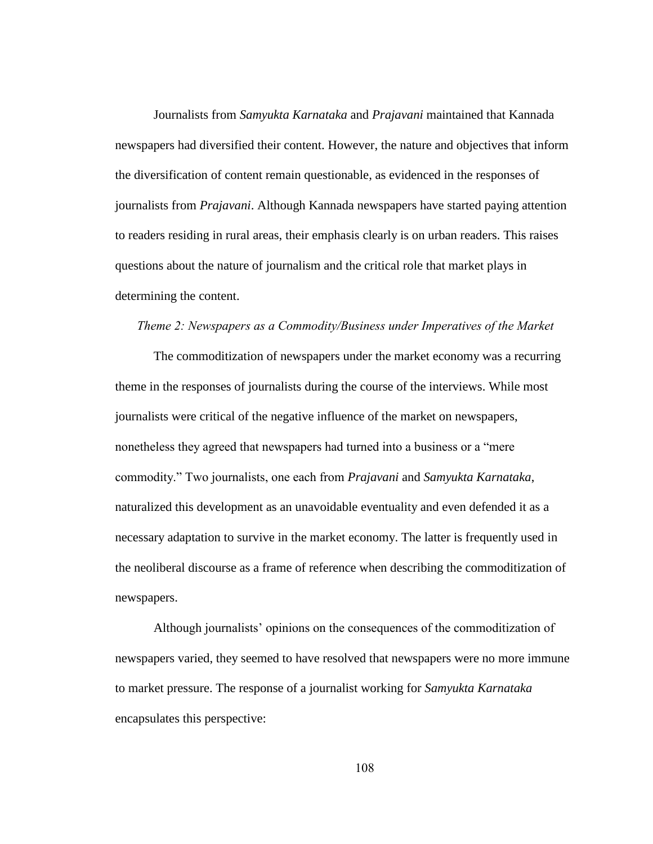Journalists from *Samyukta Karnataka* and *Prajavani* maintained that Kannada newspapers had diversified their content. However, the nature and objectives that inform the diversification of content remain questionable, as evidenced in the responses of journalists from *Prajavani*. Although Kannada newspapers have started paying attention to readers residing in rural areas, their emphasis clearly is on urban readers. This raises questions about the nature of journalism and the critical role that market plays in determining the content.

#### *Theme 2: Newspapers as a Commodity/Business under Imperatives of the Market*

The commoditization of newspapers under the market economy was a recurring theme in the responses of journalists during the course of the interviews. While most journalists were critical of the negative influence of the market on newspapers, nonetheless they agreed that newspapers had turned into a business or a "mere commodity." Two journalists, one each from *Prajavani* and *Samyukta Karnataka*, naturalized this development as an unavoidable eventuality and even defended it as a necessary adaptation to survive in the market economy. The latter is frequently used in the neoliberal discourse as a frame of reference when describing the commoditization of newspapers.

Although journalists' opinions on the consequences of the commoditization of newspapers varied, they seemed to have resolved that newspapers were no more immune to market pressure. The response of a journalist working for *Samyukta Karnataka* encapsulates this perspective: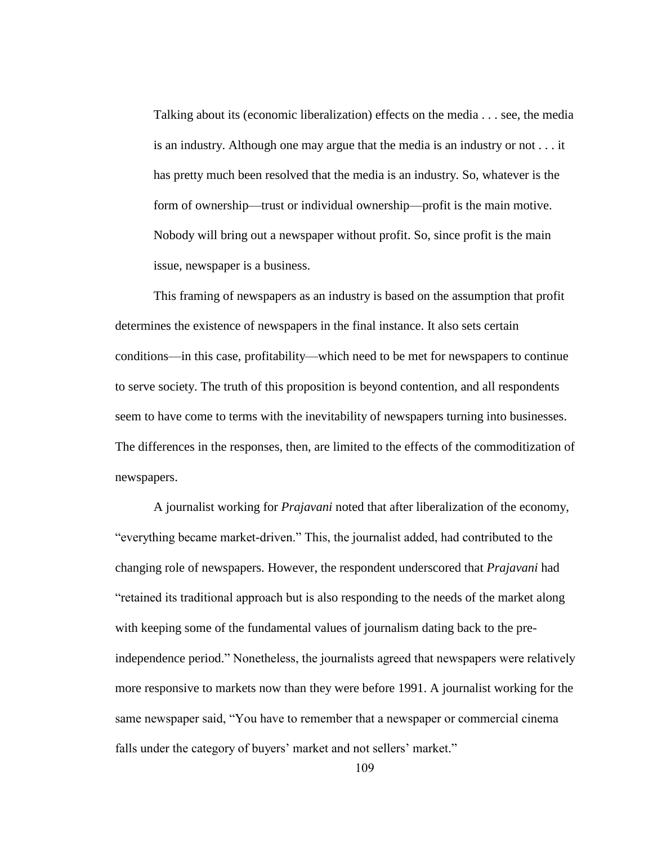Talking about its (economic liberalization) effects on the media . . . see, the media is an industry. Although one may argue that the media is an industry or not . . . it has pretty much been resolved that the media is an industry. So, whatever is the form of ownership—trust or individual ownership—profit is the main motive. Nobody will bring out a newspaper without profit. So, since profit is the main issue, newspaper is a business.

This framing of newspapers as an industry is based on the assumption that profit determines the existence of newspapers in the final instance. It also sets certain conditions—in this case, profitability—which need to be met for newspapers to continue to serve society. The truth of this proposition is beyond contention, and all respondents seem to have come to terms with the inevitability of newspapers turning into businesses. The differences in the responses, then, are limited to the effects of the commoditization of newspapers.

A journalist working for *Prajavani* noted that after liberalization of the economy, "everything became market-driven." This, the journalist added, had contributed to the changing role of newspapers. However, the respondent underscored that *Prajavani* had "retained its traditional approach but is also responding to the needs of the market along with keeping some of the fundamental values of journalism dating back to the preindependence period." Nonetheless, the journalists agreed that newspapers were relatively more responsive to markets now than they were before 1991. A journalist working for the same newspaper said, "You have to remember that a newspaper or commercial cinema falls under the category of buyers' market and not sellers' market."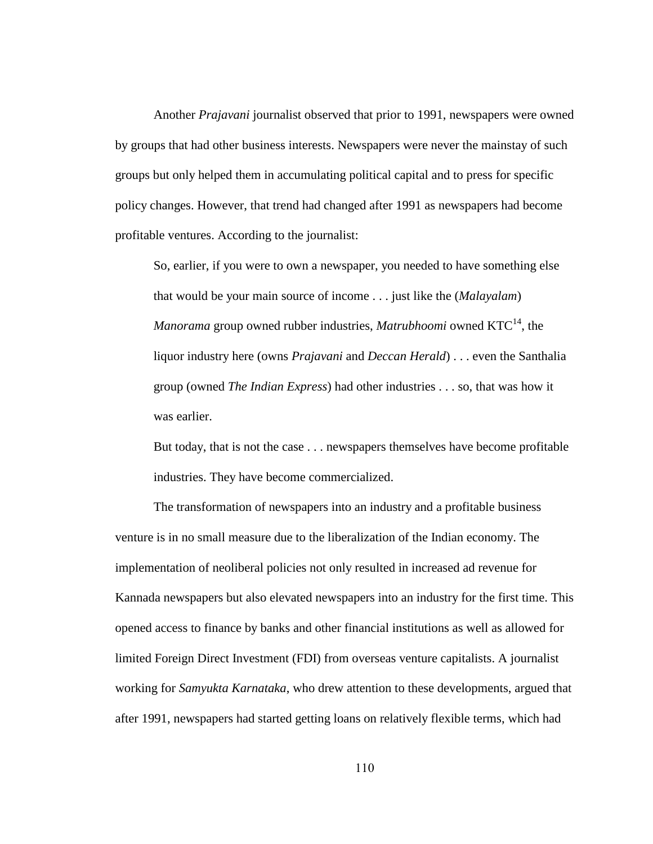Another *Prajavani* journalist observed that prior to 1991, newspapers were owned by groups that had other business interests. Newspapers were never the mainstay of such groups but only helped them in accumulating political capital and to press for specific policy changes. However, that trend had changed after 1991 as newspapers had become profitable ventures. According to the journalist:

So, earlier, if you were to own a newspaper, you needed to have something else that would be your main source of income . . . just like the (*Malayalam*) *Manorama* group owned rubber industries, *Matrubhoomi* owned KTC<sup>14</sup>, the liquor industry here (owns *Prajavani* and *Deccan Herald*) . . . even the Santhalia group (owned *The Indian Express*) had other industries . . . so, that was how it was earlier.

But today, that is not the case . . . newspapers themselves have become profitable industries. They have become commercialized.

The transformation of newspapers into an industry and a profitable business venture is in no small measure due to the liberalization of the Indian economy. The implementation of neoliberal policies not only resulted in increased ad revenue for Kannada newspapers but also elevated newspapers into an industry for the first time. This opened access to finance by banks and other financial institutions as well as allowed for limited Foreign Direct Investment (FDI) from overseas venture capitalists. A journalist working for *Samyukta Karnataka*, who drew attention to these developments, argued that after 1991, newspapers had started getting loans on relatively flexible terms, which had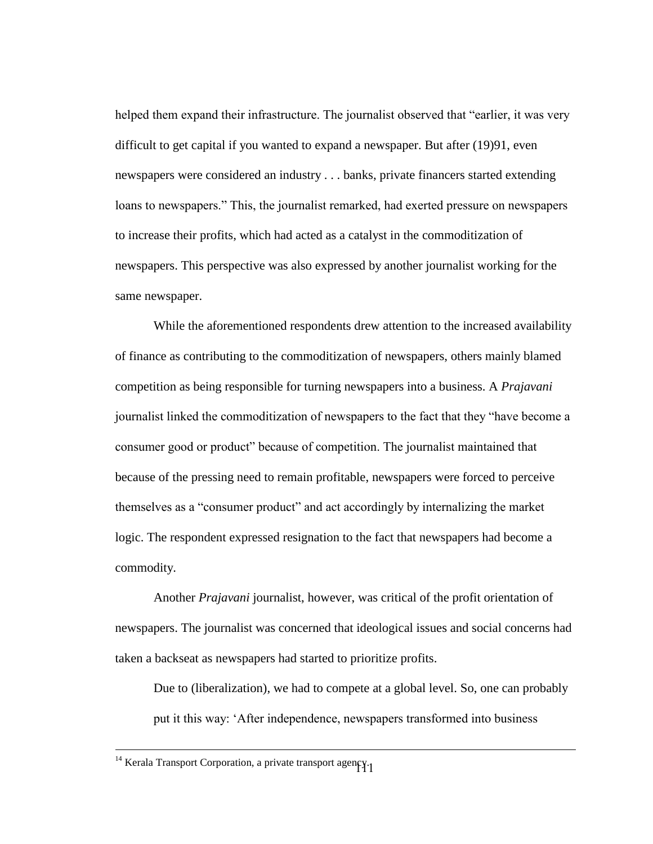helped them expand their infrastructure. The journalist observed that "earlier, it was very difficult to get capital if you wanted to expand a newspaper. But after (19)91, even newspapers were considered an industry . . . banks, private financers started extending loans to newspapers." This, the journalist remarked, had exerted pressure on newspapers to increase their profits, which had acted as a catalyst in the commoditization of newspapers. This perspective was also expressed by another journalist working for the same newspaper.

While the aforementioned respondents drew attention to the increased availability of finance as contributing to the commoditization of newspapers, others mainly blamed competition as being responsible for turning newspapers into a business. A *Prajavani* journalist linked the commoditization of newspapers to the fact that they "have become a consumer good or product" because of competition. The journalist maintained that because of the pressing need to remain profitable, newspapers were forced to perceive themselves as a "consumer product" and act accordingly by internalizing the market logic. The respondent expressed resignation to the fact that newspapers had become a commodity.

Another *Prajavani* journalist, however, was critical of the profit orientation of newspapers. The journalist was concerned that ideological issues and social concerns had taken a backseat as newspapers had started to prioritize profits.

Due to (liberalization), we had to compete at a global level. So, one can probably put it this way: "After independence, newspapers transformed into business

 $\overline{a}$ 

<sup>111</sup>  $14$  Kerala Transport Corporation, a private transport agency.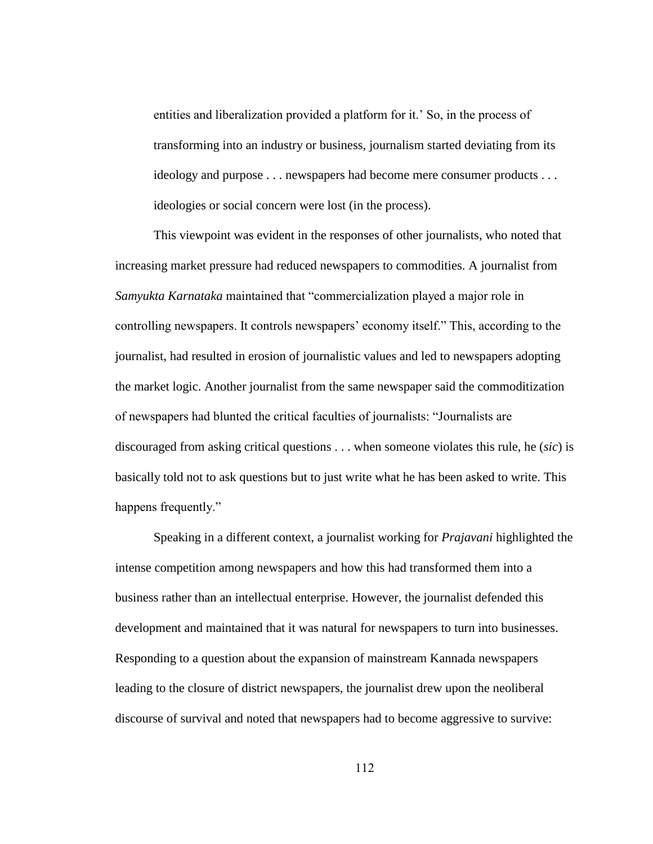entities and liberalization provided a platform for it.' So, in the process of transforming into an industry or business, journalism started deviating from its ideology and purpose . . . newspapers had become mere consumer products . . . ideologies or social concern were lost (in the process).

This viewpoint was evident in the responses of other journalists, who noted that increasing market pressure had reduced newspapers to commodities. A journalist from *Samyukta Karnataka* maintained that "commercialization played a major role in controlling newspapers. It controls newspapers" economy itself." This, according to the journalist, had resulted in erosion of journalistic values and led to newspapers adopting the market logic. Another journalist from the same newspaper said the commoditization of newspapers had blunted the critical faculties of journalists: "Journalists are discouraged from asking critical questions . . . when someone violates this rule, he (*sic*) is basically told not to ask questions but to just write what he has been asked to write. This happens frequently."

Speaking in a different context, a journalist working for *Prajavani* highlighted the intense competition among newspapers and how this had transformed them into a business rather than an intellectual enterprise. However, the journalist defended this development and maintained that it was natural for newspapers to turn into businesses. Responding to a question about the expansion of mainstream Kannada newspapers leading to the closure of district newspapers, the journalist drew upon the neoliberal discourse of survival and noted that newspapers had to become aggressive to survive: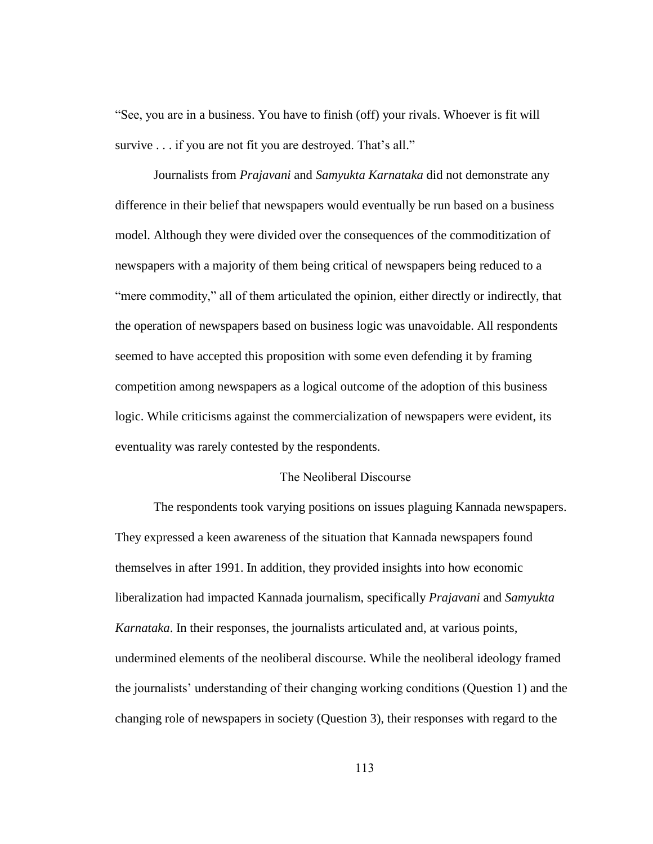"See, you are in a business. You have to finish (off) your rivals. Whoever is fit will survive . . . if you are not fit you are destroyed. That's all."

Journalists from *Prajavani* and *Samyukta Karnataka* did not demonstrate any difference in their belief that newspapers would eventually be run based on a business model. Although they were divided over the consequences of the commoditization of newspapers with a majority of them being critical of newspapers being reduced to a "mere commodity," all of them articulated the opinion, either directly or indirectly, that the operation of newspapers based on business logic was unavoidable. All respondents seemed to have accepted this proposition with some even defending it by framing competition among newspapers as a logical outcome of the adoption of this business logic. While criticisms against the commercialization of newspapers were evident, its eventuality was rarely contested by the respondents.

# The Neoliberal Discourse

The respondents took varying positions on issues plaguing Kannada newspapers. They expressed a keen awareness of the situation that Kannada newspapers found themselves in after 1991. In addition, they provided insights into how economic liberalization had impacted Kannada journalism, specifically *Prajavani* and *Samyukta Karnataka*. In their responses, the journalists articulated and, at various points, undermined elements of the neoliberal discourse. While the neoliberal ideology framed the journalists" understanding of their changing working conditions (Question 1) and the changing role of newspapers in society (Question 3), their responses with regard to the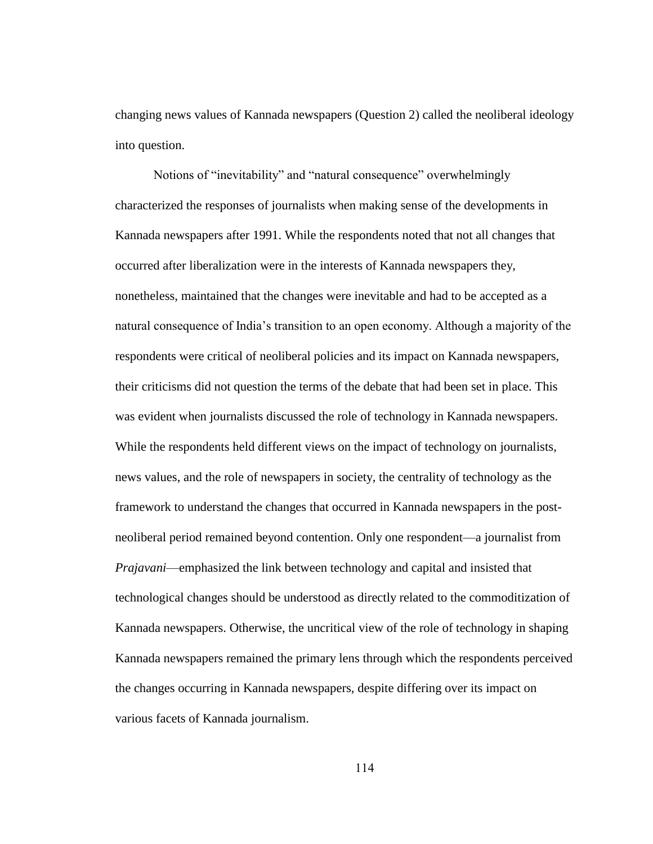changing news values of Kannada newspapers (Question 2) called the neoliberal ideology into question.

Notions of "inevitability" and "natural consequence" overwhelmingly characterized the responses of journalists when making sense of the developments in Kannada newspapers after 1991. While the respondents noted that not all changes that occurred after liberalization were in the interests of Kannada newspapers they, nonetheless, maintained that the changes were inevitable and had to be accepted as a natural consequence of India"s transition to an open economy. Although a majority of the respondents were critical of neoliberal policies and its impact on Kannada newspapers, their criticisms did not question the terms of the debate that had been set in place. This was evident when journalists discussed the role of technology in Kannada newspapers. While the respondents held different views on the impact of technology on journalists, news values, and the role of newspapers in society, the centrality of technology as the framework to understand the changes that occurred in Kannada newspapers in the postneoliberal period remained beyond contention. Only one respondent—a journalist from *Prajavani*—emphasized the link between technology and capital and insisted that technological changes should be understood as directly related to the commoditization of Kannada newspapers. Otherwise, the uncritical view of the role of technology in shaping Kannada newspapers remained the primary lens through which the respondents perceived the changes occurring in Kannada newspapers, despite differing over its impact on various facets of Kannada journalism.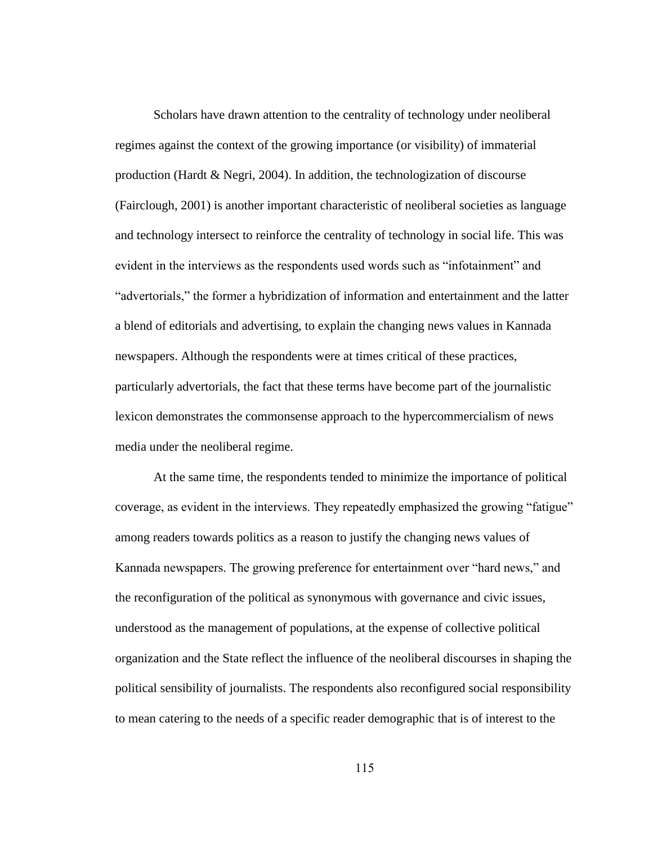Scholars have drawn attention to the centrality of technology under neoliberal regimes against the context of the growing importance (or visibility) of immaterial production (Hardt & Negri, 2004). In addition, the technologization of discourse (Fairclough, 2001) is another important characteristic of neoliberal societies as language and technology intersect to reinforce the centrality of technology in social life. This was evident in the interviews as the respondents used words such as "infotainment" and "advertorials," the former a hybridization of information and entertainment and the latter a blend of editorials and advertising, to explain the changing news values in Kannada newspapers. Although the respondents were at times critical of these practices, particularly advertorials, the fact that these terms have become part of the journalistic lexicon demonstrates the commonsense approach to the hypercommercialism of news media under the neoliberal regime.

At the same time, the respondents tended to minimize the importance of political coverage, as evident in the interviews. They repeatedly emphasized the growing "fatigue" among readers towards politics as a reason to justify the changing news values of Kannada newspapers. The growing preference for entertainment over "hard news," and the reconfiguration of the political as synonymous with governance and civic issues, understood as the management of populations, at the expense of collective political organization and the State reflect the influence of the neoliberal discourses in shaping the political sensibility of journalists. The respondents also reconfigured social responsibility to mean catering to the needs of a specific reader demographic that is of interest to the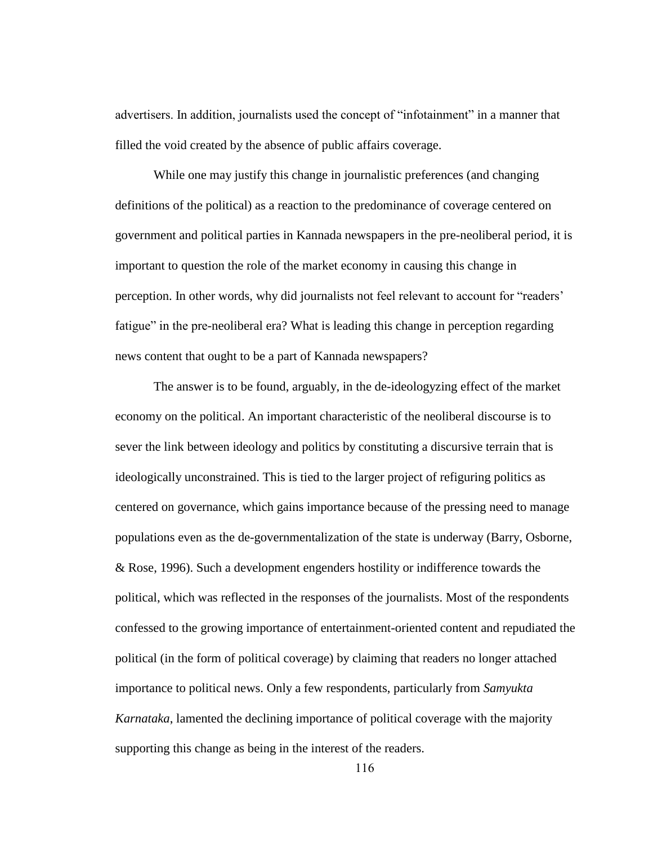advertisers. In addition, journalists used the concept of "infotainment" in a manner that filled the void created by the absence of public affairs coverage.

While one may justify this change in journalistic preferences (and changing definitions of the political) as a reaction to the predominance of coverage centered on government and political parties in Kannada newspapers in the pre-neoliberal period, it is important to question the role of the market economy in causing this change in perception. In other words, why did journalists not feel relevant to account for "readers" fatigue" in the pre-neoliberal era? What is leading this change in perception regarding news content that ought to be a part of Kannada newspapers?

The answer is to be found, arguably, in the de-ideologyzing effect of the market economy on the political. An important characteristic of the neoliberal discourse is to sever the link between ideology and politics by constituting a discursive terrain that is ideologically unconstrained. This is tied to the larger project of refiguring politics as centered on governance, which gains importance because of the pressing need to manage populations even as the de-governmentalization of the state is underway (Barry, Osborne, & Rose, 1996). Such a development engenders hostility or indifference towards the political, which was reflected in the responses of the journalists. Most of the respondents confessed to the growing importance of entertainment-oriented content and repudiated the political (in the form of political coverage) by claiming that readers no longer attached importance to political news. Only a few respondents, particularly from *Samyukta Karnataka*, lamented the declining importance of political coverage with the majority supporting this change as being in the interest of the readers.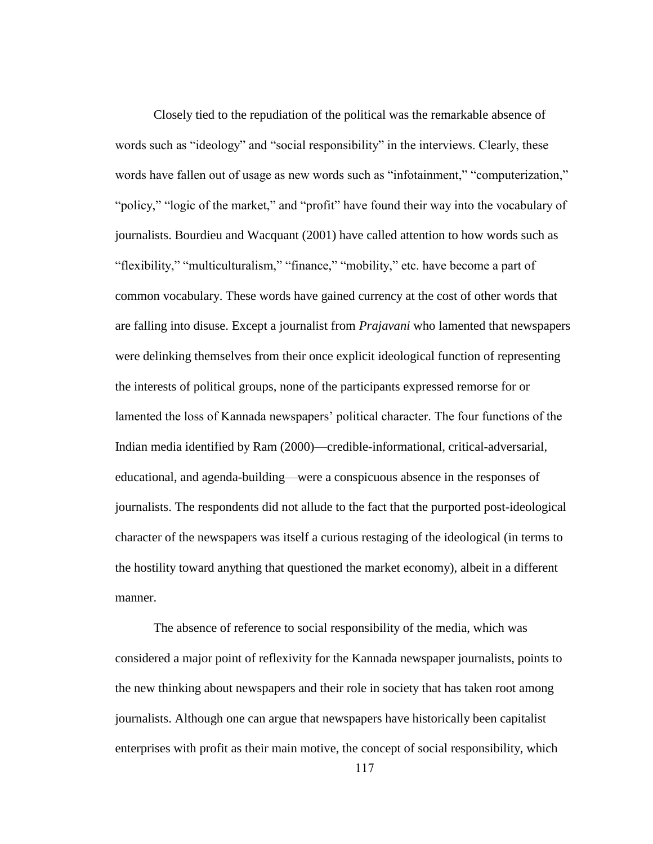Closely tied to the repudiation of the political was the remarkable absence of words such as "ideology" and "social responsibility" in the interviews. Clearly, these words have fallen out of usage as new words such as "infotainment," "computerization," "policy," "logic of the market," and "profit" have found their way into the vocabulary of journalists. Bourdieu and Wacquant (2001) have called attention to how words such as "flexibility," "multiculturalism," "finance," "mobility," etc. have become a part of common vocabulary. These words have gained currency at the cost of other words that are falling into disuse. Except a journalist from *Prajavani* who lamented that newspapers were delinking themselves from their once explicit ideological function of representing the interests of political groups, none of the participants expressed remorse for or lamented the loss of Kannada newspapers' political character. The four functions of the Indian media identified by Ram (2000)—credible-informational, critical-adversarial, educational, and agenda-building—were a conspicuous absence in the responses of journalists. The respondents did not allude to the fact that the purported post-ideological character of the newspapers was itself a curious restaging of the ideological (in terms to the hostility toward anything that questioned the market economy), albeit in a different manner.

The absence of reference to social responsibility of the media, which was considered a major point of reflexivity for the Kannada newspaper journalists, points to the new thinking about newspapers and their role in society that has taken root among journalists. Although one can argue that newspapers have historically been capitalist enterprises with profit as their main motive, the concept of social responsibility, which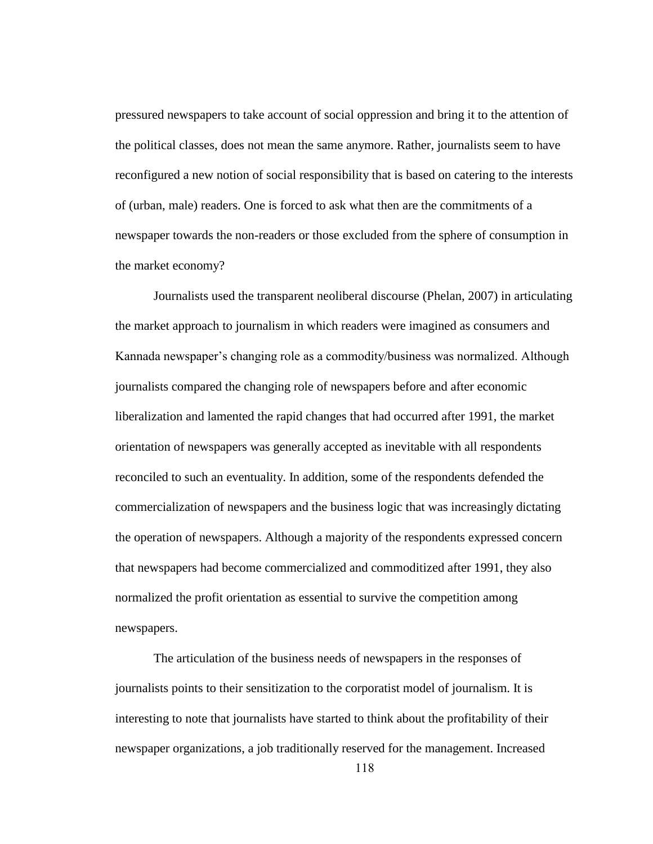pressured newspapers to take account of social oppression and bring it to the attention of the political classes, does not mean the same anymore. Rather, journalists seem to have reconfigured a new notion of social responsibility that is based on catering to the interests of (urban, male) readers. One is forced to ask what then are the commitments of a newspaper towards the non-readers or those excluded from the sphere of consumption in the market economy?

Journalists used the transparent neoliberal discourse (Phelan, 2007) in articulating the market approach to journalism in which readers were imagined as consumers and Kannada newspaper"s changing role as a commodity/business was normalized. Although journalists compared the changing role of newspapers before and after economic liberalization and lamented the rapid changes that had occurred after 1991, the market orientation of newspapers was generally accepted as inevitable with all respondents reconciled to such an eventuality. In addition, some of the respondents defended the commercialization of newspapers and the business logic that was increasingly dictating the operation of newspapers. Although a majority of the respondents expressed concern that newspapers had become commercialized and commoditized after 1991, they also normalized the profit orientation as essential to survive the competition among newspapers.

The articulation of the business needs of newspapers in the responses of journalists points to their sensitization to the corporatist model of journalism. It is interesting to note that journalists have started to think about the profitability of their newspaper organizations, a job traditionally reserved for the management. Increased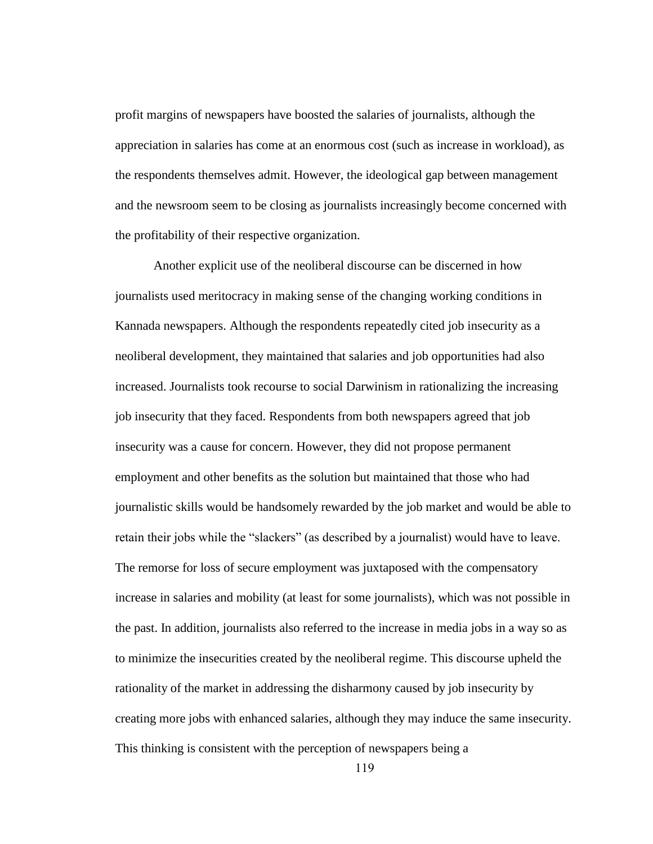profit margins of newspapers have boosted the salaries of journalists, although the appreciation in salaries has come at an enormous cost (such as increase in workload), as the respondents themselves admit. However, the ideological gap between management and the newsroom seem to be closing as journalists increasingly become concerned with the profitability of their respective organization.

Another explicit use of the neoliberal discourse can be discerned in how journalists used meritocracy in making sense of the changing working conditions in Kannada newspapers. Although the respondents repeatedly cited job insecurity as a neoliberal development, they maintained that salaries and job opportunities had also increased. Journalists took recourse to social Darwinism in rationalizing the increasing job insecurity that they faced. Respondents from both newspapers agreed that job insecurity was a cause for concern. However, they did not propose permanent employment and other benefits as the solution but maintained that those who had journalistic skills would be handsomely rewarded by the job market and would be able to retain their jobs while the "slackers" (as described by a journalist) would have to leave. The remorse for loss of secure employment was juxtaposed with the compensatory increase in salaries and mobility (at least for some journalists), which was not possible in the past. In addition, journalists also referred to the increase in media jobs in a way so as to minimize the insecurities created by the neoliberal regime. This discourse upheld the rationality of the market in addressing the disharmony caused by job insecurity by creating more jobs with enhanced salaries, although they may induce the same insecurity. This thinking is consistent with the perception of newspapers being a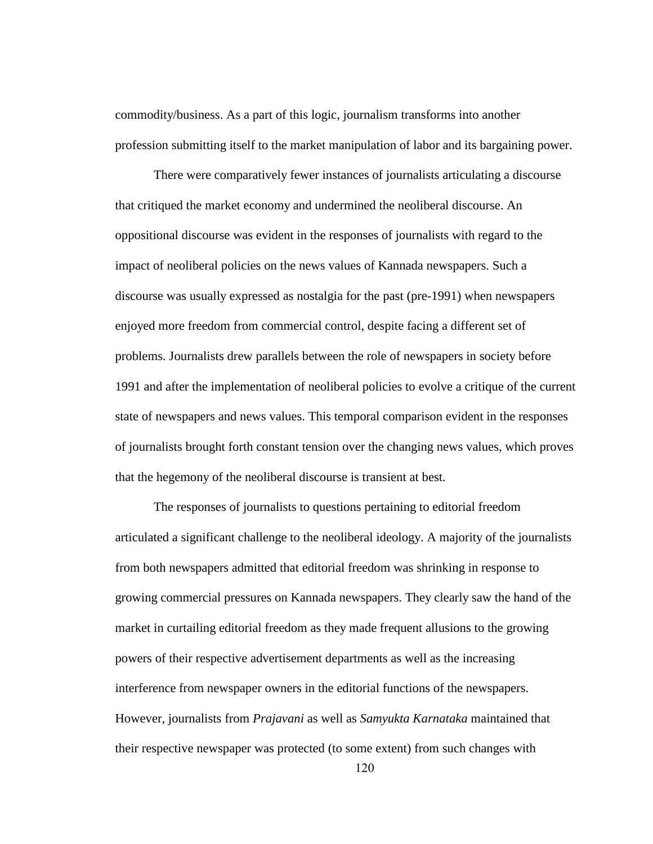commodity/business. As a part of this logic, journalism transforms into another profession submitting itself to the market manipulation of labor and its bargaining power.

There were comparatively fewer instances of journalists articulating a discourse that critiqued the market economy and undermined the neoliberal discourse. An oppositional discourse was evident in the responses of journalists with regard to the impact of neoliberal policies on the news values of Kannada newspapers. Such a discourse was usually expressed as nostalgia for the past (pre-1991) when newspapers enjoyed more freedom from commercial control, despite facing a different set of problems. Journalists drew parallels between the role of newspapers in society before 1991 and after the implementation of neoliberal policies to evolve a critique of the current state of newspapers and news values. This temporal comparison evident in the responses of journalists brought forth constant tension over the changing news values, which proves that the hegemony of the neoliberal discourse is transient at best.

The responses of journalists to questions pertaining to editorial freedom articulated a significant challenge to the neoliberal ideology. A majority of the journalists from both newspapers admitted that editorial freedom was shrinking in response to growing commercial pressures on Kannada newspapers. They clearly saw the hand of the market in curtailing editorial freedom as they made frequent allusions to the growing powers of their respective advertisement departments as well as the increasing interference from newspaper owners in the editorial functions of the newspapers. However, journalists from *Prajavani* as well as *Samyukta Karnataka* maintained that their respective newspaper was protected (to some extent) from such changes with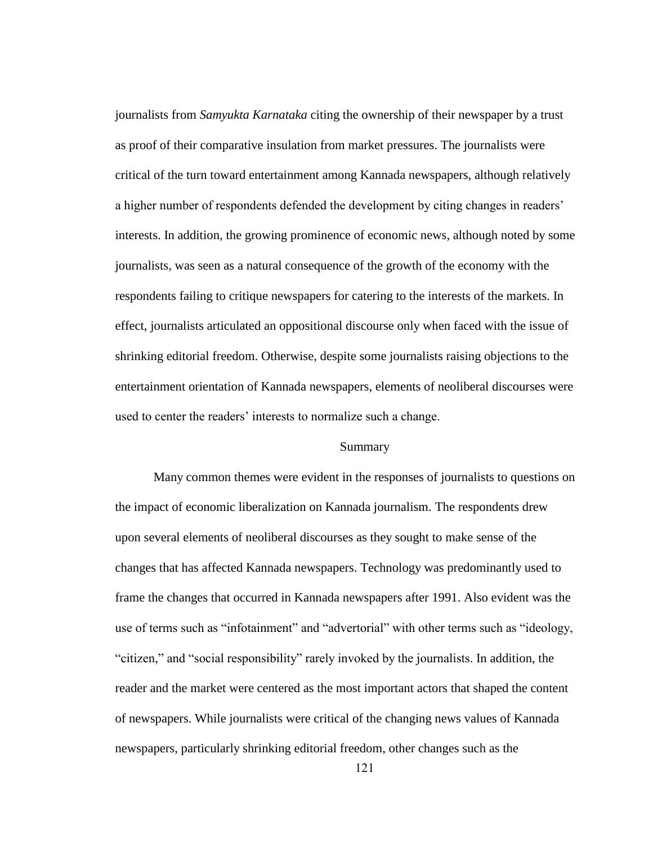journalists from *Samyukta Karnataka* citing the ownership of their newspaper by a trust as proof of their comparative insulation from market pressures. The journalists were critical of the turn toward entertainment among Kannada newspapers, although relatively a higher number of respondents defended the development by citing changes in readers" interests. In addition, the growing prominence of economic news, although noted by some journalists, was seen as a natural consequence of the growth of the economy with the respondents failing to critique newspapers for catering to the interests of the markets. In effect, journalists articulated an oppositional discourse only when faced with the issue of shrinking editorial freedom. Otherwise, despite some journalists raising objections to the entertainment orientation of Kannada newspapers, elements of neoliberal discourses were used to center the readers' interests to normalize such a change.

#### Summary

Many common themes were evident in the responses of journalists to questions on the impact of economic liberalization on Kannada journalism. The respondents drew upon several elements of neoliberal discourses as they sought to make sense of the changes that has affected Kannada newspapers. Technology was predominantly used to frame the changes that occurred in Kannada newspapers after 1991. Also evident was the use of terms such as "infotainment" and "advertorial" with other terms such as "ideology, "citizen," and "social responsibility" rarely invoked by the journalists. In addition, the reader and the market were centered as the most important actors that shaped the content of newspapers. While journalists were critical of the changing news values of Kannada newspapers, particularly shrinking editorial freedom, other changes such as the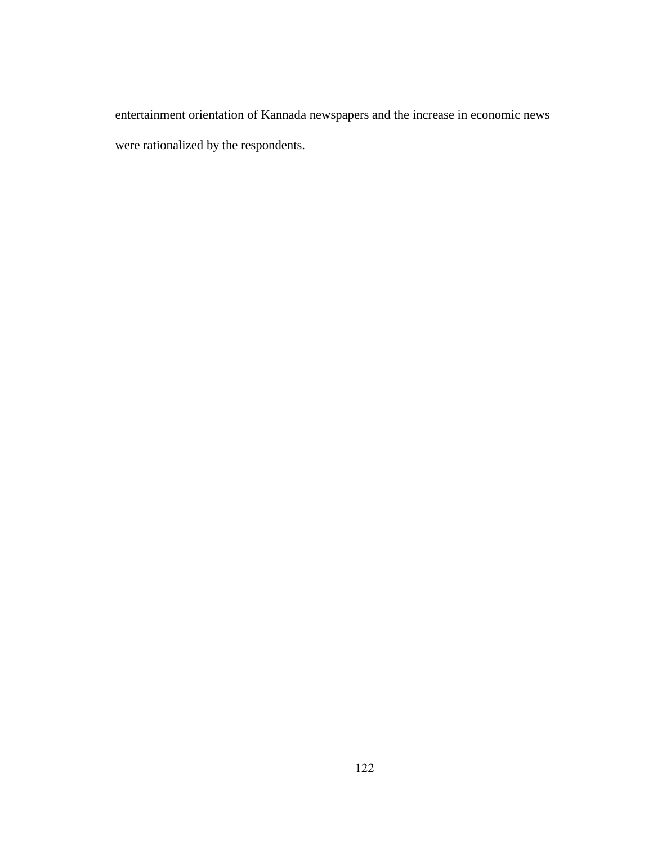entertainment orientation of Kannada newspapers and the increase in economic news were rationalized by the respondents.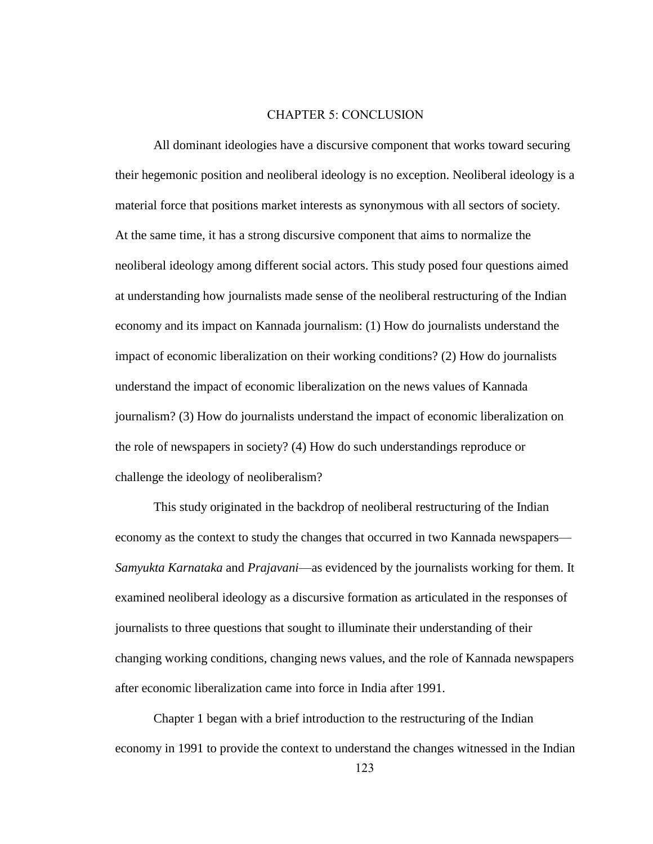## CHAPTER 5: CONCLUSION

All dominant ideologies have a discursive component that works toward securing their hegemonic position and neoliberal ideology is no exception. Neoliberal ideology is a material force that positions market interests as synonymous with all sectors of society. At the same time, it has a strong discursive component that aims to normalize the neoliberal ideology among different social actors. This study posed four questions aimed at understanding how journalists made sense of the neoliberal restructuring of the Indian economy and its impact on Kannada journalism: (1) How do journalists understand the impact of economic liberalization on their working conditions? (2) How do journalists understand the impact of economic liberalization on the news values of Kannada journalism? (3) How do journalists understand the impact of economic liberalization on the role of newspapers in society? (4) How do such understandings reproduce or challenge the ideology of neoliberalism?

This study originated in the backdrop of neoliberal restructuring of the Indian economy as the context to study the changes that occurred in two Kannada newspapers— *Samyukta Karnataka* and *Prajavani*—as evidenced by the journalists working for them. It examined neoliberal ideology as a discursive formation as articulated in the responses of journalists to three questions that sought to illuminate their understanding of their changing working conditions, changing news values, and the role of Kannada newspapers after economic liberalization came into force in India after 1991.

Chapter 1 began with a brief introduction to the restructuring of the Indian economy in 1991 to provide the context to understand the changes witnessed in the Indian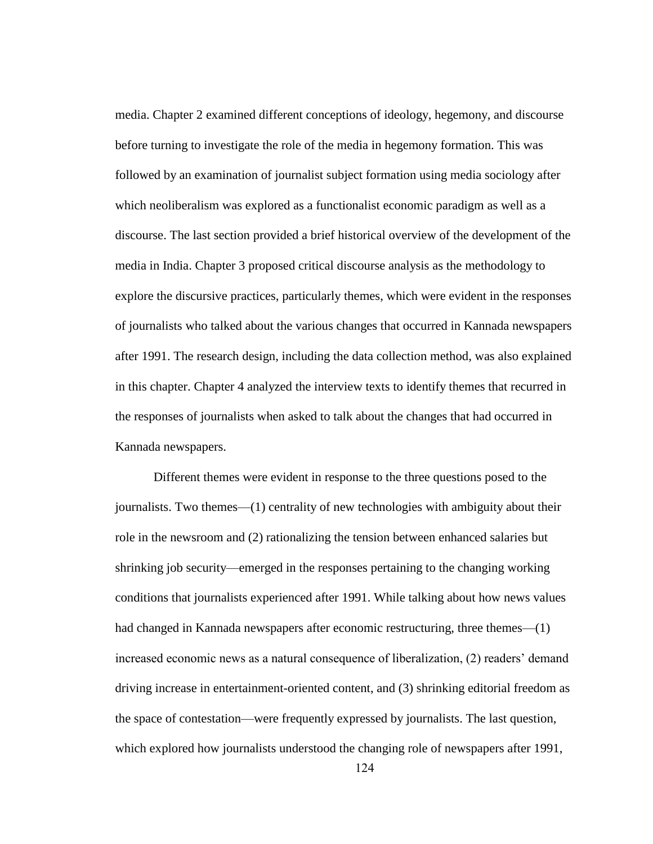media. Chapter 2 examined different conceptions of ideology, hegemony, and discourse before turning to investigate the role of the media in hegemony formation. This was followed by an examination of journalist subject formation using media sociology after which neoliberalism was explored as a functionalist economic paradigm as well as a discourse. The last section provided a brief historical overview of the development of the media in India. Chapter 3 proposed critical discourse analysis as the methodology to explore the discursive practices, particularly themes, which were evident in the responses of journalists who talked about the various changes that occurred in Kannada newspapers after 1991. The research design, including the data collection method, was also explained in this chapter. Chapter 4 analyzed the interview texts to identify themes that recurred in the responses of journalists when asked to talk about the changes that had occurred in Kannada newspapers.

Different themes were evident in response to the three questions posed to the journalists. Two themes—(1) centrality of new technologies with ambiguity about their role in the newsroom and (2) rationalizing the tension between enhanced salaries but shrinking job security—emerged in the responses pertaining to the changing working conditions that journalists experienced after 1991. While talking about how news values had changed in Kannada newspapers after economic restructuring, three themes—(1) increased economic news as a natural consequence of liberalization, (2) readers' demand driving increase in entertainment-oriented content, and (3) shrinking editorial freedom as the space of contestation—were frequently expressed by journalists. The last question, which explored how journalists understood the changing role of newspapers after 1991,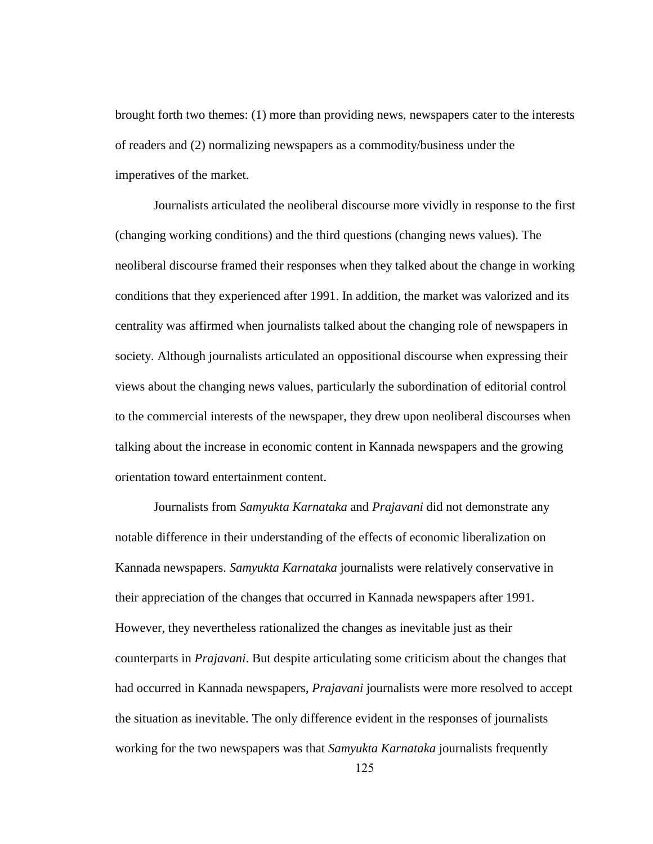brought forth two themes: (1) more than providing news, newspapers cater to the interests of readers and (2) normalizing newspapers as a commodity/business under the imperatives of the market.

Journalists articulated the neoliberal discourse more vividly in response to the first (changing working conditions) and the third questions (changing news values). The neoliberal discourse framed their responses when they talked about the change in working conditions that they experienced after 1991. In addition, the market was valorized and its centrality was affirmed when journalists talked about the changing role of newspapers in society. Although journalists articulated an oppositional discourse when expressing their views about the changing news values, particularly the subordination of editorial control to the commercial interests of the newspaper, they drew upon neoliberal discourses when talking about the increase in economic content in Kannada newspapers and the growing orientation toward entertainment content.

Journalists from *Samyukta Karnataka* and *Prajavani* did not demonstrate any notable difference in their understanding of the effects of economic liberalization on Kannada newspapers. *Samyukta Karnataka* journalists were relatively conservative in their appreciation of the changes that occurred in Kannada newspapers after 1991. However, they nevertheless rationalized the changes as inevitable just as their counterparts in *Prajavani*. But despite articulating some criticism about the changes that had occurred in Kannada newspapers, *Prajavani* journalists were more resolved to accept the situation as inevitable. The only difference evident in the responses of journalists working for the two newspapers was that *Samyukta Karnataka* journalists frequently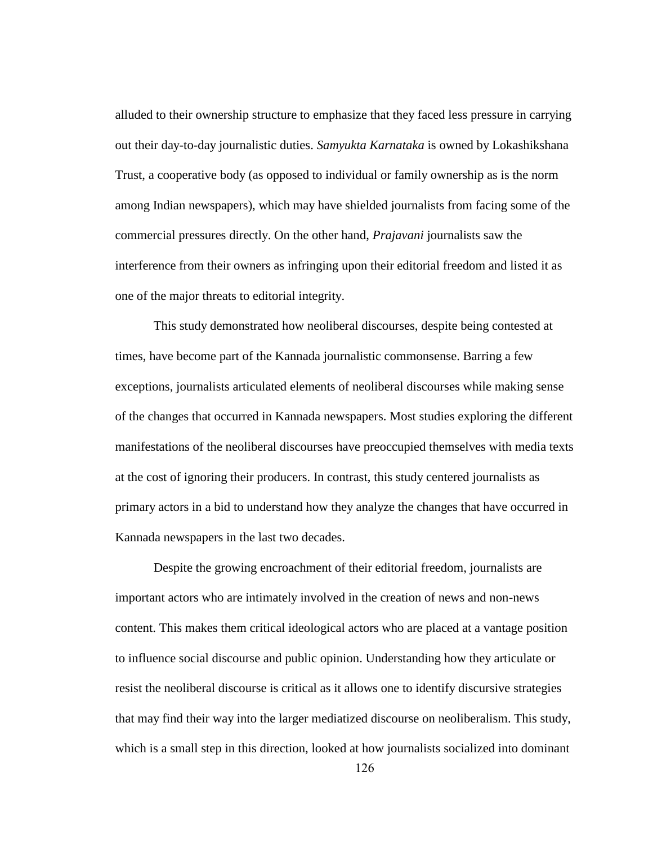alluded to their ownership structure to emphasize that they faced less pressure in carrying out their day-to-day journalistic duties. *Samyukta Karnataka* is owned by Lokashikshana Trust, a cooperative body (as opposed to individual or family ownership as is the norm among Indian newspapers), which may have shielded journalists from facing some of the commercial pressures directly. On the other hand, *Prajavani* journalists saw the interference from their owners as infringing upon their editorial freedom and listed it as one of the major threats to editorial integrity.

This study demonstrated how neoliberal discourses, despite being contested at times, have become part of the Kannada journalistic commonsense. Barring a few exceptions, journalists articulated elements of neoliberal discourses while making sense of the changes that occurred in Kannada newspapers. Most studies exploring the different manifestations of the neoliberal discourses have preoccupied themselves with media texts at the cost of ignoring their producers. In contrast, this study centered journalists as primary actors in a bid to understand how they analyze the changes that have occurred in Kannada newspapers in the last two decades.

Despite the growing encroachment of their editorial freedom, journalists are important actors who are intimately involved in the creation of news and non-news content. This makes them critical ideological actors who are placed at a vantage position to influence social discourse and public opinion. Understanding how they articulate or resist the neoliberal discourse is critical as it allows one to identify discursive strategies that may find their way into the larger mediatized discourse on neoliberalism. This study, which is a small step in this direction, looked at how journalists socialized into dominant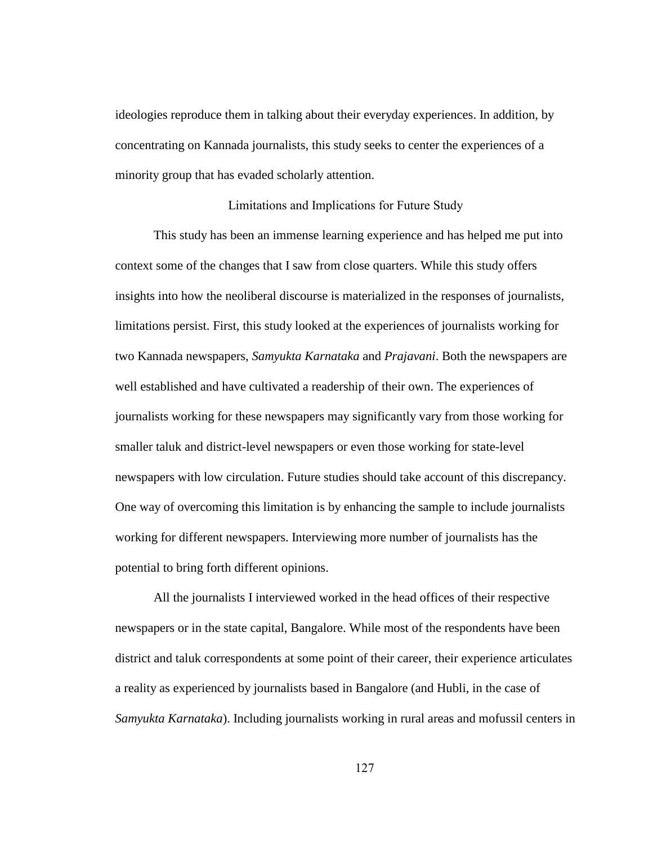ideologies reproduce them in talking about their everyday experiences. In addition, by concentrating on Kannada journalists, this study seeks to center the experiences of a minority group that has evaded scholarly attention.

# Limitations and Implications for Future Study

This study has been an immense learning experience and has helped me put into context some of the changes that I saw from close quarters. While this study offers insights into how the neoliberal discourse is materialized in the responses of journalists, limitations persist. First, this study looked at the experiences of journalists working for two Kannada newspapers, *Samyukta Karnataka* and *Prajavani*. Both the newspapers are well established and have cultivated a readership of their own. The experiences of journalists working for these newspapers may significantly vary from those working for smaller taluk and district-level newspapers or even those working for state-level newspapers with low circulation. Future studies should take account of this discrepancy. One way of overcoming this limitation is by enhancing the sample to include journalists working for different newspapers. Interviewing more number of journalists has the potential to bring forth different opinions.

All the journalists I interviewed worked in the head offices of their respective newspapers or in the state capital, Bangalore. While most of the respondents have been district and taluk correspondents at some point of their career, their experience articulates a reality as experienced by journalists based in Bangalore (and Hubli, in the case of *Samyukta Karnataka*). Including journalists working in rural areas and mofussil centers in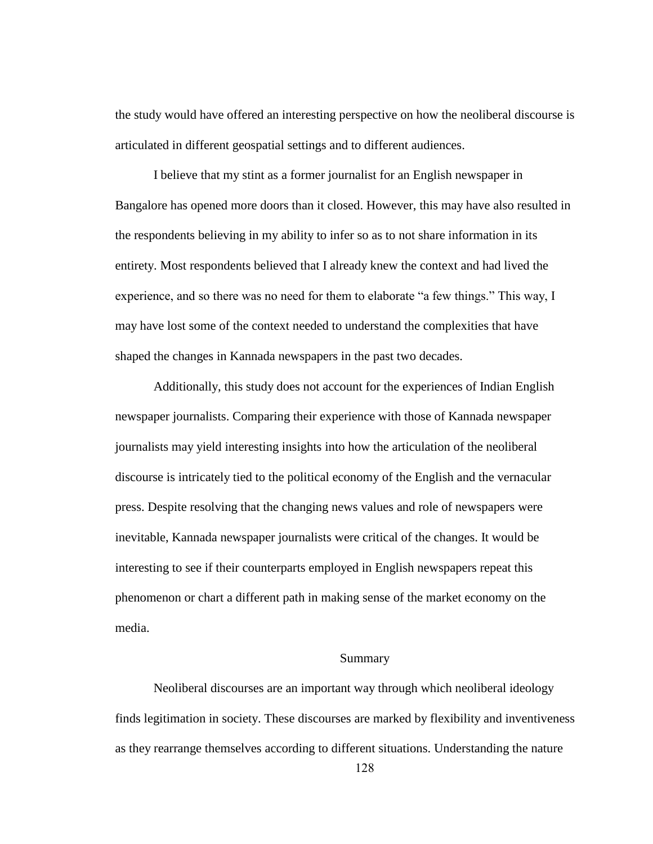the study would have offered an interesting perspective on how the neoliberal discourse is articulated in different geospatial settings and to different audiences.

I believe that my stint as a former journalist for an English newspaper in Bangalore has opened more doors than it closed. However, this may have also resulted in the respondents believing in my ability to infer so as to not share information in its entirety. Most respondents believed that I already knew the context and had lived the experience, and so there was no need for them to elaborate "a few things." This way, I may have lost some of the context needed to understand the complexities that have shaped the changes in Kannada newspapers in the past two decades.

Additionally, this study does not account for the experiences of Indian English newspaper journalists. Comparing their experience with those of Kannada newspaper journalists may yield interesting insights into how the articulation of the neoliberal discourse is intricately tied to the political economy of the English and the vernacular press. Despite resolving that the changing news values and role of newspapers were inevitable, Kannada newspaper journalists were critical of the changes. It would be interesting to see if their counterparts employed in English newspapers repeat this phenomenon or chart a different path in making sense of the market economy on the media.

## Summary

Neoliberal discourses are an important way through which neoliberal ideology finds legitimation in society. These discourses are marked by flexibility and inventiveness as they rearrange themselves according to different situations. Understanding the nature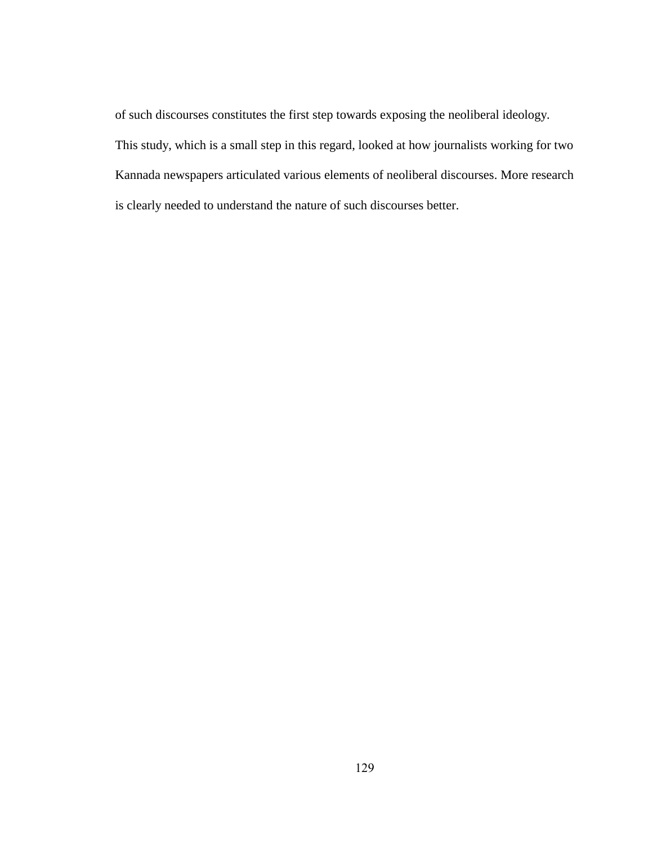of such discourses constitutes the first step towards exposing the neoliberal ideology. This study, which is a small step in this regard, looked at how journalists working for two Kannada newspapers articulated various elements of neoliberal discourses. More research is clearly needed to understand the nature of such discourses better.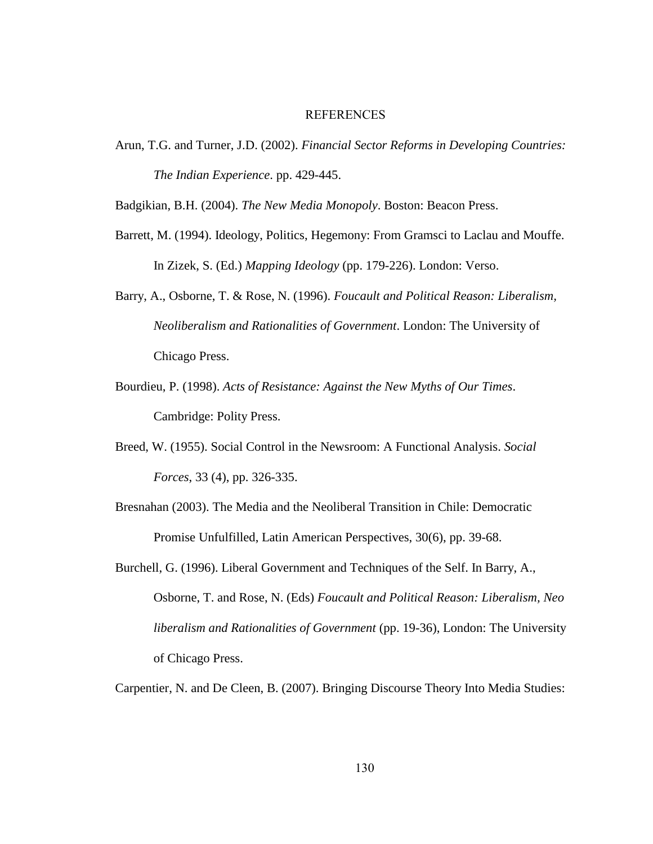## REFERENCES

Arun, T.G. and Turner, J.D. (2002). *Financial Sector Reforms in Developing Countries: The Indian Experience*. pp. 429-445.

Badgikian, B.H. (2004). *The New Media Monopoly*. Boston: Beacon Press.

- Barrett, M. (1994). Ideology, Politics, Hegemony: From Gramsci to Laclau and Mouffe. In Zizek, S. (Ed.) *Mapping Ideology* (pp. 179-226). London: Verso.
- Barry, A., Osborne, T. & Rose, N. (1996). *Foucault and Political Reason: Liberalism, Neoliberalism and Rationalities of Government*. London: The University of Chicago Press.
- Bourdieu, P. (1998). *Acts of Resistance: Against the New Myths of Our Times*. Cambridge: Polity Press.
- Breed, W. (1955). Social Control in the Newsroom: A Functional Analysis. *Social Forces*, 33 (4), pp. 326-335.
- Bresnahan (2003). The Media and the Neoliberal Transition in Chile: Democratic Promise Unfulfilled, Latin American Perspectives, 30(6), pp. 39-68.
- Burchell, G. (1996). Liberal Government and Techniques of the Self. In Barry, A., Osborne, T. and Rose, N. (Eds) *Foucault and Political Reason: Liberalism, Neo liberalism and Rationalities of Government* (pp. 19-36), London: The University of Chicago Press.

Carpentier, N. and De Cleen, B. (2007). Bringing Discourse Theory Into Media Studies: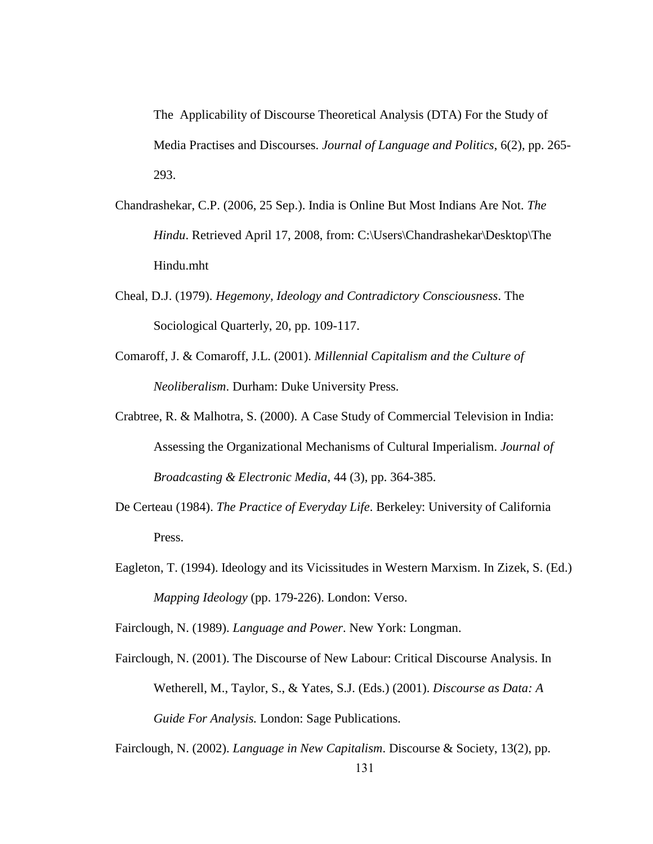The Applicability of Discourse Theoretical Analysis (DTA) For the Study of Media Practises and Discourses. *Journal of Language and Politics*, 6(2), pp. 265- 293.

- Chandrashekar, C.P. (2006, 25 Sep.). India is Online But Most Indians Are Not. *The Hindu*. Retrieved April 17, 2008, from: C:\Users\Chandrashekar\Desktop\The Hindu.mht
- Cheal, D.J. (1979). *Hegemony, Ideology and Contradictory Consciousness*. The Sociological Quarterly, 20, pp. 109-117.
- Comaroff, J. & Comaroff, J.L. (2001). *Millennial Capitalism and the Culture of Neoliberalism*. Durham: Duke University Press.
- Crabtree, R. & Malhotra, S. (2000). A Case Study of Commercial Television in India: Assessing the Organizational Mechanisms of Cultural Imperialism. *Journal of Broadcasting & Electronic Media*, 44 (3), pp. 364-385.
- De Certeau (1984). *The Practice of Everyday Life*. Berkeley: University of California Press.
- Eagleton, T. (1994). Ideology and its Vicissitudes in Western Marxism. In Zizek, S. (Ed.) *Mapping Ideology* (pp. 179-226). London: Verso.

Fairclough, N. (1989). *Language and Power*. New York: Longman.

Fairclough, N. (2001). The Discourse of New Labour: Critical Discourse Analysis. In Wetherell, M., Taylor, S., & Yates, S.J. (Eds.) (2001). *Discourse as Data: A Guide For Analysis.* London: Sage Publications.

Fairclough, N. (2002). *Language in New Capitalism*. Discourse & Society, 13(2), pp.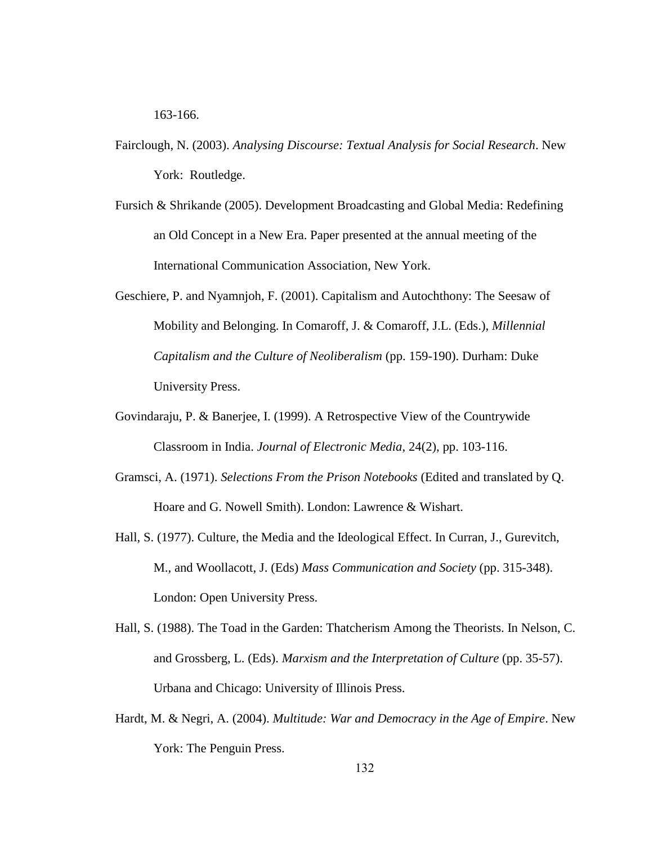163-166.

- Fairclough, N. (2003). *Analysing Discourse: Textual Analysis for Social Research*. New York: Routledge.
- Fursich & Shrikande (2005). Development Broadcasting and Global Media: Redefining an Old Concept in a New Era. Paper presented at the annual meeting of the International Communication Association, New York.
- Geschiere, P. and Nyamnjoh, F. (2001). Capitalism and Autochthony: The Seesaw of Mobility and Belonging. In Comaroff, J. & Comaroff, J.L. (Eds.), *Millennial Capitalism and the Culture of Neoliberalism* (pp. 159-190). Durham: Duke University Press.
- Govindaraju, P. & Banerjee, I. (1999). A Retrospective View of the Countrywide Classroom in India. *Journal of Electronic Media*, 24(2), pp. 103-116.
- Gramsci, A. (1971). *Selections From the Prison Notebooks* (Edited and translated by Q. Hoare and G. Nowell Smith). London: Lawrence & Wishart.
- Hall, S. (1977). Culture, the Media and the Ideological Effect. In Curran, J., Gurevitch, M., and Woollacott, J. (Eds) *Mass Communication and Society* (pp. 315-348). London: Open University Press.
- Hall, S. (1988). The Toad in the Garden: Thatcherism Among the Theorists. In Nelson, C. and Grossberg, L. (Eds). *Marxism and the Interpretation of Culture* (pp. 35-57). Urbana and Chicago: University of Illinois Press.
- Hardt, M. & Negri, A. (2004). *Multitude: War and Democracy in the Age of Empire*. New York: The Penguin Press.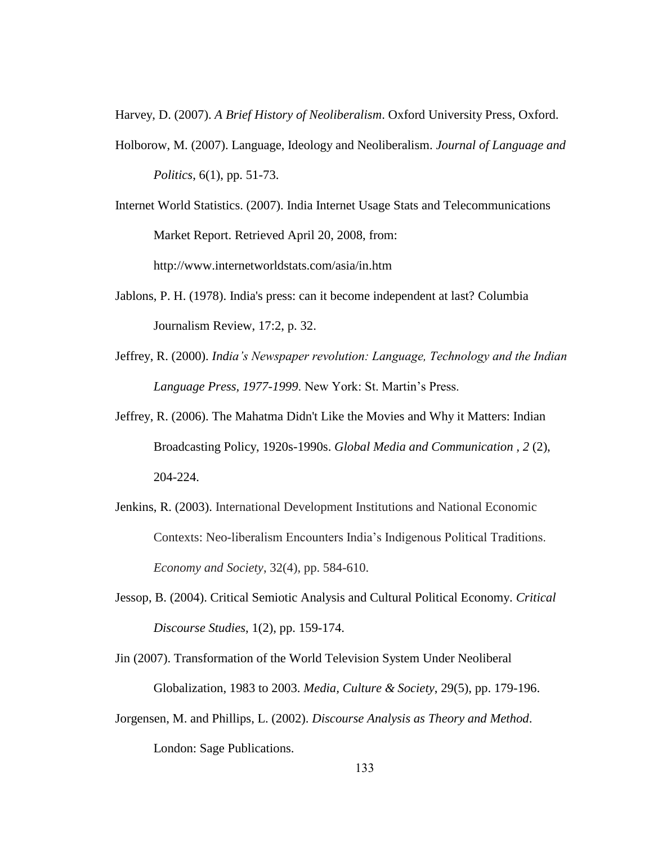Harvey, D. (2007). *A Brief History of Neoliberalism*. Oxford University Press, Oxford.

- Holborow, M. (2007). Language, Ideology and Neoliberalism. *Journal of Language and Politics*, 6(1), pp. 51-73.
- Internet World Statistics. (2007). India Internet Usage Stats and Telecommunications Market Report. Retrieved April 20, 2008, from: http://www.internetworldstats.com/asia/in.htm
- Jablons, P. H. (1978). India's press: can it become independent at last? Columbia Journalism Review, 17:2, p. 32.
- Jeffrey, R. (2000). *India's Newspaper revolution: Language, Technology and the Indian*  Language Press, 1977-1999. New York: St. Martin's Press.
- Jeffrey, R. (2006). The Mahatma Didn't Like the Movies and Why it Matters: Indian Broadcasting Policy, 1920s-1990s. *Global Media and Communication , 2* (2), 204-224.
- Jenkins, R. (2003). International Development Institutions and National Economic Contexts: Neo-liberalism Encounters India"s Indigenous Political Traditions. *Economy and Society*, 32(4), pp. 584-610.
- Jessop, B. (2004). Critical Semiotic Analysis and Cultural Political Economy. *Critical Discourse Studies*, 1(2), pp. 159-174.
- Jin (2007). Transformation of the World Television System Under Neoliberal Globalization, 1983 to 2003. *Media, Culture & Society*, 29(5), pp. 179-196.
- Jorgensen, M. and Phillips, L. (2002). *Discourse Analysis as Theory and Method*. London: Sage Publications.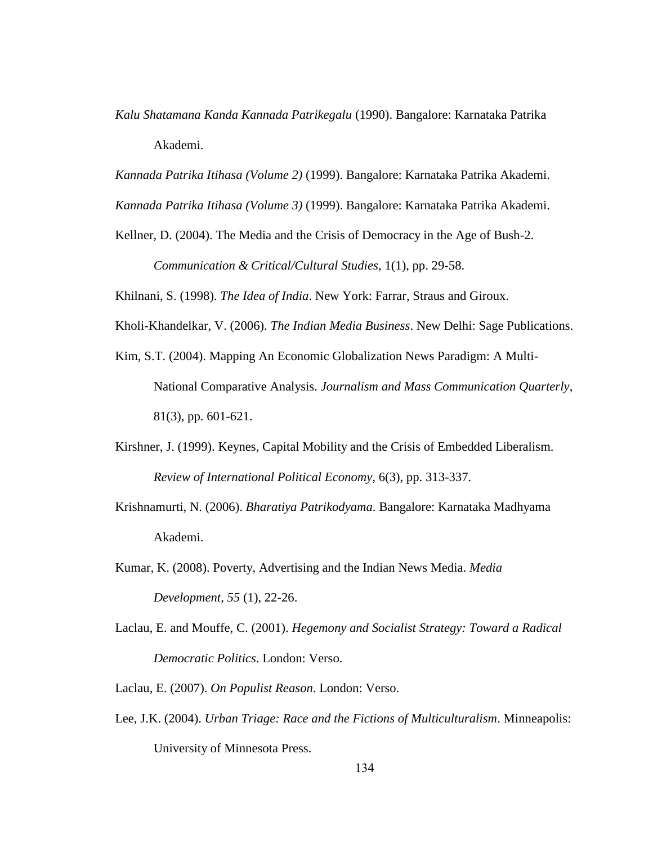*Kalu Shatamana Kanda Kannada Patrikegalu* (1990). Bangalore: Karnataka Patrika Akademi.

*Kannada Patrika Itihasa (Volume 2)* (1999). Bangalore: Karnataka Patrika Akademi.

*Kannada Patrika Itihasa (Volume 3)* (1999). Bangalore: Karnataka Patrika Akademi.

Kellner, D. (2004). The Media and the Crisis of Democracy in the Age of Bush-2. *Communication & Critical/Cultural Studies*, 1(1), pp. 29-58.

Khilnani, S. (1998). *The Idea of India*. New York: Farrar, Straus and Giroux.

- Kholi-Khandelkar, V. (2006). *The Indian Media Business*. New Delhi: Sage Publications.
- Kim, S.T. (2004). Mapping An Economic Globalization News Paradigm: A Multi-National Comparative Analysis. *Journalism and Mass Communication Quarterly*, 81(3), pp. 601-621.
- Kirshner, J. (1999). Keynes, Capital Mobility and the Crisis of Embedded Liberalism. *Review of International Political Economy*, 6(3), pp. 313-337.
- Krishnamurti, N. (2006). *Bharatiya Patrikodyama*. Bangalore: Karnataka Madhyama Akademi.
- Kumar, K. (2008). Poverty, Advertising and the Indian News Media. *Media Development, 55* (1), 22-26.
- Laclau, E. and Mouffe, C. (2001). *Hegemony and Socialist Strategy: Toward a Radical Democratic Politics*. London: Verso.
- Laclau, E. (2007). *On Populist Reason*. London: Verso.
- Lee, J.K. (2004). *Urban Triage: Race and the Fictions of Multiculturalism*. Minneapolis: University of Minnesota Press.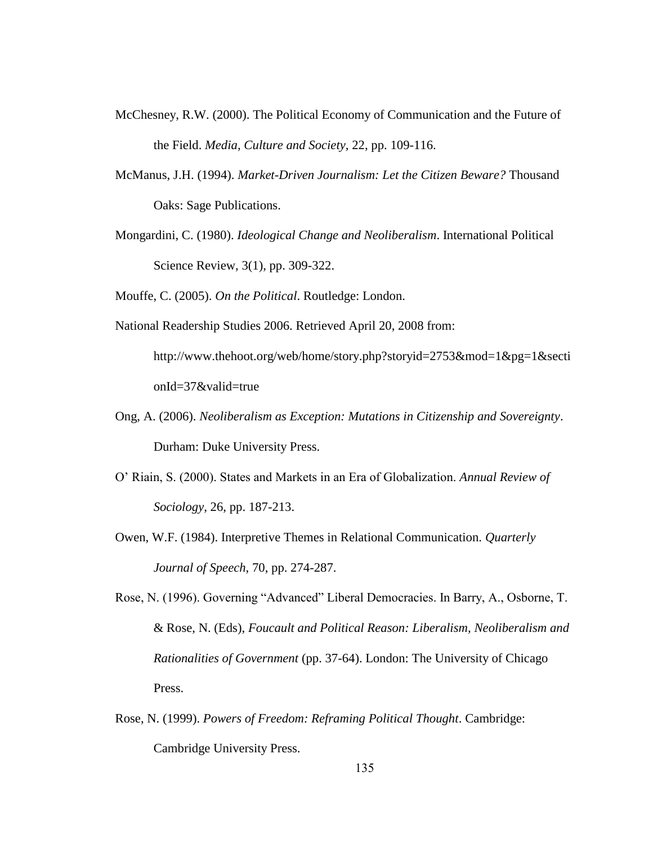- McChesney, R.W. (2000). The Political Economy of Communication and the Future of the Field. *Media, Culture and Society*, 22, pp. 109-116.
- McManus, J.H. (1994). *Market-Driven Journalism: Let the Citizen Beware?* Thousand Oaks: Sage Publications.
- Mongardini, C. (1980). *Ideological Change and Neoliberalism*. International Political Science Review, 3(1), pp. 309-322.

Mouffe, C. (2005). *On the Political*. Routledge: London.

National Readership Studies 2006. Retrieved April 20, 2008 from:

http://www.thehoot.org/web/home/story.php?storyid=2753&mod=1&pg=1&secti onId=37&valid=true

- Ong, A. (2006). *Neoliberalism as Exception: Mutations in Citizenship and Sovereignty*. Durham: Duke University Press.
- O" Riain, S. (2000). States and Markets in an Era of Globalization. *Annual Review of Sociology*, 26, pp. 187-213.
- Owen, W.F. (1984). Interpretive Themes in Relational Communication. *Quarterly Journal of Speech*, 70, pp. 274-287.
- Rose, N. (1996). Governing "Advanced" Liberal Democracies. In Barry, A., Osborne, T. & Rose, N. (Eds), *Foucault and Political Reason: Liberalism, Neoliberalism and Rationalities of Government* (pp. 37-64). London: The University of Chicago Press.
- Rose, N. (1999). *Powers of Freedom: Reframing Political Thought*. Cambridge: Cambridge University Press.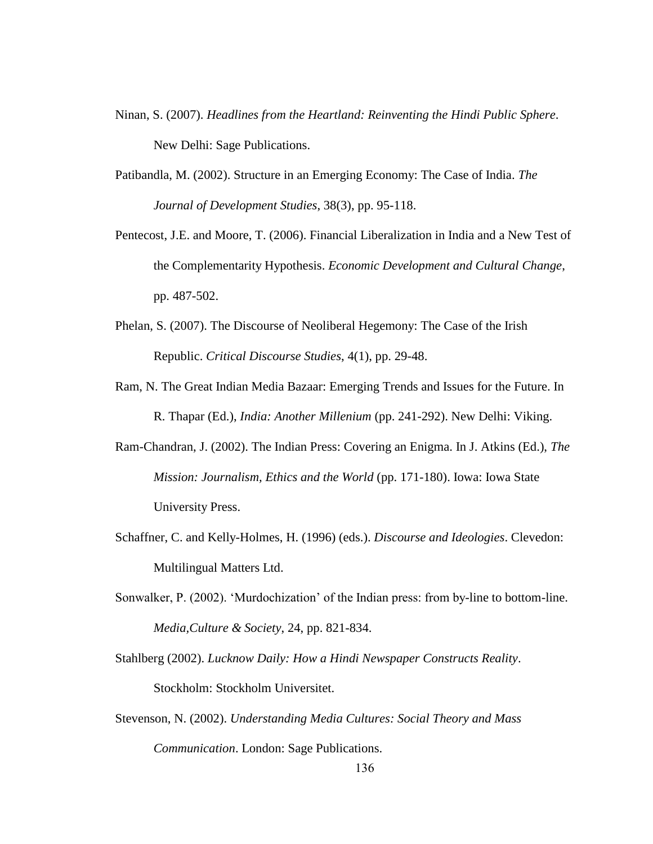- Ninan, S. (2007). *Headlines from the Heartland: Reinventing the Hindi Public Sphere*. New Delhi: Sage Publications.
- Patibandla, M. (2002). Structure in an Emerging Economy: The Case of India. *The Journal of Development Studies*, 38(3), pp. 95-118.
- Pentecost, J.E. and Moore, T. (2006). Financial Liberalization in India and a New Test of the Complementarity Hypothesis. *Economic Development and Cultural Change*, pp. 487-502.
- Phelan, S. (2007). The Discourse of Neoliberal Hegemony: The Case of the Irish Republic. *Critical Discourse Studies*, 4(1), pp. 29-48.
- Ram, N. The Great Indian Media Bazaar: Emerging Trends and Issues for the Future. In R. Thapar (Ed.), *India: Another Millenium* (pp. 241-292). New Delhi: Viking.
- Ram-Chandran, J. (2002). The Indian Press: Covering an Enigma. In J. Atkins (Ed.), *The Mission: Journalism, Ethics and the World* (pp. 171-180). Iowa: Iowa State University Press.
- Schaffner, C. and Kelly-Holmes, H. (1996) (eds.). *Discourse and Ideologies*. Clevedon: Multilingual Matters Ltd.
- Sonwalker, P. (2002). "Murdochization" of the Indian press: from by-line to bottom-line. *Media,Culture & Society*, 24, pp. 821-834.
- Stahlberg (2002). *Lucknow Daily: How a Hindi Newspaper Constructs Reality*. Stockholm: Stockholm Universitet.
- Stevenson, N. (2002). *Understanding Media Cultures: Social Theory and Mass Communication*. London: Sage Publications.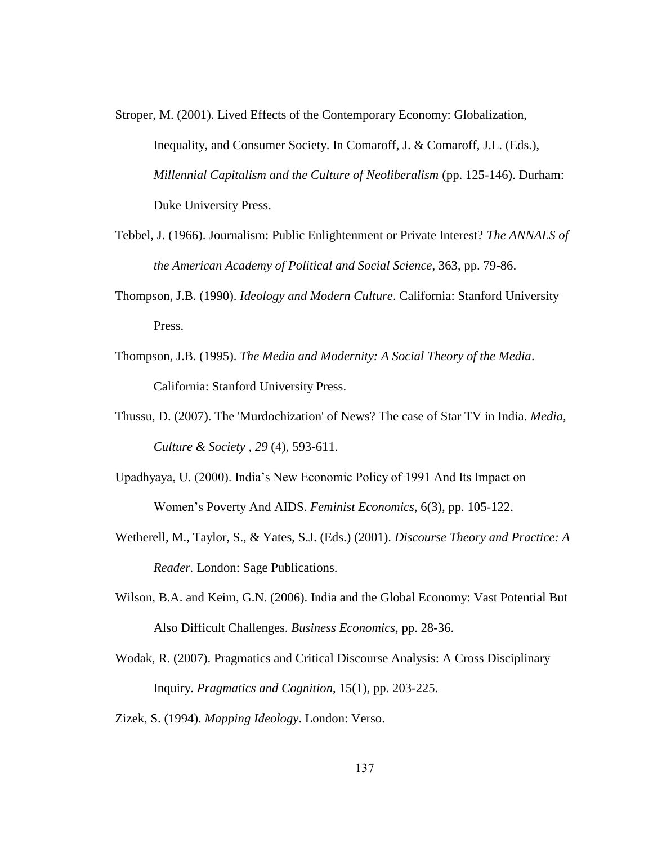- Stroper, M. (2001). Lived Effects of the Contemporary Economy: Globalization, Inequality, and Consumer Society. In Comaroff, J. & Comaroff, J.L. (Eds.), *Millennial Capitalism and the Culture of Neoliberalism (pp. 125-146). Durham:* Duke University Press.
- Tebbel, J. (1966). Journalism: Public Enlightenment or Private Interest? *The ANNALS of the American Academy of Political and Social Science*, 363, pp. 79-86.
- Thompson, J.B. (1990). *Ideology and Modern Culture*. California: Stanford University Press.
- Thompson, J.B. (1995). *The Media and Modernity: A Social Theory of the Media*. California: Stanford University Press.
- Thussu, D. (2007). The 'Murdochization' of News? The case of Star TV in India. *Media, Culture & Society , 29* (4), 593-611.
- Upadhyaya, U. (2000). India"s New Economic Policy of 1991 And Its Impact on Women"s Poverty And AIDS. *Feminist Economics*, 6(3), pp. 105-122.
- Wetherell, M., Taylor, S., & Yates, S.J. (Eds.) (2001). *Discourse Theory and Practice: A Reader.* London: Sage Publications.
- Wilson, B.A. and Keim, G.N. (2006). India and the Global Economy: Vast Potential But Also Difficult Challenges. *Business Economics*, pp. 28-36.
- Wodak, R. (2007). Pragmatics and Critical Discourse Analysis: A Cross Disciplinary Inquiry. *Pragmatics and Cognition*, 15(1), pp. 203-225.
- Zizek, S. (1994). *Mapping Ideology*. London: Verso.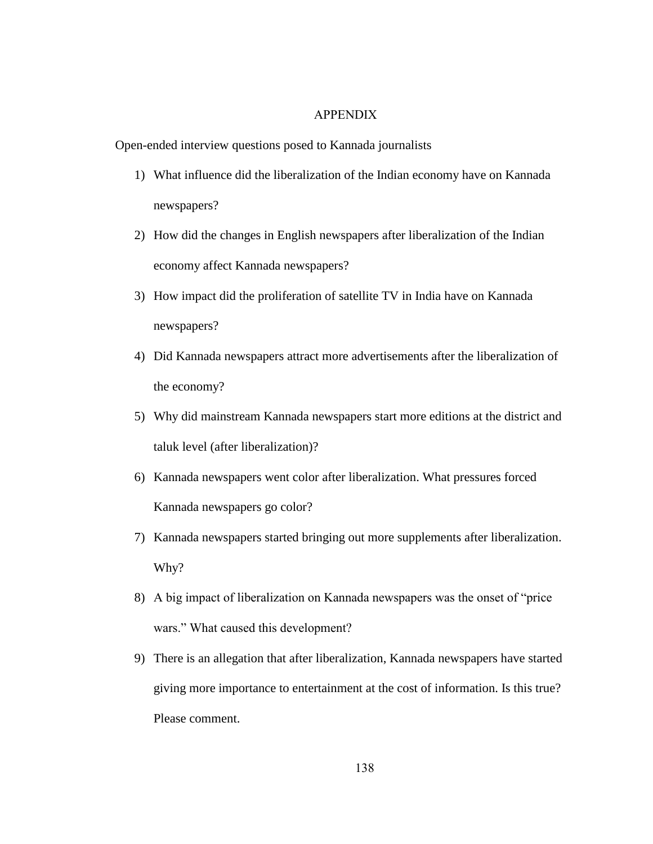## APPENDIX

Open-ended interview questions posed to Kannada journalists

- 1) What influence did the liberalization of the Indian economy have on Kannada newspapers?
- 2) How did the changes in English newspapers after liberalization of the Indian economy affect Kannada newspapers?
- 3) How impact did the proliferation of satellite TV in India have on Kannada newspapers?
- 4) Did Kannada newspapers attract more advertisements after the liberalization of the economy?
- 5) Why did mainstream Kannada newspapers start more editions at the district and taluk level (after liberalization)?
- 6) Kannada newspapers went color after liberalization. What pressures forced Kannada newspapers go color?
- 7) Kannada newspapers started bringing out more supplements after liberalization. Why?
- 8) A big impact of liberalization on Kannada newspapers was the onset of "price wars." What caused this development?
- 9) There is an allegation that after liberalization, Kannada newspapers have started giving more importance to entertainment at the cost of information. Is this true? Please comment.